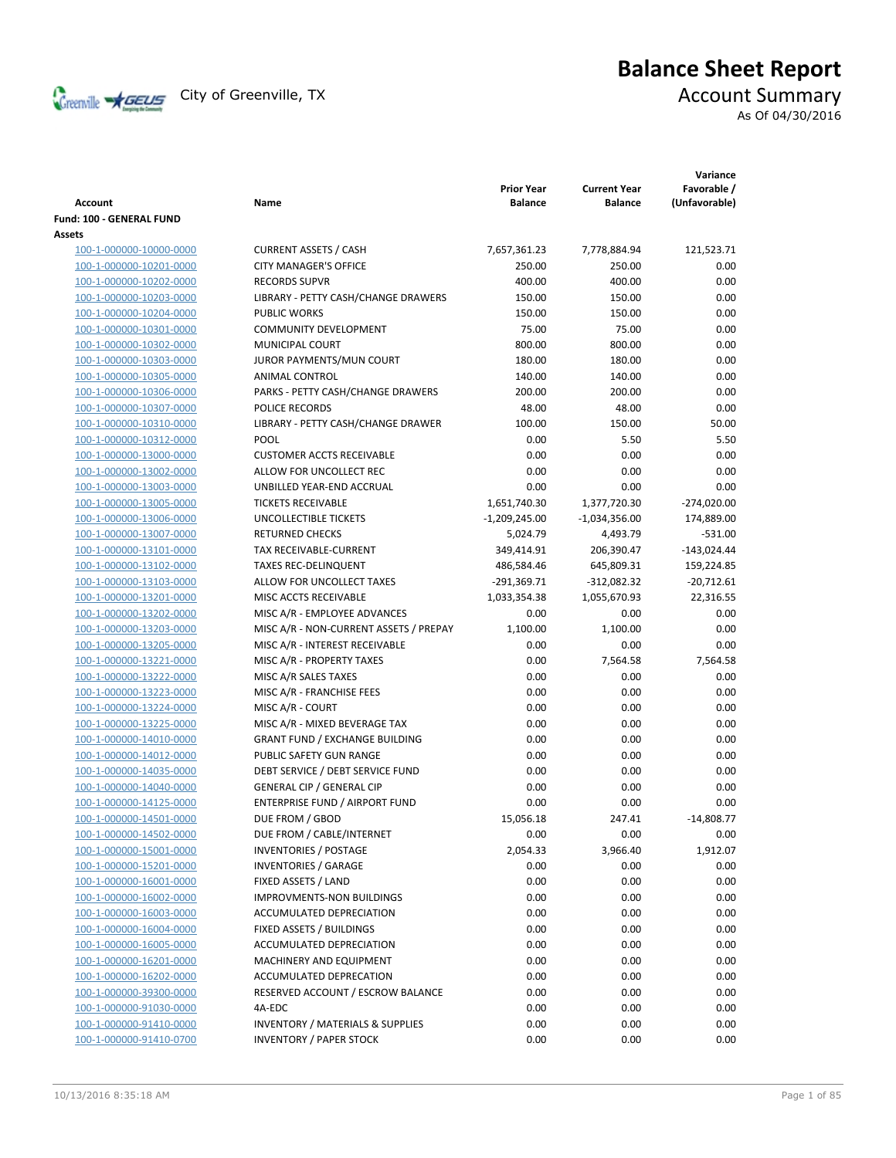

# **Balance Sheet Report**

As Of 04/30/2016

| <b>Account</b>           | Name                                        | <b>Prior Year</b><br><b>Balance</b> | <b>Current Year</b><br><b>Balance</b> | Variance<br>Favorable /<br>(Unfavorable) |
|--------------------------|---------------------------------------------|-------------------------------------|---------------------------------------|------------------------------------------|
| Fund: 100 - GENERAL FUND |                                             |                                     |                                       |                                          |
| Assets                   |                                             |                                     |                                       |                                          |
| 100-1-000000-10000-0000  | <b>CURRENT ASSETS / CASH</b>                | 7,657,361.23                        | 7,778,884.94                          | 121,523.71                               |
| 100-1-000000-10201-0000  | <b>CITY MANAGER'S OFFICE</b>                | 250.00                              | 250.00                                | 0.00                                     |
| 100-1-000000-10202-0000  | <b>RECORDS SUPVR</b>                        | 400.00                              | 400.00                                | 0.00                                     |
| 100-1-000000-10203-0000  | LIBRARY - PETTY CASH/CHANGE DRAWERS         | 150.00                              | 150.00                                | 0.00                                     |
| 100-1-000000-10204-0000  | <b>PUBLIC WORKS</b>                         | 150.00                              | 150.00                                | 0.00                                     |
| 100-1-000000-10301-0000  | <b>COMMUNITY DEVELOPMENT</b>                | 75.00                               | 75.00                                 | 0.00                                     |
| 100-1-000000-10302-0000  | <b>MUNICIPAL COURT</b>                      | 800.00                              | 800.00                                | 0.00                                     |
| 100-1-000000-10303-0000  | JUROR PAYMENTS/MUN COURT                    | 180.00                              | 180.00                                | 0.00                                     |
| 100-1-000000-10305-0000  | ANIMAL CONTROL                              | 140.00                              | 140.00                                | 0.00                                     |
| 100-1-000000-10306-0000  | PARKS - PETTY CASH/CHANGE DRAWERS           | 200.00                              | 200.00                                | 0.00                                     |
| 100-1-000000-10307-0000  | POLICE RECORDS                              | 48.00                               | 48.00                                 | 0.00                                     |
| 100-1-000000-10310-0000  | LIBRARY - PETTY CASH/CHANGE DRAWER          | 100.00                              | 150.00                                | 50.00                                    |
| 100-1-000000-10312-0000  | POOL                                        | 0.00                                | 5.50                                  | 5.50                                     |
| 100-1-000000-13000-0000  | <b>CUSTOMER ACCTS RECEIVABLE</b>            | 0.00                                | 0.00                                  | 0.00                                     |
| 100-1-000000-13002-0000  | ALLOW FOR UNCOLLECT REC                     | 0.00                                | 0.00                                  | 0.00                                     |
| 100-1-000000-13003-0000  | UNBILLED YEAR-END ACCRUAL                   | 0.00                                | 0.00                                  | 0.00                                     |
| 100-1-000000-13005-0000  | <b>TICKETS RECEIVABLE</b>                   | 1,651,740.30                        | 1,377,720.30                          | $-274,020.00$                            |
| 100-1-000000-13006-0000  | UNCOLLECTIBLE TICKETS                       | $-1,209,245.00$                     | $-1,034,356.00$                       | 174,889.00                               |
| 100-1-000000-13007-0000  | <b>RETURNED CHECKS</b>                      | 5,024.79                            | 4,493.79                              | $-531.00$                                |
| 100-1-000000-13101-0000  | TAX RECEIVABLE-CURRENT                      | 349,414.91                          | 206,390.47                            | $-143,024.44$                            |
| 100-1-000000-13102-0000  | <b>TAXES REC-DELINQUENT</b>                 | 486,584.46                          | 645,809.31                            | 159,224.85                               |
| 100-1-000000-13103-0000  | ALLOW FOR UNCOLLECT TAXES                   | $-291,369.71$                       | $-312,082.32$                         | $-20,712.61$                             |
| 100-1-000000-13201-0000  | MISC ACCTS RECEIVABLE                       | 1,033,354.38                        | 1,055,670.93                          | 22,316.55                                |
| 100-1-000000-13202-0000  | MISC A/R - EMPLOYEE ADVANCES                | 0.00                                | 0.00                                  | 0.00                                     |
| 100-1-000000-13203-0000  | MISC A/R - NON-CURRENT ASSETS / PREPAY      | 1,100.00                            | 1,100.00                              | 0.00                                     |
| 100-1-000000-13205-0000  | MISC A/R - INTEREST RECEIVABLE              | 0.00                                | 0.00                                  | 0.00                                     |
| 100-1-000000-13221-0000  | MISC A/R - PROPERTY TAXES                   | 0.00                                | 7,564.58                              | 7,564.58                                 |
| 100-1-000000-13222-0000  | MISC A/R SALES TAXES                        | 0.00                                | 0.00                                  | 0.00                                     |
| 100-1-000000-13223-0000  | MISC A/R - FRANCHISE FEES                   | 0.00                                | 0.00                                  | 0.00                                     |
| 100-1-000000-13224-0000  | MISC A/R - COURT                            | 0.00                                | 0.00                                  | 0.00                                     |
| 100-1-000000-13225-0000  | MISC A/R - MIXED BEVERAGE TAX               | 0.00                                | 0.00                                  | 0.00                                     |
| 100-1-000000-14010-0000  | <b>GRANT FUND / EXCHANGE BUILDING</b>       | 0.00                                | 0.00                                  | 0.00                                     |
| 100-1-000000-14012-0000  | PUBLIC SAFETY GUN RANGE                     | 0.00                                | 0.00                                  | 0.00                                     |
| 100-1-000000-14035-0000  | DEBT SERVICE / DEBT SERVICE FUND            | 0.00                                | 0.00                                  | 0.00                                     |
| 100-1-000000-14040-0000  | <b>GENERAL CIP / GENERAL CIP</b>            | 0.00                                | 0.00                                  | 0.00                                     |
| 100-1-000000-14125-0000  | ENTERPRISE FUND / AIRPORT FUND              | 0.00                                | 0.00                                  | 0.00                                     |
| 100-1-000000-14501-0000  | DUE FROM / GBOD                             | 15,056.18                           | 247.41                                | $-14,808.77$                             |
| 100-1-000000-14502-0000  | DUE FROM / CABLE/INTERNET                   | 0.00                                | 0.00                                  | 0.00                                     |
| 100-1-000000-15001-0000  | <b>INVENTORIES / POSTAGE</b>                | 2,054.33                            | 3,966.40                              | 1,912.07                                 |
| 100-1-000000-15201-0000  | <b>INVENTORIES / GARAGE</b>                 | 0.00                                | 0.00                                  | 0.00                                     |
| 100-1-000000-16001-0000  | FIXED ASSETS / LAND                         | 0.00                                | 0.00                                  | 0.00                                     |
| 100-1-000000-16002-0000  | <b>IMPROVMENTS-NON BUILDINGS</b>            | 0.00                                | 0.00                                  | 0.00                                     |
| 100-1-000000-16003-0000  | ACCUMULATED DEPRECIATION                    | 0.00                                | 0.00                                  | 0.00                                     |
| 100-1-000000-16004-0000  | FIXED ASSETS / BUILDINGS                    | 0.00                                | 0.00                                  | 0.00                                     |
| 100-1-000000-16005-0000  | ACCUMULATED DEPRECIATION                    | 0.00                                | 0.00                                  | 0.00                                     |
| 100-1-000000-16201-0000  | MACHINERY AND EQUIPMENT                     | 0.00                                | 0.00                                  | 0.00                                     |
| 100-1-000000-16202-0000  | ACCUMULATED DEPRECATION                     | 0.00                                | 0.00                                  | 0.00                                     |
| 100-1-000000-39300-0000  | RESERVED ACCOUNT / ESCROW BALANCE           | 0.00                                | 0.00                                  | 0.00                                     |
| 100-1-000000-91030-0000  | 4A-EDC                                      | 0.00                                | 0.00                                  | 0.00                                     |
| 100-1-000000-91410-0000  | <b>INVENTORY / MATERIALS &amp; SUPPLIES</b> | 0.00                                | 0.00                                  | 0.00                                     |
| 100-1-000000-91410-0700  | <b>INVENTORY / PAPER STOCK</b>              | 0.00                                | 0.00                                  | 0.00                                     |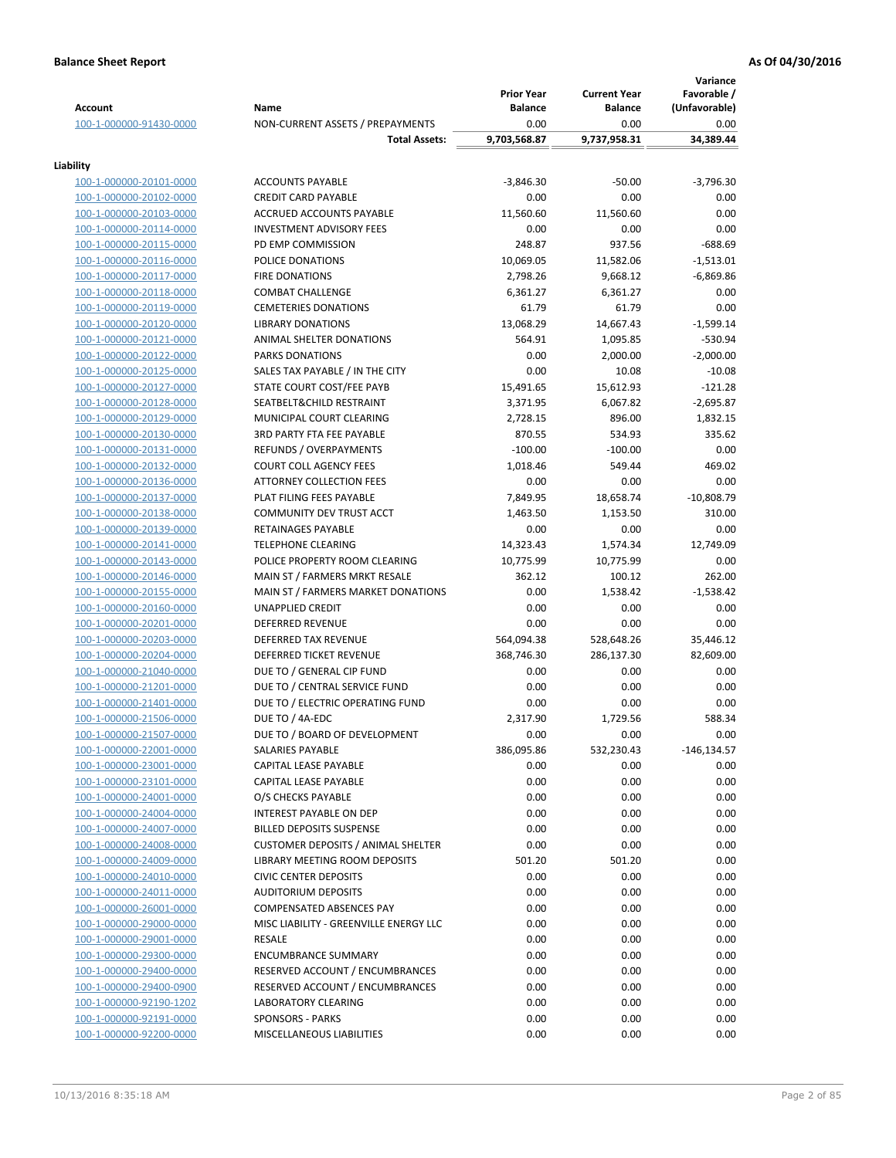| <b>Account</b>                                     | Name                                                  | <b>Prior Year</b><br><b>Balance</b> | <b>Current Year</b><br><b>Balance</b> | Variance<br>Favorable /<br>(Unfavorable) |
|----------------------------------------------------|-------------------------------------------------------|-------------------------------------|---------------------------------------|------------------------------------------|
| 100-1-000000-91430-0000                            | NON-CURRENT ASSETS / PREPAYMENTS                      | 0.00                                | 0.00                                  | 0.00                                     |
|                                                    | <b>Total Assets:</b>                                  | 9,703,568.87                        | 9,737,958.31                          | 34,389.44                                |
| Liability                                          |                                                       |                                     |                                       |                                          |
| 100-1-000000-20101-0000                            | <b>ACCOUNTS PAYABLE</b>                               | $-3,846.30$                         | $-50.00$                              | $-3,796.30$                              |
| 100-1-000000-20102-0000                            | <b>CREDIT CARD PAYABLE</b>                            | 0.00                                | 0.00                                  | 0.00                                     |
| 100-1-000000-20103-0000                            | ACCRUED ACCOUNTS PAYABLE                              | 11,560.60                           | 11,560.60                             | 0.00                                     |
| 100-1-000000-20114-0000                            | <b>INVESTMENT ADVISORY FEES</b>                       | 0.00                                | 0.00                                  | 0.00                                     |
| 100-1-000000-20115-0000                            | PD EMP COMMISSION                                     | 248.87                              | 937.56                                | $-688.69$                                |
| 100-1-000000-20116-0000                            | POLICE DONATIONS                                      | 10,069.05                           | 11,582.06                             | $-1,513.01$                              |
| 100-1-000000-20117-0000                            | <b>FIRE DONATIONS</b>                                 | 2,798.26                            | 9,668.12                              | $-6,869.86$                              |
| 100-1-000000-20118-0000                            | <b>COMBAT CHALLENGE</b>                               | 6,361.27                            | 6,361.27                              | 0.00                                     |
| 100-1-000000-20119-0000                            | <b>CEMETERIES DONATIONS</b>                           | 61.79                               | 61.79                                 | 0.00                                     |
| 100-1-000000-20120-0000                            | <b>LIBRARY DONATIONS</b>                              | 13,068.29                           | 14,667.43                             | $-1,599.14$                              |
| 100-1-000000-20121-0000                            | ANIMAL SHELTER DONATIONS                              | 564.91                              | 1,095.85                              | $-530.94$                                |
| 100-1-000000-20122-0000                            | <b>PARKS DONATIONS</b>                                | 0.00                                | 2,000.00                              | $-2,000.00$<br>$-10.08$                  |
| 100-1-000000-20125-0000<br>100-1-000000-20127-0000 | SALES TAX PAYABLE / IN THE CITY                       | 0.00                                | 10.08                                 | $-121.28$                                |
| 100-1-000000-20128-0000                            | STATE COURT COST/FEE PAYB<br>SEATBELT&CHILD RESTRAINT | 15,491.65<br>3,371.95               | 15,612.93<br>6,067.82                 | $-2,695.87$                              |
| 100-1-000000-20129-0000                            | MUNICIPAL COURT CLEARING                              | 2,728.15                            | 896.00                                | 1,832.15                                 |
| 100-1-000000-20130-0000                            | 3RD PARTY FTA FEE PAYABLE                             | 870.55                              | 534.93                                | 335.62                                   |
| 100-1-000000-20131-0000                            | REFUNDS / OVERPAYMENTS                                | $-100.00$                           | $-100.00$                             | 0.00                                     |
| 100-1-000000-20132-0000                            | <b>COURT COLL AGENCY FEES</b>                         | 1,018.46                            | 549.44                                | 469.02                                   |
| 100-1-000000-20136-0000                            | <b>ATTORNEY COLLECTION FEES</b>                       | 0.00                                | 0.00                                  | 0.00                                     |
| 100-1-000000-20137-0000                            | PLAT FILING FEES PAYABLE                              | 7,849.95                            | 18,658.74                             | $-10,808.79$                             |
| 100-1-000000-20138-0000                            | COMMUNITY DEV TRUST ACCT                              | 1,463.50                            | 1,153.50                              | 310.00                                   |
| 100-1-000000-20139-0000                            | RETAINAGES PAYABLE                                    | 0.00                                | 0.00                                  | 0.00                                     |
| 100-1-000000-20141-0000                            | <b>TELEPHONE CLEARING</b>                             | 14,323.43                           | 1,574.34                              | 12,749.09                                |
| 100-1-000000-20143-0000                            | POLICE PROPERTY ROOM CLEARING                         | 10,775.99                           | 10,775.99                             | 0.00                                     |
| 100-1-000000-20146-0000                            | MAIN ST / FARMERS MRKT RESALE                         | 362.12                              | 100.12                                | 262.00                                   |
| 100-1-000000-20155-0000                            | MAIN ST / FARMERS MARKET DONATIONS                    | 0.00                                | 1,538.42                              | $-1,538.42$                              |
| 100-1-000000-20160-0000                            | <b>UNAPPLIED CREDIT</b>                               | 0.00                                | 0.00                                  | 0.00                                     |
| 100-1-000000-20201-0000                            | <b>DEFERRED REVENUE</b>                               | 0.00                                | 0.00                                  | 0.00                                     |
| 100-1-000000-20203-0000                            | <b>DEFERRED TAX REVENUE</b>                           | 564,094.38                          | 528,648.26                            | 35,446.12                                |
| 100-1-000000-20204-0000                            | <b>DEFERRED TICKET REVENUE</b>                        | 368,746.30                          | 286,137.30                            | 82,609.00                                |
| 100-1-000000-21040-0000                            | DUE TO / GENERAL CIP FUND                             | 0.00                                | 0.00                                  | 0.00                                     |
| 100-1-000000-21201-0000                            | DUE TO / CENTRAL SERVICE FUND                         | 0.00                                | 0.00                                  | 0.00                                     |
| 100-1-000000-21401-0000                            | DUE TO / ELECTRIC OPERATING FUND                      | 0.00                                | 0.00                                  | 0.00                                     |
| 100-1-000000-21506-0000                            | DUE TO / 4A-EDC                                       | 2,317.90                            | 1,729.56                              | 588.34                                   |
| 100-1-000000-21507-0000                            | DUE TO / BOARD OF DEVELOPMENT                         | 0.00                                | 0.00                                  | 0.00                                     |
| 100-1-000000-22001-0000                            | SALARIES PAYABLE                                      | 386,095.86                          | 532,230.43                            | $-146, 134.57$                           |
| 100-1-000000-23001-0000                            | CAPITAL LEASE PAYABLE                                 | 0.00                                | 0.00                                  | 0.00                                     |
| 100-1-000000-23101-0000                            | CAPITAL LEASE PAYABLE<br>O/S CHECKS PAYABLE           | 0.00                                | 0.00<br>0.00                          | 0.00<br>0.00                             |
| 100-1-000000-24001-0000<br>100-1-000000-24004-0000 | <b>INTEREST PAYABLE ON DEP</b>                        | 0.00<br>0.00                        | 0.00                                  | 0.00                                     |
| 100-1-000000-24007-0000                            | <b>BILLED DEPOSITS SUSPENSE</b>                       | 0.00                                | 0.00                                  | 0.00                                     |
| 100-1-000000-24008-0000                            | <b>CUSTOMER DEPOSITS / ANIMAL SHELTER</b>             | 0.00                                | 0.00                                  | 0.00                                     |
| 100-1-000000-24009-0000                            | LIBRARY MEETING ROOM DEPOSITS                         | 501.20                              | 501.20                                | 0.00                                     |
| 100-1-000000-24010-0000                            | <b>CIVIC CENTER DEPOSITS</b>                          | 0.00                                | 0.00                                  | 0.00                                     |
| 100-1-000000-24011-0000                            | <b>AUDITORIUM DEPOSITS</b>                            | 0.00                                | 0.00                                  | 0.00                                     |
| 100-1-000000-26001-0000                            | COMPENSATED ABSENCES PAY                              | 0.00                                | 0.00                                  | 0.00                                     |
| 100-1-000000-29000-0000                            | MISC LIABILITY - GREENVILLE ENERGY LLC                | 0.00                                | 0.00                                  | 0.00                                     |
| 100-1-000000-29001-0000                            | RESALE                                                | 0.00                                | 0.00                                  | 0.00                                     |
| 100-1-000000-29300-0000                            | <b>ENCUMBRANCE SUMMARY</b>                            | 0.00                                | 0.00                                  | 0.00                                     |
| 100-1-000000-29400-0000                            | RESERVED ACCOUNT / ENCUMBRANCES                       | 0.00                                | 0.00                                  | 0.00                                     |
| 100-1-000000-29400-0900                            | RESERVED ACCOUNT / ENCUMBRANCES                       | 0.00                                | 0.00                                  | 0.00                                     |
| 100-1-000000-92190-1202                            | <b>LABORATORY CLEARING</b>                            | 0.00                                | 0.00                                  | 0.00                                     |
| 100-1-000000-92191-0000                            | <b>SPONSORS - PARKS</b>                               | 0.00                                | 0.00                                  | 0.00                                     |
| 100-1-000000-92200-0000                            | MISCELLANEOUS LIABILITIES                             | 0.00                                | 0.00                                  | 0.00                                     |
|                                                    |                                                       |                                     |                                       |                                          |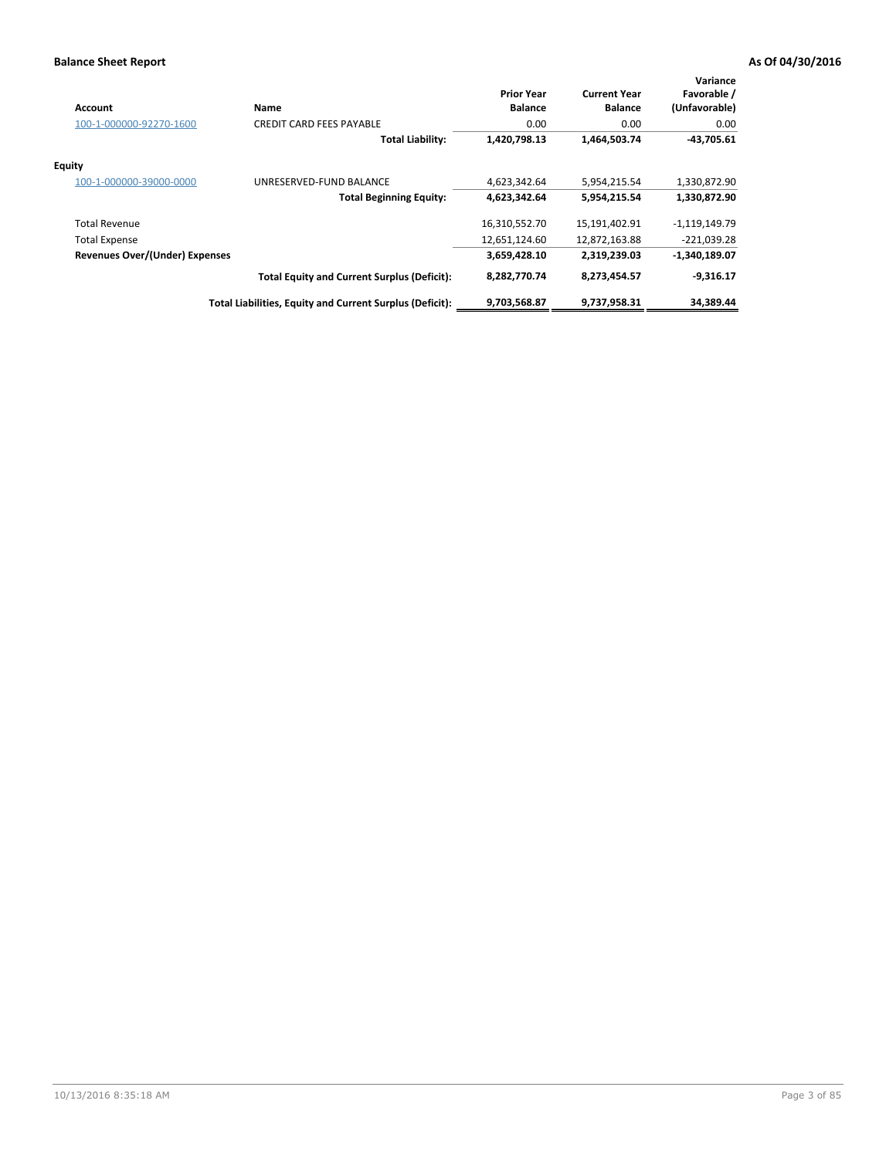| <b>Account</b>                        | Name                                                     | <b>Prior Year</b><br><b>Balance</b> | <b>Current Year</b><br><b>Balance</b> | Variance<br>Favorable /<br>(Unfavorable) |
|---------------------------------------|----------------------------------------------------------|-------------------------------------|---------------------------------------|------------------------------------------|
| 100-1-000000-92270-1600               | <b>CREDIT CARD FEES PAYABLE</b>                          | 0.00                                | 0.00                                  | 0.00                                     |
|                                       | <b>Total Liability:</b>                                  | 1,420,798.13                        | 1,464,503.74                          | $-43,705.61$                             |
| <b>Equity</b>                         |                                                          |                                     |                                       |                                          |
| 100-1-000000-39000-0000               | UNRESERVED-FUND BALANCE                                  | 4,623,342.64                        | 5,954,215.54                          | 1,330,872.90                             |
|                                       | <b>Total Beginning Equity:</b>                           | 4,623,342.64                        | 5,954,215.54                          | 1,330,872.90                             |
| <b>Total Revenue</b>                  |                                                          | 16,310,552.70                       | 15,191,402.91                         | $-1,119,149.79$                          |
| <b>Total Expense</b>                  |                                                          | 12,651,124.60                       | 12,872,163.88                         | $-221,039.28$                            |
| <b>Revenues Over/(Under) Expenses</b> |                                                          | 3,659,428.10                        | 2,319,239.03                          | $-1,340,189.07$                          |
|                                       | <b>Total Equity and Current Surplus (Deficit):</b>       | 8,282,770.74                        | 8,273,454.57                          | $-9,316.17$                              |
|                                       | Total Liabilities, Equity and Current Surplus (Deficit): | 9,703,568.87                        | 9,737,958.31                          | 34,389.44                                |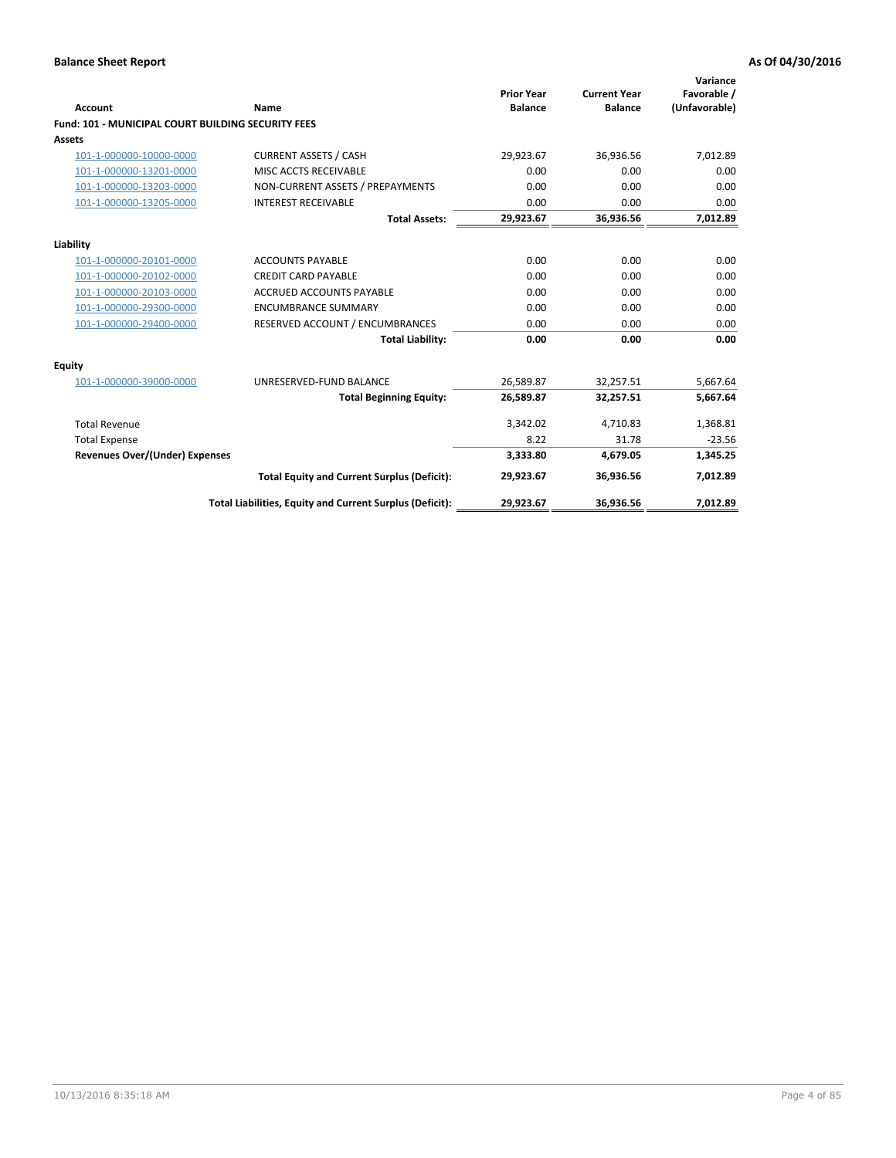| <b>Account</b>                                            | Name                                                     | <b>Prior Year</b><br><b>Balance</b> | <b>Current Year</b><br><b>Balance</b> | Variance<br>Favorable /<br>(Unfavorable) |
|-----------------------------------------------------------|----------------------------------------------------------|-------------------------------------|---------------------------------------|------------------------------------------|
| <b>Fund: 101 - MUNICIPAL COURT BUILDING SECURITY FEES</b> |                                                          |                                     |                                       |                                          |
| Assets                                                    |                                                          |                                     |                                       |                                          |
| 101-1-000000-10000-0000                                   | <b>CURRENT ASSETS / CASH</b>                             | 29,923.67                           | 36,936.56                             | 7,012.89                                 |
| 101-1-000000-13201-0000                                   | MISC ACCTS RECEIVABLE                                    | 0.00                                | 0.00                                  | 0.00                                     |
| 101-1-000000-13203-0000                                   | NON-CURRENT ASSETS / PREPAYMENTS                         | 0.00                                | 0.00                                  | 0.00                                     |
| 101-1-000000-13205-0000                                   | <b>INTEREST RECEIVABLE</b>                               | 0.00                                | 0.00                                  | 0.00                                     |
|                                                           | <b>Total Assets:</b>                                     | 29,923.67                           | 36,936.56                             | 7,012.89                                 |
| Liability                                                 |                                                          |                                     |                                       |                                          |
| 101-1-000000-20101-0000                                   | <b>ACCOUNTS PAYABLE</b>                                  | 0.00                                | 0.00                                  | 0.00                                     |
| 101-1-000000-20102-0000                                   | <b>CREDIT CARD PAYABLE</b>                               | 0.00                                | 0.00                                  | 0.00                                     |
| 101-1-000000-20103-0000                                   | <b>ACCRUED ACCOUNTS PAYABLE</b>                          | 0.00                                | 0.00                                  | 0.00                                     |
| 101-1-000000-29300-0000                                   | <b>ENCUMBRANCE SUMMARY</b>                               | 0.00                                | 0.00                                  | 0.00                                     |
| 101-1-000000-29400-0000                                   | RESERVED ACCOUNT / ENCUMBRANCES                          | 0.00                                | 0.00                                  | 0.00                                     |
|                                                           | <b>Total Liability:</b>                                  | 0.00                                | 0.00                                  | 0.00                                     |
| Equity                                                    |                                                          |                                     |                                       |                                          |
| 101-1-000000-39000-0000                                   | UNRESERVED-FUND BALANCE                                  | 26,589.87                           | 32,257.51                             | 5,667.64                                 |
|                                                           | <b>Total Beginning Equity:</b>                           | 26,589.87                           | 32,257.51                             | 5,667.64                                 |
| <b>Total Revenue</b>                                      |                                                          | 3,342.02                            | 4,710.83                              | 1,368.81                                 |
| <b>Total Expense</b>                                      |                                                          | 8.22                                | 31.78                                 | $-23.56$                                 |
| <b>Revenues Over/(Under) Expenses</b>                     |                                                          | 3,333.80                            | 4,679.05                              | 1,345.25                                 |
|                                                           | <b>Total Equity and Current Surplus (Deficit):</b>       | 29,923.67                           | 36.936.56                             | 7,012.89                                 |
|                                                           | Total Liabilities, Equity and Current Surplus (Deficit): | 29,923.67                           | 36,936.56                             | 7,012.89                                 |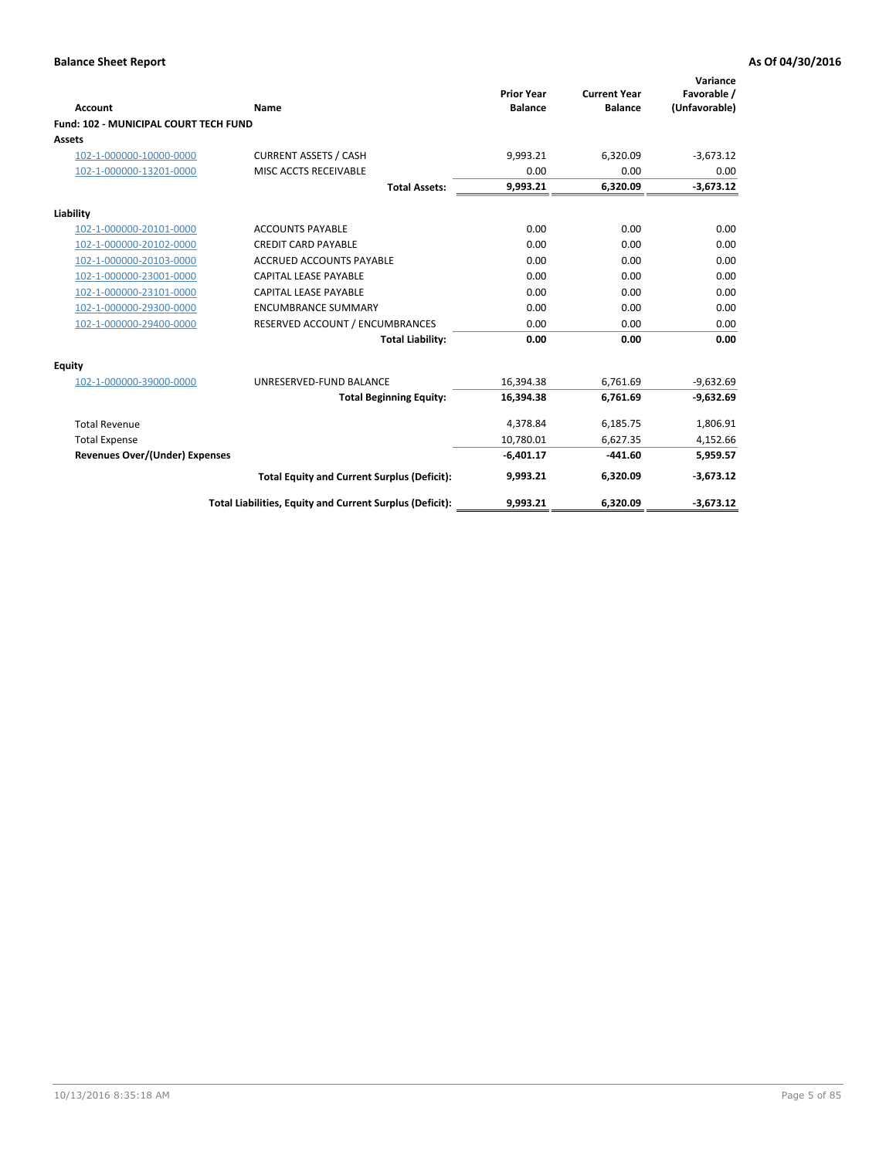| <b>Account</b>                        | Name                                                     | <b>Prior Year</b><br><b>Balance</b> | <b>Current Year</b><br><b>Balance</b> | Variance<br>Favorable /<br>(Unfavorable) |
|---------------------------------------|----------------------------------------------------------|-------------------------------------|---------------------------------------|------------------------------------------|
| Fund: 102 - MUNICIPAL COURT TECH FUND |                                                          |                                     |                                       |                                          |
| Assets                                |                                                          |                                     |                                       |                                          |
| 102-1-000000-10000-0000               | <b>CURRENT ASSETS / CASH</b>                             | 9,993.21                            | 6,320.09                              | $-3,673.12$                              |
| 102-1-000000-13201-0000               | MISC ACCTS RECEIVABLE                                    | 0.00                                | 0.00                                  | 0.00                                     |
|                                       | <b>Total Assets:</b>                                     | 9,993.21                            | 6,320.09                              | $-3,673.12$                              |
| Liability                             |                                                          |                                     |                                       |                                          |
| 102-1-000000-20101-0000               | <b>ACCOUNTS PAYABLE</b>                                  | 0.00                                | 0.00                                  | 0.00                                     |
| 102-1-000000-20102-0000               | <b>CREDIT CARD PAYABLE</b>                               | 0.00                                | 0.00                                  | 0.00                                     |
| 102-1-000000-20103-0000               | <b>ACCRUED ACCOUNTS PAYABLE</b>                          | 0.00                                | 0.00                                  | 0.00                                     |
| 102-1-000000-23001-0000               | CAPITAL LEASE PAYABLE                                    | 0.00                                | 0.00                                  | 0.00                                     |
| 102-1-000000-23101-0000               | <b>CAPITAL LEASE PAYABLE</b>                             | 0.00                                | 0.00                                  | 0.00                                     |
| 102-1-000000-29300-0000               | <b>ENCUMBRANCE SUMMARY</b>                               | 0.00                                | 0.00                                  | 0.00                                     |
| 102-1-000000-29400-0000               | RESERVED ACCOUNT / ENCUMBRANCES                          | 0.00                                | 0.00                                  | 0.00                                     |
|                                       | <b>Total Liability:</b>                                  | 0.00                                | 0.00                                  | 0.00                                     |
| <b>Equity</b>                         |                                                          |                                     |                                       |                                          |
| 102-1-000000-39000-0000               | UNRESERVED-FUND BALANCE                                  | 16,394.38                           | 6,761.69                              | $-9,632.69$                              |
|                                       | <b>Total Beginning Equity:</b>                           | 16,394.38                           | 6,761.69                              | $-9,632.69$                              |
| <b>Total Revenue</b>                  |                                                          | 4,378.84                            | 6,185.75                              | 1,806.91                                 |
| <b>Total Expense</b>                  |                                                          | 10,780.01                           | 6,627.35                              | 4,152.66                                 |
| <b>Revenues Over/(Under) Expenses</b> |                                                          | $-6,401.17$                         | $-441.60$                             | 5,959.57                                 |
|                                       | <b>Total Equity and Current Surplus (Deficit):</b>       | 9,993.21                            | 6,320.09                              | $-3,673.12$                              |
|                                       | Total Liabilities, Equity and Current Surplus (Deficit): | 9,993.21                            | 6,320.09                              | $-3,673.12$                              |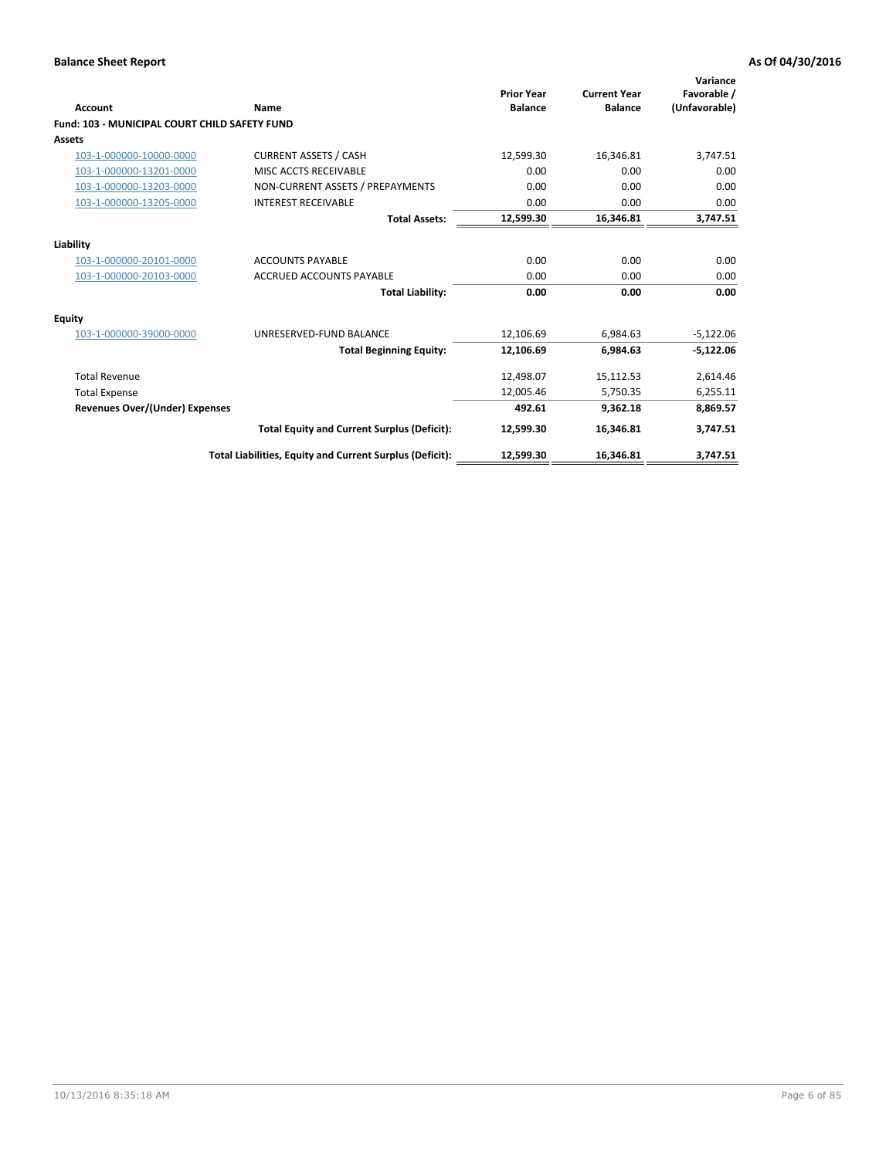| <b>Account</b>                                       | Name                                                     | <b>Prior Year</b><br><b>Balance</b> | <b>Current Year</b><br><b>Balance</b> | Variance<br>Favorable /<br>(Unfavorable) |
|------------------------------------------------------|----------------------------------------------------------|-------------------------------------|---------------------------------------|------------------------------------------|
| <b>Fund: 103 - MUNICIPAL COURT CHILD SAFETY FUND</b> |                                                          |                                     |                                       |                                          |
| <b>Assets</b>                                        |                                                          |                                     |                                       |                                          |
| 103-1-000000-10000-0000                              | <b>CURRENT ASSETS / CASH</b>                             | 12,599.30                           | 16,346.81                             | 3,747.51                                 |
| 103-1-000000-13201-0000                              | MISC ACCTS RECEIVABLE                                    | 0.00                                | 0.00                                  | 0.00                                     |
| 103-1-000000-13203-0000                              | NON-CURRENT ASSETS / PREPAYMENTS                         | 0.00                                | 0.00                                  | 0.00                                     |
| 103-1-000000-13205-0000                              | <b>INTEREST RECEIVABLE</b>                               | 0.00                                | 0.00                                  | 0.00                                     |
|                                                      | <b>Total Assets:</b>                                     | 12,599.30                           | 16,346.81                             | 3,747.51                                 |
| Liability                                            |                                                          |                                     |                                       |                                          |
| 103-1-000000-20101-0000                              | <b>ACCOUNTS PAYABLE</b>                                  | 0.00                                | 0.00                                  | 0.00                                     |
| 103-1-000000-20103-0000                              | <b>ACCRUED ACCOUNTS PAYABLE</b>                          | 0.00                                | 0.00                                  | 0.00                                     |
|                                                      | <b>Total Liability:</b>                                  | 0.00                                | 0.00                                  | 0.00                                     |
| Equity                                               |                                                          |                                     |                                       |                                          |
| 103-1-000000-39000-0000                              | UNRESERVED-FUND BALANCE                                  | 12,106.69                           | 6,984.63                              | $-5,122.06$                              |
|                                                      | <b>Total Beginning Equity:</b>                           | 12,106.69                           | 6,984.63                              | $-5,122.06$                              |
| <b>Total Revenue</b>                                 |                                                          | 12,498.07                           | 15,112.53                             | 2,614.46                                 |
| <b>Total Expense</b>                                 |                                                          | 12,005.46                           | 5,750.35                              | 6,255.11                                 |
| Revenues Over/(Under) Expenses                       |                                                          | 492.61                              | 9,362.18                              | 8,869.57                                 |
|                                                      | <b>Total Equity and Current Surplus (Deficit):</b>       | 12,599.30                           | 16,346.81                             | 3,747.51                                 |
|                                                      | Total Liabilities, Equity and Current Surplus (Deficit): | 12,599.30                           | 16,346.81                             | 3,747.51                                 |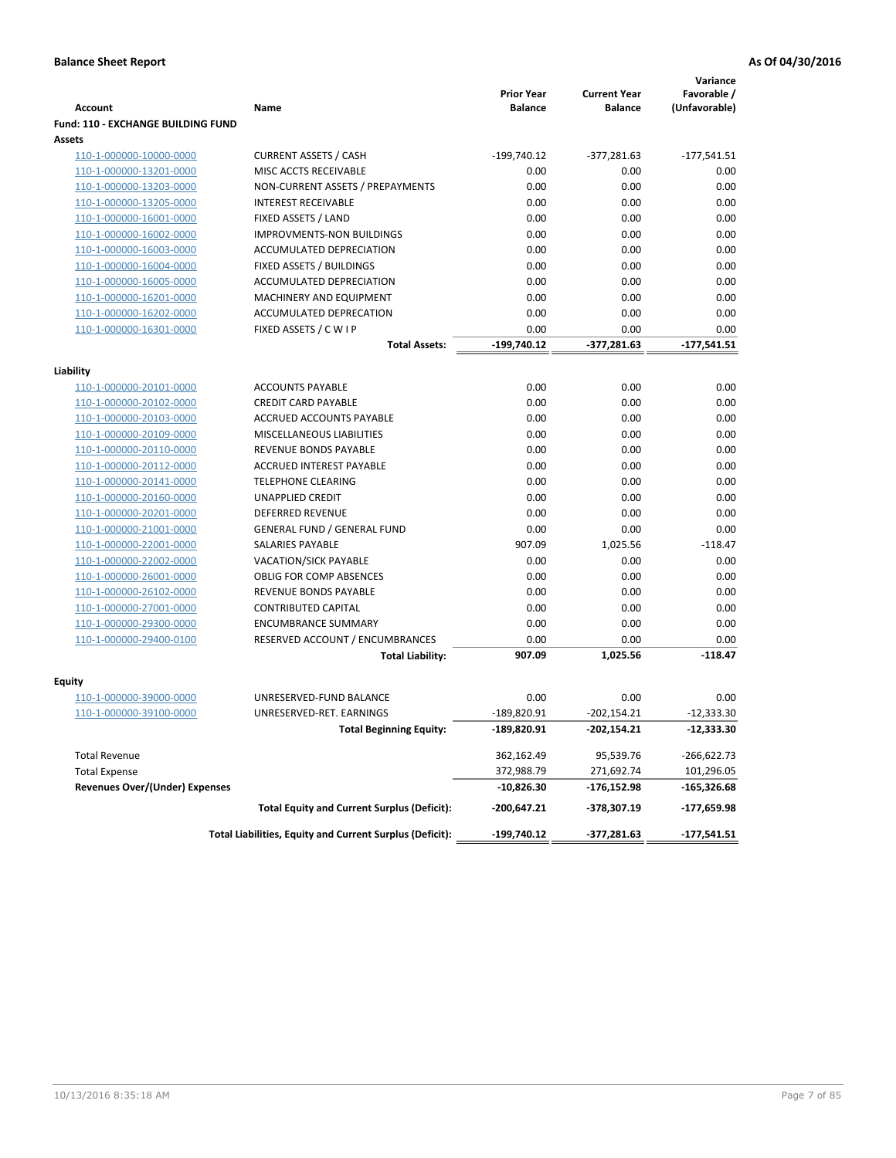|                                           |                                                          | <b>Prior Year</b> | <b>Current Year</b> | Variance<br>Favorable / |
|-------------------------------------------|----------------------------------------------------------|-------------------|---------------------|-------------------------|
| <b>Account</b>                            | Name                                                     | <b>Balance</b>    | <b>Balance</b>      | (Unfavorable)           |
| <b>Fund: 110 - EXCHANGE BUILDING FUND</b> |                                                          |                   |                     |                         |
| Assets                                    |                                                          |                   |                     |                         |
| 110-1-000000-10000-0000                   | <b>CURRENT ASSETS / CASH</b>                             | $-199,740.12$     | $-377,281.63$       | $-177,541.51$           |
| 110-1-000000-13201-0000                   | MISC ACCTS RECEIVABLE                                    | 0.00              | 0.00                | 0.00                    |
| 110-1-000000-13203-0000                   | NON-CURRENT ASSETS / PREPAYMENTS                         | 0.00              | 0.00                | 0.00                    |
| 110-1-000000-13205-0000                   | <b>INTEREST RECEIVABLE</b>                               | 0.00              | 0.00                | 0.00                    |
| 110-1-000000-16001-0000                   | FIXED ASSETS / LAND                                      | 0.00              | 0.00                | 0.00                    |
| 110-1-000000-16002-0000                   | <b>IMPROVMENTS-NON BUILDINGS</b>                         | 0.00              | 0.00                | 0.00                    |
| 110-1-000000-16003-0000                   | ACCUMULATED DEPRECIATION                                 | 0.00              | 0.00                | 0.00                    |
| 110-1-000000-16004-0000                   | FIXED ASSETS / BUILDINGS                                 | 0.00              | 0.00                | 0.00                    |
| 110-1-000000-16005-0000                   | ACCUMULATED DEPRECIATION                                 | 0.00              | 0.00                | 0.00                    |
| 110-1-000000-16201-0000                   | MACHINERY AND EQUIPMENT                                  | 0.00              | 0.00                | 0.00                    |
| 110-1-000000-16202-0000                   | ACCUMULATED DEPRECATION                                  | 0.00              | 0.00                | 0.00                    |
| 110-1-000000-16301-0000                   | FIXED ASSETS / C W I P                                   | 0.00              | 0.00                | 0.00                    |
|                                           | Total Assets:                                            | $-199,740.12$     | $-377,281.63$       | $-177,541.51$           |
| Liability                                 |                                                          |                   |                     |                         |
| 110-1-000000-20101-0000                   | <b>ACCOUNTS PAYABLE</b>                                  | 0.00              | 0.00                | 0.00                    |
| 110-1-000000-20102-0000                   | <b>CREDIT CARD PAYABLE</b>                               | 0.00              | 0.00                | 0.00                    |
| 110-1-000000-20103-0000                   | ACCRUED ACCOUNTS PAYABLE                                 | 0.00              | 0.00                | 0.00                    |
| 110-1-000000-20109-0000                   | MISCELLANEOUS LIABILITIES                                | 0.00              | 0.00                | 0.00                    |
| 110-1-000000-20110-0000                   | <b>REVENUE BONDS PAYABLE</b>                             | 0.00              | 0.00                | 0.00                    |
| 110-1-000000-20112-0000                   | <b>ACCRUED INTEREST PAYABLE</b>                          | 0.00              | 0.00                | 0.00                    |
| 110-1-000000-20141-0000                   | <b>TELEPHONE CLEARING</b>                                | 0.00              | 0.00                | 0.00                    |
| 110-1-000000-20160-0000                   | <b>UNAPPLIED CREDIT</b>                                  | 0.00              | 0.00                | 0.00                    |
| 110-1-000000-20201-0000                   | <b>DEFERRED REVENUE</b>                                  | 0.00              | 0.00                | 0.00                    |
| 110-1-000000-21001-0000                   | <b>GENERAL FUND / GENERAL FUND</b>                       | 0.00              | 0.00                | 0.00                    |
| 110-1-000000-22001-0000                   | <b>SALARIES PAYABLE</b>                                  | 907.09            | 1,025.56            | $-118.47$               |
| 110-1-000000-22002-0000                   | <b>VACATION/SICK PAYABLE</b>                             | 0.00              | 0.00                | 0.00                    |
| 110-1-000000-26001-0000                   | <b>OBLIG FOR COMP ABSENCES</b>                           | 0.00              | 0.00                | 0.00                    |
| 110-1-000000-26102-0000                   | REVENUE BONDS PAYABLE                                    | 0.00              | 0.00                | 0.00                    |
| 110-1-000000-27001-0000                   | <b>CONTRIBUTED CAPITAL</b>                               | 0.00              | 0.00                | 0.00                    |
| 110-1-000000-29300-0000                   | <b>ENCUMBRANCE SUMMARY</b>                               | 0.00              | 0.00                | 0.00                    |
| 110-1-000000-29400-0100                   | RESERVED ACCOUNT / ENCUMBRANCES                          | 0.00              | 0.00                | 0.00                    |
|                                           | <b>Total Liability:</b>                                  | 907.09            | 1,025.56            | $-118.47$               |
|                                           |                                                          |                   |                     |                         |
| Fquity                                    |                                                          |                   |                     |                         |
| 110-1-000000-39000-0000                   | UNRESERVED-FUND BALANCE                                  | 0.00              | 0.00                | 0.00                    |
| 110-1-000000-39100-0000                   | UNRESERVED-RET. EARNINGS                                 | $-189,820.91$     | $-202,154.21$       | $-12,333.30$            |
|                                           | <b>Total Beginning Equity:</b>                           | -189,820.91       | -202,154.21         | -12,333.30              |
| <b>Total Revenue</b>                      |                                                          | 362,162.49        | 95,539.76           | $-266,622.73$           |
| <b>Total Expense</b>                      |                                                          | 372,988.79        | 271,692.74          | 101,296.05              |
| <b>Revenues Over/(Under) Expenses</b>     |                                                          | $-10,826.30$      | -176,152.98         | -165,326.68             |
|                                           | <b>Total Equity and Current Surplus (Deficit):</b>       | $-200,647.21$     | -378,307.19         | -177,659.98             |
|                                           | Total Liabilities, Equity and Current Surplus (Deficit): | -199,740.12       | $-377,281.63$       | $-177,541.51$           |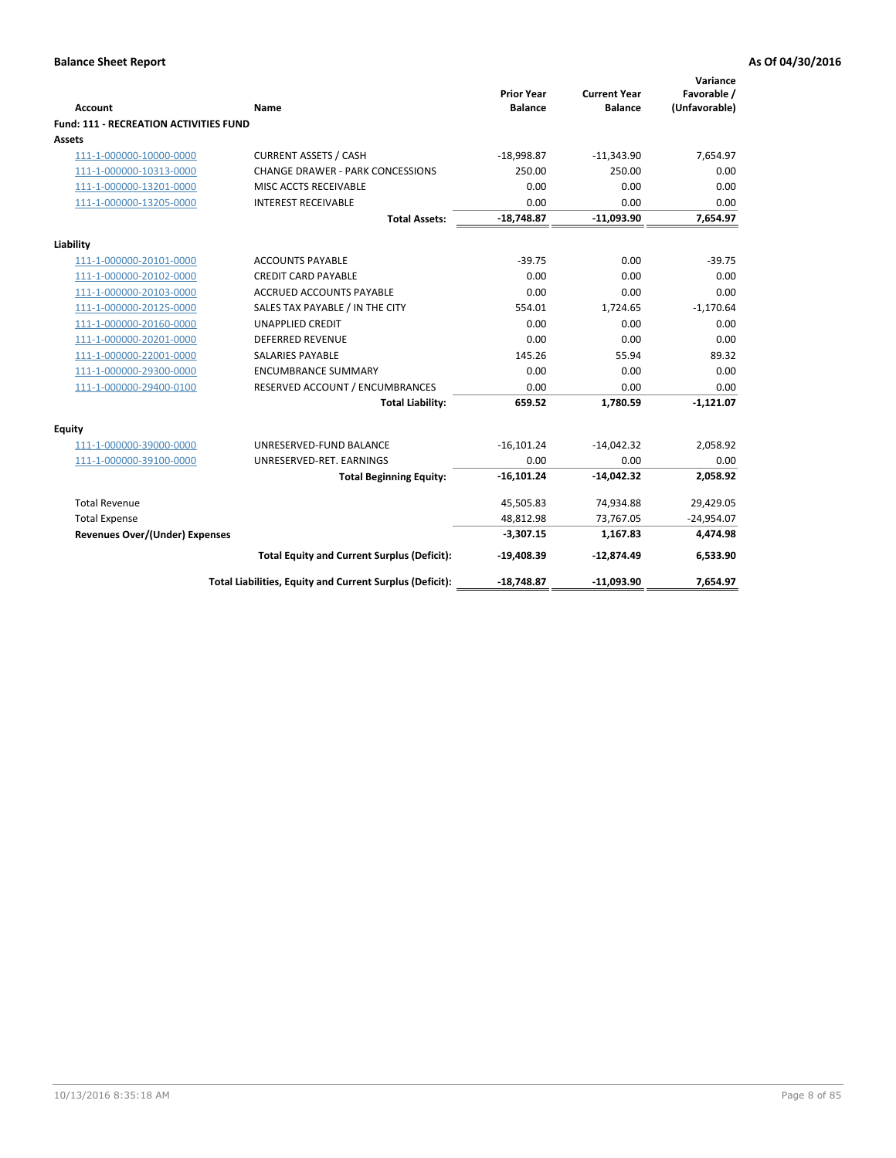| <b>Account</b>                         | Name                                                     | <b>Prior Year</b><br><b>Balance</b> | <b>Current Year</b><br><b>Balance</b> | Variance<br>Favorable /<br>(Unfavorable) |
|----------------------------------------|----------------------------------------------------------|-------------------------------------|---------------------------------------|------------------------------------------|
| Fund: 111 - RECREATION ACTIVITIES FUND |                                                          |                                     |                                       |                                          |
| <b>Assets</b>                          |                                                          |                                     |                                       |                                          |
| 111-1-000000-10000-0000                | <b>CURRENT ASSETS / CASH</b>                             | $-18,998.87$                        | $-11,343.90$                          | 7,654.97                                 |
| 111-1-000000-10313-0000                | CHANGE DRAWER - PARK CONCESSIONS                         | 250.00                              | 250.00                                | 0.00                                     |
| 111-1-000000-13201-0000                | MISC ACCTS RECEIVABLE                                    | 0.00                                | 0.00                                  | 0.00                                     |
| 111-1-000000-13205-0000                | <b>INTEREST RECEIVABLE</b>                               | 0.00                                | 0.00                                  | 0.00                                     |
|                                        | <b>Total Assets:</b>                                     | $-18,748.87$                        | $-11,093.90$                          | 7,654.97                                 |
| Liability                              |                                                          |                                     |                                       |                                          |
| 111-1-000000-20101-0000                | <b>ACCOUNTS PAYABLE</b>                                  | $-39.75$                            | 0.00                                  | $-39.75$                                 |
| 111-1-000000-20102-0000                | <b>CREDIT CARD PAYABLE</b>                               | 0.00                                | 0.00                                  | 0.00                                     |
| 111-1-000000-20103-0000                | <b>ACCRUED ACCOUNTS PAYABLE</b>                          | 0.00                                | 0.00                                  | 0.00                                     |
| 111-1-000000-20125-0000                | SALES TAX PAYABLE / IN THE CITY                          | 554.01                              | 1.724.65                              | $-1,170.64$                              |
| 111-1-000000-20160-0000                | <b>UNAPPLIED CREDIT</b>                                  | 0.00                                | 0.00                                  | 0.00                                     |
| 111-1-000000-20201-0000                | <b>DEFERRED REVENUE</b>                                  | 0.00                                | 0.00                                  | 0.00                                     |
| 111-1-000000-22001-0000                | <b>SALARIES PAYABLE</b>                                  | 145.26                              | 55.94                                 | 89.32                                    |
| 111-1-000000-29300-0000                | <b>ENCUMBRANCE SUMMARY</b>                               | 0.00                                | 0.00                                  | 0.00                                     |
| 111-1-000000-29400-0100                | RESERVED ACCOUNT / ENCUMBRANCES                          | 0.00                                | 0.00                                  | 0.00                                     |
|                                        | <b>Total Liability:</b>                                  | 659.52                              | 1,780.59                              | $-1,121.07$                              |
| Equity                                 |                                                          |                                     |                                       |                                          |
| 111-1-000000-39000-0000                | UNRESERVED-FUND BALANCE                                  | $-16,101.24$                        | $-14,042.32$                          | 2,058.92                                 |
| 111-1-000000-39100-0000                | UNRESERVED-RET. EARNINGS                                 | 0.00                                | 0.00                                  | 0.00                                     |
|                                        | <b>Total Beginning Equity:</b>                           | $-16,101.24$                        | $-14,042.32$                          | 2,058.92                                 |
| <b>Total Revenue</b>                   |                                                          | 45,505.83                           | 74,934.88                             | 29,429.05                                |
| <b>Total Expense</b>                   |                                                          | 48,812.98                           | 73,767.05                             | $-24,954.07$                             |
| Revenues Over/(Under) Expenses         |                                                          | $-3,307.15$                         | 1,167.83                              | 4,474.98                                 |
|                                        | <b>Total Equity and Current Surplus (Deficit):</b>       | $-19,408.39$                        | $-12,874.49$                          | 6,533.90                                 |
|                                        | Total Liabilities, Equity and Current Surplus (Deficit): | $-18,748.87$                        | $-11,093.90$                          | 7,654.97                                 |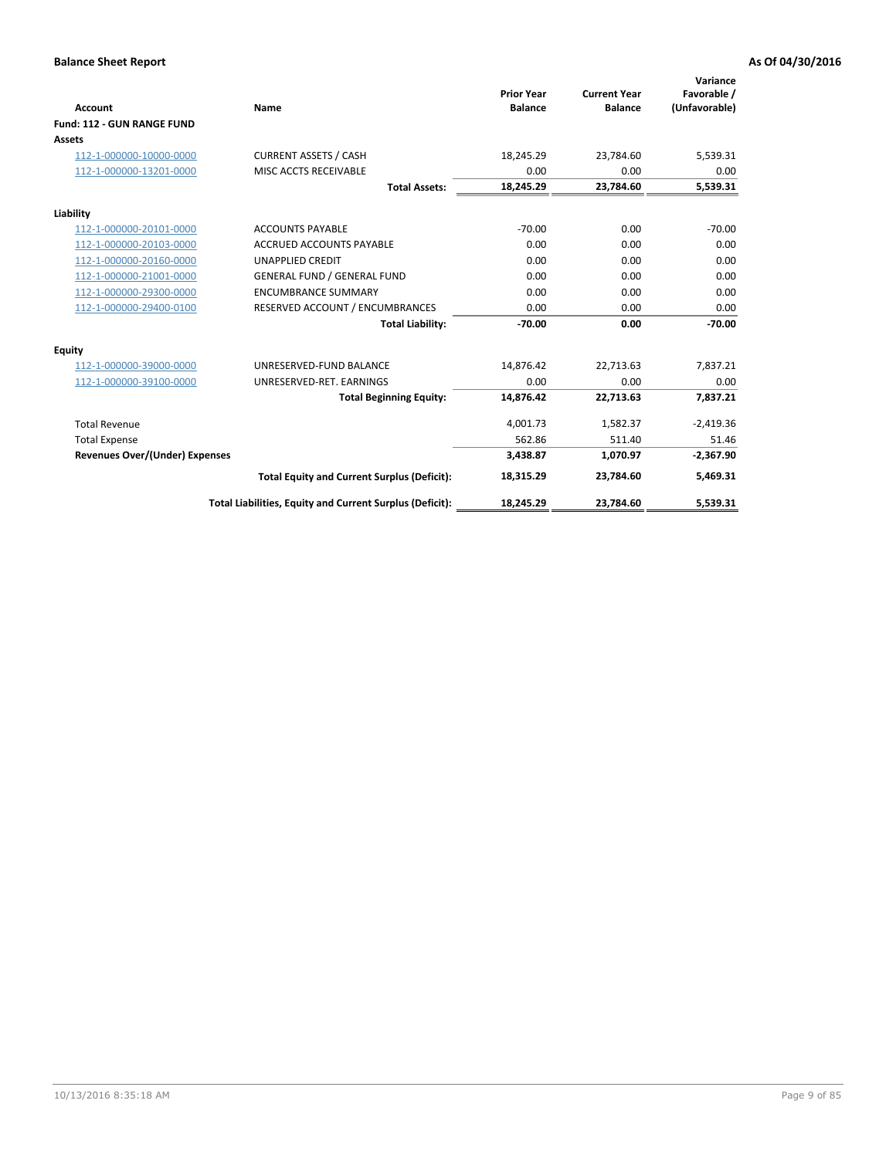|                                       |                                                          |                                     |                                       | Variance                     |
|---------------------------------------|----------------------------------------------------------|-------------------------------------|---------------------------------------|------------------------------|
| <b>Account</b>                        | Name                                                     | <b>Prior Year</b><br><b>Balance</b> | <b>Current Year</b><br><b>Balance</b> | Favorable /<br>(Unfavorable) |
| Fund: 112 - GUN RANGE FUND            |                                                          |                                     |                                       |                              |
| <b>Assets</b>                         |                                                          |                                     |                                       |                              |
| 112-1-000000-10000-0000               | <b>CURRENT ASSETS / CASH</b>                             | 18,245.29                           | 23,784.60                             | 5,539.31                     |
| 112-1-000000-13201-0000               | MISC ACCTS RECEIVABLE                                    | 0.00                                | 0.00                                  | 0.00                         |
|                                       | <b>Total Assets:</b>                                     | 18,245.29                           | 23,784.60                             | 5,539.31                     |
| Liability                             |                                                          |                                     |                                       |                              |
| 112-1-000000-20101-0000               | <b>ACCOUNTS PAYABLE</b>                                  | $-70.00$                            | 0.00                                  | $-70.00$                     |
| 112-1-000000-20103-0000               | <b>ACCRUED ACCOUNTS PAYABLE</b>                          | 0.00                                | 0.00                                  | 0.00                         |
| 112-1-000000-20160-0000               | <b>UNAPPLIED CREDIT</b>                                  | 0.00                                | 0.00                                  | 0.00                         |
| 112-1-000000-21001-0000               | <b>GENERAL FUND / GENERAL FUND</b>                       | 0.00                                | 0.00                                  | 0.00                         |
| 112-1-000000-29300-0000               | <b>ENCUMBRANCE SUMMARY</b>                               | 0.00                                | 0.00                                  | 0.00                         |
| 112-1-000000-29400-0100               | RESERVED ACCOUNT / ENCUMBRANCES                          | 0.00                                | 0.00                                  | 0.00                         |
|                                       | <b>Total Liability:</b>                                  | $-70.00$                            | 0.00                                  | $-70.00$                     |
| <b>Equity</b>                         |                                                          |                                     |                                       |                              |
| 112-1-000000-39000-0000               | UNRESERVED-FUND BALANCE                                  | 14,876.42                           | 22,713.63                             | 7,837.21                     |
| 112-1-000000-39100-0000               | UNRESERVED-RET. EARNINGS                                 | 0.00                                | 0.00                                  | 0.00                         |
|                                       | <b>Total Beginning Equity:</b>                           | 14.876.42                           | 22.713.63                             | 7,837.21                     |
| <b>Total Revenue</b>                  |                                                          | 4,001.73                            | 1,582.37                              | $-2,419.36$                  |
| <b>Total Expense</b>                  |                                                          | 562.86                              | 511.40                                | 51.46                        |
| <b>Revenues Over/(Under) Expenses</b> |                                                          | 3,438.87                            | 1,070.97                              | $-2,367.90$                  |
|                                       | <b>Total Equity and Current Surplus (Deficit):</b>       | 18,315.29                           | 23,784.60                             | 5,469.31                     |
|                                       | Total Liabilities, Equity and Current Surplus (Deficit): | 18,245.29                           | 23,784.60                             | 5,539.31                     |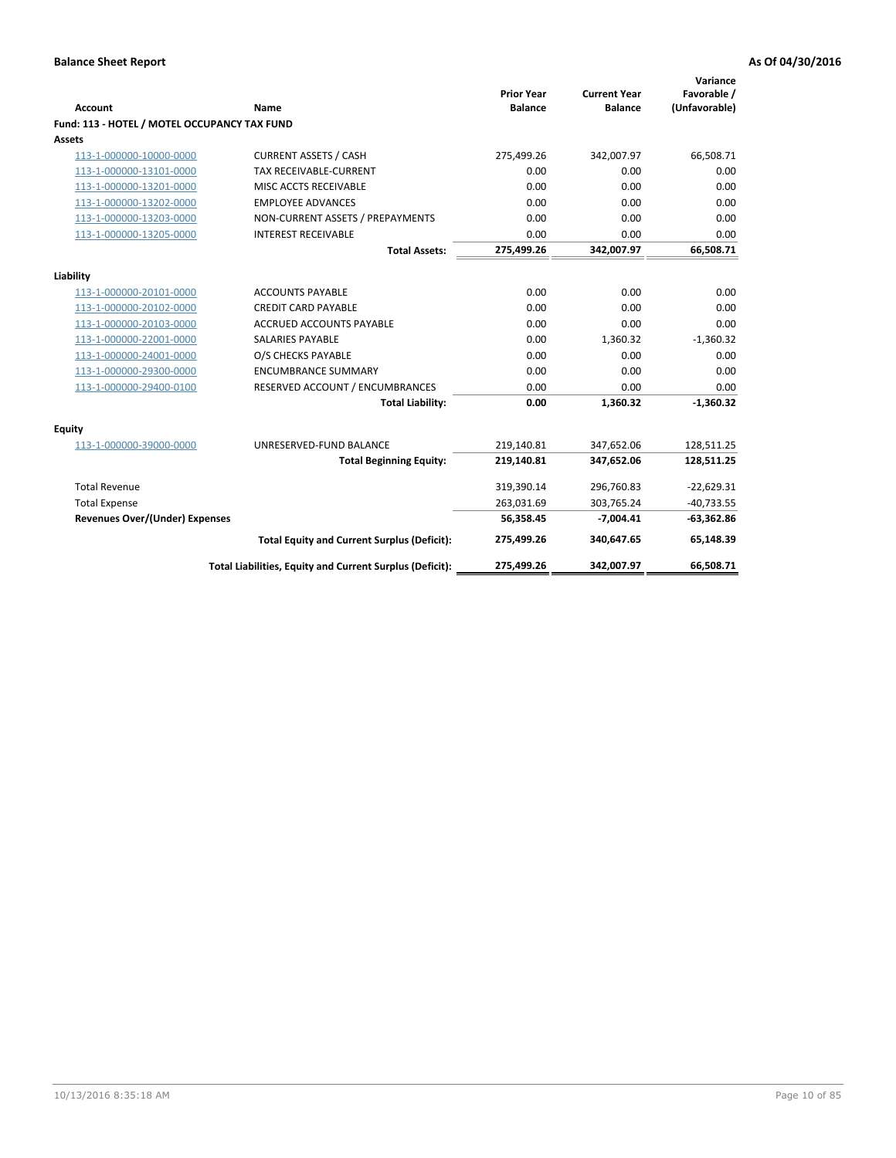| Account                                      | Name                                                     | <b>Prior Year</b><br><b>Balance</b> | <b>Current Year</b><br><b>Balance</b> | Variance<br>Favorable /<br>(Unfavorable) |
|----------------------------------------------|----------------------------------------------------------|-------------------------------------|---------------------------------------|------------------------------------------|
| Fund: 113 - HOTEL / MOTEL OCCUPANCY TAX FUND |                                                          |                                     |                                       |                                          |
| Assets                                       |                                                          |                                     |                                       |                                          |
| 113-1-000000-10000-0000                      | <b>CURRENT ASSETS / CASH</b>                             | 275,499.26                          | 342,007.97                            | 66,508.71                                |
| 113-1-000000-13101-0000                      | <b>TAX RECEIVABLE-CURRENT</b>                            | 0.00                                | 0.00                                  | 0.00                                     |
| 113-1-000000-13201-0000                      | MISC ACCTS RECEIVABLE                                    | 0.00                                | 0.00                                  | 0.00                                     |
| 113-1-000000-13202-0000                      | <b>EMPLOYEE ADVANCES</b>                                 | 0.00                                | 0.00                                  | 0.00                                     |
| 113-1-000000-13203-0000                      | NON-CURRENT ASSETS / PREPAYMENTS                         | 0.00                                | 0.00                                  | 0.00                                     |
| 113-1-000000-13205-0000                      | <b>INTEREST RECEIVABLE</b>                               | 0.00                                | 0.00                                  | 0.00                                     |
|                                              | <b>Total Assets:</b>                                     | 275,499.26                          | 342,007.97                            | 66,508.71                                |
| Liability                                    |                                                          |                                     |                                       |                                          |
| 113-1-000000-20101-0000                      | <b>ACCOUNTS PAYABLE</b>                                  | 0.00                                | 0.00                                  | 0.00                                     |
| 113-1-000000-20102-0000                      | <b>CREDIT CARD PAYABLE</b>                               | 0.00                                | 0.00                                  | 0.00                                     |
| 113-1-000000-20103-0000                      | <b>ACCRUED ACCOUNTS PAYABLE</b>                          | 0.00                                | 0.00                                  | 0.00                                     |
| 113-1-000000-22001-0000                      | <b>SALARIES PAYABLE</b>                                  | 0.00                                | 1,360.32                              | $-1,360.32$                              |
| 113-1-000000-24001-0000                      | O/S CHECKS PAYABLE                                       | 0.00                                | 0.00                                  | 0.00                                     |
| 113-1-000000-29300-0000                      | <b>ENCUMBRANCE SUMMARY</b>                               | 0.00                                | 0.00                                  | 0.00                                     |
| 113-1-000000-29400-0100                      | RESERVED ACCOUNT / ENCUMBRANCES                          | 0.00                                | 0.00                                  | 0.00                                     |
|                                              | <b>Total Liability:</b>                                  | 0.00                                | 1,360.32                              | $-1,360.32$                              |
| Equity                                       |                                                          |                                     |                                       |                                          |
| 113-1-000000-39000-0000                      | UNRESERVED-FUND BALANCE                                  | 219,140.81                          | 347,652.06                            | 128,511.25                               |
|                                              | <b>Total Beginning Equity:</b>                           | 219,140.81                          | 347,652.06                            | 128,511.25                               |
| <b>Total Revenue</b>                         |                                                          | 319,390.14                          | 296,760.83                            | $-22,629.31$                             |
| <b>Total Expense</b>                         |                                                          | 263,031.69                          | 303,765.24                            | $-40,733.55$                             |
| Revenues Over/(Under) Expenses               |                                                          | 56,358.45                           | $-7,004.41$                           | $-63,362.86$                             |
|                                              | <b>Total Equity and Current Surplus (Deficit):</b>       | 275,499.26                          | 340,647.65                            | 65,148.39                                |
|                                              | Total Liabilities, Equity and Current Surplus (Deficit): | 275,499.26                          | 342,007.97                            | 66.508.71                                |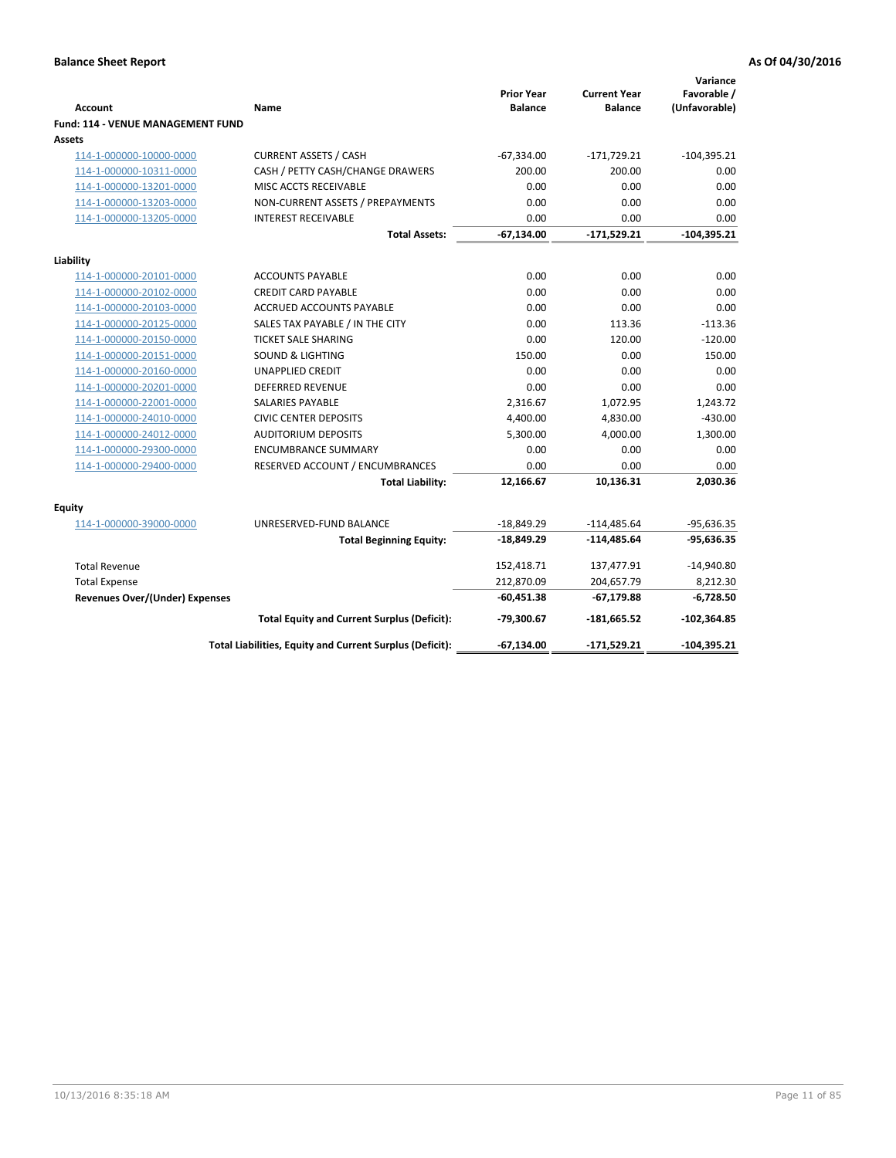| <b>Account</b>                                     | Name                                                     | <b>Prior Year</b><br><b>Balance</b> | <b>Current Year</b><br><b>Balance</b> | Variance<br>Favorable /<br>(Unfavorable) |
|----------------------------------------------------|----------------------------------------------------------|-------------------------------------|---------------------------------------|------------------------------------------|
| Fund: 114 - VENUE MANAGEMENT FUND<br>Assets        |                                                          |                                     |                                       |                                          |
| 114-1-000000-10000-0000                            | <b>CURRENT ASSETS / CASH</b>                             | $-67,334.00$                        | $-171,729.21$                         | $-104,395.21$                            |
| 114-1-000000-10311-0000                            | CASH / PETTY CASH/CHANGE DRAWERS                         | 200.00                              | 200.00                                | 0.00                                     |
| 114-1-000000-13201-0000                            | MISC ACCTS RECEIVABLE                                    | 0.00                                | 0.00                                  | 0.00                                     |
| 114-1-000000-13203-0000                            | NON-CURRENT ASSETS / PREPAYMENTS                         | 0.00                                | 0.00                                  | 0.00                                     |
| 114-1-000000-13205-0000                            | <b>INTEREST RECEIVABLE</b>                               | 0.00                                | 0.00                                  | 0.00                                     |
|                                                    | <b>Total Assets:</b>                                     | $-67,134.00$                        | $-171,529.21$                         | $-104,395.21$                            |
|                                                    |                                                          |                                     |                                       |                                          |
| Liability                                          | <b>ACCOUNTS PAYABLE</b>                                  | 0.00                                | 0.00                                  | 0.00                                     |
| 114-1-000000-20101-0000<br>114-1-000000-20102-0000 | <b>CREDIT CARD PAYABLE</b>                               | 0.00                                | 0.00                                  | 0.00                                     |
| 114-1-000000-20103-0000                            | <b>ACCRUED ACCOUNTS PAYABLE</b>                          | 0.00                                | 0.00                                  | 0.00                                     |
| 114-1-000000-20125-0000                            | SALES TAX PAYABLE / IN THE CITY                          | 0.00                                | 113.36                                | $-113.36$                                |
| 114-1-000000-20150-0000                            | <b>TICKET SALE SHARING</b>                               | 0.00                                | 120.00                                | $-120.00$                                |
| 114-1-000000-20151-0000                            | <b>SOUND &amp; LIGHTING</b>                              | 150.00                              | 0.00                                  | 150.00                                   |
| 114-1-000000-20160-0000                            | <b>UNAPPLIED CREDIT</b>                                  | 0.00                                | 0.00                                  | 0.00                                     |
| 114-1-000000-20201-0000                            | <b>DEFERRED REVENUE</b>                                  | 0.00                                | 0.00                                  | 0.00                                     |
| 114-1-000000-22001-0000                            | <b>SALARIES PAYABLE</b>                                  | 2,316.67                            | 1,072.95                              | 1,243.72                                 |
| 114-1-000000-24010-0000                            | <b>CIVIC CENTER DEPOSITS</b>                             | 4,400.00                            | 4,830.00                              | $-430.00$                                |
| 114-1-000000-24012-0000                            | <b>AUDITORIUM DEPOSITS</b>                               | 5,300.00                            | 4,000.00                              | 1,300.00                                 |
| 114-1-000000-29300-0000                            | <b>ENCUMBRANCE SUMMARY</b>                               | 0.00                                | 0.00                                  | 0.00                                     |
| 114-1-000000-29400-0000                            | RESERVED ACCOUNT / ENCUMBRANCES                          | 0.00                                | 0.00                                  | 0.00                                     |
|                                                    | <b>Total Liability:</b>                                  | 12,166.67                           | 10,136.31                             | 2,030.36                                 |
| Equity                                             |                                                          |                                     |                                       |                                          |
| 114-1-000000-39000-0000                            | UNRESERVED-FUND BALANCE                                  | $-18,849.29$                        | $-114,485.64$                         | $-95,636.35$                             |
|                                                    | <b>Total Beginning Equity:</b>                           | -18,849.29                          | $-114,485.64$                         | $-95,636.35$                             |
| <b>Total Revenue</b>                               |                                                          | 152,418.71                          | 137,477.91                            | $-14,940.80$                             |
| <b>Total Expense</b>                               |                                                          | 212,870.09                          | 204,657.79                            | 8,212.30                                 |
| <b>Revenues Over/(Under) Expenses</b>              |                                                          | $-60,451.38$                        | $-67,179.88$                          | $-6,728.50$                              |
|                                                    | <b>Total Equity and Current Surplus (Deficit):</b>       | -79,300.67                          | -181,665.52                           | $-102,364.85$                            |
|                                                    | Total Liabilities, Equity and Current Surplus (Deficit): | -67,134.00                          | -171,529.21                           | $-104,395.21$                            |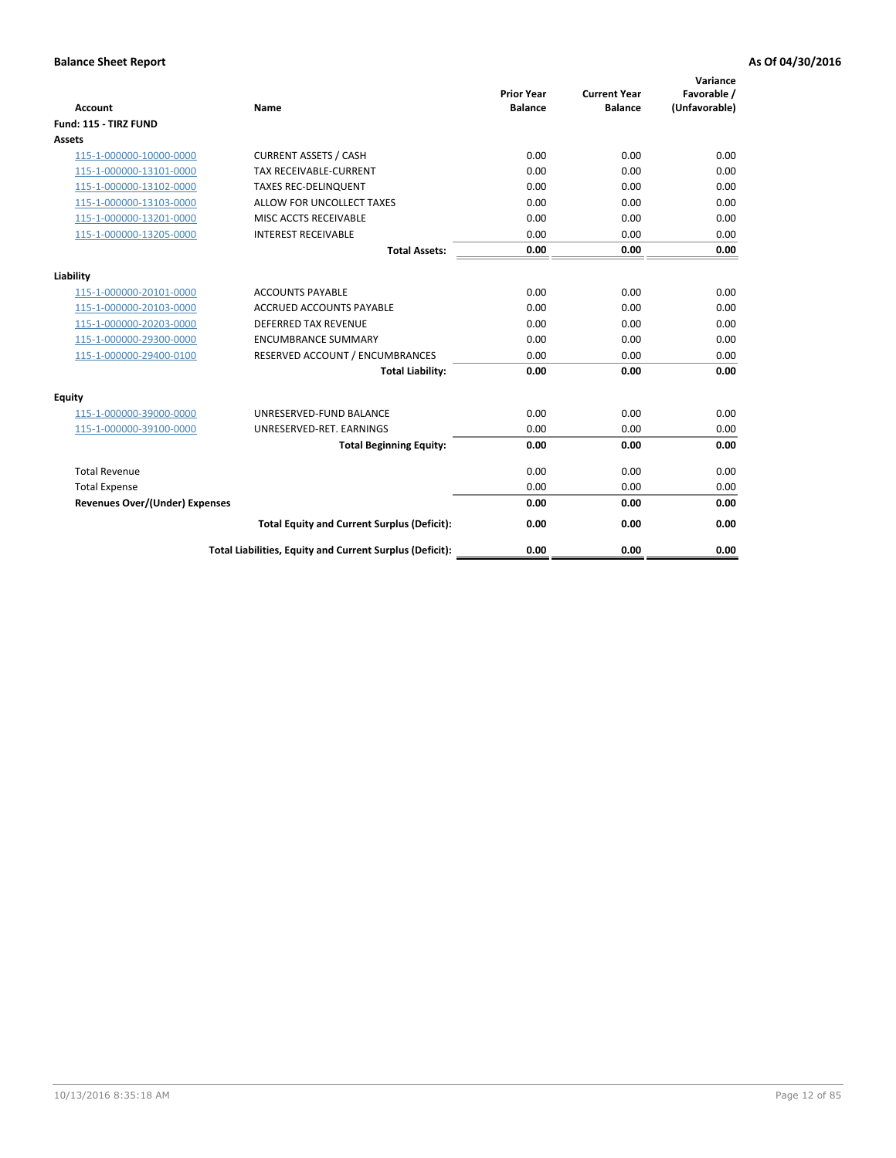| <b>Account</b>                        | <b>Name</b>                                              | <b>Prior Year</b><br><b>Balance</b> | <b>Current Year</b><br><b>Balance</b> | Variance<br>Favorable /<br>(Unfavorable) |
|---------------------------------------|----------------------------------------------------------|-------------------------------------|---------------------------------------|------------------------------------------|
| Fund: 115 - TIRZ FUND                 |                                                          |                                     |                                       |                                          |
| <b>Assets</b>                         |                                                          |                                     |                                       |                                          |
| 115-1-000000-10000-0000               | <b>CURRENT ASSETS / CASH</b>                             | 0.00                                | 0.00                                  | 0.00                                     |
| 115-1-000000-13101-0000               | <b>TAX RECEIVABLE-CURRENT</b>                            | 0.00                                | 0.00                                  | 0.00                                     |
| 115-1-000000-13102-0000               | <b>TAXES REC-DELINQUENT</b>                              | 0.00                                | 0.00                                  | 0.00                                     |
| 115-1-000000-13103-0000               | ALLOW FOR UNCOLLECT TAXES                                | 0.00                                | 0.00                                  | 0.00                                     |
| 115-1-000000-13201-0000               | MISC ACCTS RECEIVABLE                                    | 0.00                                | 0.00                                  | 0.00                                     |
| 115-1-000000-13205-0000               | <b>INTEREST RECEIVABLE</b>                               | 0.00                                | 0.00                                  | 0.00                                     |
|                                       | <b>Total Assets:</b>                                     | 0.00                                | 0.00                                  | 0.00                                     |
| Liability                             |                                                          |                                     |                                       |                                          |
| 115-1-000000-20101-0000               | <b>ACCOUNTS PAYABLE</b>                                  | 0.00                                | 0.00                                  | 0.00                                     |
| 115-1-000000-20103-0000               | <b>ACCRUED ACCOUNTS PAYABLE</b>                          | 0.00                                | 0.00                                  | 0.00                                     |
| 115-1-000000-20203-0000               | <b>DEFERRED TAX REVENUE</b>                              | 0.00                                | 0.00                                  | 0.00                                     |
| 115-1-000000-29300-0000               | <b>ENCUMBRANCE SUMMARY</b>                               | 0.00                                | 0.00                                  | 0.00                                     |
| 115-1-000000-29400-0100               | RESERVED ACCOUNT / ENCUMBRANCES                          | 0.00                                | 0.00                                  | 0.00                                     |
|                                       | <b>Total Liability:</b>                                  | 0.00                                | 0.00                                  | 0.00                                     |
| Equity                                |                                                          |                                     |                                       |                                          |
| 115-1-000000-39000-0000               | UNRESERVED-FUND BALANCE                                  | 0.00                                | 0.00                                  | 0.00                                     |
| 115-1-000000-39100-0000               | UNRESERVED-RET. EARNINGS                                 | 0.00                                | 0.00                                  | 0.00                                     |
|                                       | <b>Total Beginning Equity:</b>                           | 0.00                                | 0.00                                  | 0.00                                     |
| <b>Total Revenue</b>                  |                                                          | 0.00                                | 0.00                                  | 0.00                                     |
| <b>Total Expense</b>                  |                                                          | 0.00                                | 0.00                                  | 0.00                                     |
| <b>Revenues Over/(Under) Expenses</b> |                                                          | 0.00                                | 0.00                                  | 0.00                                     |
|                                       | <b>Total Equity and Current Surplus (Deficit):</b>       | 0.00                                | 0.00                                  | 0.00                                     |
|                                       | Total Liabilities, Equity and Current Surplus (Deficit): | 0.00                                | 0.00                                  | 0.00                                     |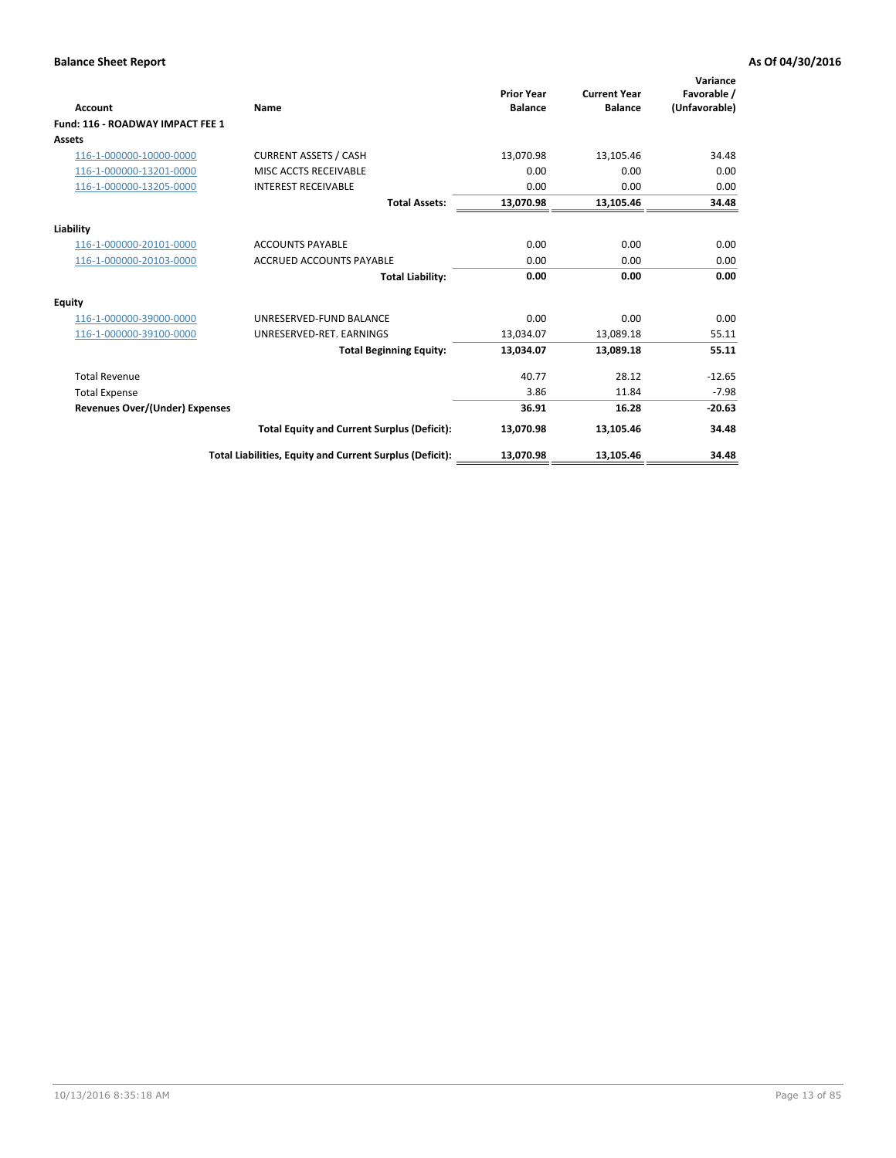| <b>Account</b>                        | Name                                                     | <b>Prior Year</b><br><b>Balance</b> | <b>Current Year</b><br><b>Balance</b> | Variance<br>Favorable /<br>(Unfavorable) |
|---------------------------------------|----------------------------------------------------------|-------------------------------------|---------------------------------------|------------------------------------------|
| Fund: 116 - ROADWAY IMPACT FEE 1      |                                                          |                                     |                                       |                                          |
| Assets                                |                                                          |                                     |                                       |                                          |
| 116-1-000000-10000-0000               | <b>CURRENT ASSETS / CASH</b>                             | 13,070.98                           | 13,105.46                             | 34.48                                    |
| 116-1-000000-13201-0000               | MISC ACCTS RECEIVABLE                                    | 0.00                                | 0.00                                  | 0.00                                     |
| 116-1-000000-13205-0000               | <b>INTEREST RECEIVABLE</b>                               | 0.00                                | 0.00                                  | 0.00                                     |
|                                       | <b>Total Assets:</b>                                     | 13,070.98                           | 13,105.46                             | 34.48                                    |
| Liability                             |                                                          |                                     |                                       |                                          |
| 116-1-000000-20101-0000               | <b>ACCOUNTS PAYABLE</b>                                  | 0.00                                | 0.00                                  | 0.00                                     |
| 116-1-000000-20103-0000               | <b>ACCRUED ACCOUNTS PAYABLE</b>                          | 0.00                                | 0.00                                  | 0.00                                     |
|                                       | <b>Total Liability:</b>                                  | 0.00                                | 0.00                                  | 0.00                                     |
| Equity                                |                                                          |                                     |                                       |                                          |
| 116-1-000000-39000-0000               | UNRESERVED-FUND BALANCE                                  | 0.00                                | 0.00                                  | 0.00                                     |
| 116-1-000000-39100-0000               | UNRESERVED-RET. EARNINGS                                 | 13,034.07                           | 13,089.18                             | 55.11                                    |
|                                       | <b>Total Beginning Equity:</b>                           | 13,034.07                           | 13,089.18                             | 55.11                                    |
| <b>Total Revenue</b>                  |                                                          | 40.77                               | 28.12                                 | $-12.65$                                 |
| <b>Total Expense</b>                  |                                                          | 3.86                                | 11.84                                 | $-7.98$                                  |
| <b>Revenues Over/(Under) Expenses</b> |                                                          | 36.91                               | 16.28                                 | $-20.63$                                 |
|                                       | <b>Total Equity and Current Surplus (Deficit):</b>       | 13,070.98                           | 13,105.46                             | 34.48                                    |
|                                       | Total Liabilities, Equity and Current Surplus (Deficit): | 13,070.98                           | 13,105.46                             | 34.48                                    |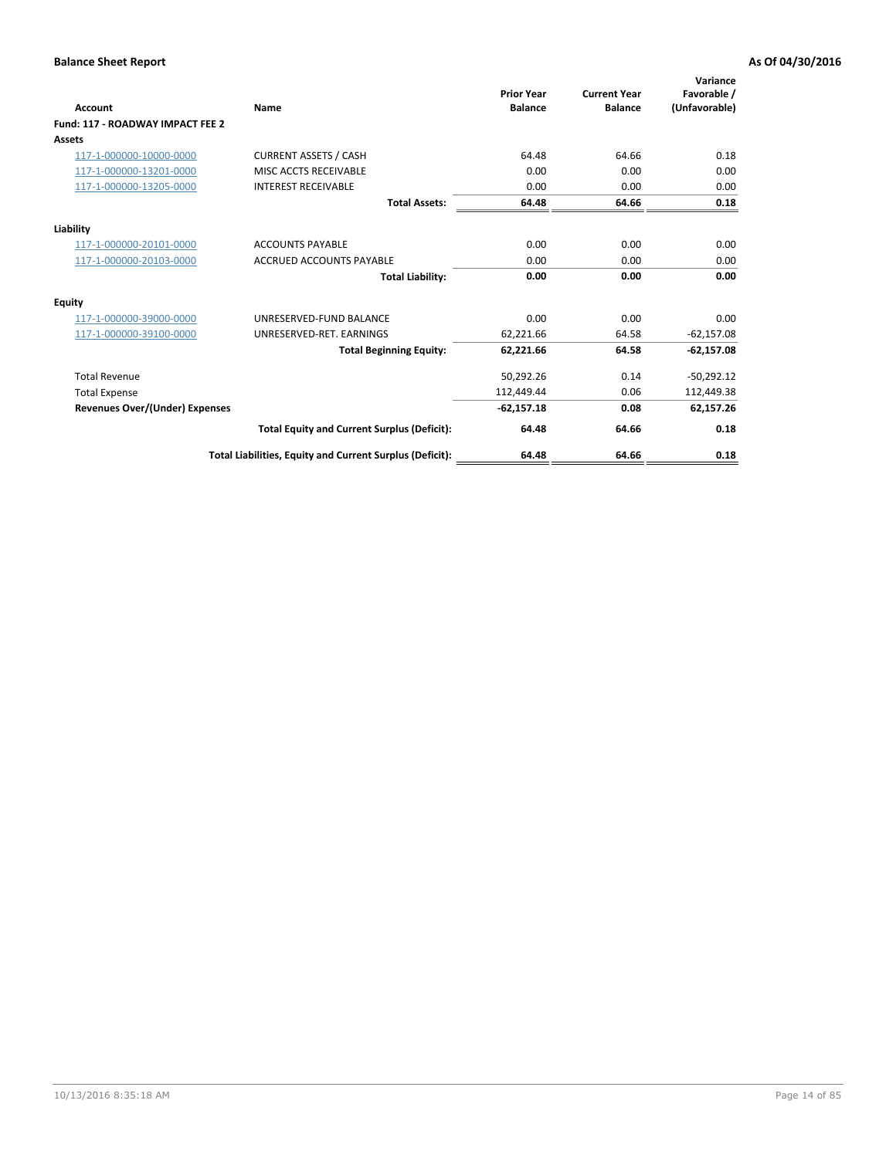| <b>Account</b>                        | Name                                                     | <b>Prior Year</b><br><b>Balance</b> | <b>Current Year</b><br><b>Balance</b> | Variance<br>Favorable /<br>(Unfavorable) |
|---------------------------------------|----------------------------------------------------------|-------------------------------------|---------------------------------------|------------------------------------------|
| Fund: 117 - ROADWAY IMPACT FEE 2      |                                                          |                                     |                                       |                                          |
| Assets                                |                                                          |                                     |                                       |                                          |
| 117-1-000000-10000-0000               | <b>CURRENT ASSETS / CASH</b>                             | 64.48                               | 64.66                                 | 0.18                                     |
| 117-1-000000-13201-0000               | MISC ACCTS RECEIVABLE                                    | 0.00                                | 0.00                                  | 0.00                                     |
| 117-1-000000-13205-0000               | <b>INTEREST RECEIVABLE</b>                               | 0.00                                | 0.00                                  | 0.00                                     |
|                                       | <b>Total Assets:</b>                                     | 64.48                               | 64.66                                 | 0.18                                     |
| Liability                             |                                                          |                                     |                                       |                                          |
| 117-1-000000-20101-0000               | <b>ACCOUNTS PAYABLE</b>                                  | 0.00                                | 0.00                                  | 0.00                                     |
| 117-1-000000-20103-0000               | <b>ACCRUED ACCOUNTS PAYABLE</b>                          | 0.00                                | 0.00                                  | 0.00                                     |
|                                       | <b>Total Liability:</b>                                  | 0.00                                | 0.00                                  | 0.00                                     |
| Equity                                |                                                          |                                     |                                       |                                          |
| 117-1-000000-39000-0000               | UNRESERVED-FUND BALANCE                                  | 0.00                                | 0.00                                  | 0.00                                     |
| 117-1-000000-39100-0000               | UNRESERVED-RET. EARNINGS                                 | 62,221.66                           | 64.58                                 | $-62,157.08$                             |
|                                       | <b>Total Beginning Equity:</b>                           | 62,221.66                           | 64.58                                 | $-62,157.08$                             |
| <b>Total Revenue</b>                  |                                                          | 50,292.26                           | 0.14                                  | $-50,292.12$                             |
| <b>Total Expense</b>                  |                                                          | 112,449.44                          | 0.06                                  | 112,449.38                               |
| <b>Revenues Over/(Under) Expenses</b> |                                                          | $-62,157.18$                        | 0.08                                  | 62,157.26                                |
|                                       | <b>Total Equity and Current Surplus (Deficit):</b>       | 64.48                               | 64.66                                 | 0.18                                     |
|                                       | Total Liabilities, Equity and Current Surplus (Deficit): | 64.48                               | 64.66                                 | 0.18                                     |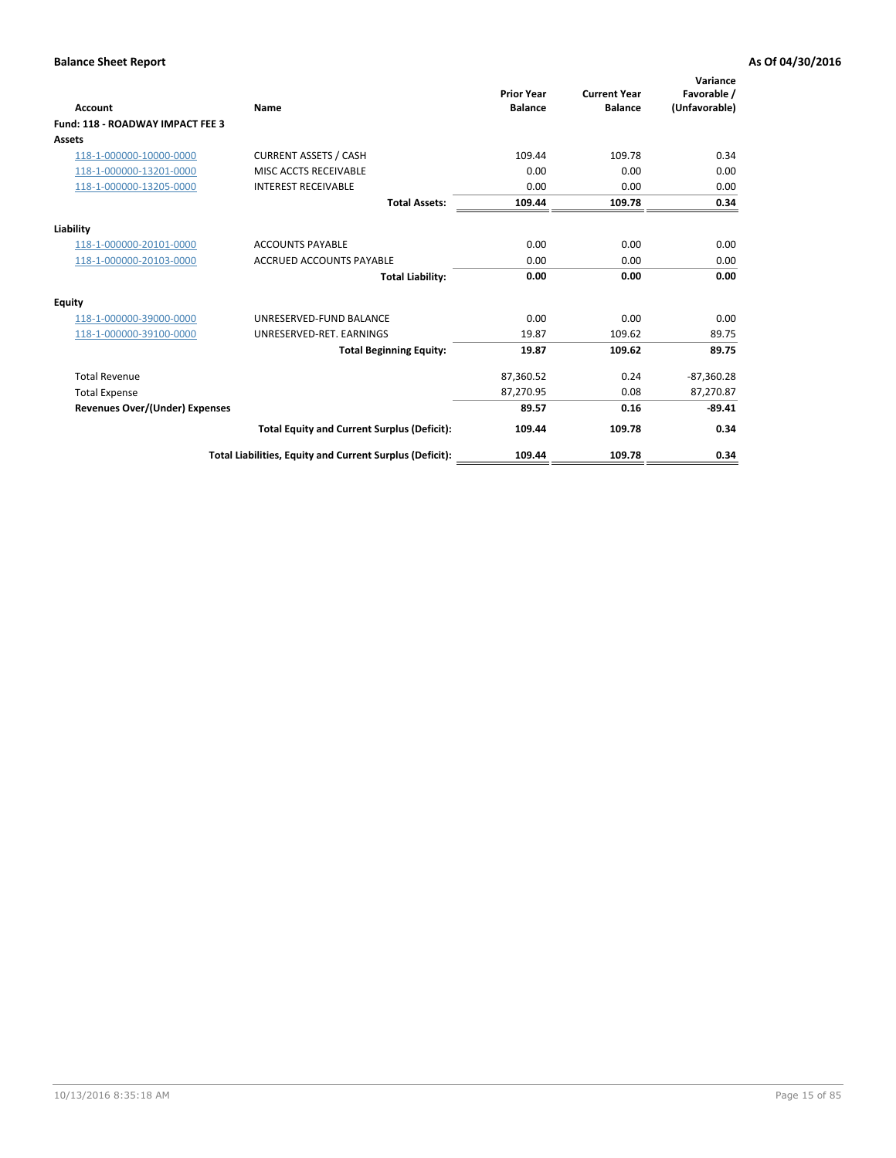| <b>Account</b>                        | Name                                                     | <b>Prior Year</b><br><b>Balance</b> | <b>Current Year</b><br><b>Balance</b> | Variance<br>Favorable /<br>(Unfavorable) |
|---------------------------------------|----------------------------------------------------------|-------------------------------------|---------------------------------------|------------------------------------------|
| Fund: 118 - ROADWAY IMPACT FEE 3      |                                                          |                                     |                                       |                                          |
| Assets                                |                                                          |                                     |                                       |                                          |
| 118-1-000000-10000-0000               | <b>CURRENT ASSETS / CASH</b>                             | 109.44                              | 109.78                                | 0.34                                     |
| 118-1-000000-13201-0000               | MISC ACCTS RECEIVABLE                                    | 0.00                                | 0.00                                  | 0.00                                     |
| 118-1-000000-13205-0000               | <b>INTEREST RECEIVABLE</b>                               | 0.00                                | 0.00                                  | 0.00                                     |
|                                       | <b>Total Assets:</b>                                     | 109.44                              | 109.78                                | 0.34                                     |
| Liability                             |                                                          |                                     |                                       |                                          |
| 118-1-000000-20101-0000               | <b>ACCOUNTS PAYABLE</b>                                  | 0.00                                | 0.00                                  | 0.00                                     |
| 118-1-000000-20103-0000               | <b>ACCRUED ACCOUNTS PAYABLE</b>                          | 0.00                                | 0.00                                  | 0.00                                     |
|                                       | <b>Total Liability:</b>                                  | 0.00                                | 0.00                                  | 0.00                                     |
| Equity                                |                                                          |                                     |                                       |                                          |
| 118-1-000000-39000-0000               | UNRESERVED-FUND BALANCE                                  | 0.00                                | 0.00                                  | 0.00                                     |
| 118-1-000000-39100-0000               | UNRESERVED-RET. EARNINGS                                 | 19.87                               | 109.62                                | 89.75                                    |
|                                       | <b>Total Beginning Equity:</b>                           | 19.87                               | 109.62                                | 89.75                                    |
| <b>Total Revenue</b>                  |                                                          | 87,360.52                           | 0.24                                  | $-87,360.28$                             |
| <b>Total Expense</b>                  |                                                          | 87,270.95                           | 0.08                                  | 87,270.87                                |
| <b>Revenues Over/(Under) Expenses</b> |                                                          | 89.57                               | 0.16                                  | $-89.41$                                 |
|                                       | <b>Total Equity and Current Surplus (Deficit):</b>       | 109.44                              | 109.78                                | 0.34                                     |
|                                       | Total Liabilities, Equity and Current Surplus (Deficit): | 109.44                              | 109.78                                | 0.34                                     |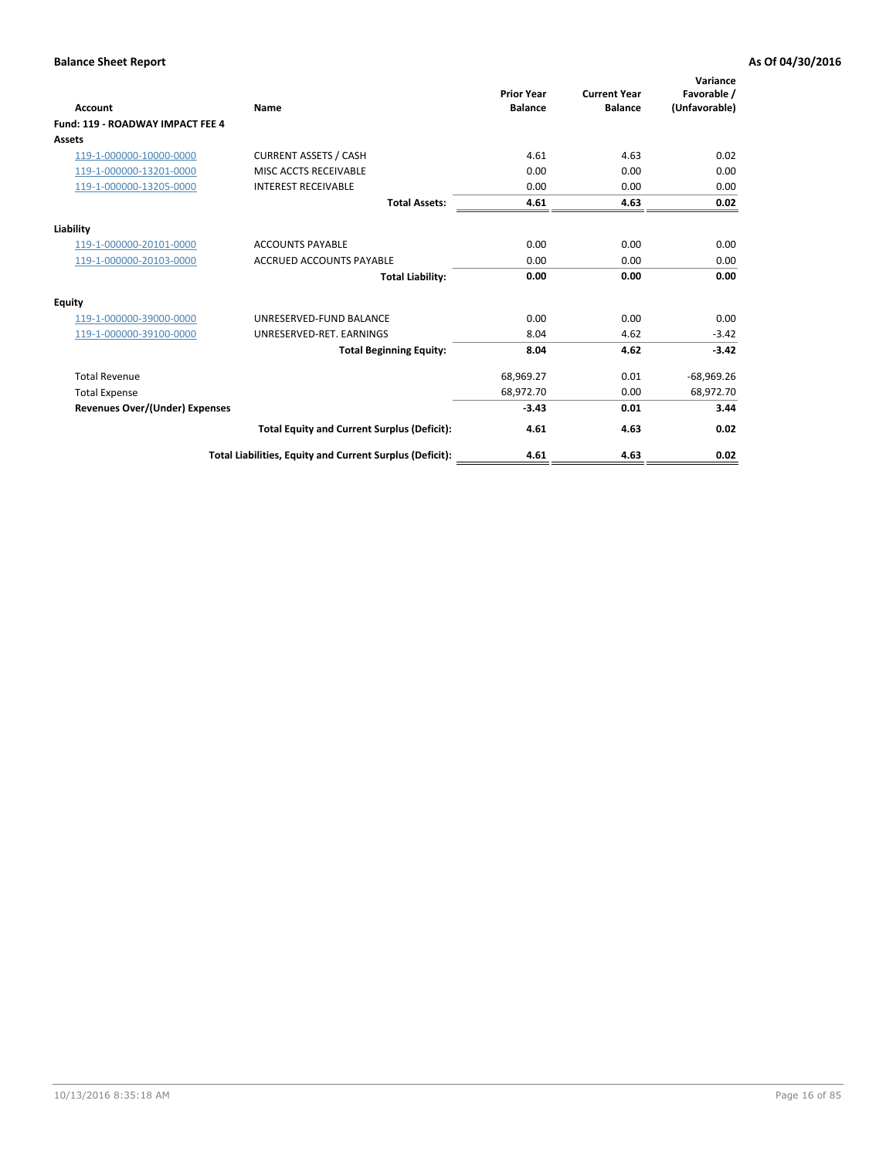| Account                                 | Name                                                     | <b>Prior Year</b><br><b>Balance</b> | <b>Current Year</b><br><b>Balance</b> | Variance<br>Favorable /<br>(Unfavorable) |
|-----------------------------------------|----------------------------------------------------------|-------------------------------------|---------------------------------------|------------------------------------------|
| <b>Fund: 119 - ROADWAY IMPACT FEE 4</b> |                                                          |                                     |                                       |                                          |
| Assets                                  |                                                          |                                     |                                       |                                          |
| 119-1-000000-10000-0000                 | <b>CURRENT ASSETS / CASH</b>                             | 4.61                                | 4.63                                  | 0.02                                     |
| 119-1-000000-13201-0000                 | <b>MISC ACCTS RECEIVABLE</b>                             | 0.00                                | 0.00                                  | 0.00                                     |
| 119-1-000000-13205-0000                 | <b>INTEREST RECEIVABLE</b>                               | 0.00                                | 0.00                                  | 0.00                                     |
|                                         | <b>Total Assets:</b>                                     | 4.61                                | 4.63                                  | 0.02                                     |
| Liability                               |                                                          |                                     |                                       |                                          |
| 119-1-000000-20101-0000                 | <b>ACCOUNTS PAYABLE</b>                                  | 0.00                                | 0.00                                  | 0.00                                     |
| 119-1-000000-20103-0000                 | <b>ACCRUED ACCOUNTS PAYABLE</b>                          | 0.00                                | 0.00                                  | 0.00                                     |
|                                         | <b>Total Liability:</b>                                  | 0.00                                | 0.00                                  | 0.00                                     |
| Equity                                  |                                                          |                                     |                                       |                                          |
| 119-1-000000-39000-0000                 | UNRESERVED-FUND BALANCE                                  | 0.00                                | 0.00                                  | 0.00                                     |
| 119-1-000000-39100-0000                 | UNRESERVED-RET. EARNINGS                                 | 8.04                                | 4.62                                  | $-3.42$                                  |
|                                         | <b>Total Beginning Equity:</b>                           | 8.04                                | 4.62                                  | $-3.42$                                  |
| <b>Total Revenue</b>                    |                                                          | 68,969.27                           | 0.01                                  | $-68,969.26$                             |
| <b>Total Expense</b>                    |                                                          | 68,972.70                           | 0.00                                  | 68,972.70                                |
| <b>Revenues Over/(Under) Expenses</b>   |                                                          | $-3.43$                             | 0.01                                  | 3.44                                     |
|                                         | <b>Total Equity and Current Surplus (Deficit):</b>       | 4.61                                | 4.63                                  | 0.02                                     |
|                                         | Total Liabilities, Equity and Current Surplus (Deficit): | 4.61                                | 4.63                                  | 0.02                                     |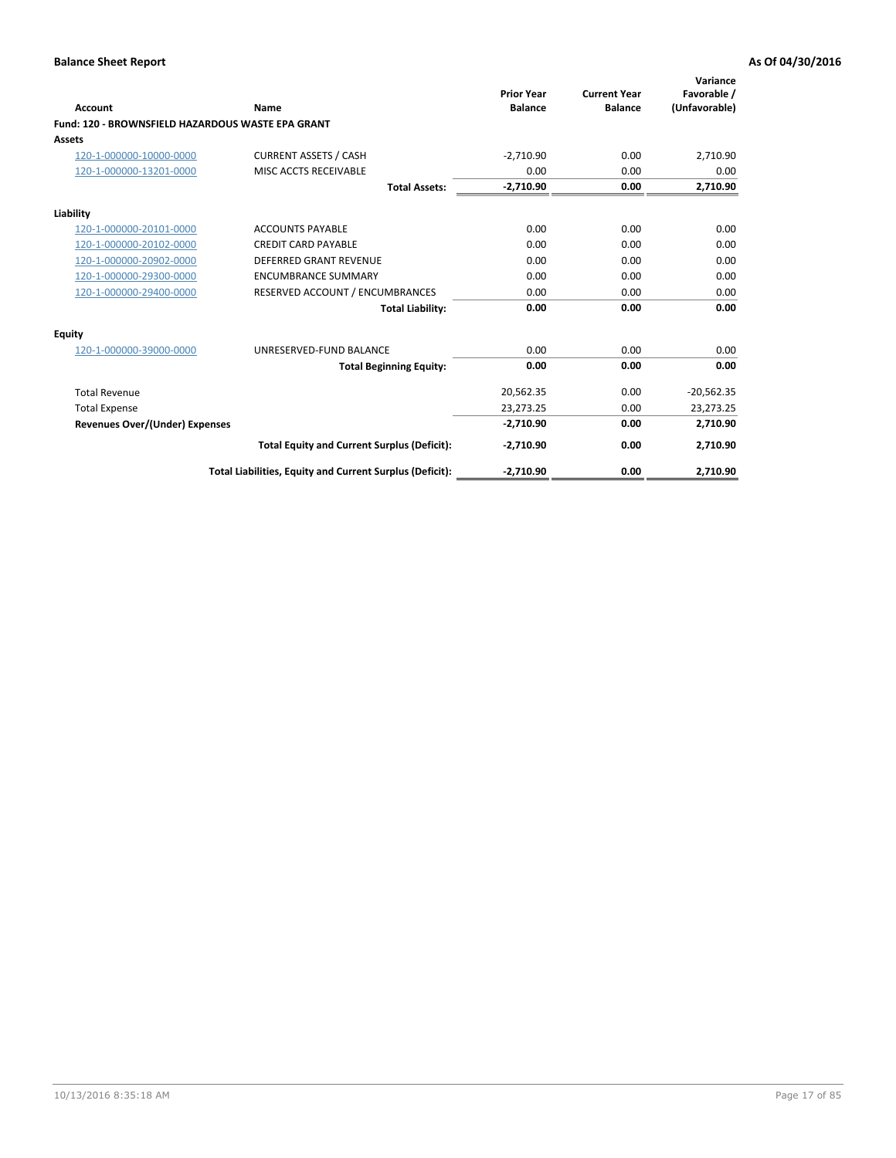| <b>Account</b>                                    | Name                                                     | <b>Prior Year</b><br><b>Balance</b> | <b>Current Year</b><br><b>Balance</b> | Variance<br>Favorable /<br>(Unfavorable) |
|---------------------------------------------------|----------------------------------------------------------|-------------------------------------|---------------------------------------|------------------------------------------|
| Fund: 120 - BROWNSFIELD HAZARDOUS WASTE EPA GRANT |                                                          |                                     |                                       |                                          |
| Assets                                            |                                                          |                                     |                                       |                                          |
| 120-1-000000-10000-0000                           | <b>CURRENT ASSETS / CASH</b>                             | $-2,710.90$                         | 0.00                                  | 2,710.90                                 |
| 120-1-000000-13201-0000                           | MISC ACCTS RECEIVABLE                                    | 0.00                                | 0.00                                  | 0.00                                     |
|                                                   | <b>Total Assets:</b>                                     | $-2,710.90$                         | 0.00                                  | 2,710.90                                 |
| Liability                                         |                                                          |                                     |                                       |                                          |
| 120-1-000000-20101-0000                           | <b>ACCOUNTS PAYABLE</b>                                  | 0.00                                | 0.00                                  | 0.00                                     |
| 120-1-000000-20102-0000                           | <b>CREDIT CARD PAYABLE</b>                               | 0.00                                | 0.00                                  | 0.00                                     |
| 120-1-000000-20902-0000                           | <b>DEFERRED GRANT REVENUE</b>                            | 0.00                                | 0.00                                  | 0.00                                     |
| 120-1-000000-29300-0000                           | <b>ENCUMBRANCE SUMMARY</b>                               | 0.00                                | 0.00                                  | 0.00                                     |
| 120-1-000000-29400-0000                           | RESERVED ACCOUNT / ENCUMBRANCES                          | 0.00                                | 0.00                                  | 0.00                                     |
|                                                   | <b>Total Liability:</b>                                  | 0.00                                | 0.00                                  | 0.00                                     |
| Equity                                            |                                                          |                                     |                                       |                                          |
| 120-1-000000-39000-0000                           | UNRESERVED-FUND BALANCE                                  | 0.00                                | 0.00                                  | 0.00                                     |
|                                                   | <b>Total Beginning Equity:</b>                           | 0.00                                | 0.00                                  | 0.00                                     |
| <b>Total Revenue</b>                              |                                                          | 20,562.35                           | 0.00                                  | $-20,562.35$                             |
| <b>Total Expense</b>                              |                                                          | 23,273.25                           | 0.00                                  | 23,273.25                                |
| <b>Revenues Over/(Under) Expenses</b>             |                                                          | $-2,710.90$                         | 0.00                                  | 2,710.90                                 |
|                                                   | <b>Total Equity and Current Surplus (Deficit):</b>       | $-2,710.90$                         | 0.00                                  | 2,710.90                                 |
|                                                   | Total Liabilities, Equity and Current Surplus (Deficit): | $-2,710.90$                         | 0.00                                  | 2,710.90                                 |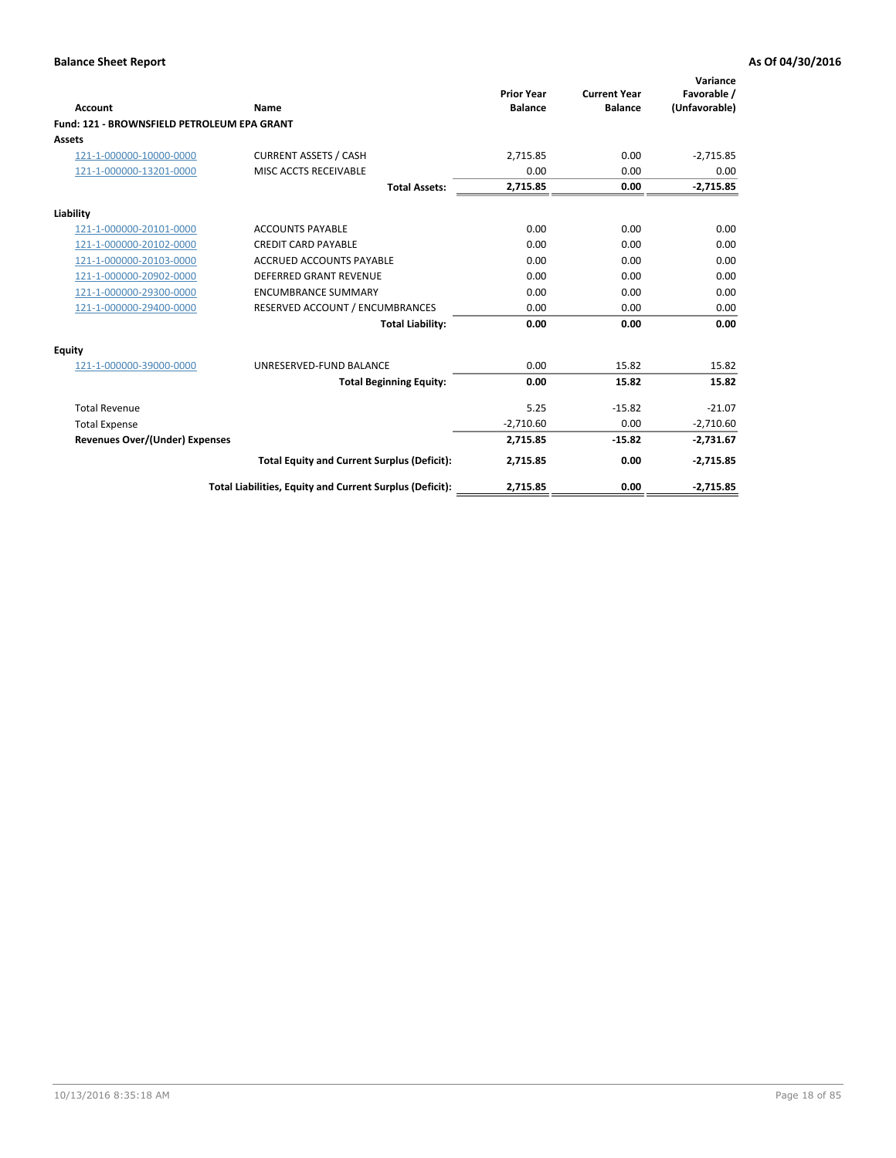| <b>Account</b>                              | Name                                                     | <b>Prior Year</b><br><b>Balance</b> | <b>Current Year</b><br><b>Balance</b> | Variance<br>Favorable /<br>(Unfavorable) |
|---------------------------------------------|----------------------------------------------------------|-------------------------------------|---------------------------------------|------------------------------------------|
| Fund: 121 - BROWNSFIELD PETROLEUM EPA GRANT |                                                          |                                     |                                       |                                          |
| <b>Assets</b>                               |                                                          |                                     |                                       |                                          |
| 121-1-000000-10000-0000                     | <b>CURRENT ASSETS / CASH</b>                             | 2,715.85                            | 0.00                                  | $-2,715.85$                              |
| 121-1-000000-13201-0000                     | <b>MISC ACCTS RECEIVABLE</b>                             | 0.00                                | 0.00                                  | 0.00                                     |
|                                             | <b>Total Assets:</b>                                     | 2,715.85                            | 0.00                                  | $-2,715.85$                              |
| Liability                                   |                                                          |                                     |                                       |                                          |
| 121-1-000000-20101-0000                     | <b>ACCOUNTS PAYABLE</b>                                  | 0.00                                | 0.00                                  | 0.00                                     |
| 121-1-000000-20102-0000                     | <b>CREDIT CARD PAYABLE</b>                               | 0.00                                | 0.00                                  | 0.00                                     |
| 121-1-000000-20103-0000                     | <b>ACCRUED ACCOUNTS PAYABLE</b>                          | 0.00                                | 0.00                                  | 0.00                                     |
| 121-1-000000-20902-0000                     | <b>DEFERRED GRANT REVENUE</b>                            | 0.00                                | 0.00                                  | 0.00                                     |
| 121-1-000000-29300-0000                     | <b>ENCUMBRANCE SUMMARY</b>                               | 0.00                                | 0.00                                  | 0.00                                     |
| 121-1-000000-29400-0000                     | RESERVED ACCOUNT / ENCUMBRANCES                          | 0.00                                | 0.00                                  | 0.00                                     |
|                                             | <b>Total Liability:</b>                                  | 0.00                                | 0.00                                  | 0.00                                     |
| <b>Equity</b>                               |                                                          |                                     |                                       |                                          |
| 121-1-000000-39000-0000                     | UNRESERVED-FUND BALANCE                                  | 0.00                                | 15.82                                 | 15.82                                    |
|                                             | <b>Total Beginning Equity:</b>                           | 0.00                                | 15.82                                 | 15.82                                    |
| <b>Total Revenue</b>                        |                                                          | 5.25                                | $-15.82$                              | $-21.07$                                 |
| <b>Total Expense</b>                        |                                                          | $-2,710.60$                         | 0.00                                  | $-2,710.60$                              |
| <b>Revenues Over/(Under) Expenses</b>       |                                                          | 2,715.85                            | $-15.82$                              | $-2,731.67$                              |
|                                             | <b>Total Equity and Current Surplus (Deficit):</b>       | 2,715.85                            | 0.00                                  | $-2,715.85$                              |
|                                             | Total Liabilities, Equity and Current Surplus (Deficit): | 2,715.85                            | 0.00                                  | $-2,715.85$                              |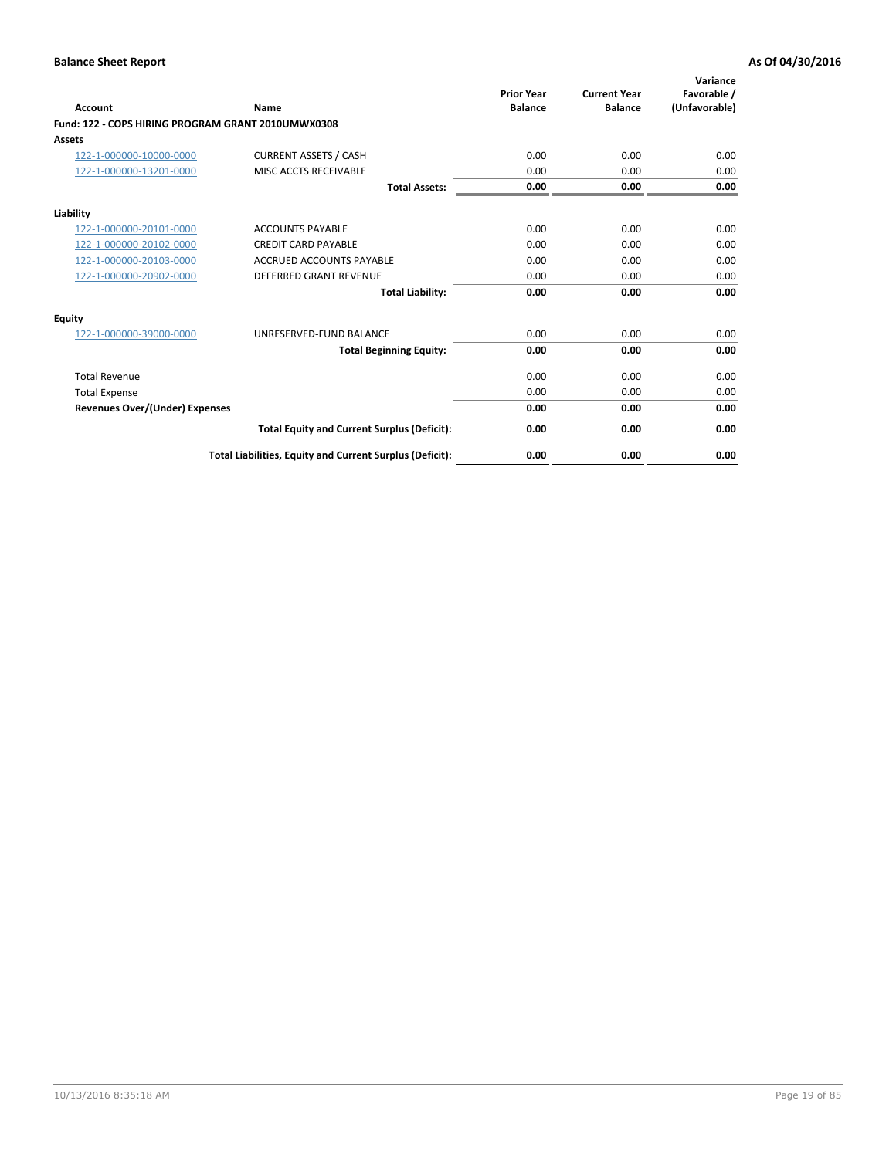| <b>Account</b>                                     | Name                                                     | <b>Prior Year</b><br><b>Balance</b> | <b>Current Year</b><br><b>Balance</b> | Variance<br>Favorable /<br>(Unfavorable) |
|----------------------------------------------------|----------------------------------------------------------|-------------------------------------|---------------------------------------|------------------------------------------|
| Fund: 122 - COPS HIRING PROGRAM GRANT 2010UMWX0308 |                                                          |                                     |                                       |                                          |
| Assets                                             |                                                          |                                     |                                       |                                          |
| 122-1-000000-10000-0000                            | <b>CURRENT ASSETS / CASH</b>                             | 0.00                                | 0.00                                  | 0.00                                     |
| 122-1-000000-13201-0000                            | MISC ACCTS RECEIVABLE                                    | 0.00                                | 0.00                                  | 0.00                                     |
|                                                    | <b>Total Assets:</b>                                     | 0.00                                | 0.00                                  | 0.00                                     |
| Liability                                          |                                                          |                                     |                                       |                                          |
| 122-1-000000-20101-0000                            | <b>ACCOUNTS PAYABLE</b>                                  | 0.00                                | 0.00                                  | 0.00                                     |
| 122-1-000000-20102-0000                            | <b>CREDIT CARD PAYABLE</b>                               | 0.00                                | 0.00                                  | 0.00                                     |
| 122-1-000000-20103-0000                            | <b>ACCRUED ACCOUNTS PAYABLE</b>                          | 0.00                                | 0.00                                  | 0.00                                     |
| 122-1-000000-20902-0000                            | <b>DEFERRED GRANT REVENUE</b>                            | 0.00                                | 0.00                                  | 0.00                                     |
|                                                    | <b>Total Liability:</b>                                  | 0.00                                | 0.00                                  | 0.00                                     |
| Equity                                             |                                                          |                                     |                                       |                                          |
| 122-1-000000-39000-0000                            | UNRESERVED-FUND BALANCE                                  | 0.00                                | 0.00                                  | 0.00                                     |
|                                                    | <b>Total Beginning Equity:</b>                           | 0.00                                | 0.00                                  | 0.00                                     |
| <b>Total Revenue</b>                               |                                                          | 0.00                                | 0.00                                  | 0.00                                     |
| <b>Total Expense</b>                               |                                                          | 0.00                                | 0.00                                  | 0.00                                     |
| <b>Revenues Over/(Under) Expenses</b>              |                                                          | 0.00                                | 0.00                                  | 0.00                                     |
|                                                    | <b>Total Equity and Current Surplus (Deficit):</b>       | 0.00                                | 0.00                                  | 0.00                                     |
|                                                    | Total Liabilities, Equity and Current Surplus (Deficit): | 0.00                                | 0.00                                  | 0.00                                     |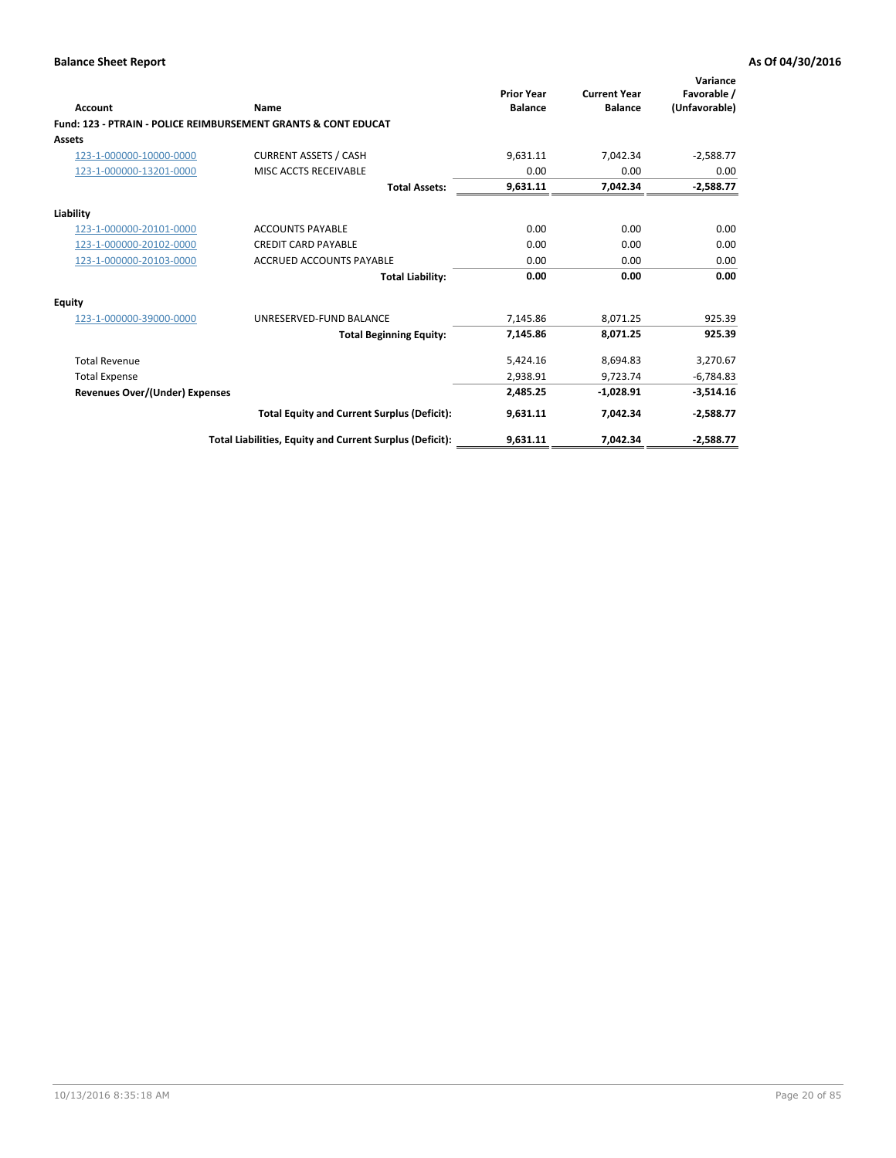|                                       |                                                                           | <b>Prior Year</b> | <b>Current Year</b> | Variance<br>Favorable / |
|---------------------------------------|---------------------------------------------------------------------------|-------------------|---------------------|-------------------------|
| Account                               | Name                                                                      | <b>Balance</b>    | <b>Balance</b>      | (Unfavorable)           |
|                                       | <b>Fund: 123 - PTRAIN - POLICE REIMBURSEMENT GRANTS &amp; CONT EDUCAT</b> |                   |                     |                         |
| <b>Assets</b>                         |                                                                           |                   |                     |                         |
| 123-1-000000-10000-0000               | <b>CURRENT ASSETS / CASH</b>                                              | 9,631.11          | 7,042.34            | $-2,588.77$             |
| 123-1-000000-13201-0000               | MISC ACCTS RECEIVABLE                                                     | 0.00              | 0.00                | 0.00                    |
|                                       | <b>Total Assets:</b>                                                      | 9,631.11          | 7,042.34            | $-2,588.77$             |
| Liability                             |                                                                           |                   |                     |                         |
| 123-1-000000-20101-0000               | <b>ACCOUNTS PAYABLE</b>                                                   | 0.00              | 0.00                | 0.00                    |
| 123-1-000000-20102-0000               | <b>CREDIT CARD PAYABLE</b>                                                | 0.00              | 0.00                | 0.00                    |
| 123-1-000000-20103-0000               | <b>ACCRUED ACCOUNTS PAYABLE</b>                                           | 0.00              | 0.00                | 0.00                    |
|                                       | <b>Total Liability:</b>                                                   | 0.00              | 0.00                | 0.00                    |
| <b>Equity</b>                         |                                                                           |                   |                     |                         |
| 123-1-000000-39000-0000               | UNRESERVED-FUND BALANCE                                                   | 7.145.86          | 8,071.25            | 925.39                  |
|                                       | <b>Total Beginning Equity:</b>                                            | 7,145.86          | 8,071.25            | 925.39                  |
| <b>Total Revenue</b>                  |                                                                           | 5,424.16          | 8,694.83            | 3,270.67                |
| <b>Total Expense</b>                  |                                                                           | 2.938.91          | 9.723.74            | $-6,784.83$             |
| <b>Revenues Over/(Under) Expenses</b> |                                                                           | 2,485.25          | $-1,028.91$         | $-3,514.16$             |
|                                       | <b>Total Equity and Current Surplus (Deficit):</b>                        | 9,631.11          | 7,042.34            | $-2,588.77$             |
|                                       | Total Liabilities, Equity and Current Surplus (Deficit):                  | 9,631.11          | 7,042.34            | $-2,588.77$             |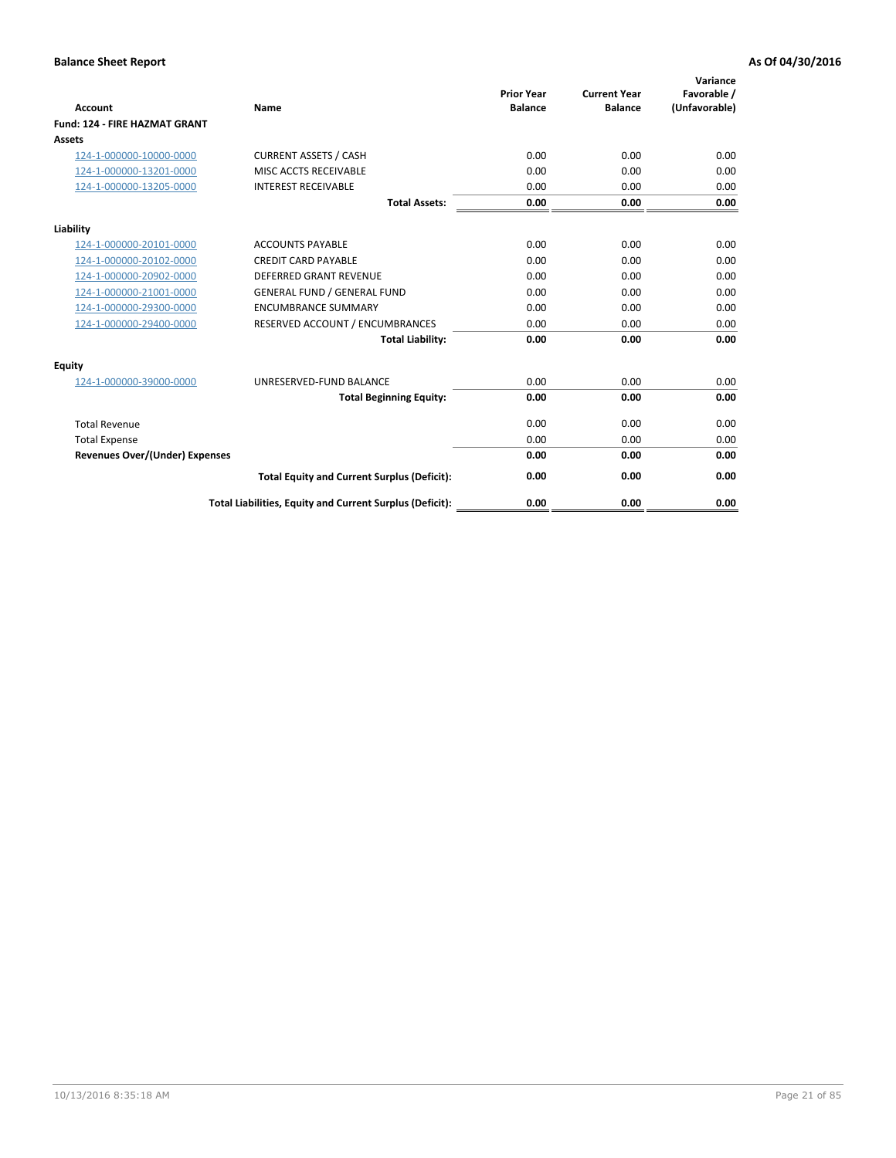| <b>Account</b>                        | <b>Name</b>                                              | <b>Prior Year</b><br><b>Balance</b> | <b>Current Year</b><br><b>Balance</b> | Variance<br>Favorable /<br>(Unfavorable) |
|---------------------------------------|----------------------------------------------------------|-------------------------------------|---------------------------------------|------------------------------------------|
| <b>Fund: 124 - FIRE HAZMAT GRANT</b>  |                                                          |                                     |                                       |                                          |
| Assets                                |                                                          |                                     |                                       |                                          |
| 124-1-000000-10000-0000               | <b>CURRENT ASSETS / CASH</b>                             | 0.00                                | 0.00                                  | 0.00                                     |
| 124-1-000000-13201-0000               | MISC ACCTS RECEIVABLE                                    | 0.00                                | 0.00                                  | 0.00                                     |
| 124-1-000000-13205-0000               | <b>INTEREST RECEIVABLE</b>                               | 0.00                                | 0.00                                  | 0.00                                     |
|                                       | <b>Total Assets:</b>                                     | 0.00                                | 0.00                                  | 0.00                                     |
| Liability                             |                                                          |                                     |                                       |                                          |
| 124-1-000000-20101-0000               | <b>ACCOUNTS PAYABLE</b>                                  | 0.00                                | 0.00                                  | 0.00                                     |
| 124-1-000000-20102-0000               | <b>CREDIT CARD PAYABLE</b>                               | 0.00                                | 0.00                                  | 0.00                                     |
| 124-1-000000-20902-0000               | <b>DEFERRED GRANT REVENUE</b>                            | 0.00                                | 0.00                                  | 0.00                                     |
| 124-1-000000-21001-0000               | <b>GENERAL FUND / GENERAL FUND</b>                       | 0.00                                | 0.00                                  | 0.00                                     |
| 124-1-000000-29300-0000               | <b>ENCUMBRANCE SUMMARY</b>                               | 0.00                                | 0.00                                  | 0.00                                     |
| 124-1-000000-29400-0000               | RESERVED ACCOUNT / ENCUMBRANCES                          | 0.00                                | 0.00                                  | 0.00                                     |
|                                       | <b>Total Liability:</b>                                  | 0.00                                | 0.00                                  | 0.00                                     |
| Equity                                |                                                          |                                     |                                       |                                          |
| 124-1-000000-39000-0000               | UNRESERVED-FUND BALANCE                                  | 0.00                                | 0.00                                  | 0.00                                     |
|                                       | <b>Total Beginning Equity:</b>                           | 0.00                                | 0.00                                  | 0.00                                     |
| <b>Total Revenue</b>                  |                                                          | 0.00                                | 0.00                                  | 0.00                                     |
| <b>Total Expense</b>                  |                                                          | 0.00                                | 0.00                                  | 0.00                                     |
| <b>Revenues Over/(Under) Expenses</b> |                                                          | 0.00                                | 0.00                                  | 0.00                                     |
|                                       | <b>Total Equity and Current Surplus (Deficit):</b>       | 0.00                                | 0.00                                  | 0.00                                     |
|                                       | Total Liabilities, Equity and Current Surplus (Deficit): | 0.00                                | 0.00                                  | 0.00                                     |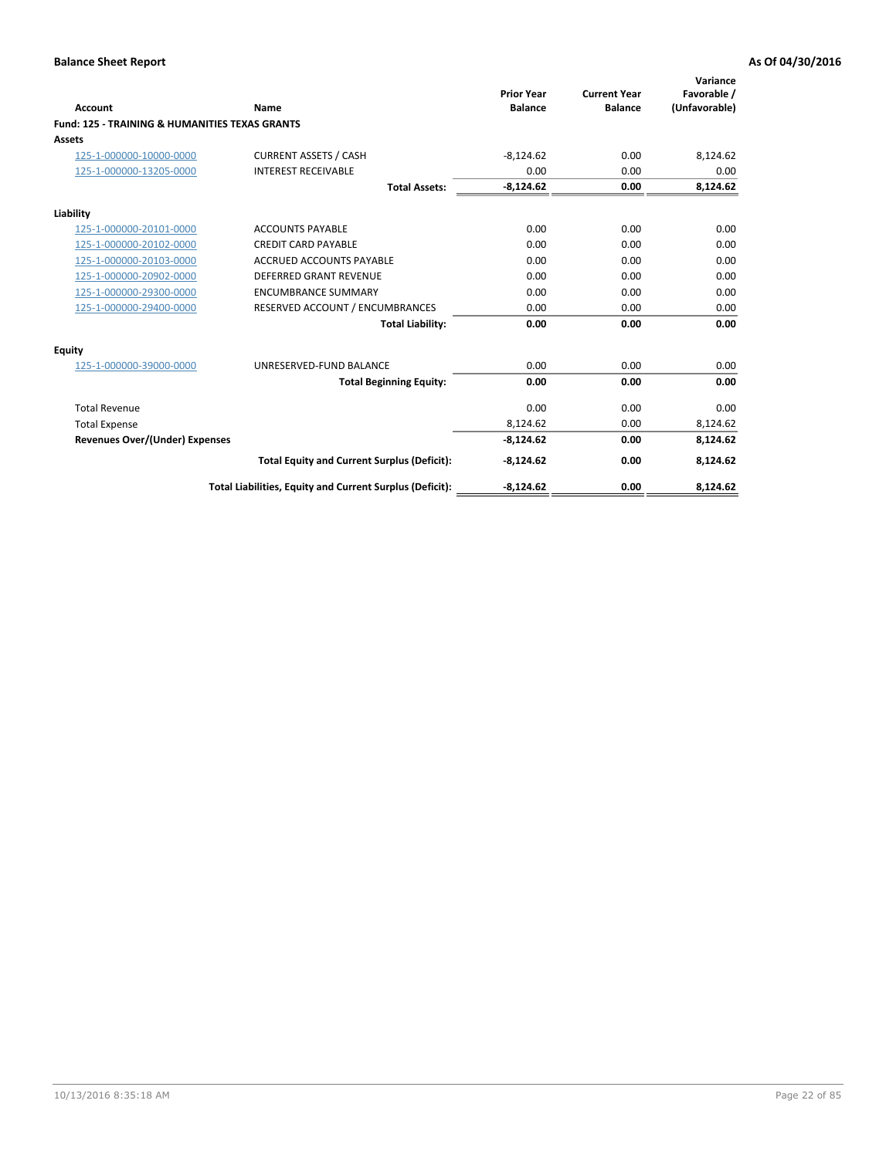| <b>Account</b>                                            | Name                                                     | <b>Prior Year</b><br><b>Balance</b> | <b>Current Year</b><br><b>Balance</b> | Variance<br>Favorable /<br>(Unfavorable) |
|-----------------------------------------------------------|----------------------------------------------------------|-------------------------------------|---------------------------------------|------------------------------------------|
| <b>Fund: 125 - TRAINING &amp; HUMANITIES TEXAS GRANTS</b> |                                                          |                                     |                                       |                                          |
| Assets                                                    |                                                          |                                     |                                       |                                          |
| 125-1-000000-10000-0000                                   | <b>CURRENT ASSETS / CASH</b>                             | $-8,124.62$                         | 0.00                                  | 8,124.62                                 |
| 125-1-000000-13205-0000                                   | <b>INTEREST RECEIVABLE</b>                               | 0.00                                | 0.00                                  | 0.00                                     |
|                                                           | <b>Total Assets:</b>                                     | $-8,124.62$                         | 0.00                                  | 8,124.62                                 |
| Liability                                                 |                                                          |                                     |                                       |                                          |
| 125-1-000000-20101-0000                                   | <b>ACCOUNTS PAYABLE</b>                                  | 0.00                                | 0.00                                  | 0.00                                     |
| 125-1-000000-20102-0000                                   | <b>CREDIT CARD PAYABLE</b>                               | 0.00                                | 0.00                                  | 0.00                                     |
| 125-1-000000-20103-0000                                   | ACCRUED ACCOUNTS PAYABLE                                 | 0.00                                | 0.00                                  | 0.00                                     |
| 125-1-000000-20902-0000                                   | <b>DEFERRED GRANT REVENUE</b>                            | 0.00                                | 0.00                                  | 0.00                                     |
| 125-1-000000-29300-0000                                   | <b>ENCUMBRANCE SUMMARY</b>                               | 0.00                                | 0.00                                  | 0.00                                     |
| 125-1-000000-29400-0000                                   | RESERVED ACCOUNT / ENCUMBRANCES                          | 0.00                                | 0.00                                  | 0.00                                     |
|                                                           | <b>Total Liability:</b>                                  | 0.00                                | 0.00                                  | 0.00                                     |
| Equity                                                    |                                                          |                                     |                                       |                                          |
| 125-1-000000-39000-0000                                   | UNRESERVED-FUND BALANCE                                  | 0.00                                | 0.00                                  | 0.00                                     |
|                                                           | <b>Total Beginning Equity:</b>                           | 0.00                                | 0.00                                  | 0.00                                     |
| <b>Total Revenue</b>                                      |                                                          | 0.00                                | 0.00                                  | 0.00                                     |
| <b>Total Expense</b>                                      |                                                          | 8,124.62                            | 0.00                                  | 8,124.62                                 |
| <b>Revenues Over/(Under) Expenses</b>                     |                                                          | $-8,124.62$                         | 0.00                                  | 8,124.62                                 |
|                                                           | <b>Total Equity and Current Surplus (Deficit):</b>       | $-8,124.62$                         | 0.00                                  | 8,124.62                                 |
|                                                           | Total Liabilities, Equity and Current Surplus (Deficit): | $-8,124.62$                         | 0.00                                  | 8,124.62                                 |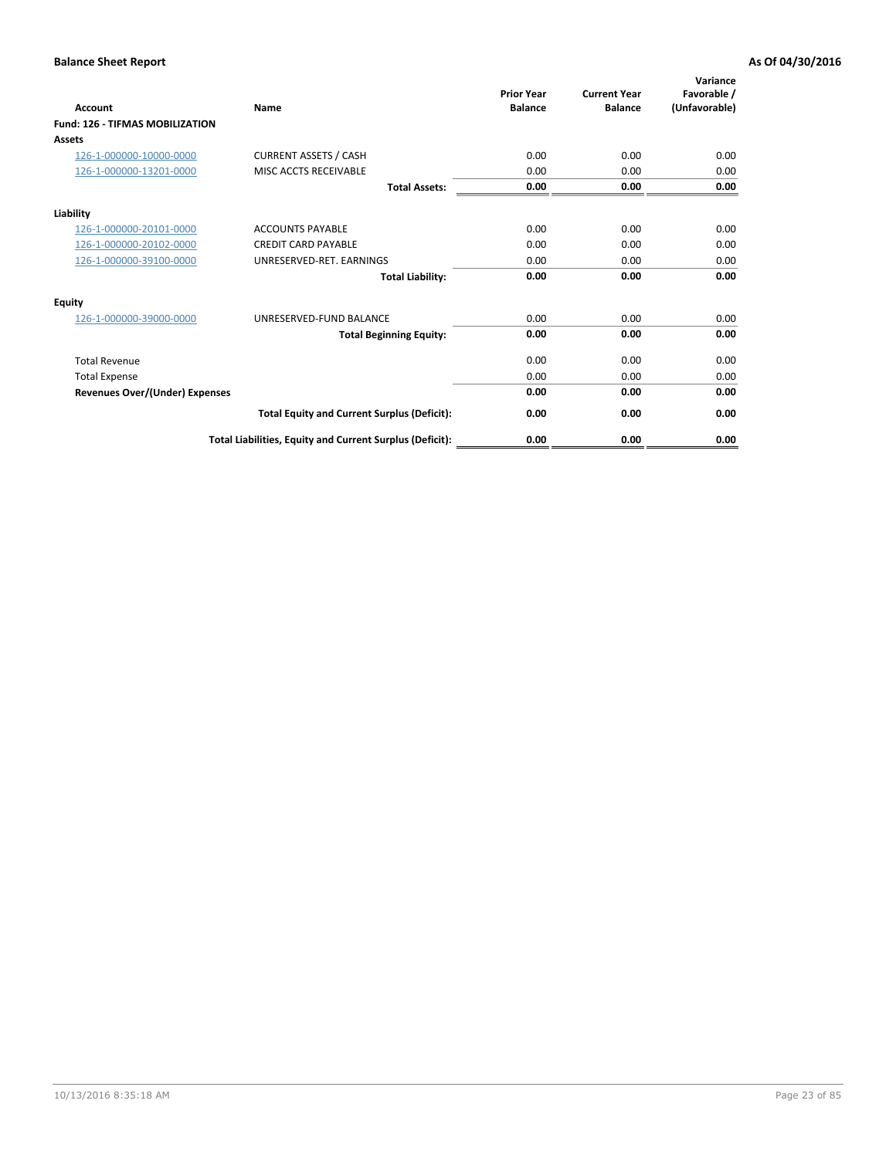| <b>Account</b>                         | Name                                                     | <b>Prior Year</b><br><b>Balance</b> | <b>Current Year</b><br><b>Balance</b> | Variance<br>Favorable /<br>(Unfavorable) |
|----------------------------------------|----------------------------------------------------------|-------------------------------------|---------------------------------------|------------------------------------------|
| <b>Fund: 126 - TIFMAS MOBILIZATION</b> |                                                          |                                     |                                       |                                          |
| Assets                                 |                                                          |                                     |                                       |                                          |
| 126-1-000000-10000-0000                | <b>CURRENT ASSETS / CASH</b>                             | 0.00                                | 0.00                                  | 0.00                                     |
| 126-1-000000-13201-0000                | MISC ACCTS RECEIVABLE                                    | 0.00                                | 0.00                                  | 0.00                                     |
|                                        | <b>Total Assets:</b>                                     | 0.00                                | 0.00                                  | 0.00                                     |
| Liability                              |                                                          |                                     |                                       |                                          |
| 126-1-000000-20101-0000                | <b>ACCOUNTS PAYABLE</b>                                  | 0.00                                | 0.00                                  | 0.00                                     |
| 126-1-000000-20102-0000                | <b>CREDIT CARD PAYABLE</b>                               | 0.00                                | 0.00                                  | 0.00                                     |
| 126-1-000000-39100-0000                | UNRESERVED-RET. EARNINGS                                 | 0.00                                | 0.00                                  | 0.00                                     |
|                                        | <b>Total Liability:</b>                                  | 0.00                                | 0.00                                  | 0.00                                     |
| Equity                                 |                                                          |                                     |                                       |                                          |
| 126-1-000000-39000-0000                | UNRESERVED-FUND BALANCE                                  | 0.00                                | 0.00                                  | 0.00                                     |
|                                        | <b>Total Beginning Equity:</b>                           | 0.00                                | 0.00                                  | 0.00                                     |
| <b>Total Revenue</b>                   |                                                          | 0.00                                | 0.00                                  | 0.00                                     |
| <b>Total Expense</b>                   |                                                          | 0.00                                | 0.00                                  | 0.00                                     |
| Revenues Over/(Under) Expenses         |                                                          | 0.00                                | 0.00                                  | 0.00                                     |
|                                        | <b>Total Equity and Current Surplus (Deficit):</b>       | 0.00                                | 0.00                                  | 0.00                                     |
|                                        | Total Liabilities, Equity and Current Surplus (Deficit): | 0.00                                | 0.00                                  | 0.00                                     |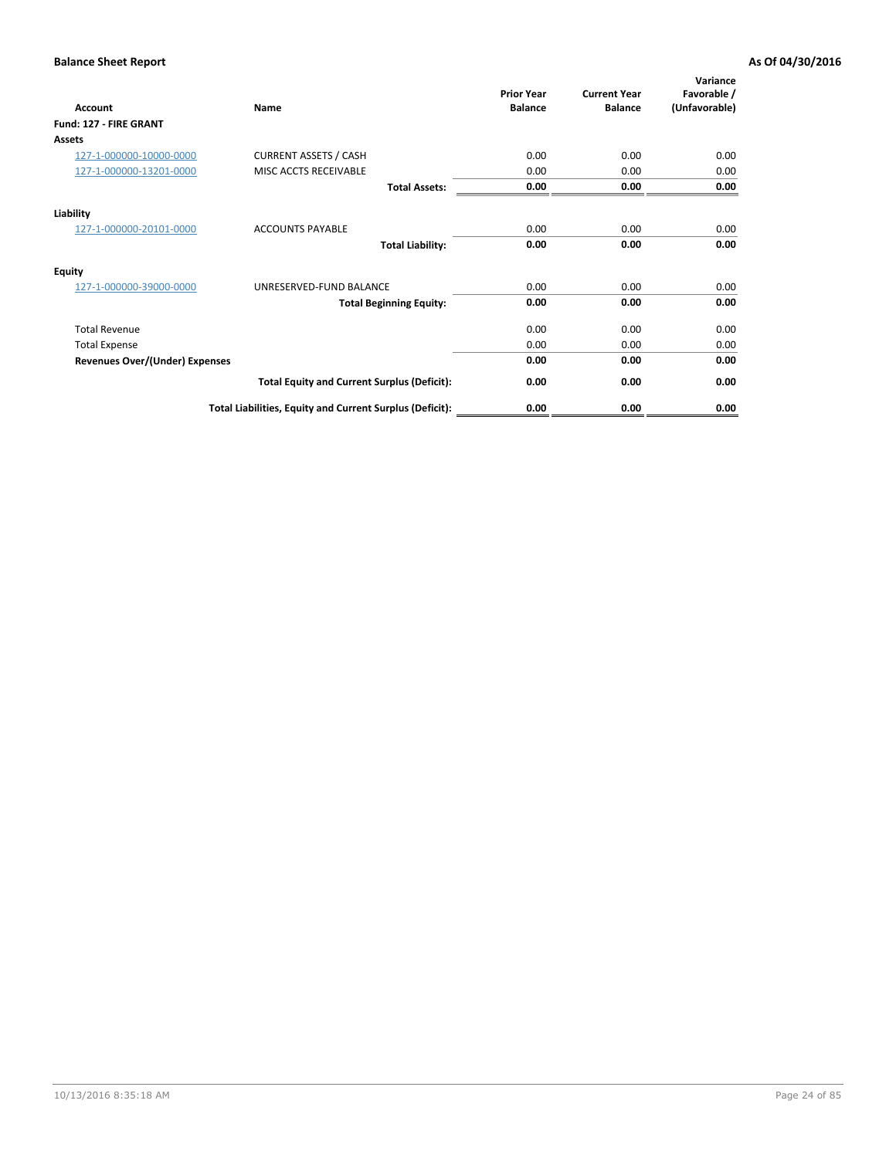| <b>Account</b>                        | Name                                                     | <b>Prior Year</b><br><b>Balance</b> | <b>Current Year</b><br><b>Balance</b> | Variance<br>Favorable /<br>(Unfavorable) |
|---------------------------------------|----------------------------------------------------------|-------------------------------------|---------------------------------------|------------------------------------------|
| Fund: 127 - FIRE GRANT                |                                                          |                                     |                                       |                                          |
| Assets                                |                                                          |                                     |                                       |                                          |
| 127-1-000000-10000-0000               | <b>CURRENT ASSETS / CASH</b>                             | 0.00                                | 0.00                                  | 0.00                                     |
| 127-1-000000-13201-0000               | MISC ACCTS RECEIVABLE                                    | 0.00                                | 0.00                                  | 0.00                                     |
|                                       | <b>Total Assets:</b>                                     | 0.00                                | 0.00                                  | 0.00                                     |
| Liability                             |                                                          |                                     |                                       |                                          |
| 127-1-000000-20101-0000               | <b>ACCOUNTS PAYABLE</b>                                  | 0.00                                | 0.00                                  | 0.00                                     |
|                                       | <b>Total Liability:</b>                                  | 0.00                                | 0.00                                  | 0.00                                     |
| <b>Equity</b>                         |                                                          |                                     |                                       |                                          |
| 127-1-000000-39000-0000               | UNRESERVED-FUND BALANCE                                  | 0.00                                | 0.00                                  | 0.00                                     |
|                                       | <b>Total Beginning Equity:</b>                           | 0.00                                | 0.00                                  | 0.00                                     |
| <b>Total Revenue</b>                  |                                                          | 0.00                                | 0.00                                  | 0.00                                     |
| <b>Total Expense</b>                  |                                                          | 0.00                                | 0.00                                  | 0.00                                     |
| <b>Revenues Over/(Under) Expenses</b> |                                                          | 0.00                                | 0.00                                  | 0.00                                     |
|                                       | <b>Total Equity and Current Surplus (Deficit):</b>       | 0.00                                | 0.00                                  | 0.00                                     |
|                                       | Total Liabilities, Equity and Current Surplus (Deficit): | 0.00                                | 0.00                                  | 0.00                                     |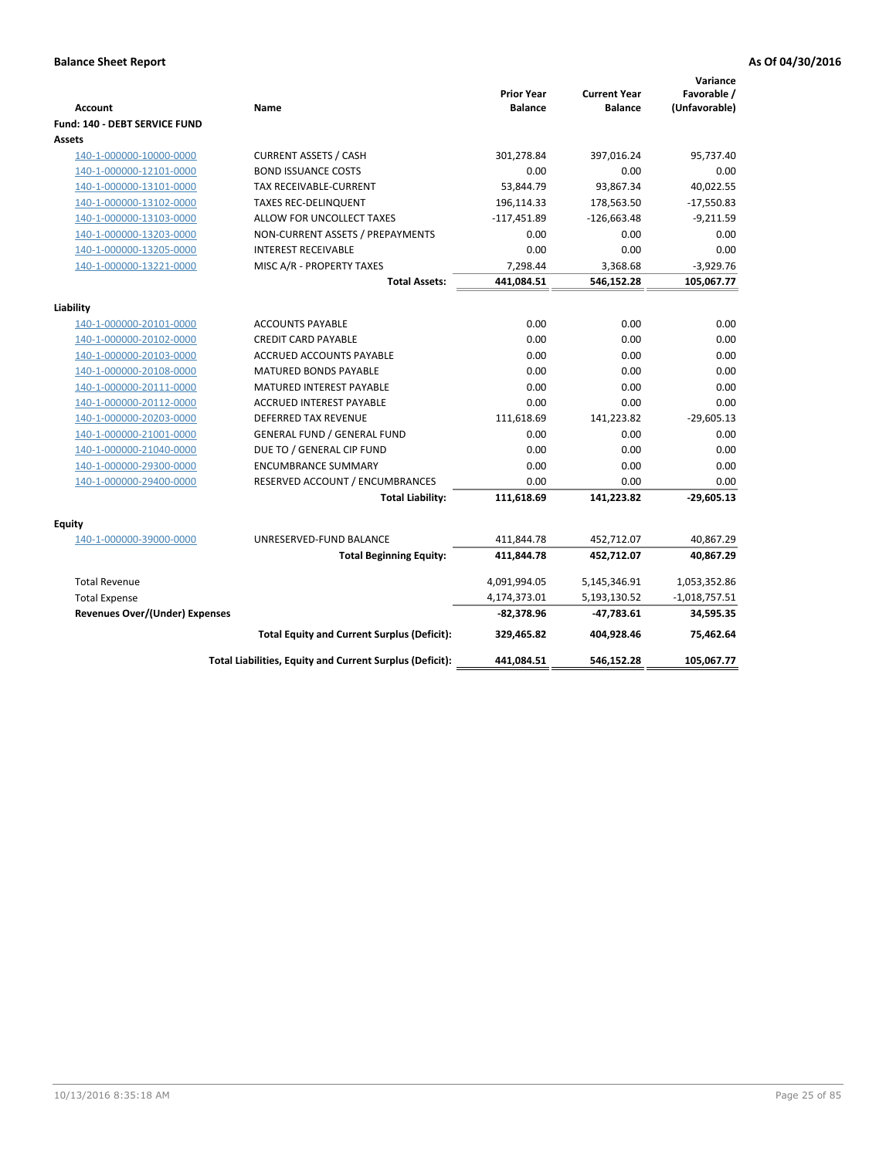| <b>Account</b>                        | Name                                                     | <b>Prior Year</b><br><b>Balance</b> | <b>Current Year</b><br><b>Balance</b> | Variance<br>Favorable /<br>(Unfavorable) |
|---------------------------------------|----------------------------------------------------------|-------------------------------------|---------------------------------------|------------------------------------------|
| Fund: 140 - DEBT SERVICE FUND         |                                                          |                                     |                                       |                                          |
| <b>Assets</b>                         |                                                          |                                     |                                       |                                          |
| 140-1-000000-10000-0000               | <b>CURRENT ASSETS / CASH</b>                             | 301,278.84                          | 397,016.24                            | 95,737.40                                |
| 140-1-000000-12101-0000               | <b>BOND ISSUANCE COSTS</b>                               | 0.00                                | 0.00                                  | 0.00                                     |
| 140-1-000000-13101-0000               | <b>TAX RECEIVABLE-CURRENT</b>                            | 53,844.79                           | 93,867.34                             | 40,022.55                                |
| 140-1-000000-13102-0000               | <b>TAXES REC-DELINQUENT</b>                              | 196,114.33                          | 178,563.50                            | $-17,550.83$                             |
| 140-1-000000-13103-0000               | ALLOW FOR UNCOLLECT TAXES                                | $-117,451.89$                       | $-126,663.48$                         | $-9,211.59$                              |
| 140-1-000000-13203-0000               | NON-CURRENT ASSETS / PREPAYMENTS                         | 0.00                                | 0.00                                  | 0.00                                     |
| 140-1-000000-13205-0000               | <b>INTEREST RECEIVABLE</b>                               | 0.00                                | 0.00                                  | 0.00                                     |
| 140-1-000000-13221-0000               | MISC A/R - PROPERTY TAXES                                | 7,298.44                            | 3,368.68                              | $-3,929.76$                              |
|                                       | <b>Total Assets:</b>                                     | 441,084.51                          | 546,152.28                            | 105,067.77                               |
| Liability                             |                                                          |                                     |                                       |                                          |
| 140-1-000000-20101-0000               | <b>ACCOUNTS PAYABLE</b>                                  | 0.00                                | 0.00                                  | 0.00                                     |
| 140-1-000000-20102-0000               | <b>CREDIT CARD PAYABLE</b>                               | 0.00                                | 0.00                                  | 0.00                                     |
| 140-1-000000-20103-0000               | ACCRUED ACCOUNTS PAYABLE                                 | 0.00                                | 0.00                                  | 0.00                                     |
| 140-1-000000-20108-0000               | <b>MATURED BONDS PAYABLE</b>                             | 0.00                                | 0.00                                  | 0.00                                     |
| 140-1-000000-20111-0000               | MATURED INTEREST PAYABLE                                 | 0.00                                | 0.00                                  | 0.00                                     |
| 140-1-000000-20112-0000               | <b>ACCRUED INTEREST PAYABLE</b>                          | 0.00                                | 0.00                                  | 0.00                                     |
| 140-1-000000-20203-0000               | <b>DEFERRED TAX REVENUE</b>                              | 111,618.69                          | 141,223.82                            | $-29,605.13$                             |
| 140-1-000000-21001-0000               | <b>GENERAL FUND / GENERAL FUND</b>                       | 0.00                                | 0.00                                  | 0.00                                     |
| 140-1-000000-21040-0000               | DUE TO / GENERAL CIP FUND                                | 0.00                                | 0.00                                  | 0.00                                     |
| 140-1-000000-29300-0000               | <b>ENCUMBRANCE SUMMARY</b>                               | 0.00                                | 0.00                                  | 0.00                                     |
| 140-1-000000-29400-0000               | RESERVED ACCOUNT / ENCUMBRANCES                          | 0.00                                | 0.00                                  | 0.00                                     |
|                                       | <b>Total Liability:</b>                                  | 111,618.69                          | 141,223.82                            | $-29,605.13$                             |
| <b>Equity</b>                         |                                                          |                                     |                                       |                                          |
| 140-1-000000-39000-0000               | UNRESERVED-FUND BALANCE                                  | 411,844.78                          | 452,712.07                            | 40,867.29                                |
|                                       | <b>Total Beginning Equity:</b>                           | 411,844.78                          | 452,712.07                            | 40,867.29                                |
| <b>Total Revenue</b>                  |                                                          |                                     |                                       |                                          |
|                                       |                                                          | 4,091,994.05                        | 5,145,346.91                          | 1,053,352.86                             |
| <b>Total Expense</b>                  |                                                          | 4,174,373.01                        | 5,193,130.52                          | $-1,018,757.51$                          |
| <b>Revenues Over/(Under) Expenses</b> |                                                          | -82,378.96                          | -47,783.61                            | 34,595.35                                |
|                                       | <b>Total Equity and Current Surplus (Deficit):</b>       | 329,465.82                          | 404,928.46                            | 75,462.64                                |
|                                       | Total Liabilities, Equity and Current Surplus (Deficit): | 441,084.51                          | 546.152.28                            | 105,067.77                               |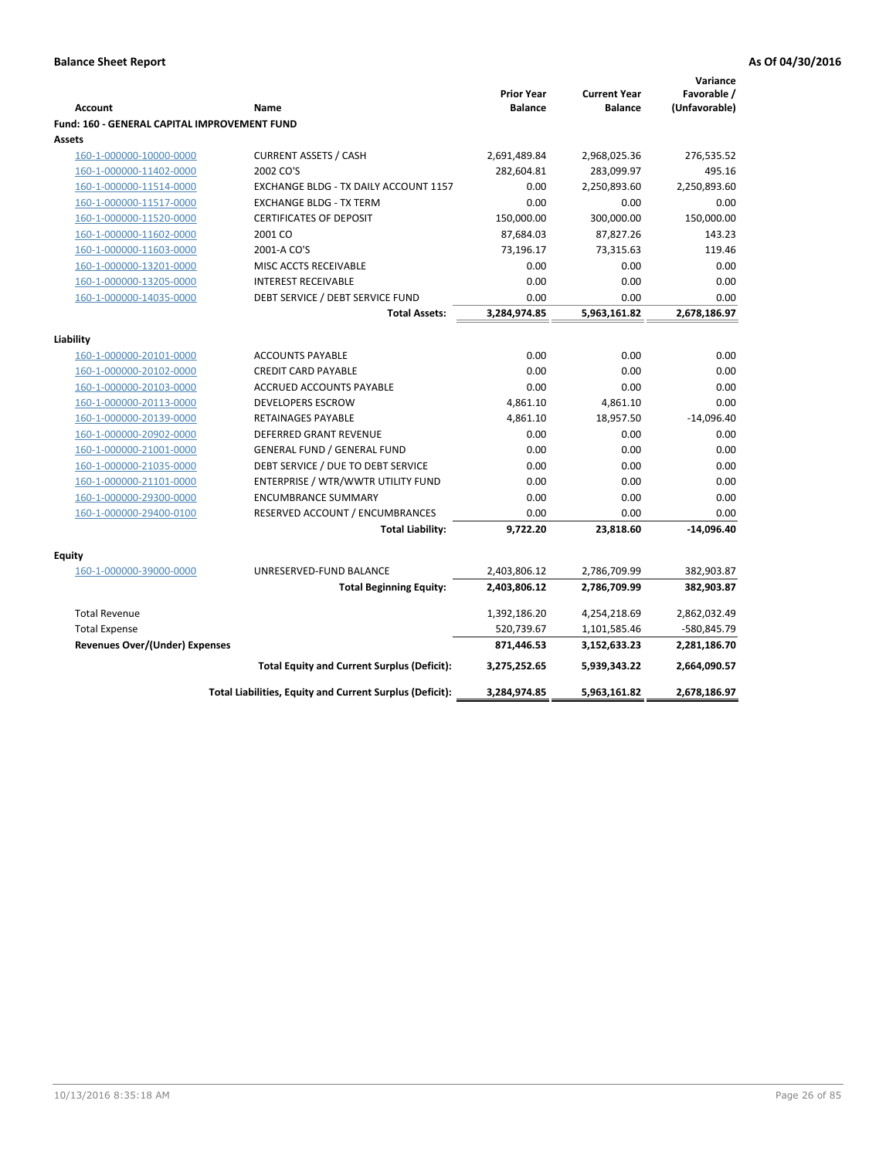|                                                     |                                                          |                                     |                                       | Variance                     |
|-----------------------------------------------------|----------------------------------------------------------|-------------------------------------|---------------------------------------|------------------------------|
| <b>Account</b>                                      | Name                                                     | <b>Prior Year</b><br><b>Balance</b> | <b>Current Year</b><br><b>Balance</b> | Favorable /<br>(Unfavorable) |
| <b>Fund: 160 - GENERAL CAPITAL IMPROVEMENT FUND</b> |                                                          |                                     |                                       |                              |
| Assets                                              |                                                          |                                     |                                       |                              |
| 160-1-000000-10000-0000                             | <b>CURRENT ASSETS / CASH</b>                             | 2,691,489.84                        | 2,968,025.36                          | 276,535.52                   |
| 160-1-000000-11402-0000                             | 2002 CO'S                                                | 282,604.81                          | 283,099.97                            | 495.16                       |
| 160-1-000000-11514-0000                             | EXCHANGE BLDG - TX DAILY ACCOUNT 1157                    | 0.00                                | 2,250,893.60                          | 2,250,893.60                 |
| 160-1-000000-11517-0000                             | <b>EXCHANGE BLDG - TX TERM</b>                           | 0.00                                | 0.00                                  | 0.00                         |
| 160-1-000000-11520-0000                             | <b>CERTIFICATES OF DEPOSIT</b>                           | 150,000.00                          | 300,000.00                            | 150,000.00                   |
| 160-1-000000-11602-0000                             | 2001 CO                                                  | 87,684.03                           | 87,827.26                             | 143.23                       |
| 160-1-000000-11603-0000                             | 2001-A CO'S                                              | 73,196.17                           | 73,315.63                             | 119.46                       |
| 160-1-000000-13201-0000                             | MISC ACCTS RECEIVABLE                                    | 0.00                                | 0.00                                  | 0.00                         |
| 160-1-000000-13205-0000                             | <b>INTEREST RECEIVABLE</b>                               | 0.00                                | 0.00                                  | 0.00                         |
| 160-1-000000-14035-0000                             | DEBT SERVICE / DEBT SERVICE FUND                         | 0.00                                | 0.00                                  | 0.00                         |
|                                                     | <b>Total Assets:</b>                                     | 3,284,974.85                        | 5,963,161.82                          | 2,678,186.97                 |
|                                                     |                                                          |                                     |                                       |                              |
| Liability                                           |                                                          |                                     |                                       |                              |
| 160-1-000000-20101-0000                             | <b>ACCOUNTS PAYABLE</b>                                  | 0.00                                | 0.00                                  | 0.00                         |
| 160-1-000000-20102-0000                             | <b>CREDIT CARD PAYABLE</b>                               | 0.00                                | 0.00                                  | 0.00                         |
| 160-1-000000-20103-0000                             | ACCRUED ACCOUNTS PAYABLE                                 | 0.00                                | 0.00                                  | 0.00                         |
| 160-1-000000-20113-0000                             | <b>DEVELOPERS ESCROW</b>                                 | 4,861.10                            | 4,861.10                              | 0.00                         |
| 160-1-000000-20139-0000                             | <b>RETAINAGES PAYABLE</b>                                | 4,861.10                            | 18,957.50                             | $-14,096.40$                 |
| 160-1-000000-20902-0000                             | DEFERRED GRANT REVENUE                                   | 0.00                                | 0.00                                  | 0.00                         |
| 160-1-000000-21001-0000                             | <b>GENERAL FUND / GENERAL FUND</b>                       | 0.00                                | 0.00                                  | 0.00                         |
| 160-1-000000-21035-0000                             | DEBT SERVICE / DUE TO DEBT SERVICE                       | 0.00                                | 0.00                                  | 0.00                         |
| 160-1-000000-21101-0000                             | ENTERPRISE / WTR/WWTR UTILITY FUND                       | 0.00                                | 0.00                                  | 0.00                         |
| 160-1-000000-29300-0000                             | <b>ENCUMBRANCE SUMMARY</b>                               | 0.00                                | 0.00                                  | 0.00                         |
| 160-1-000000-29400-0100                             | RESERVED ACCOUNT / ENCUMBRANCES                          | 0.00                                | 0.00                                  | 0.00                         |
|                                                     | <b>Total Liability:</b>                                  | 9,722.20                            | 23,818.60                             | $-14,096.40$                 |
| <b>Equity</b>                                       |                                                          |                                     |                                       |                              |
| 160-1-000000-39000-0000                             | UNRESERVED-FUND BALANCE                                  | 2,403,806.12                        | 2,786,709.99                          | 382,903.87                   |
|                                                     | <b>Total Beginning Equity:</b>                           | 2,403,806.12                        | 2,786,709.99                          | 382,903.87                   |
|                                                     |                                                          |                                     |                                       |                              |
| <b>Total Revenue</b>                                |                                                          | 1,392,186.20                        | 4,254,218.69                          | 2,862,032.49                 |
| <b>Total Expense</b>                                |                                                          | 520,739.67                          | 1,101,585.46                          | -580,845.79                  |
| Revenues Over/(Under) Expenses                      |                                                          | 871,446.53                          | 3,152,633.23                          | 2,281,186.70                 |
|                                                     | <b>Total Equity and Current Surplus (Deficit):</b>       | 3,275,252.65                        | 5,939,343.22                          | 2,664,090.57                 |
|                                                     | Total Liabilities, Equity and Current Surplus (Deficit): | 3,284,974.85                        | 5,963,161.82                          | 2,678,186.97                 |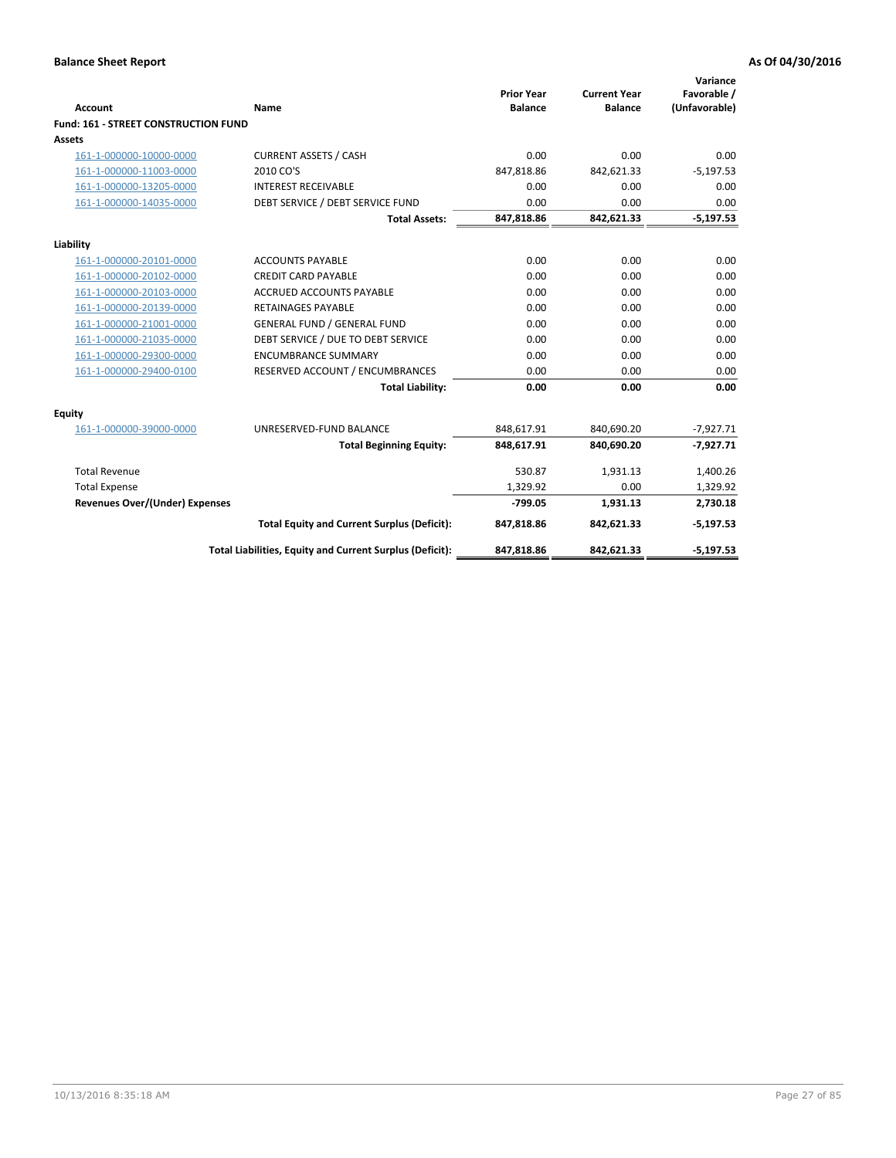| <b>Account</b>                        | <b>Name</b>                                              | <b>Prior Year</b><br><b>Balance</b> | <b>Current Year</b><br><b>Balance</b> | Variance<br>Favorable /<br>(Unfavorable) |
|---------------------------------------|----------------------------------------------------------|-------------------------------------|---------------------------------------|------------------------------------------|
| Fund: 161 - STREET CONSTRUCTION FUND  |                                                          |                                     |                                       |                                          |
| <b>Assets</b>                         |                                                          |                                     |                                       |                                          |
| 161-1-000000-10000-0000               | <b>CURRENT ASSETS / CASH</b>                             | 0.00                                | 0.00                                  | 0.00                                     |
| 161-1-000000-11003-0000               | 2010 CO'S                                                | 847,818.86                          | 842,621.33                            | $-5,197.53$                              |
| 161-1-000000-13205-0000               | <b>INTEREST RECEIVABLE</b>                               | 0.00                                | 0.00                                  | 0.00                                     |
| 161-1-000000-14035-0000               | DEBT SERVICE / DEBT SERVICE FUND                         | 0.00                                | 0.00                                  | 0.00                                     |
|                                       | <b>Total Assets:</b>                                     | 847,818.86                          | 842,621.33                            | $-5,197.53$                              |
| Liability                             |                                                          |                                     |                                       |                                          |
| 161-1-000000-20101-0000               | <b>ACCOUNTS PAYABLE</b>                                  | 0.00                                | 0.00                                  | 0.00                                     |
| 161-1-000000-20102-0000               | <b>CREDIT CARD PAYABLE</b>                               | 0.00                                | 0.00                                  | 0.00                                     |
| 161-1-000000-20103-0000               | <b>ACCRUED ACCOUNTS PAYABLE</b>                          | 0.00                                | 0.00                                  | 0.00                                     |
| 161-1-000000-20139-0000               | <b>RETAINAGES PAYABLE</b>                                | 0.00                                | 0.00                                  | 0.00                                     |
| 161-1-000000-21001-0000               | <b>GENERAL FUND / GENERAL FUND</b>                       | 0.00                                | 0.00                                  | 0.00                                     |
| 161-1-000000-21035-0000               | DEBT SERVICE / DUE TO DEBT SERVICE                       | 0.00                                | 0.00                                  | 0.00                                     |
| 161-1-000000-29300-0000               | <b>ENCUMBRANCE SUMMARY</b>                               | 0.00                                | 0.00                                  | 0.00                                     |
| 161-1-000000-29400-0100               | RESERVED ACCOUNT / ENCUMBRANCES                          | 0.00                                | 0.00                                  | 0.00                                     |
|                                       | <b>Total Liability:</b>                                  | 0.00                                | 0.00                                  | 0.00                                     |
| <b>Equity</b>                         |                                                          |                                     |                                       |                                          |
| 161-1-000000-39000-0000               | UNRESERVED-FUND BALANCE                                  | 848,617.91                          | 840,690.20                            | $-7,927.71$                              |
|                                       | <b>Total Beginning Equity:</b>                           | 848,617.91                          | 840,690.20                            | $-7,927.71$                              |
| <b>Total Revenue</b>                  |                                                          | 530.87                              | 1,931.13                              | 1,400.26                                 |
| <b>Total Expense</b>                  |                                                          | 1,329.92                            | 0.00                                  | 1,329.92                                 |
| <b>Revenues Over/(Under) Expenses</b> |                                                          | $-799.05$                           | 1,931.13                              | 2,730.18                                 |
|                                       | <b>Total Equity and Current Surplus (Deficit):</b>       | 847,818.86                          | 842,621.33                            | $-5,197.53$                              |
|                                       | Total Liabilities, Equity and Current Surplus (Deficit): | 847,818.86                          | 842,621.33                            | $-5,197.53$                              |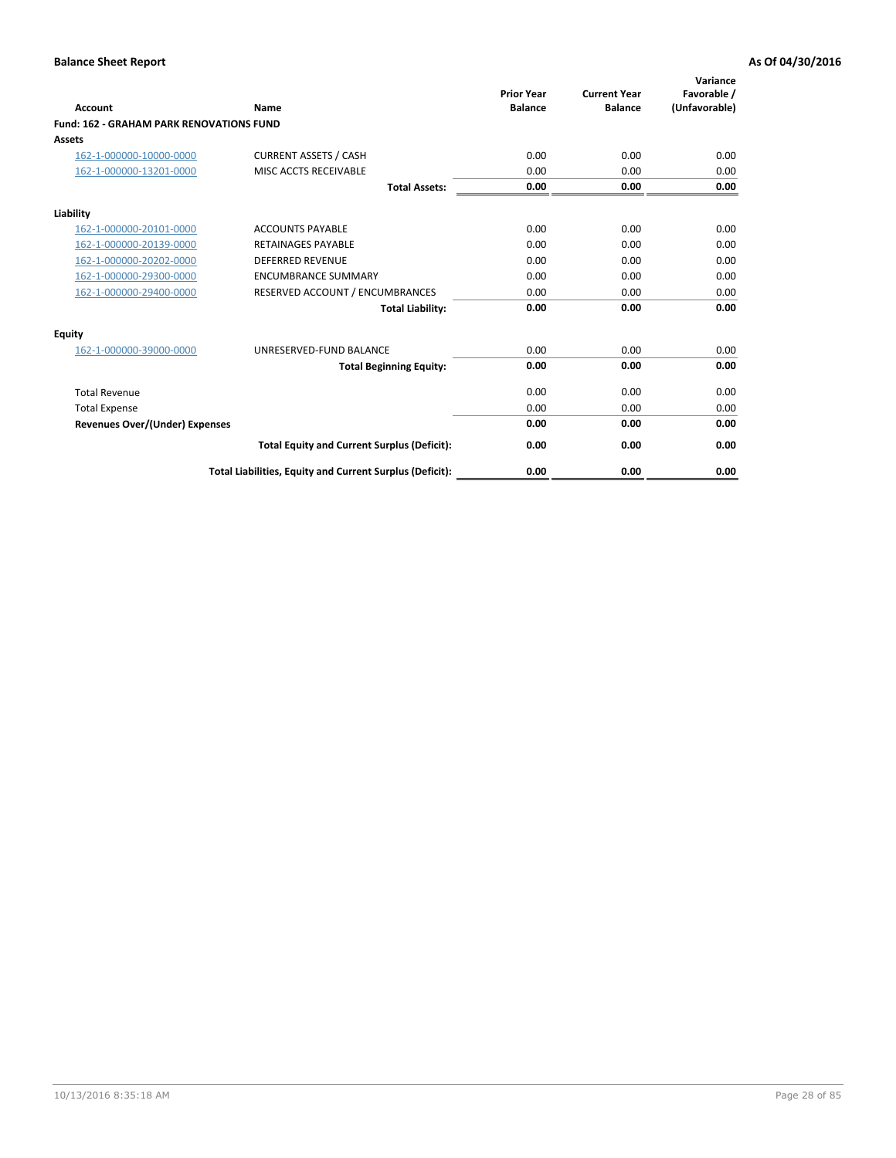| Account                                         | Name                                                     | <b>Prior Year</b><br><b>Balance</b> | <b>Current Year</b><br><b>Balance</b> | Variance<br>Favorable /<br>(Unfavorable) |
|-------------------------------------------------|----------------------------------------------------------|-------------------------------------|---------------------------------------|------------------------------------------|
| <b>Fund: 162 - GRAHAM PARK RENOVATIONS FUND</b> |                                                          |                                     |                                       |                                          |
| <b>Assets</b>                                   |                                                          |                                     |                                       |                                          |
| 162-1-000000-10000-0000                         | <b>CURRENT ASSETS / CASH</b>                             | 0.00                                | 0.00                                  | 0.00                                     |
| 162-1-000000-13201-0000                         | MISC ACCTS RECEIVABLE                                    | 0.00                                | 0.00                                  | 0.00                                     |
|                                                 | <b>Total Assets:</b>                                     | 0.00                                | 0.00                                  | 0.00                                     |
| Liability                                       |                                                          |                                     |                                       |                                          |
| 162-1-000000-20101-0000                         | <b>ACCOUNTS PAYABLE</b>                                  | 0.00                                | 0.00                                  | 0.00                                     |
| 162-1-000000-20139-0000                         | <b>RETAINAGES PAYABLE</b>                                | 0.00                                | 0.00                                  | 0.00                                     |
| 162-1-000000-20202-0000                         | <b>DEFERRED REVENUE</b>                                  | 0.00                                | 0.00                                  | 0.00                                     |
| 162-1-000000-29300-0000                         | <b>ENCUMBRANCE SUMMARY</b>                               | 0.00                                | 0.00                                  | 0.00                                     |
| 162-1-000000-29400-0000                         | RESERVED ACCOUNT / ENCUMBRANCES                          | 0.00                                | 0.00                                  | 0.00                                     |
|                                                 | <b>Total Liability:</b>                                  | 0.00                                | 0.00                                  | 0.00                                     |
| Equity                                          |                                                          |                                     |                                       |                                          |
| 162-1-000000-39000-0000                         | UNRESERVED-FUND BALANCE                                  | 0.00                                | 0.00                                  | 0.00                                     |
|                                                 | <b>Total Beginning Equity:</b>                           | 0.00                                | 0.00                                  | 0.00                                     |
| <b>Total Revenue</b>                            |                                                          | 0.00                                | 0.00                                  | 0.00                                     |
| <b>Total Expense</b>                            |                                                          | 0.00                                | 0.00                                  | 0.00                                     |
| <b>Revenues Over/(Under) Expenses</b>           |                                                          | 0.00                                | 0.00                                  | 0.00                                     |
|                                                 | <b>Total Equity and Current Surplus (Deficit):</b>       | 0.00                                | 0.00                                  | 0.00                                     |
|                                                 | Total Liabilities, Equity and Current Surplus (Deficit): | 0.00                                | 0.00                                  | 0.00                                     |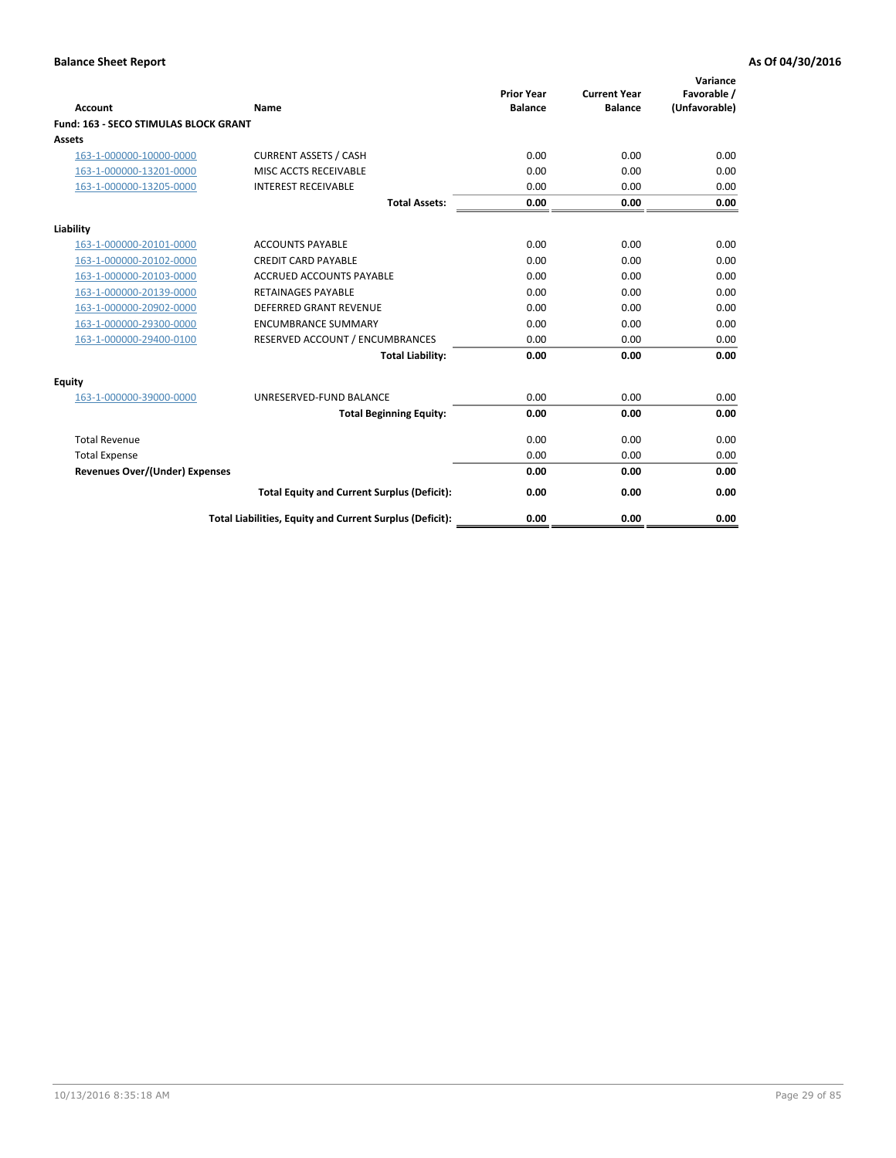| Account                                      | Name                                                     | <b>Prior Year</b><br><b>Balance</b> | <b>Current Year</b><br><b>Balance</b> | Variance<br>Favorable /<br>(Unfavorable) |
|----------------------------------------------|----------------------------------------------------------|-------------------------------------|---------------------------------------|------------------------------------------|
| <b>Fund: 163 - SECO STIMULAS BLOCK GRANT</b> |                                                          |                                     |                                       |                                          |
| <b>Assets</b>                                |                                                          |                                     |                                       |                                          |
| 163-1-000000-10000-0000                      | <b>CURRENT ASSETS / CASH</b>                             | 0.00                                | 0.00                                  | 0.00                                     |
| 163-1-000000-13201-0000                      | MISC ACCTS RECEIVABLE                                    | 0.00                                | 0.00                                  | 0.00                                     |
| 163-1-000000-13205-0000                      | <b>INTEREST RECEIVABLE</b>                               | 0.00                                | 0.00                                  | 0.00                                     |
|                                              | <b>Total Assets:</b>                                     | 0.00                                | 0.00                                  | 0.00                                     |
| Liability                                    |                                                          |                                     |                                       |                                          |
| 163-1-000000-20101-0000                      | <b>ACCOUNTS PAYABLE</b>                                  | 0.00                                | 0.00                                  | 0.00                                     |
| 163-1-000000-20102-0000                      | <b>CREDIT CARD PAYABLE</b>                               | 0.00                                | 0.00                                  | 0.00                                     |
| 163-1-000000-20103-0000                      | <b>ACCRUED ACCOUNTS PAYABLE</b>                          | 0.00                                | 0.00                                  | 0.00                                     |
| 163-1-000000-20139-0000                      | <b>RETAINAGES PAYABLE</b>                                | 0.00                                | 0.00                                  | 0.00                                     |
| 163-1-000000-20902-0000                      | <b>DEFERRED GRANT REVENUE</b>                            | 0.00                                | 0.00                                  | 0.00                                     |
| 163-1-000000-29300-0000                      | <b>ENCUMBRANCE SUMMARY</b>                               | 0.00                                | 0.00                                  | 0.00                                     |
| 163-1-000000-29400-0100                      | RESERVED ACCOUNT / ENCUMBRANCES                          | 0.00                                | 0.00                                  | 0.00                                     |
|                                              | <b>Total Liability:</b>                                  | 0.00                                | 0.00                                  | 0.00                                     |
| <b>Equity</b>                                |                                                          |                                     |                                       |                                          |
| 163-1-000000-39000-0000                      | UNRESERVED-FUND BALANCE                                  | 0.00                                | 0.00                                  | 0.00                                     |
|                                              | <b>Total Beginning Equity:</b>                           | 0.00                                | 0.00                                  | 0.00                                     |
| <b>Total Revenue</b>                         |                                                          | 0.00                                | 0.00                                  | 0.00                                     |
| <b>Total Expense</b>                         |                                                          | 0.00                                | 0.00                                  | 0.00                                     |
| Revenues Over/(Under) Expenses               |                                                          | 0.00                                | 0.00                                  | 0.00                                     |
|                                              | <b>Total Equity and Current Surplus (Deficit):</b>       | 0.00                                | 0.00                                  | 0.00                                     |
|                                              | Total Liabilities, Equity and Current Surplus (Deficit): | 0.00                                | 0.00                                  | 0.00                                     |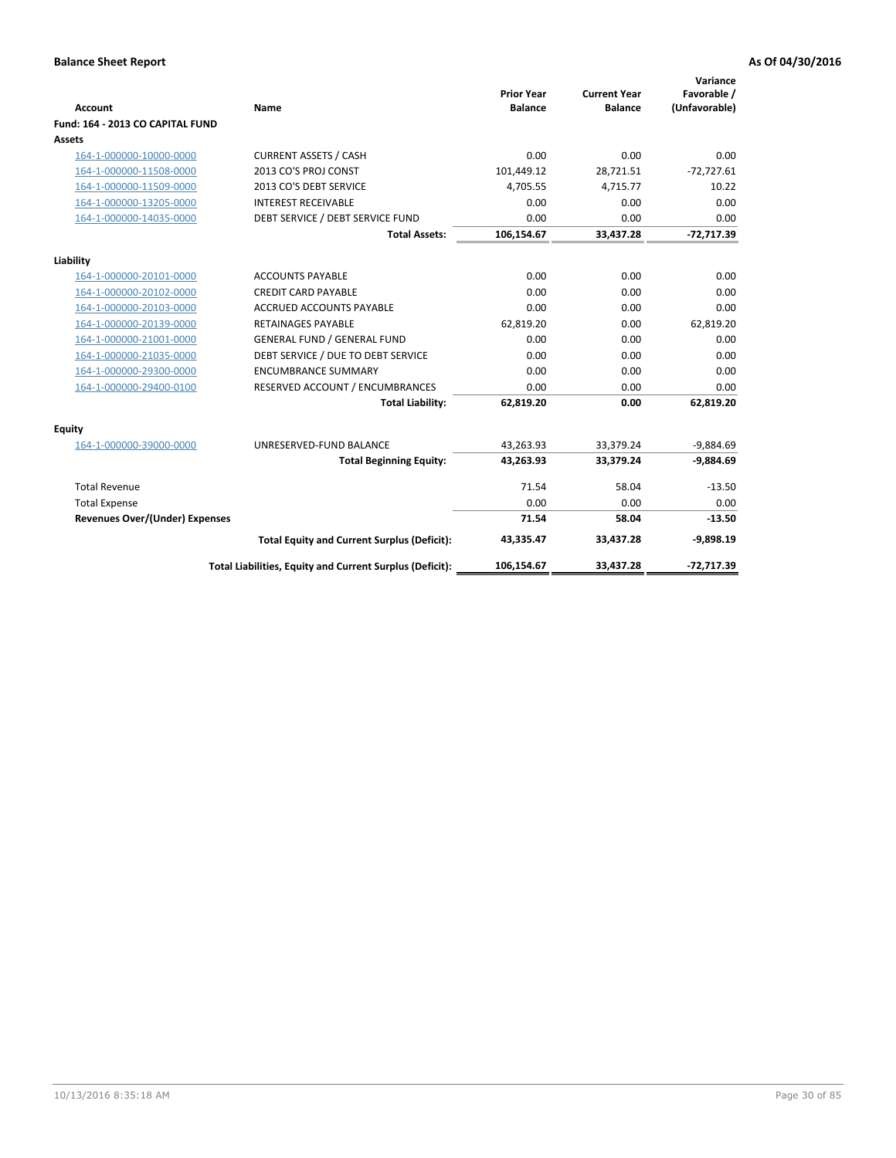| <b>Account</b>                        | <b>Name</b>                                              | <b>Prior Year</b><br><b>Balance</b> | <b>Current Year</b><br><b>Balance</b> | Variance<br>Favorable /<br>(Unfavorable) |
|---------------------------------------|----------------------------------------------------------|-------------------------------------|---------------------------------------|------------------------------------------|
| Fund: 164 - 2013 CO CAPITAL FUND      |                                                          |                                     |                                       |                                          |
| Assets                                |                                                          |                                     |                                       |                                          |
| 164-1-000000-10000-0000               | <b>CURRENT ASSETS / CASH</b>                             | 0.00                                | 0.00                                  | 0.00                                     |
| 164-1-000000-11508-0000               | 2013 CO'S PROJ CONST                                     | 101,449.12                          | 28,721.51                             | $-72,727.61$                             |
| 164-1-000000-11509-0000               | 2013 CO'S DEBT SERVICE                                   | 4,705.55                            | 4,715.77                              | 10.22                                    |
| 164-1-000000-13205-0000               | <b>INTEREST RECEIVABLE</b>                               | 0.00                                | 0.00                                  | 0.00                                     |
| 164-1-000000-14035-0000               | DEBT SERVICE / DEBT SERVICE FUND                         | 0.00                                | 0.00                                  | 0.00                                     |
|                                       | <b>Total Assets:</b>                                     | 106,154.67                          | 33,437.28                             | $-72,717.39$                             |
| Liability                             |                                                          |                                     |                                       |                                          |
| 164-1-000000-20101-0000               | <b>ACCOUNTS PAYABLE</b>                                  | 0.00                                | 0.00                                  | 0.00                                     |
| 164-1-000000-20102-0000               | <b>CREDIT CARD PAYABLE</b>                               | 0.00                                | 0.00                                  | 0.00                                     |
| 164-1-000000-20103-0000               | <b>ACCRUED ACCOUNTS PAYABLE</b>                          | 0.00                                | 0.00                                  | 0.00                                     |
| 164-1-000000-20139-0000               | <b>RETAINAGES PAYABLE</b>                                | 62,819.20                           | 0.00                                  | 62,819.20                                |
| 164-1-000000-21001-0000               | <b>GENERAL FUND / GENERAL FUND</b>                       | 0.00                                | 0.00                                  | 0.00                                     |
| 164-1-000000-21035-0000               | DEBT SERVICE / DUE TO DEBT SERVICE                       | 0.00                                | 0.00                                  | 0.00                                     |
| 164-1-000000-29300-0000               | <b>ENCUMBRANCE SUMMARY</b>                               | 0.00                                | 0.00                                  | 0.00                                     |
| 164-1-000000-29400-0100               | RESERVED ACCOUNT / ENCUMBRANCES                          | 0.00                                | 0.00                                  | 0.00                                     |
|                                       | <b>Total Liability:</b>                                  | 62,819.20                           | 0.00                                  | 62,819.20                                |
| Equity                                |                                                          |                                     |                                       |                                          |
| 164-1-000000-39000-0000               | UNRESERVED-FUND BALANCE                                  | 43,263.93                           | 33,379.24                             | $-9,884.69$                              |
|                                       | <b>Total Beginning Equity:</b>                           | 43,263.93                           | 33,379.24                             | $-9,884.69$                              |
| <b>Total Revenue</b>                  |                                                          | 71.54                               | 58.04                                 | $-13.50$                                 |
| <b>Total Expense</b>                  |                                                          | 0.00                                | 0.00                                  | 0.00                                     |
| <b>Revenues Over/(Under) Expenses</b> |                                                          | 71.54                               | 58.04                                 | $-13.50$                                 |
|                                       | <b>Total Equity and Current Surplus (Deficit):</b>       | 43,335.47                           | 33,437.28                             | $-9,898.19$                              |
|                                       | Total Liabilities, Equity and Current Surplus (Deficit): | 106,154.67                          | 33,437.28                             | $-72,717.39$                             |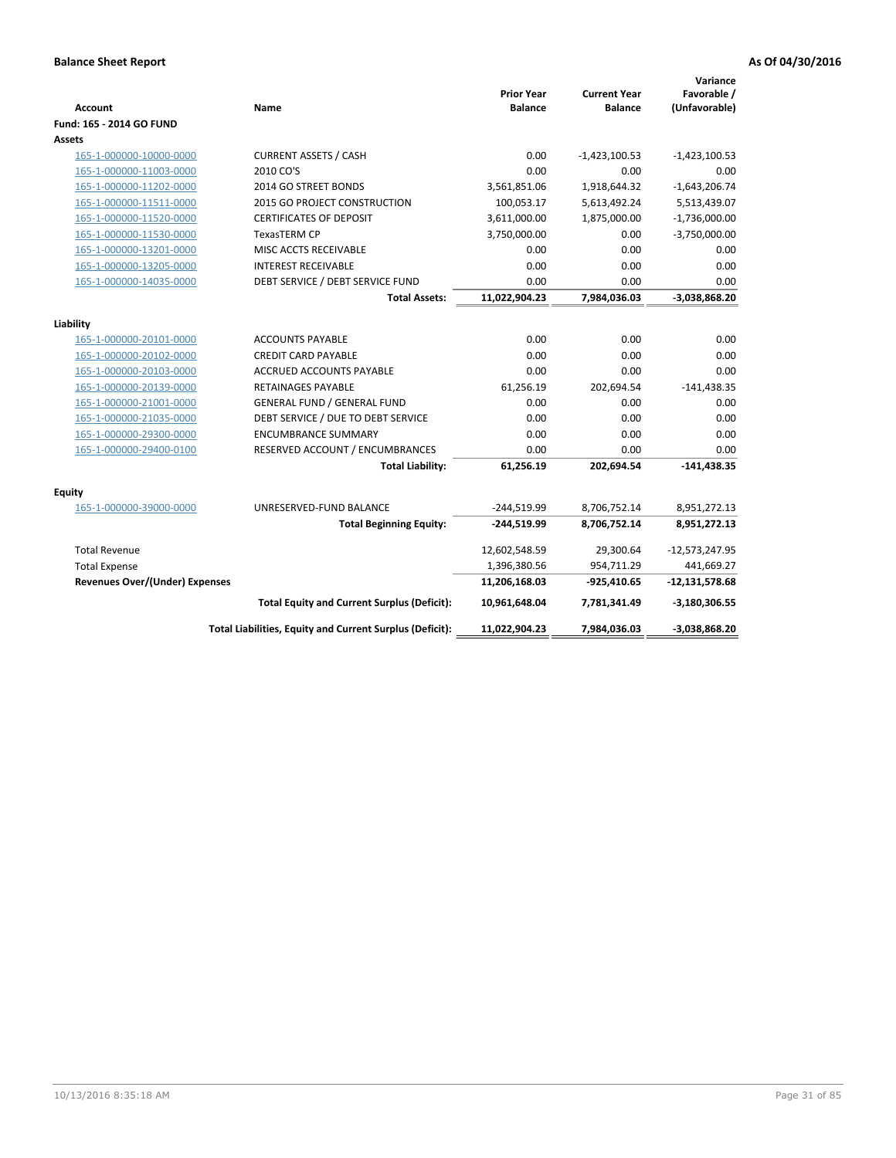| <b>Account</b>                 | Name                                                     | <b>Prior Year</b><br><b>Balance</b> | <b>Current Year</b><br><b>Balance</b> | Variance<br>Favorable /<br>(Unfavorable) |
|--------------------------------|----------------------------------------------------------|-------------------------------------|---------------------------------------|------------------------------------------|
| Fund: 165 - 2014 GO FUND       |                                                          |                                     |                                       |                                          |
| Assets                         |                                                          |                                     |                                       |                                          |
| 165-1-000000-10000-0000        | <b>CURRENT ASSETS / CASH</b>                             | 0.00                                | $-1,423,100.53$                       | $-1,423,100.53$                          |
| 165-1-000000-11003-0000        | 2010 CO'S                                                | 0.00                                | 0.00                                  | 0.00                                     |
| 165-1-000000-11202-0000        | 2014 GO STREET BONDS                                     | 3,561,851.06                        | 1,918,644.32                          | $-1,643,206.74$                          |
| 165-1-000000-11511-0000        | 2015 GO PROJECT CONSTRUCTION                             | 100,053.17                          | 5,613,492.24                          | 5,513,439.07                             |
| 165-1-000000-11520-0000        | <b>CERTIFICATES OF DEPOSIT</b>                           | 3,611,000.00                        | 1,875,000.00                          | $-1,736,000.00$                          |
| 165-1-000000-11530-0000        | <b>TexasTERM CP</b>                                      | 3,750,000.00                        | 0.00                                  | $-3,750,000.00$                          |
| 165-1-000000-13201-0000        | MISC ACCTS RECEIVABLE                                    | 0.00                                | 0.00                                  | 0.00                                     |
| 165-1-000000-13205-0000        | <b>INTEREST RECEIVABLE</b>                               | 0.00                                | 0.00                                  | 0.00                                     |
| 165-1-000000-14035-0000        | DEBT SERVICE / DEBT SERVICE FUND                         | 0.00                                | 0.00                                  | 0.00                                     |
|                                | <b>Total Assets:</b>                                     | 11,022,904.23                       | 7,984,036.03                          | $-3,038,868.20$                          |
|                                |                                                          |                                     |                                       |                                          |
| Liability                      |                                                          |                                     |                                       |                                          |
| 165-1-000000-20101-0000        | <b>ACCOUNTS PAYABLE</b>                                  | 0.00                                | 0.00                                  | 0.00                                     |
| 165-1-000000-20102-0000        | <b>CREDIT CARD PAYABLE</b>                               | 0.00                                | 0.00                                  | 0.00                                     |
| 165-1-000000-20103-0000        | ACCRUED ACCOUNTS PAYABLE                                 | 0.00                                | 0.00                                  | 0.00                                     |
| 165-1-000000-20139-0000        | <b>RETAINAGES PAYABLE</b>                                | 61,256.19                           | 202,694.54                            | $-141,438.35$                            |
| 165-1-000000-21001-0000        | <b>GENERAL FUND / GENERAL FUND</b>                       | 0.00                                | 0.00                                  | 0.00                                     |
| 165-1-000000-21035-0000        | DEBT SERVICE / DUE TO DEBT SERVICE                       | 0.00                                | 0.00                                  | 0.00                                     |
| 165-1-000000-29300-0000        | <b>ENCUMBRANCE SUMMARY</b>                               | 0.00                                | 0.00                                  | 0.00                                     |
| 165-1-000000-29400-0100        | RESERVED ACCOUNT / ENCUMBRANCES                          | 0.00                                | 0.00                                  | 0.00                                     |
|                                | <b>Total Liability:</b>                                  | 61,256.19                           | 202,694.54                            | $-141,438.35$                            |
| Equity                         |                                                          |                                     |                                       |                                          |
| 165-1-000000-39000-0000        | UNRESERVED-FUND BALANCE                                  | $-244,519.99$                       | 8,706,752.14                          | 8,951,272.13                             |
|                                | <b>Total Beginning Equity:</b>                           | $-244,519.99$                       | 8,706,752.14                          | 8,951,272.13                             |
| <b>Total Revenue</b>           |                                                          | 12,602,548.59                       | 29,300.64                             | $-12,573,247.95$                         |
| <b>Total Expense</b>           |                                                          | 1,396,380.56                        | 954,711.29                            | 441,669.27                               |
| Revenues Over/(Under) Expenses |                                                          | 11,206,168.03                       | -925,410.65                           | $-12,131,578.68$                         |
|                                | <b>Total Equity and Current Surplus (Deficit):</b>       | 10,961,648.04                       | 7,781,341.49                          | $-3,180,306.55$                          |
|                                | Total Liabilities, Equity and Current Surplus (Deficit): | 11,022,904.23                       | 7,984,036.03                          | -3,038,868.20                            |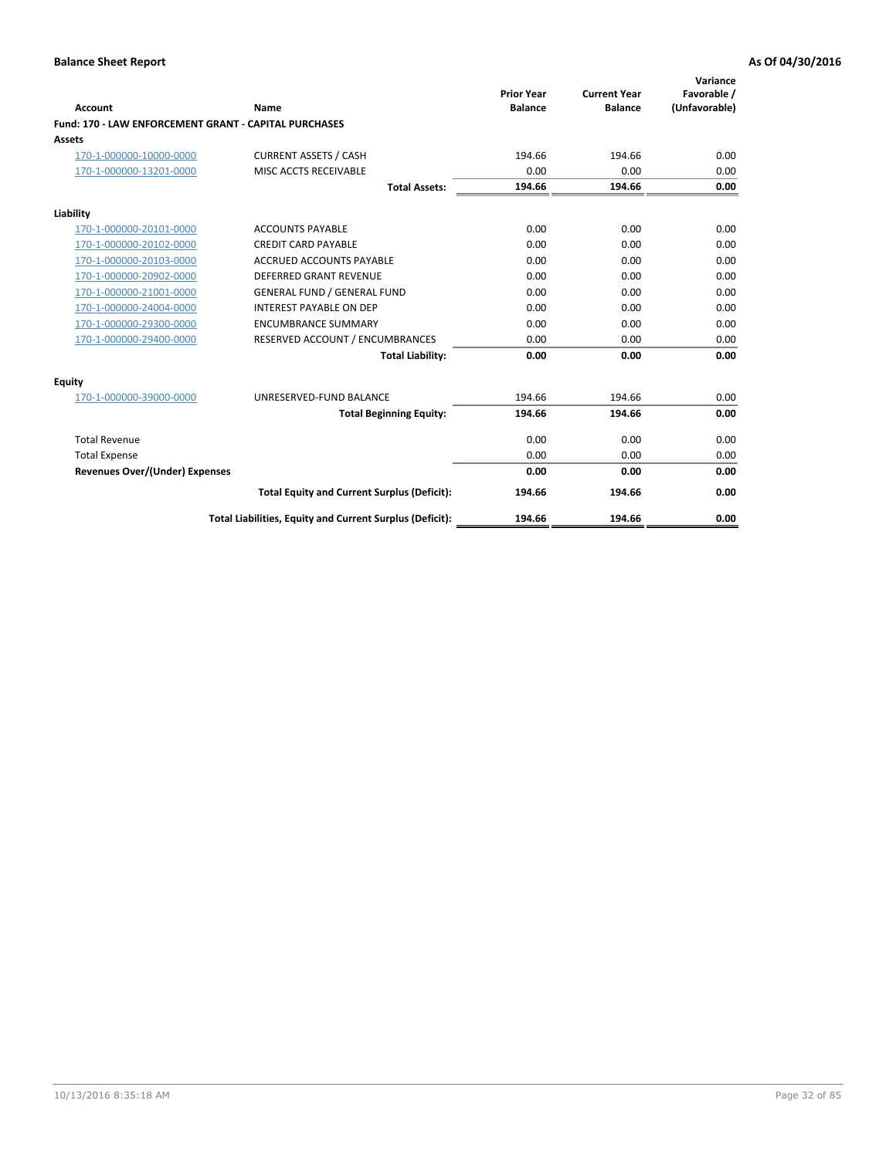| Account                                                      | Name                                                     | <b>Prior Year</b><br><b>Balance</b> | <b>Current Year</b><br><b>Balance</b> | Variance<br>Favorable /<br>(Unfavorable) |
|--------------------------------------------------------------|----------------------------------------------------------|-------------------------------------|---------------------------------------|------------------------------------------|
| <b>Fund: 170 - LAW ENFORCEMENT GRANT - CAPITAL PURCHASES</b> |                                                          |                                     |                                       |                                          |
| <b>Assets</b>                                                |                                                          |                                     |                                       |                                          |
| 170-1-000000-10000-0000                                      | <b>CURRENT ASSETS / CASH</b>                             | 194.66                              | 194.66                                | 0.00                                     |
| 170-1-000000-13201-0000                                      | MISC ACCTS RECEIVABLE                                    | 0.00                                | 0.00                                  | 0.00                                     |
|                                                              | <b>Total Assets:</b>                                     | 194.66                              | 194.66                                | 0.00                                     |
| Liability                                                    |                                                          |                                     |                                       |                                          |
| 170-1-000000-20101-0000                                      | <b>ACCOUNTS PAYABLE</b>                                  | 0.00                                | 0.00                                  | 0.00                                     |
| 170-1-000000-20102-0000                                      | <b>CREDIT CARD PAYABLE</b>                               | 0.00                                | 0.00                                  | 0.00                                     |
| 170-1-000000-20103-0000                                      | <b>ACCRUED ACCOUNTS PAYABLE</b>                          | 0.00                                | 0.00                                  | 0.00                                     |
| 170-1-000000-20902-0000                                      | <b>DEFERRED GRANT REVENUE</b>                            | 0.00                                | 0.00                                  | 0.00                                     |
| 170-1-000000-21001-0000                                      | <b>GENERAL FUND / GENERAL FUND</b>                       | 0.00                                | 0.00                                  | 0.00                                     |
| 170-1-000000-24004-0000                                      | <b>INTEREST PAYABLE ON DEP</b>                           | 0.00                                | 0.00                                  | 0.00                                     |
| 170-1-000000-29300-0000                                      | <b>ENCUMBRANCE SUMMARY</b>                               | 0.00                                | 0.00                                  | 0.00                                     |
| 170-1-000000-29400-0000                                      | RESERVED ACCOUNT / ENCUMBRANCES                          | 0.00                                | 0.00                                  | 0.00                                     |
|                                                              | <b>Total Liability:</b>                                  | 0.00                                | 0.00                                  | 0.00                                     |
| <b>Equity</b>                                                |                                                          |                                     |                                       |                                          |
| 170-1-000000-39000-0000                                      | UNRESERVED-FUND BALANCE                                  | 194.66                              | 194.66                                | 0.00                                     |
|                                                              | <b>Total Beginning Equity:</b>                           | 194.66                              | 194.66                                | 0.00                                     |
| <b>Total Revenue</b>                                         |                                                          | 0.00                                | 0.00                                  | 0.00                                     |
| <b>Total Expense</b>                                         |                                                          | 0.00                                | 0.00                                  | 0.00                                     |
| <b>Revenues Over/(Under) Expenses</b>                        |                                                          | 0.00                                | 0.00                                  | 0.00                                     |
|                                                              | <b>Total Equity and Current Surplus (Deficit):</b>       | 194.66                              | 194.66                                | 0.00                                     |
|                                                              | Total Liabilities, Equity and Current Surplus (Deficit): | 194.66                              | 194.66                                | 0.00                                     |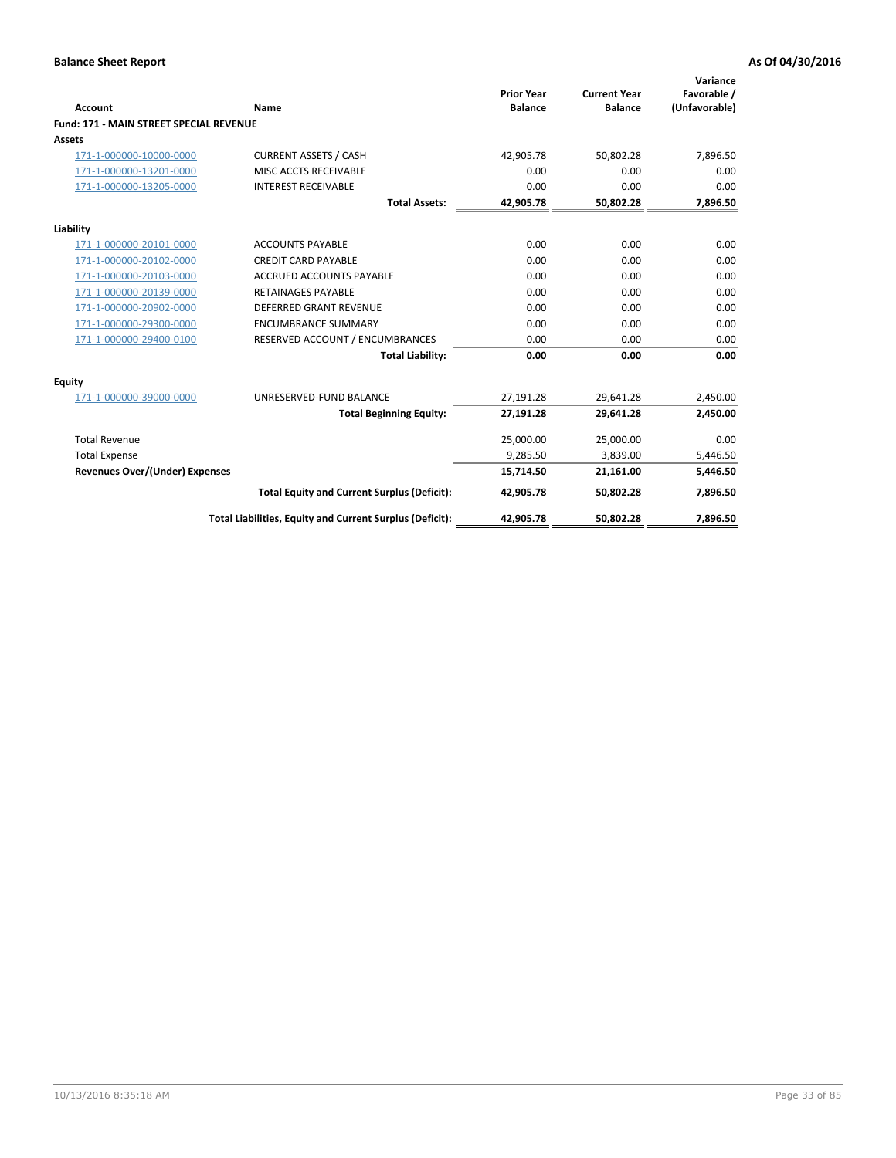| Account                                        | Name                                                     | <b>Prior Year</b><br><b>Balance</b> | <b>Current Year</b><br><b>Balance</b> | Variance<br>Favorable /<br>(Unfavorable) |
|------------------------------------------------|----------------------------------------------------------|-------------------------------------|---------------------------------------|------------------------------------------|
| <b>Fund: 171 - MAIN STREET SPECIAL REVENUE</b> |                                                          |                                     |                                       |                                          |
| Assets                                         |                                                          |                                     |                                       |                                          |
| 171-1-000000-10000-0000                        | <b>CURRENT ASSETS / CASH</b>                             | 42,905.78                           | 50,802.28                             | 7,896.50                                 |
| 171-1-000000-13201-0000                        | MISC ACCTS RECEIVABLE                                    | 0.00                                | 0.00                                  | 0.00                                     |
| 171-1-000000-13205-0000                        | <b>INTEREST RECEIVABLE</b>                               | 0.00                                | 0.00                                  | 0.00                                     |
|                                                | <b>Total Assets:</b>                                     | 42,905.78                           | 50,802.28                             | 7,896.50                                 |
| Liability                                      |                                                          |                                     |                                       |                                          |
| 171-1-000000-20101-0000                        | <b>ACCOUNTS PAYABLE</b>                                  | 0.00                                | 0.00                                  | 0.00                                     |
| 171-1-000000-20102-0000                        | <b>CREDIT CARD PAYABLE</b>                               | 0.00                                | 0.00                                  | 0.00                                     |
| 171-1-000000-20103-0000                        | <b>ACCRUED ACCOUNTS PAYABLE</b>                          | 0.00                                | 0.00                                  | 0.00                                     |
| 171-1-000000-20139-0000                        | <b>RETAINAGES PAYABLE</b>                                | 0.00                                | 0.00                                  | 0.00                                     |
| 171-1-000000-20902-0000                        | <b>DEFERRED GRANT REVENUE</b>                            | 0.00                                | 0.00                                  | 0.00                                     |
| 171-1-000000-29300-0000                        | <b>ENCUMBRANCE SUMMARY</b>                               | 0.00                                | 0.00                                  | 0.00                                     |
| 171-1-000000-29400-0100                        | RESERVED ACCOUNT / ENCUMBRANCES                          | 0.00                                | 0.00                                  | 0.00                                     |
|                                                | <b>Total Liability:</b>                                  | 0.00                                | 0.00                                  | 0.00                                     |
| <b>Equity</b>                                  |                                                          |                                     |                                       |                                          |
| 171-1-000000-39000-0000                        | UNRESERVED-FUND BALANCE                                  | 27,191.28                           | 29.641.28                             | 2,450.00                                 |
|                                                | <b>Total Beginning Equity:</b>                           | 27,191.28                           | 29,641.28                             | 2,450.00                                 |
| <b>Total Revenue</b>                           |                                                          | 25,000.00                           | 25,000.00                             | 0.00                                     |
| <b>Total Expense</b>                           |                                                          | 9,285.50                            | 3,839.00                              | 5,446.50                                 |
| Revenues Over/(Under) Expenses                 |                                                          | 15,714.50                           | 21,161.00                             | 5,446.50                                 |
|                                                | <b>Total Equity and Current Surplus (Deficit):</b>       | 42,905.78                           | 50,802.28                             | 7,896.50                                 |
|                                                | Total Liabilities, Equity and Current Surplus (Deficit): | 42,905.78                           | 50.802.28                             | 7.896.50                                 |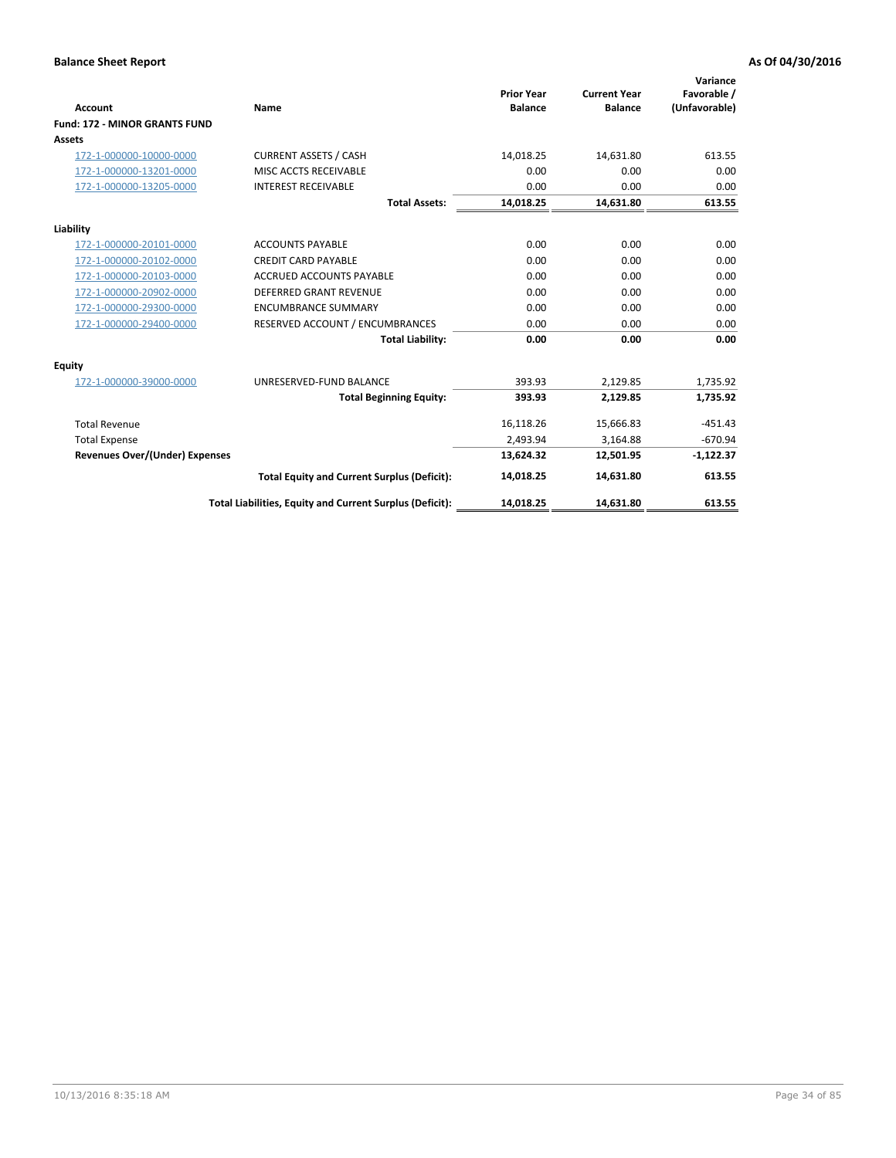|                                       |                                                          |                                     |                                       | Variance                     |
|---------------------------------------|----------------------------------------------------------|-------------------------------------|---------------------------------------|------------------------------|
| <b>Account</b>                        | Name                                                     | <b>Prior Year</b><br><b>Balance</b> | <b>Current Year</b><br><b>Balance</b> | Favorable /<br>(Unfavorable) |
| <b>Fund: 172 - MINOR GRANTS FUND</b>  |                                                          |                                     |                                       |                              |
| <b>Assets</b>                         |                                                          |                                     |                                       |                              |
| 172-1-000000-10000-0000               | <b>CURRENT ASSETS / CASH</b>                             | 14,018.25                           | 14,631.80                             | 613.55                       |
| 172-1-000000-13201-0000               | MISC ACCTS RECEIVABLE                                    | 0.00                                | 0.00                                  | 0.00                         |
| 172-1-000000-13205-0000               | <b>INTEREST RECEIVABLE</b>                               | 0.00                                | 0.00                                  | 0.00                         |
|                                       | <b>Total Assets:</b>                                     | 14,018.25                           | 14,631.80                             | 613.55                       |
| Liability                             |                                                          |                                     |                                       |                              |
| 172-1-000000-20101-0000               | <b>ACCOUNTS PAYABLE</b>                                  | 0.00                                | 0.00                                  | 0.00                         |
| 172-1-000000-20102-0000               | <b>CREDIT CARD PAYABLE</b>                               | 0.00                                | 0.00                                  | 0.00                         |
| 172-1-000000-20103-0000               | <b>ACCRUED ACCOUNTS PAYABLE</b>                          | 0.00                                | 0.00                                  | 0.00                         |
| 172-1-000000-20902-0000               | <b>DEFERRED GRANT REVENUE</b>                            | 0.00                                | 0.00                                  | 0.00                         |
| 172-1-000000-29300-0000               | <b>ENCUMBRANCE SUMMARY</b>                               | 0.00                                | 0.00                                  | 0.00                         |
| 172-1-000000-29400-0000               | RESERVED ACCOUNT / ENCUMBRANCES                          | 0.00                                | 0.00                                  | 0.00                         |
|                                       | <b>Total Liability:</b>                                  | 0.00                                | 0.00                                  | 0.00                         |
| Equity                                |                                                          |                                     |                                       |                              |
| 172-1-000000-39000-0000               | UNRESERVED-FUND BALANCE                                  | 393.93                              | 2,129.85                              | 1,735.92                     |
|                                       | <b>Total Beginning Equity:</b>                           | 393.93                              | 2,129.85                              | 1,735.92                     |
| <b>Total Revenue</b>                  |                                                          | 16,118.26                           | 15,666.83                             | $-451.43$                    |
| <b>Total Expense</b>                  |                                                          | 2.493.94                            | 3,164.88                              | $-670.94$                    |
| <b>Revenues Over/(Under) Expenses</b> |                                                          | 13,624.32                           | 12,501.95                             | $-1,122.37$                  |
|                                       | <b>Total Equity and Current Surplus (Deficit):</b>       | 14,018.25                           | 14.631.80                             | 613.55                       |
|                                       | Total Liabilities, Equity and Current Surplus (Deficit): | 14,018.25                           | 14,631.80                             | 613.55                       |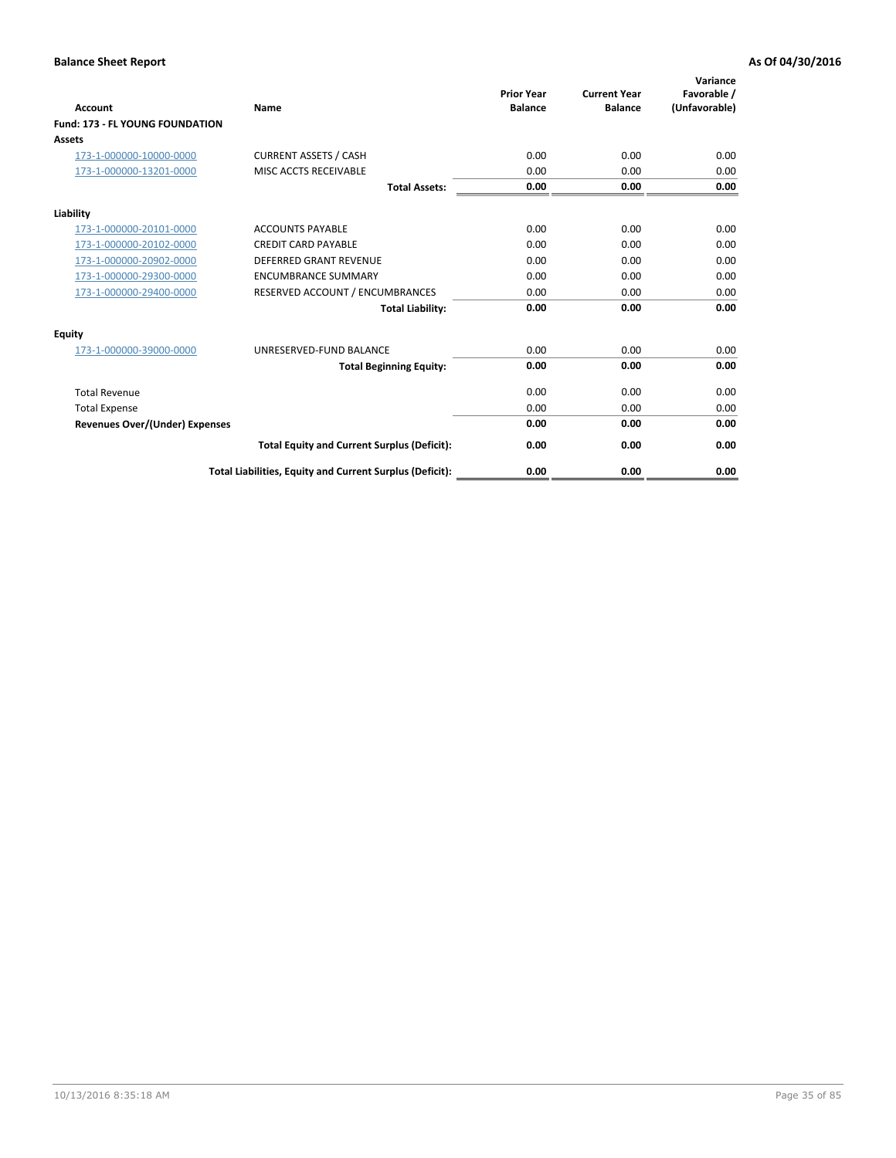| <b>Account</b>                         | <b>Name</b>                                              | <b>Prior Year</b><br><b>Balance</b> | <b>Current Year</b><br><b>Balance</b> | Variance<br>Favorable /<br>(Unfavorable) |
|----------------------------------------|----------------------------------------------------------|-------------------------------------|---------------------------------------|------------------------------------------|
| <b>Fund: 173 - FL YOUNG FOUNDATION</b> |                                                          |                                     |                                       |                                          |
| Assets                                 |                                                          |                                     |                                       |                                          |
| 173-1-000000-10000-0000                | <b>CURRENT ASSETS / CASH</b>                             | 0.00                                | 0.00                                  | 0.00                                     |
| 173-1-000000-13201-0000                | MISC ACCTS RECEIVABLE                                    | 0.00                                | 0.00                                  | 0.00                                     |
|                                        | <b>Total Assets:</b>                                     | 0.00                                | 0.00                                  | 0.00                                     |
| Liability                              |                                                          |                                     |                                       |                                          |
| 173-1-000000-20101-0000                | <b>ACCOUNTS PAYABLE</b>                                  | 0.00                                | 0.00                                  | 0.00                                     |
| 173-1-000000-20102-0000                | <b>CREDIT CARD PAYABLE</b>                               | 0.00                                | 0.00                                  | 0.00                                     |
| 173-1-000000-20902-0000                | <b>DEFERRED GRANT REVENUE</b>                            | 0.00                                | 0.00                                  | 0.00                                     |
| 173-1-000000-29300-0000                | <b>ENCUMBRANCE SUMMARY</b>                               | 0.00                                | 0.00                                  | 0.00                                     |
| 173-1-000000-29400-0000                | RESERVED ACCOUNT / ENCUMBRANCES                          | 0.00                                | 0.00                                  | 0.00                                     |
|                                        | <b>Total Liability:</b>                                  | 0.00                                | 0.00                                  | 0.00                                     |
| Equity                                 |                                                          |                                     |                                       |                                          |
| 173-1-000000-39000-0000                | UNRESERVED-FUND BALANCE                                  | 0.00                                | 0.00                                  | 0.00                                     |
|                                        | <b>Total Beginning Equity:</b>                           | 0.00                                | 0.00                                  | 0.00                                     |
| <b>Total Revenue</b>                   |                                                          | 0.00                                | 0.00                                  | 0.00                                     |
| <b>Total Expense</b>                   |                                                          | 0.00                                | 0.00                                  | 0.00                                     |
| <b>Revenues Over/(Under) Expenses</b>  |                                                          | 0.00                                | 0.00                                  | 0.00                                     |
|                                        | <b>Total Equity and Current Surplus (Deficit):</b>       | 0.00                                | 0.00                                  | 0.00                                     |
|                                        | Total Liabilities, Equity and Current Surplus (Deficit): | 0.00                                | 0.00                                  | 0.00                                     |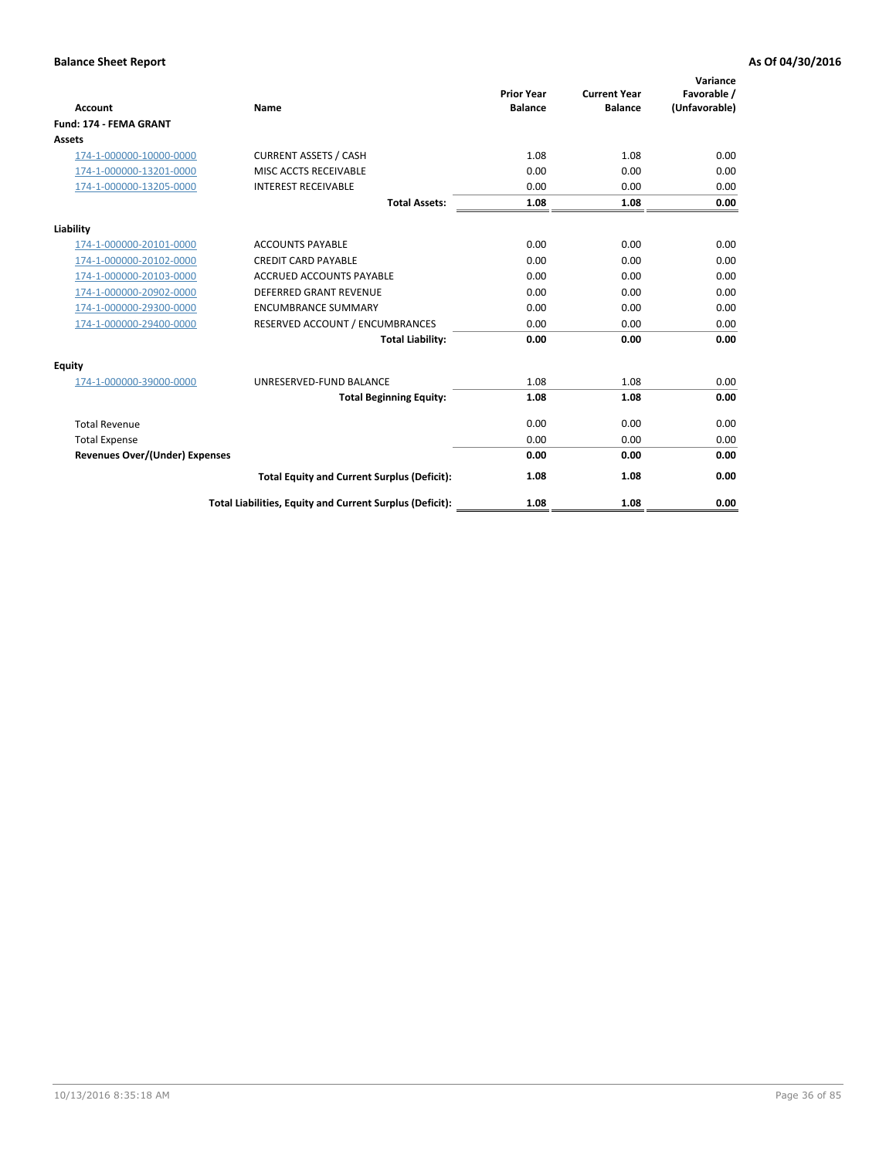| <b>Account</b>                        | <b>Name</b>                                              | <b>Prior Year</b><br><b>Balance</b> | <b>Current Year</b><br><b>Balance</b> | Variance<br>Favorable /<br>(Unfavorable) |
|---------------------------------------|----------------------------------------------------------|-------------------------------------|---------------------------------------|------------------------------------------|
| Fund: 174 - FEMA GRANT                |                                                          |                                     |                                       |                                          |
| Assets                                |                                                          |                                     |                                       |                                          |
| 174-1-000000-10000-0000               | <b>CURRENT ASSETS / CASH</b>                             | 1.08                                | 1.08                                  | 0.00                                     |
| 174-1-000000-13201-0000               | MISC ACCTS RECEIVABLE                                    | 0.00                                | 0.00                                  | 0.00                                     |
| 174-1-000000-13205-0000               | <b>INTEREST RECEIVABLE</b>                               | 0.00                                | 0.00                                  | 0.00                                     |
|                                       | <b>Total Assets:</b>                                     | 1.08                                | 1.08                                  | 0.00                                     |
| Liability                             |                                                          |                                     |                                       |                                          |
| 174-1-000000-20101-0000               | <b>ACCOUNTS PAYABLE</b>                                  | 0.00                                | 0.00                                  | 0.00                                     |
| 174-1-000000-20102-0000               | <b>CREDIT CARD PAYABLE</b>                               | 0.00                                | 0.00                                  | 0.00                                     |
| 174-1-000000-20103-0000               | <b>ACCRUED ACCOUNTS PAYABLE</b>                          | 0.00                                | 0.00                                  | 0.00                                     |
| 174-1-000000-20902-0000               | DEFERRED GRANT REVENUE                                   | 0.00                                | 0.00                                  | 0.00                                     |
| 174-1-000000-29300-0000               | <b>ENCUMBRANCE SUMMARY</b>                               | 0.00                                | 0.00                                  | 0.00                                     |
| 174-1-000000-29400-0000               | RESERVED ACCOUNT / ENCUMBRANCES                          | 0.00                                | 0.00                                  | 0.00                                     |
|                                       | <b>Total Liability:</b>                                  | 0.00                                | 0.00                                  | 0.00                                     |
| Equity                                |                                                          |                                     |                                       |                                          |
| 174-1-000000-39000-0000               | UNRESERVED-FUND BALANCE                                  | 1.08                                | 1.08                                  | 0.00                                     |
|                                       | <b>Total Beginning Equity:</b>                           | 1.08                                | 1.08                                  | 0.00                                     |
| <b>Total Revenue</b>                  |                                                          | 0.00                                | 0.00                                  | 0.00                                     |
| <b>Total Expense</b>                  |                                                          | 0.00                                | 0.00                                  | 0.00                                     |
| <b>Revenues Over/(Under) Expenses</b> |                                                          | 0.00                                | 0.00                                  | 0.00                                     |
|                                       | <b>Total Equity and Current Surplus (Deficit):</b>       | 1.08                                | 1.08                                  | 0.00                                     |
|                                       | Total Liabilities, Equity and Current Surplus (Deficit): | 1.08                                | 1.08                                  | 0.00                                     |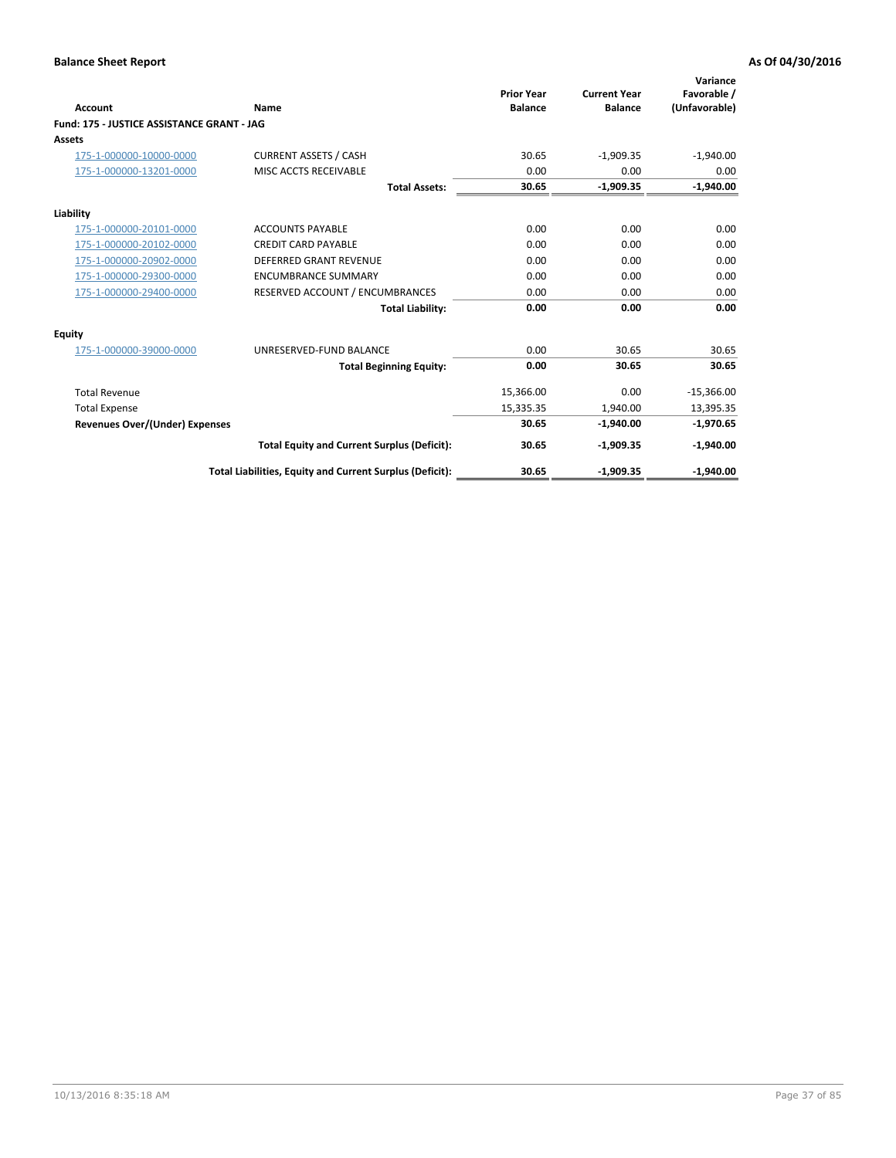| <b>Account</b>                             | Name                                                     | <b>Prior Year</b><br><b>Balance</b> | <b>Current Year</b><br><b>Balance</b> | Variance<br>Favorable /<br>(Unfavorable) |
|--------------------------------------------|----------------------------------------------------------|-------------------------------------|---------------------------------------|------------------------------------------|
| Fund: 175 - JUSTICE ASSISTANCE GRANT - JAG |                                                          |                                     |                                       |                                          |
| <b>Assets</b>                              |                                                          |                                     |                                       |                                          |
| 175-1-000000-10000-0000                    | <b>CURRENT ASSETS / CASH</b>                             | 30.65                               | $-1,909.35$                           | $-1,940.00$                              |
| 175-1-000000-13201-0000                    | <b>MISC ACCTS RECEIVABLE</b>                             | 0.00                                | 0.00                                  | 0.00                                     |
|                                            | <b>Total Assets:</b>                                     | 30.65                               | $-1,909.35$                           | $-1,940.00$                              |
| Liability                                  |                                                          |                                     |                                       |                                          |
| 175-1-000000-20101-0000                    | <b>ACCOUNTS PAYABLE</b>                                  | 0.00                                | 0.00                                  | 0.00                                     |
| 175-1-000000-20102-0000                    | <b>CREDIT CARD PAYABLE</b>                               | 0.00                                | 0.00                                  | 0.00                                     |
| 175-1-000000-20902-0000                    | DEFERRED GRANT REVENUE                                   | 0.00                                | 0.00                                  | 0.00                                     |
| 175-1-000000-29300-0000                    | <b>ENCUMBRANCE SUMMARY</b>                               | 0.00                                | 0.00                                  | 0.00                                     |
| 175-1-000000-29400-0000                    | RESERVED ACCOUNT / ENCUMBRANCES                          | 0.00                                | 0.00                                  | 0.00                                     |
|                                            | <b>Total Liability:</b>                                  | 0.00                                | 0.00                                  | 0.00                                     |
| <b>Equity</b>                              |                                                          |                                     |                                       |                                          |
| 175-1-000000-39000-0000                    | UNRESERVED-FUND BALANCE                                  | 0.00                                | 30.65                                 | 30.65                                    |
|                                            | <b>Total Beginning Equity:</b>                           | 0.00                                | 30.65                                 | 30.65                                    |
| <b>Total Revenue</b>                       |                                                          | 15,366.00                           | 0.00                                  | $-15,366.00$                             |
| <b>Total Expense</b>                       |                                                          | 15,335.35                           | 1.940.00                              | 13,395.35                                |
| <b>Revenues Over/(Under) Expenses</b>      |                                                          | 30.65                               | $-1,940.00$                           | $-1,970.65$                              |
|                                            | <b>Total Equity and Current Surplus (Deficit):</b>       | 30.65                               | $-1,909.35$                           | $-1,940.00$                              |
|                                            | Total Liabilities, Equity and Current Surplus (Deficit): | 30.65                               | $-1,909.35$                           | $-1,940.00$                              |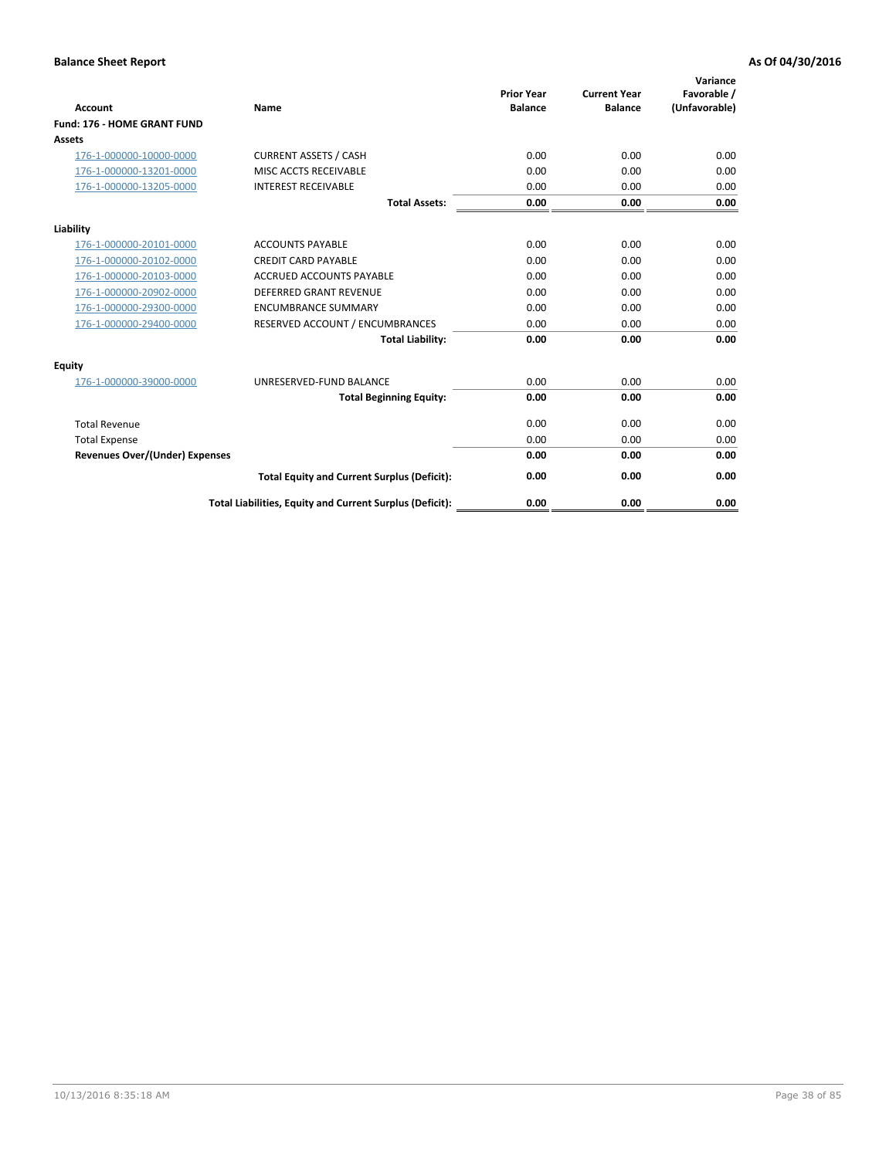| <b>Account</b>                        | <b>Name</b>                                              | <b>Prior Year</b><br><b>Balance</b> | <b>Current Year</b><br><b>Balance</b> | Variance<br>Favorable /<br>(Unfavorable) |
|---------------------------------------|----------------------------------------------------------|-------------------------------------|---------------------------------------|------------------------------------------|
| <b>Fund: 176 - HOME GRANT FUND</b>    |                                                          |                                     |                                       |                                          |
| Assets                                |                                                          |                                     |                                       |                                          |
| 176-1-000000-10000-0000               | <b>CURRENT ASSETS / CASH</b>                             | 0.00                                | 0.00                                  | 0.00                                     |
| 176-1-000000-13201-0000               | MISC ACCTS RECEIVABLE                                    | 0.00                                | 0.00                                  | 0.00                                     |
| 176-1-000000-13205-0000               | <b>INTEREST RECEIVABLE</b>                               | 0.00                                | 0.00                                  | 0.00                                     |
|                                       | <b>Total Assets:</b>                                     | 0.00                                | 0.00                                  | 0.00                                     |
| Liability                             |                                                          |                                     |                                       |                                          |
| 176-1-000000-20101-0000               | <b>ACCOUNTS PAYABLE</b>                                  | 0.00                                | 0.00                                  | 0.00                                     |
| 176-1-000000-20102-0000               | <b>CREDIT CARD PAYABLE</b>                               | 0.00                                | 0.00                                  | 0.00                                     |
| 176-1-000000-20103-0000               | <b>ACCRUED ACCOUNTS PAYABLE</b>                          | 0.00                                | 0.00                                  | 0.00                                     |
| 176-1-000000-20902-0000               | DEFERRED GRANT REVENUE                                   | 0.00                                | 0.00                                  | 0.00                                     |
| 176-1-000000-29300-0000               | <b>ENCUMBRANCE SUMMARY</b>                               | 0.00                                | 0.00                                  | 0.00                                     |
| 176-1-000000-29400-0000               | RESERVED ACCOUNT / ENCUMBRANCES                          | 0.00                                | 0.00                                  | 0.00                                     |
|                                       | <b>Total Liability:</b>                                  | 0.00                                | 0.00                                  | 0.00                                     |
| Equity                                |                                                          |                                     |                                       |                                          |
| 176-1-000000-39000-0000               | UNRESERVED-FUND BALANCE                                  | 0.00                                | 0.00                                  | 0.00                                     |
|                                       | <b>Total Beginning Equity:</b>                           | 0.00                                | 0.00                                  | 0.00                                     |
| <b>Total Revenue</b>                  |                                                          | 0.00                                | 0.00                                  | 0.00                                     |
| <b>Total Expense</b>                  |                                                          | 0.00                                | 0.00                                  | 0.00                                     |
| <b>Revenues Over/(Under) Expenses</b> |                                                          | 0.00                                | 0.00                                  | 0.00                                     |
|                                       | <b>Total Equity and Current Surplus (Deficit):</b>       | 0.00                                | 0.00                                  | 0.00                                     |
|                                       | Total Liabilities, Equity and Current Surplus (Deficit): | 0.00                                | 0.00                                  | 0.00                                     |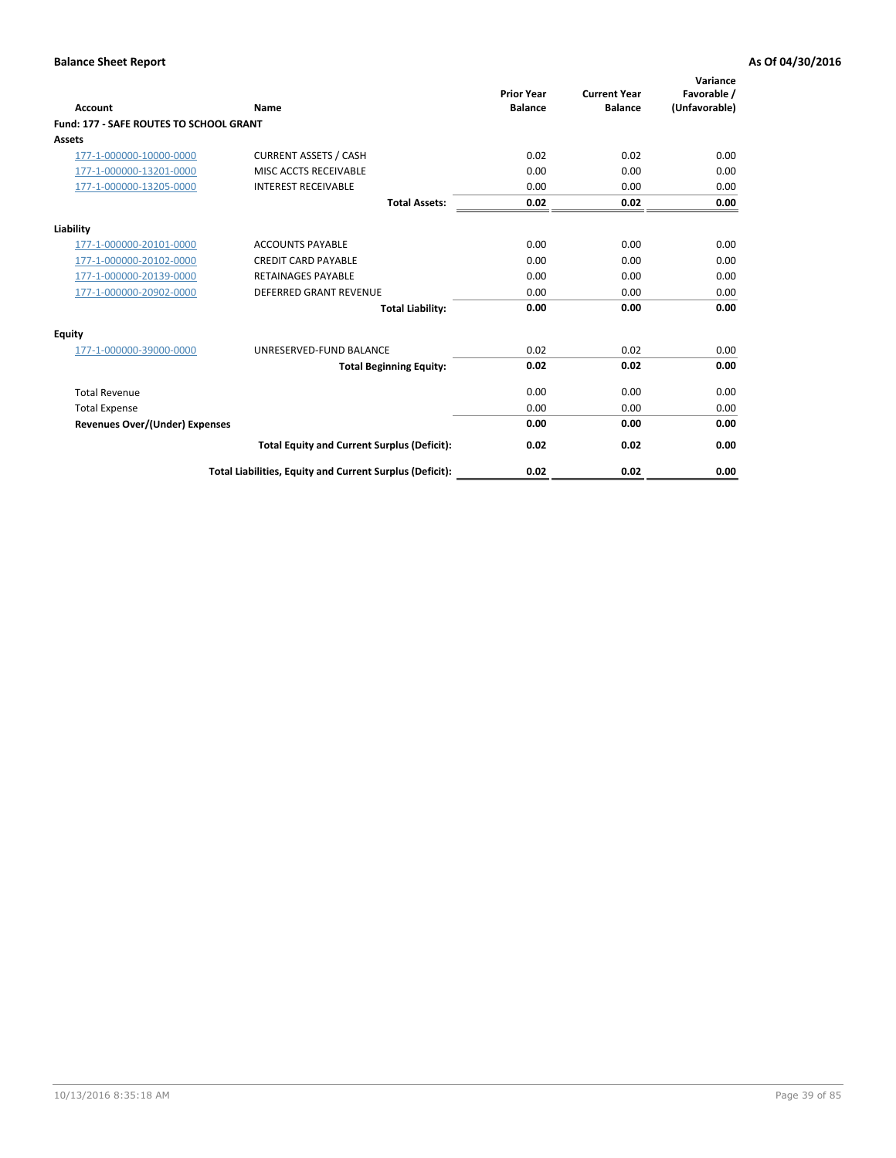| Account                                        | Name                                                     | <b>Prior Year</b><br><b>Balance</b> | <b>Current Year</b><br><b>Balance</b> | Variance<br>Favorable /<br>(Unfavorable) |
|------------------------------------------------|----------------------------------------------------------|-------------------------------------|---------------------------------------|------------------------------------------|
| <b>Fund: 177 - SAFE ROUTES TO SCHOOL GRANT</b> |                                                          |                                     |                                       |                                          |
| <b>Assets</b>                                  |                                                          |                                     |                                       |                                          |
| 177-1-000000-10000-0000                        | <b>CURRENT ASSETS / CASH</b>                             | 0.02                                | 0.02                                  | 0.00                                     |
| 177-1-000000-13201-0000                        | MISC ACCTS RECEIVABLE                                    | 0.00                                | 0.00                                  | 0.00                                     |
| 177-1-000000-13205-0000                        | <b>INTEREST RECEIVABLE</b>                               | 0.00                                | 0.00                                  | 0.00                                     |
|                                                | <b>Total Assets:</b>                                     | 0.02                                | 0.02                                  | 0.00                                     |
| Liability                                      |                                                          |                                     |                                       |                                          |
| 177-1-000000-20101-0000                        | <b>ACCOUNTS PAYABLE</b>                                  | 0.00                                | 0.00                                  | 0.00                                     |
| 177-1-000000-20102-0000                        | <b>CREDIT CARD PAYABLE</b>                               | 0.00                                | 0.00                                  | 0.00                                     |
| 177-1-000000-20139-0000                        | <b>RETAINAGES PAYABLE</b>                                | 0.00                                | 0.00                                  | 0.00                                     |
| 177-1-000000-20902-0000                        | <b>DEFERRED GRANT REVENUE</b>                            | 0.00                                | 0.00                                  | 0.00                                     |
|                                                | <b>Total Liability:</b>                                  | 0.00                                | 0.00                                  | 0.00                                     |
| Equity                                         |                                                          |                                     |                                       |                                          |
| 177-1-000000-39000-0000                        | UNRESERVED-FUND BALANCE                                  | 0.02                                | 0.02                                  | 0.00                                     |
|                                                | <b>Total Beginning Equity:</b>                           | 0.02                                | 0.02                                  | 0.00                                     |
| <b>Total Revenue</b>                           |                                                          | 0.00                                | 0.00                                  | 0.00                                     |
| <b>Total Expense</b>                           |                                                          | 0.00                                | 0.00                                  | 0.00                                     |
| <b>Revenues Over/(Under) Expenses</b>          |                                                          | 0.00                                | 0.00                                  | 0.00                                     |
|                                                | <b>Total Equity and Current Surplus (Deficit):</b>       | 0.02                                | 0.02                                  | 0.00                                     |
|                                                | Total Liabilities, Equity and Current Surplus (Deficit): | 0.02                                | 0.02                                  | 0.00                                     |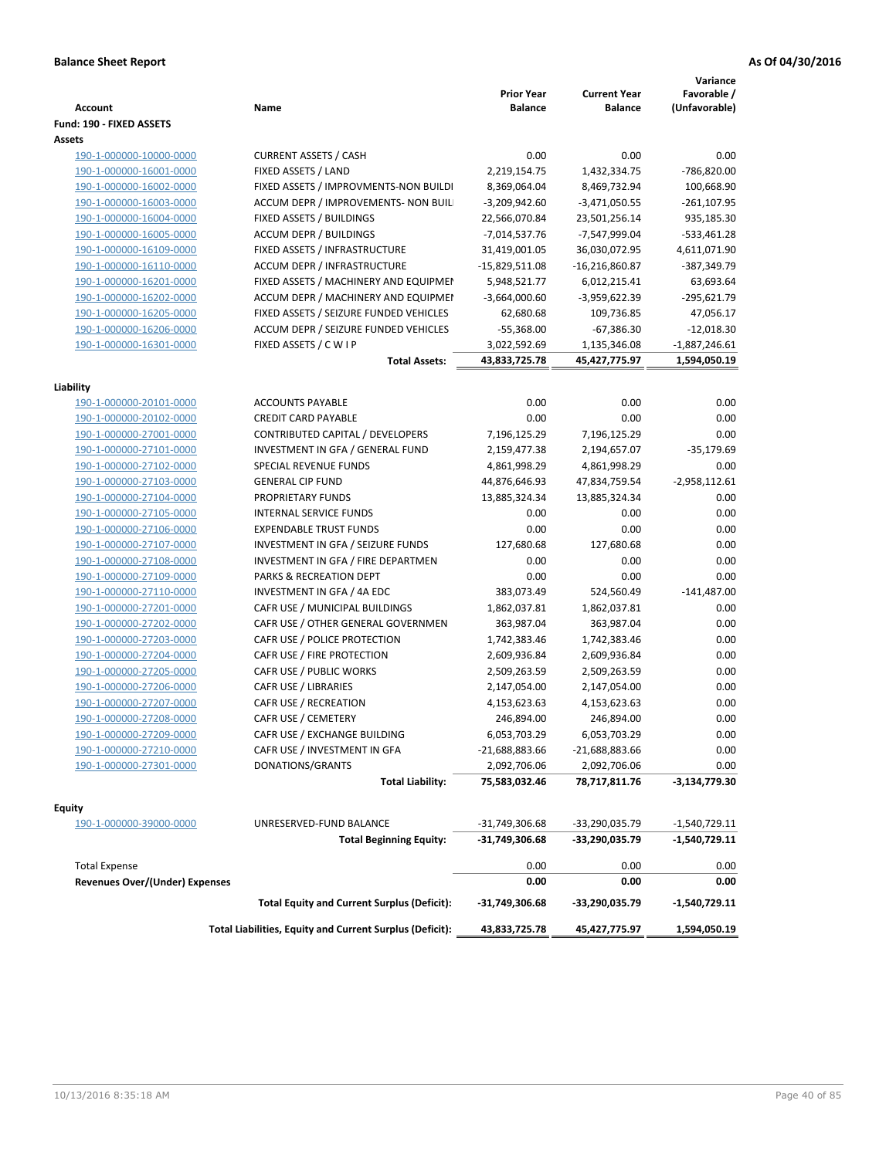| <b>Account</b>                        | Name                                                     | <b>Prior Year</b><br><b>Balance</b> | <b>Current Year</b><br><b>Balance</b> | Variance<br>Favorable /<br>(Unfavorable) |
|---------------------------------------|----------------------------------------------------------|-------------------------------------|---------------------------------------|------------------------------------------|
| Fund: 190 - FIXED ASSETS              |                                                          |                                     |                                       |                                          |
| Assets                                |                                                          |                                     |                                       |                                          |
| 190-1-000000-10000-0000               | <b>CURRENT ASSETS / CASH</b>                             | 0.00                                | 0.00                                  | 0.00                                     |
| 190-1-000000-16001-0000               | FIXED ASSETS / LAND                                      | 2,219,154.75                        | 1,432,334.75                          | -786,820.00                              |
| 190-1-000000-16002-0000               | FIXED ASSETS / IMPROVMENTS-NON BUILDI                    | 8,369,064.04                        | 8,469,732.94                          | 100,668.90                               |
| 190-1-000000-16003-0000               | ACCUM DEPR / IMPROVEMENTS- NON BUIL                      | $-3,209,942.60$                     | $-3,471,050.55$                       | $-261, 107.95$                           |
| 190-1-000000-16004-0000               | FIXED ASSETS / BUILDINGS                                 | 22,566,070.84                       | 23,501,256.14                         | 935,185.30                               |
| 190-1-000000-16005-0000               | <b>ACCUM DEPR / BUILDINGS</b>                            | $-7,014,537.76$                     | -7,547,999.04                         | $-533,461.28$                            |
| 190-1-000000-16109-0000               | FIXED ASSETS / INFRASTRUCTURE                            | 31,419,001.05                       | 36,030,072.95                         | 4,611,071.90                             |
| 190-1-000000-16110-0000               | ACCUM DEPR / INFRASTRUCTURE                              | $-15,829,511.08$                    | $-16,216,860.87$                      | -387,349.79                              |
| 190-1-000000-16201-0000               | FIXED ASSETS / MACHINERY AND EQUIPMEN                    | 5,948,521.77                        | 6,012,215.41                          | 63,693.64                                |
| 190-1-000000-16202-0000               | ACCUM DEPR / MACHINERY AND EQUIPMEI                      | $-3,664,000.60$                     | -3,959,622.39                         | -295,621.79                              |
| 190-1-000000-16205-0000               | FIXED ASSETS / SEIZURE FUNDED VEHICLES                   | 62,680.68                           | 109,736.85                            | 47,056.17                                |
| 190-1-000000-16206-0000               | ACCUM DEPR / SEIZURE FUNDED VEHICLES                     | $-55,368.00$                        | $-67,386.30$                          | $-12,018.30$                             |
| 190-1-000000-16301-0000               | FIXED ASSETS / C W I P                                   | 3,022,592.69                        | 1,135,346.08                          | $-1,887,246.61$                          |
|                                       | <b>Total Assets:</b>                                     | 43,833,725.78                       | 45,427,775.97                         | 1,594,050.19                             |
| Liability                             |                                                          |                                     |                                       |                                          |
| 190-1-000000-20101-0000               | <b>ACCOUNTS PAYABLE</b>                                  | 0.00                                | 0.00                                  | 0.00                                     |
| 190-1-000000-20102-0000               | <b>CREDIT CARD PAYABLE</b>                               | 0.00                                | 0.00                                  | 0.00                                     |
| 190-1-000000-27001-0000               | CONTRIBUTED CAPITAL / DEVELOPERS                         | 7,196,125.29                        | 7,196,125.29                          | 0.00                                     |
| 190-1-000000-27101-0000               | INVESTMENT IN GFA / GENERAL FUND                         | 2,159,477.38                        | 2,194,657.07                          | $-35,179.69$                             |
| 190-1-000000-27102-0000               | SPECIAL REVENUE FUNDS                                    | 4,861,998.29                        | 4,861,998.29                          | 0.00                                     |
| 190-1-000000-27103-0000               | <b>GENERAL CIP FUND</b>                                  | 44,876,646.93                       | 47,834,759.54                         | $-2,958,112.61$                          |
| 190-1-000000-27104-0000               | PROPRIETARY FUNDS                                        | 13,885,324.34                       | 13,885,324.34                         | 0.00                                     |
| 190-1-000000-27105-0000               | <b>INTERNAL SERVICE FUNDS</b>                            | 0.00                                | 0.00                                  | 0.00                                     |
| 190-1-000000-27106-0000               | <b>EXPENDABLE TRUST FUNDS</b>                            | 0.00                                | 0.00                                  | 0.00                                     |
| 190-1-000000-27107-0000               | INVESTMENT IN GFA / SEIZURE FUNDS                        | 127,680.68                          | 127,680.68                            | 0.00                                     |
| 190-1-000000-27108-0000               | INVESTMENT IN GFA / FIRE DEPARTMEN                       | 0.00                                | 0.00                                  | 0.00                                     |
| 190-1-000000-27109-0000               | PARKS & RECREATION DEPT                                  | 0.00                                | 0.00                                  | 0.00                                     |
|                                       | INVESTMENT IN GFA / 4A EDC                               | 383,073.49                          | 524,560.49                            | $-141,487.00$                            |
| 190-1-000000-27110-0000               | CAFR USE / MUNICIPAL BUILDINGS                           | 1,862,037.81                        |                                       | 0.00                                     |
| 190-1-000000-27201-0000               |                                                          |                                     | 1,862,037.81                          | 0.00                                     |
| 190-1-000000-27202-0000               | CAFR USE / OTHER GENERAL GOVERNMEN                       | 363,987.04                          | 363,987.04                            |                                          |
| 190-1-000000-27203-0000               | CAFR USE / POLICE PROTECTION                             | 1,742,383.46                        | 1,742,383.46                          | 0.00                                     |
| 190-1-000000-27204-0000               | CAFR USE / FIRE PROTECTION                               | 2,609,936.84                        | 2,609,936.84                          | 0.00                                     |
| 190-1-000000-27205-0000               | CAFR USE / PUBLIC WORKS                                  | 2,509,263.59                        | 2,509,263.59                          | 0.00                                     |
| 190-1-000000-27206-0000               | CAFR USE / LIBRARIES                                     | 2,147,054.00                        | 2,147,054.00                          | 0.00                                     |
| 190-1-000000-27207-0000               | CAFR USE / RECREATION                                    | 4,153,623.63                        | 4,153,623.63                          | 0.00                                     |
| 190-1-000000-27208-0000               | CAFR USE / CEMETERY                                      | 246,894.00                          | 246,894.00                            | 0.00                                     |
| 190-1-000000-27209-0000               | CAFR USE / EXCHANGE BUILDING                             | 6,053,703.29                        | 6,053,703.29                          | 0.00                                     |
| 190-1-000000-27210-0000               | CAFR USE / INVESTMENT IN GFA                             | $-21,688,883.66$                    | -21,688,883.66                        | 0.00                                     |
| 190-1-000000-27301-0000               | DONATIONS/GRANTS                                         | 2,092,706.06                        | 2,092,706.06                          | 0.00                                     |
|                                       | <b>Total Liability:</b>                                  | 75,583,032.46                       | 78,717,811.76                         | -3,134,779.30                            |
| <b>Equity</b>                         |                                                          |                                     |                                       |                                          |
| 190-1-000000-39000-0000               | UNRESERVED-FUND BALANCE                                  | -31,749,306.68                      | -33,290,035.79                        | -1,540,729.11                            |
|                                       | <b>Total Beginning Equity:</b>                           | -31,749,306.68                      | -33,290,035.79                        | -1,540,729.11                            |
| <b>Total Expense</b>                  |                                                          | 0.00                                | 0.00                                  | 0.00                                     |
| <b>Revenues Over/(Under) Expenses</b> |                                                          | 0.00                                | 0.00                                  | 0.00                                     |
|                                       | <b>Total Equity and Current Surplus (Deficit):</b>       | -31,749,306.68                      | -33,290,035.79                        | -1,540,729.11                            |
|                                       | Total Liabilities, Equity and Current Surplus (Deficit): | 43,833,725.78                       | 45,427,775.97                         | 1,594,050.19                             |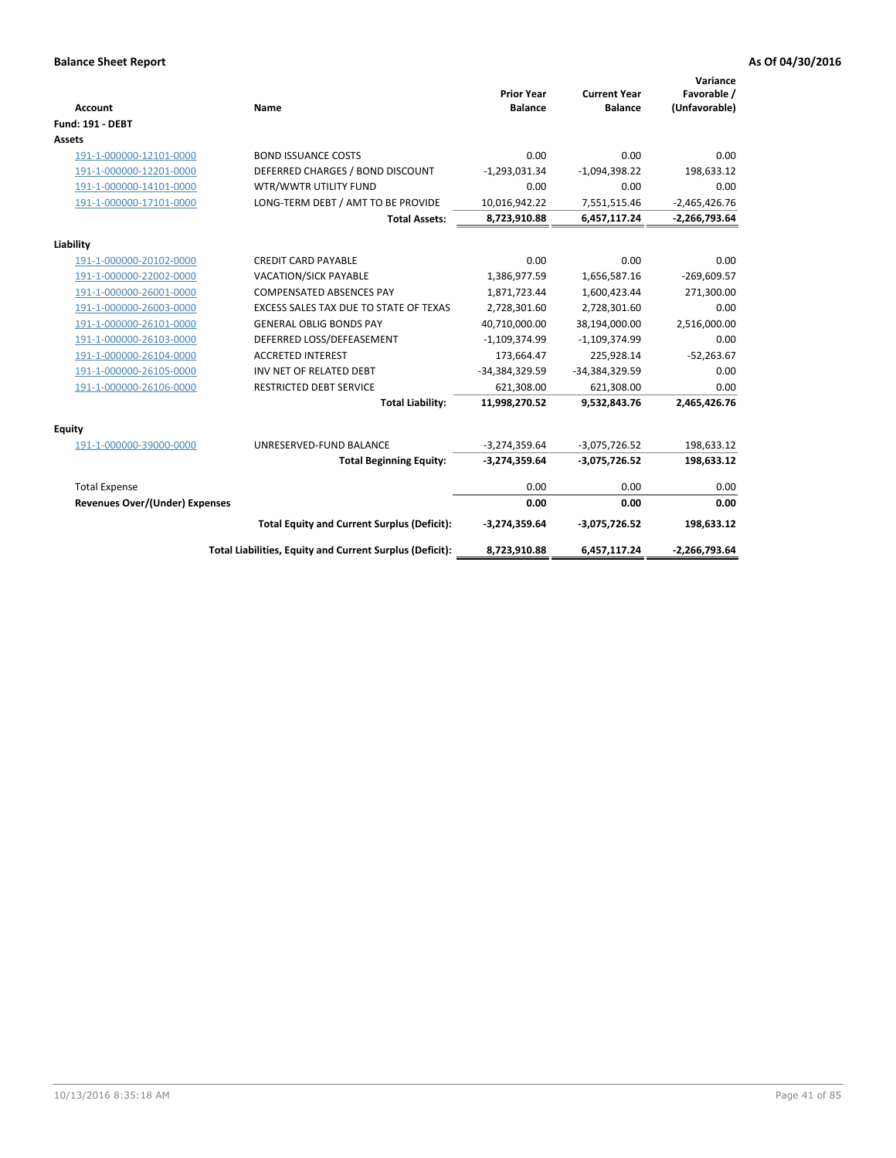| <b>Account</b>                 | Name                                                     | <b>Prior Year</b><br><b>Balance</b> | <b>Current Year</b><br><b>Balance</b> | Variance<br>Favorable /<br>(Unfavorable) |
|--------------------------------|----------------------------------------------------------|-------------------------------------|---------------------------------------|------------------------------------------|
| <b>Fund: 191 - DEBT</b>        |                                                          |                                     |                                       |                                          |
| <b>Assets</b>                  |                                                          |                                     |                                       |                                          |
| 191-1-000000-12101-0000        | <b>BOND ISSUANCE COSTS</b>                               | 0.00                                | 0.00                                  | 0.00                                     |
| 191-1-000000-12201-0000        | DEFERRED CHARGES / BOND DISCOUNT                         | $-1,293,031.34$                     | $-1,094,398.22$                       | 198,633.12                               |
| 191-1-000000-14101-0000        | WTR/WWTR UTILITY FUND                                    | 0.00                                | 0.00                                  | 0.00                                     |
| 191-1-000000-17101-0000        | LONG-TERM DEBT / AMT TO BE PROVIDE                       | 10,016,942.22                       | 7,551,515.46                          | $-2,465,426.76$                          |
|                                | <b>Total Assets:</b>                                     | 8,723,910.88                        | 6,457,117.24                          | $-2,266,793.64$                          |
| Liability                      |                                                          |                                     |                                       |                                          |
| 191-1-000000-20102-0000        | <b>CREDIT CARD PAYABLE</b>                               | 0.00                                | 0.00                                  | 0.00                                     |
| 191-1-000000-22002-0000        | <b>VACATION/SICK PAYABLE</b>                             | 1,386,977.59                        | 1,656,587.16                          | $-269,609.57$                            |
| 191-1-000000-26001-0000        | <b>COMPENSATED ABSENCES PAY</b>                          | 1,871,723.44                        | 1,600,423.44                          | 271,300.00                               |
| 191-1-000000-26003-0000        | EXCESS SALES TAX DUE TO STATE OF TEXAS                   | 2,728,301.60                        | 2,728,301.60                          | 0.00                                     |
| 191-1-000000-26101-0000        | <b>GENERAL OBLIG BONDS PAY</b>                           | 40,710,000.00                       | 38,194,000.00                         | 2,516,000.00                             |
| 191-1-000000-26103-0000        | DEFERRED LOSS/DEFEASEMENT                                | $-1,109,374.99$                     | $-1,109,374.99$                       | 0.00                                     |
| 191-1-000000-26104-0000        | <b>ACCRETED INTEREST</b>                                 | 173,664.47                          | 225,928.14                            | $-52,263.67$                             |
| 191-1-000000-26105-0000        | INV NET OF RELATED DEBT                                  | -34,384,329.59                      | -34,384,329.59                        | 0.00                                     |
| 191-1-000000-26106-0000        | <b>RESTRICTED DEBT SERVICE</b>                           | 621,308.00                          | 621,308.00                            | 0.00                                     |
|                                | <b>Total Liability:</b>                                  | 11,998,270.52                       | 9,532,843.76                          | 2,465,426.76                             |
| Equity                         |                                                          |                                     |                                       |                                          |
| 191-1-000000-39000-0000        | UNRESERVED-FUND BALANCE                                  | $-3,274,359.64$                     | $-3,075,726.52$                       | 198,633.12                               |
|                                | <b>Total Beginning Equity:</b>                           | $-3,274,359.64$                     | $-3,075,726.52$                       | 198,633.12                               |
| <b>Total Expense</b>           |                                                          | 0.00                                | 0.00                                  | 0.00                                     |
| Revenues Over/(Under) Expenses |                                                          | 0.00                                | 0.00                                  | 0.00                                     |
|                                | <b>Total Equity and Current Surplus (Deficit):</b>       | $-3,274,359.64$                     | $-3,075,726.52$                       | 198,633.12                               |
|                                | Total Liabilities, Equity and Current Surplus (Deficit): | 8,723,910.88                        | 6,457,117.24                          | $-2,266,793.64$                          |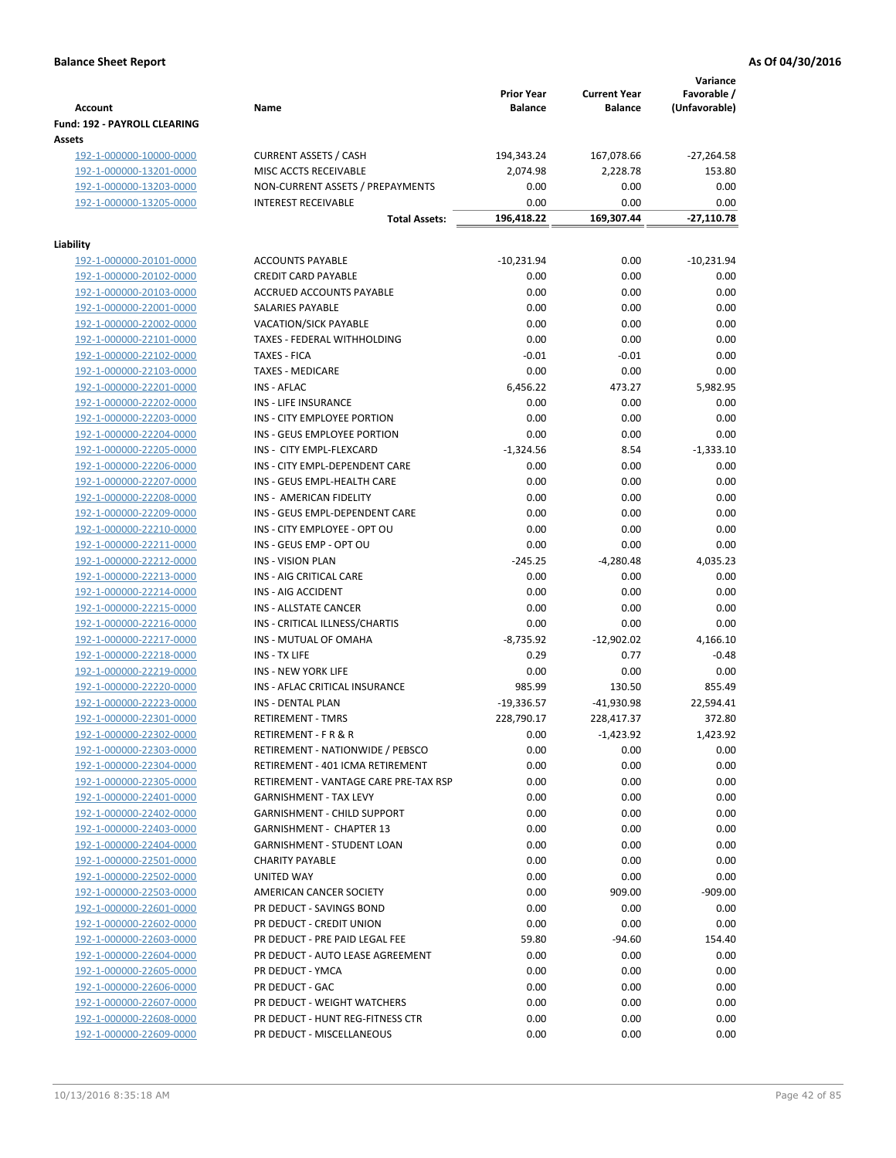| <b>Account</b>                 | Name                                               | <b>Prior Year</b><br><b>Balance</b> | <b>Current Year</b><br><b>Balance</b> | Variance<br>Favorable /<br>(Unfavorable) |
|--------------------------------|----------------------------------------------------|-------------------------------------|---------------------------------------|------------------------------------------|
| Fund: 192 - PAYROLL CLEARING   |                                                    |                                     |                                       |                                          |
| Assets                         |                                                    |                                     |                                       |                                          |
| 192-1-000000-10000-0000        | <b>CURRENT ASSETS / CASH</b>                       | 194,343.24                          | 167,078.66                            | $-27,264.58$                             |
| 192-1-000000-13201-0000        | MISC ACCTS RECEIVABLE                              | 2,074.98                            | 2,228.78                              | 153.80                                   |
| 192-1-000000-13203-0000        | NON-CURRENT ASSETS / PREPAYMENTS                   | 0.00                                | 0.00                                  | 0.00                                     |
| 192-1-000000-13205-0000        | <b>INTEREST RECEIVABLE</b><br><b>Total Assets:</b> | 0.00<br>196,418.22                  | 0.00<br>169,307.44                    | 0.00<br>$-27,110.78$                     |
|                                |                                                    |                                     |                                       |                                          |
| Liability                      |                                                    |                                     |                                       |                                          |
| 192-1-000000-20101-0000        | <b>ACCOUNTS PAYABLE</b>                            | $-10,231.94$                        | 0.00                                  | $-10,231.94$                             |
| 192-1-000000-20102-0000        | <b>CREDIT CARD PAYABLE</b>                         | 0.00                                | 0.00                                  | 0.00                                     |
| 192-1-000000-20103-0000        | ACCRUED ACCOUNTS PAYABLE                           | 0.00                                | 0.00                                  | 0.00                                     |
| 192-1-000000-22001-0000        | SALARIES PAYABLE                                   | 0.00                                | 0.00                                  | 0.00                                     |
| 192-1-000000-22002-0000        | VACATION/SICK PAYABLE                              | 0.00                                | 0.00                                  | 0.00                                     |
| 192-1-000000-22101-0000        | TAXES - FEDERAL WITHHOLDING                        | 0.00                                | 0.00                                  | 0.00                                     |
| 192-1-000000-22102-0000        | <b>TAXES - FICA</b>                                | $-0.01$                             | $-0.01$                               | 0.00                                     |
| 192-1-000000-22103-0000        | <b>TAXES - MEDICARE</b>                            | 0.00                                | 0.00                                  | 0.00                                     |
| 192-1-000000-22201-0000        | <b>INS - AFLAC</b>                                 | 6,456.22                            | 473.27                                | 5,982.95                                 |
| 192-1-000000-22202-0000        | INS - LIFE INSURANCE                               | 0.00                                | 0.00                                  | 0.00                                     |
| 192-1-000000-22203-0000        | INS - CITY EMPLOYEE PORTION                        | 0.00                                | 0.00                                  | 0.00                                     |
| 192-1-000000-22204-0000        | INS - GEUS EMPLOYEE PORTION                        | 0.00                                | 0.00                                  | 0.00                                     |
| 192-1-000000-22205-0000        | INS - CITY EMPL-FLEXCARD                           | $-1,324.56$                         | 8.54                                  | $-1,333.10$                              |
| 192-1-000000-22206-0000        | INS - CITY EMPL-DEPENDENT CARE                     | 0.00                                | 0.00                                  | 0.00                                     |
| 192-1-000000-22207-0000        | INS - GEUS EMPL-HEALTH CARE                        | 0.00                                | 0.00                                  | 0.00                                     |
| 192-1-000000-22208-0000        | INS - AMERICAN FIDELITY                            | 0.00                                | 0.00                                  | 0.00                                     |
| 192-1-000000-22209-0000        | INS - GEUS EMPL-DEPENDENT CARE                     | 0.00                                | 0.00                                  | 0.00                                     |
| 192-1-000000-22210-0000        | INS - CITY EMPLOYEE - OPT OU                       | 0.00                                | 0.00                                  | 0.00                                     |
| 192-1-000000-22211-0000        | INS - GEUS EMP - OPT OU                            | 0.00                                | 0.00                                  | 0.00                                     |
| 192-1-000000-22212-0000        | <b>INS - VISION PLAN</b>                           | $-245.25$                           | $-4,280.48$                           | 4,035.23                                 |
| 192-1-000000-22213-0000        | INS - AIG CRITICAL CARE                            | 0.00                                | 0.00                                  | 0.00                                     |
| 192-1-000000-22214-0000        | INS - AIG ACCIDENT                                 | 0.00                                | 0.00                                  | 0.00                                     |
| 192-1-000000-22215-0000        | INS - ALLSTATE CANCER                              | 0.00                                | 0.00                                  | 0.00                                     |
| 192-1-000000-22216-0000        | INS - CRITICAL ILLNESS/CHARTIS                     | 0.00                                | 0.00                                  | 0.00                                     |
| 192-1-000000-22217-0000        | INS - MUTUAL OF OMAHA                              | $-8,735.92$                         | $-12,902.02$                          | 4,166.10                                 |
| 192-1-000000-22218-0000        | INS - TX LIFE                                      | 0.29                                | 0.77                                  | $-0.48$                                  |
| 192-1-000000-22219-0000        | <b>INS - NEW YORK LIFE</b>                         | 0.00                                | 0.00                                  | 0.00                                     |
| 192-1-000000-22220-0000        | INS - AFLAC CRITICAL INSURANCE                     | 985.99                              | 130.50                                | 855.49                                   |
| 192-1-000000-22223-0000        | INS - DENTAL PLAN                                  | $-19,336.57$                        | $-41,930.98$                          | 22,594.41                                |
| <u>192-1-000000-22301-0000</u> | <b>RETIREMENT - TMRS</b>                           | 228,790.17                          | 228,417.37                            | 372.80                                   |
| 192-1-000000-22302-0000        | RETIREMENT - F R & R                               | 0.00                                | $-1,423.92$                           | 1,423.92                                 |
| 192-1-000000-22303-0000        | RETIREMENT - NATIONWIDE / PEBSCO                   | 0.00                                | 0.00                                  | 0.00                                     |
| 192-1-000000-22304-0000        | RETIREMENT - 401 ICMA RETIREMENT                   | 0.00                                | 0.00                                  | 0.00                                     |
| 192-1-000000-22305-0000        | RETIREMENT - VANTAGE CARE PRE-TAX RSP              | 0.00                                | 0.00                                  | 0.00                                     |
| 192-1-000000-22401-0000        | <b>GARNISHMENT - TAX LEVY</b>                      | 0.00                                | 0.00                                  | 0.00                                     |
| 192-1-000000-22402-0000        | <b>GARNISHMENT - CHILD SUPPORT</b>                 | 0.00                                | 0.00                                  | 0.00                                     |
| 192-1-000000-22403-0000        | <b>GARNISHMENT - CHAPTER 13</b>                    | 0.00                                | 0.00                                  | 0.00                                     |
| 192-1-000000-22404-0000        | <b>GARNISHMENT - STUDENT LOAN</b>                  | 0.00                                | 0.00                                  | 0.00                                     |
| 192-1-000000-22501-0000        | <b>CHARITY PAYABLE</b>                             | 0.00                                | 0.00                                  | 0.00                                     |
| 192-1-000000-22502-0000        | UNITED WAY                                         | 0.00                                | 0.00                                  | 0.00                                     |
| 192-1-000000-22503-0000        | AMERICAN CANCER SOCIETY                            | 0.00                                | 909.00                                | $-909.00$                                |
| 192-1-000000-22601-0000        | PR DEDUCT - SAVINGS BOND                           | 0.00                                | 0.00                                  | 0.00                                     |
| 192-1-000000-22602-0000        | PR DEDUCT - CREDIT UNION                           | 0.00                                | 0.00                                  | 0.00                                     |
| 192-1-000000-22603-0000        | PR DEDUCT - PRE PAID LEGAL FEE                     | 59.80                               | $-94.60$                              | 154.40                                   |
| 192-1-000000-22604-0000        | PR DEDUCT - AUTO LEASE AGREEMENT                   | 0.00                                | 0.00                                  | 0.00                                     |
| 192-1-000000-22605-0000        | PR DEDUCT - YMCA                                   | 0.00                                | 0.00                                  | 0.00                                     |
| 192-1-000000-22606-0000        | PR DEDUCT - GAC                                    | 0.00                                | 0.00                                  | 0.00                                     |
| 192-1-000000-22607-0000        | PR DEDUCT - WEIGHT WATCHERS                        | 0.00                                | 0.00                                  | 0.00                                     |
| 192-1-000000-22608-0000        | PR DEDUCT - HUNT REG-FITNESS CTR                   | 0.00                                | 0.00                                  | 0.00                                     |
| 192-1-000000-22609-0000        | PR DEDUCT - MISCELLANEOUS                          | 0.00                                | 0.00                                  | 0.00                                     |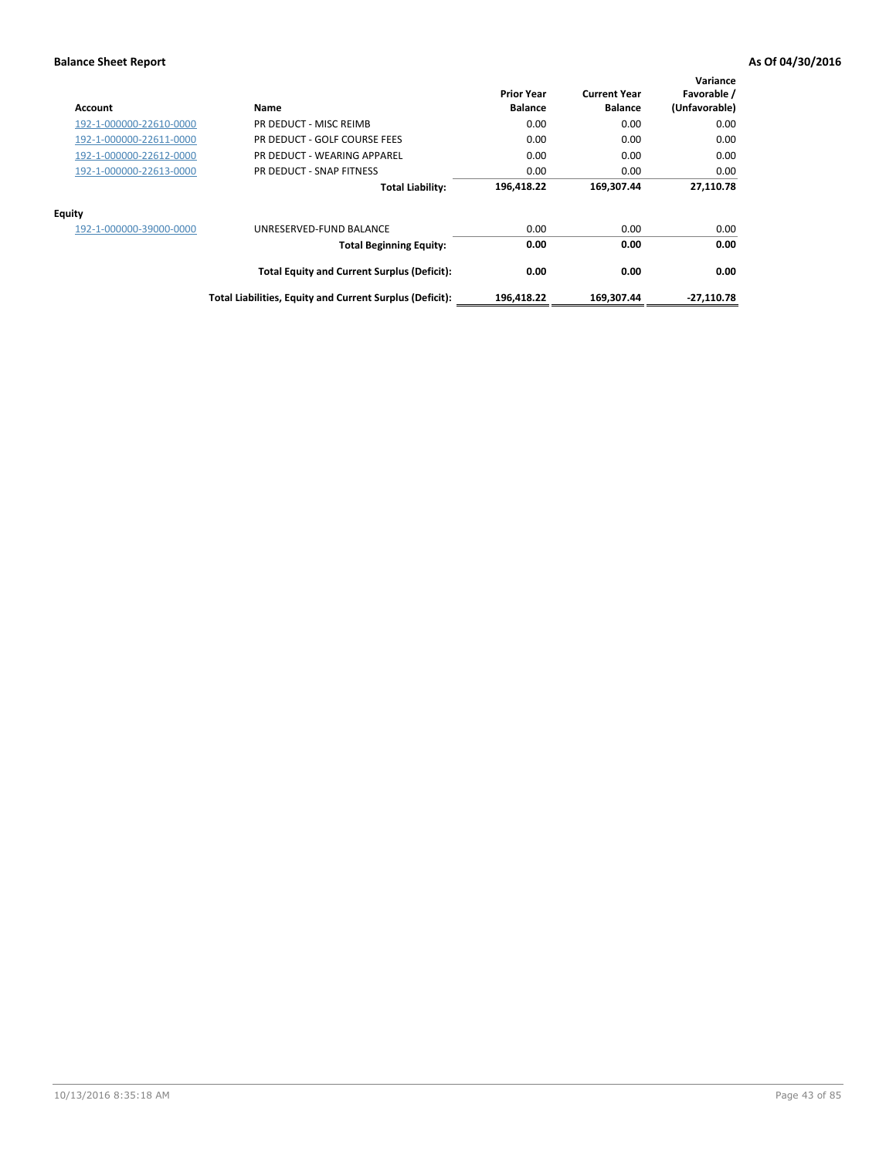| Account                 | Name                                                     | <b>Prior Year</b><br><b>Balance</b> | <b>Current Year</b><br><b>Balance</b> | Variance<br>Favorable /<br>(Unfavorable) |
|-------------------------|----------------------------------------------------------|-------------------------------------|---------------------------------------|------------------------------------------|
| 192-1-000000-22610-0000 | PR DEDUCT - MISC REIMB                                   | 0.00                                | 0.00                                  | 0.00                                     |
| 192-1-000000-22611-0000 | PR DEDUCT - GOLF COURSE FEES                             | 0.00                                | 0.00                                  | 0.00                                     |
| 192-1-000000-22612-0000 | PR DEDUCT - WEARING APPAREL                              | 0.00                                | 0.00                                  | 0.00                                     |
| 192-1-000000-22613-0000 | PR DEDUCT - SNAP FITNESS                                 | 0.00                                | 0.00                                  | 0.00                                     |
|                         | <b>Total Liability:</b>                                  | 196,418.22                          | 169,307.44                            | 27,110.78                                |
| Equity                  |                                                          |                                     |                                       |                                          |
| 192-1-000000-39000-0000 | UNRESERVED-FUND BALANCE                                  | 0.00                                | 0.00                                  | 0.00                                     |
|                         | <b>Total Beginning Equity:</b>                           | 0.00                                | 0.00                                  | 0.00                                     |
|                         | <b>Total Equity and Current Surplus (Deficit):</b>       | 0.00                                | 0.00                                  | 0.00                                     |
|                         | Total Liabilities, Equity and Current Surplus (Deficit): | 196,418.22                          | 169,307.44                            | $-27,110.78$                             |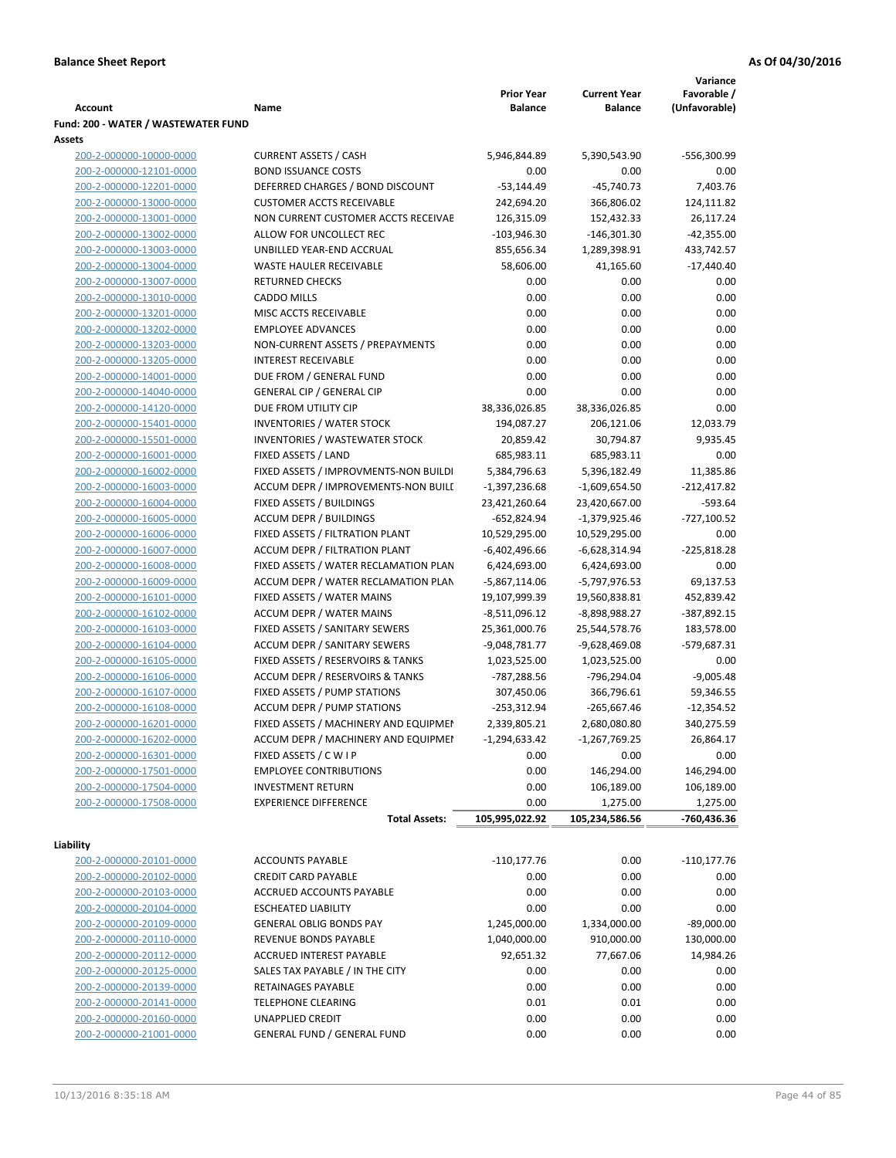|                                     |                                            |                   |                     | Variance      |
|-------------------------------------|--------------------------------------------|-------------------|---------------------|---------------|
|                                     |                                            | <b>Prior Year</b> | <b>Current Year</b> | Favorable /   |
| Account                             | Name                                       | <b>Balance</b>    | <b>Balance</b>      | (Unfavorable) |
| Fund: 200 - WATER / WASTEWATER FUND |                                            |                   |                     |               |
| Assets                              |                                            |                   |                     |               |
| 200-2-000000-10000-0000             | <b>CURRENT ASSETS / CASH</b>               | 5,946,844.89      | 5,390,543.90        | -556,300.99   |
| 200-2-000000-12101-0000             | <b>BOND ISSUANCE COSTS</b>                 | 0.00              | 0.00                | 0.00          |
| 200-2-000000-12201-0000             | DEFERRED CHARGES / BOND DISCOUNT           | $-53,144.49$      | $-45,740.73$        | 7,403.76      |
| 200-2-000000-13000-0000             | <b>CUSTOMER ACCTS RECEIVABLE</b>           | 242,694.20        | 366,806.02          | 124,111.82    |
| 200-2-000000-13001-0000             | NON CURRENT CUSTOMER ACCTS RECEIVAE        | 126,315.09        | 152,432.33          | 26,117.24     |
| 200-2-000000-13002-0000             | ALLOW FOR UNCOLLECT REC                    | $-103,946.30$     | $-146,301.30$       | $-42,355.00$  |
| 200-2-000000-13003-0000             | UNBILLED YEAR-END ACCRUAL                  | 855,656.34        | 1,289,398.91        | 433,742.57    |
| 200-2-000000-13004-0000             | WASTE HAULER RECEIVABLE                    | 58,606.00         | 41,165.60           | $-17,440.40$  |
| 200-2-000000-13007-0000             | <b>RETURNED CHECKS</b>                     | 0.00              | 0.00                | 0.00          |
| 200-2-000000-13010-0000             | <b>CADDO MILLS</b>                         | 0.00              | 0.00                | 0.00          |
| 200-2-000000-13201-0000             | MISC ACCTS RECEIVABLE                      | 0.00              | 0.00                | 0.00          |
| 200-2-000000-13202-0000             | <b>EMPLOYEE ADVANCES</b>                   | 0.00              | 0.00                | 0.00          |
| 200-2-000000-13203-0000             | NON-CURRENT ASSETS / PREPAYMENTS           | 0.00              | 0.00                | 0.00          |
| 200-2-000000-13205-0000             | <b>INTEREST RECEIVABLE</b>                 | 0.00              | 0.00                | 0.00          |
| 200-2-000000-14001-0000             | DUE FROM / GENERAL FUND                    | 0.00              | 0.00                | 0.00          |
| 200-2-000000-14040-0000             | <b>GENERAL CIP / GENERAL CIP</b>           | 0.00              | 0.00                | 0.00          |
|                                     | DUE FROM UTILITY CIP                       |                   |                     | 0.00          |
| 200-2-000000-14120-0000             |                                            | 38,336,026.85     | 38,336,026.85       |               |
| 200-2-000000-15401-0000             | <b>INVENTORIES / WATER STOCK</b>           | 194,087.27        | 206,121.06          | 12,033.79     |
| 200-2-000000-15501-0000             | <b>INVENTORIES / WASTEWATER STOCK</b>      | 20,859.42         | 30,794.87           | 9,935.45      |
| 200-2-000000-16001-0000             | FIXED ASSETS / LAND                        | 685,983.11        | 685,983.11          | 0.00          |
| 200-2-000000-16002-0000             | FIXED ASSETS / IMPROVMENTS-NON BUILDI      | 5,384,796.63      | 5,396,182.49        | 11,385.86     |
| 200-2-000000-16003-0000             | ACCUM DEPR / IMPROVEMENTS-NON BUILI        | $-1,397,236.68$   | -1,609,654.50       | -212,417.82   |
| 200-2-000000-16004-0000             | FIXED ASSETS / BUILDINGS                   | 23,421,260.64     | 23,420,667.00       | -593.64       |
| 200-2-000000-16005-0000             | <b>ACCUM DEPR / BUILDINGS</b>              | $-652,824.94$     | $-1,379,925.46$     | $-727,100.52$ |
| 200-2-000000-16006-0000             | FIXED ASSETS / FILTRATION PLANT            | 10,529,295.00     | 10,529,295.00       | 0.00          |
| 200-2-000000-16007-0000             | ACCUM DEPR / FILTRATION PLANT              | -6,402,496.66     | -6,628,314.94       | $-225,818.28$ |
| 200-2-000000-16008-0000             | FIXED ASSETS / WATER RECLAMATION PLAN      | 6,424,693.00      | 6,424,693.00        | 0.00          |
| 200-2-000000-16009-0000             | ACCUM DEPR / WATER RECLAMATION PLAN        | $-5,867,114.06$   | -5,797,976.53       | 69,137.53     |
| 200-2-000000-16101-0000             | FIXED ASSETS / WATER MAINS                 | 19,107,999.39     | 19,560,838.81       | 452,839.42    |
| 200-2-000000-16102-0000             | <b>ACCUM DEPR / WATER MAINS</b>            | -8,511,096.12     | -8,898,988.27       | -387,892.15   |
| 200-2-000000-16103-0000             | FIXED ASSETS / SANITARY SEWERS             | 25,361,000.76     | 25,544,578.76       | 183,578.00    |
| 200-2-000000-16104-0000             | <b>ACCUM DEPR / SANITARY SEWERS</b>        | $-9,048,781.77$   | -9,628,469.08       | -579,687.31   |
| 200-2-000000-16105-0000             | FIXED ASSETS / RESERVOIRS & TANKS          | 1,023,525.00      | 1,023,525.00        | 0.00          |
| 200-2-000000-16106-0000             | <b>ACCUM DEPR / RESERVOIRS &amp; TANKS</b> | -787,288.56       | -796,294.04         | $-9,005.48$   |
| 200-2-000000-16107-0000             | FIXED ASSETS / PUMP STATIONS               | 307,450.06        | 366,796.61          | 59,346.55     |
| 200-2-000000-16108-0000             | <b>ACCUM DEPR / PUMP STATIONS</b>          | $-253,312.94$     | $-265,667.46$       | $-12,354.52$  |
| 200-2-000000-16201-0000             | FIXED ASSETS / MACHINERY AND EQUIPMEN      | 2,339,805.21      | 2,680,080.80        | 340,275.59    |
| 200-2-000000-16202-0000             | ACCUM DEPR / MACHINERY AND EQUIPMEI        | $-1,294,633.42$   | $-1,267,769.25$     | 26,864.17     |
| 200-2-000000-16301-0000             | FIXED ASSETS / C W I P                     | 0.00              | 0.00                | 0.00          |
| 200-2-000000-17501-0000             | <b>EMPLOYEE CONTRIBUTIONS</b>              | 0.00              | 146,294.00          | 146,294.00    |
| 200-2-000000-17504-0000             | <b>INVESTMENT RETURN</b>                   | 0.00              | 106,189.00          | 106,189.00    |
| 200-2-000000-17508-0000             | <b>EXPERIENCE DIFFERENCE</b>               | 0.00              | 1,275.00            | 1,275.00      |
|                                     | <b>Total Assets:</b>                       | 105,995,022.92    | 105,234,586.56      | -760,436.36   |
|                                     |                                            |                   |                     |               |
| Liability                           |                                            |                   |                     |               |
| 200-2-000000-20101-0000             | <b>ACCOUNTS PAYABLE</b>                    | $-110, 177.76$    | 0.00                | $-110,177.76$ |
| 200-2-000000-20102-0000             | <b>CREDIT CARD PAYABLE</b>                 | 0.00              | 0.00                | 0.00          |
| 200-2-000000-20103-0000             | ACCRUED ACCOUNTS PAYABLE                   | 0.00              | 0.00                | 0.00          |
| 200-2-000000-20104-0000             | <b>ESCHEATED LIABILITY</b>                 | 0.00              | 0.00                | 0.00          |
| 200-2-000000-20109-0000             | <b>GENERAL OBLIG BONDS PAY</b>             | 1,245,000.00      | 1,334,000.00        | $-89,000.00$  |
| 200-2-000000-20110-0000             | REVENUE BONDS PAYABLE                      | 1,040,000.00      | 910,000.00          | 130,000.00    |
| 200-2-000000-20112-0000             | ACCRUED INTEREST PAYABLE                   | 92,651.32         | 77,667.06           | 14,984.26     |
| 200-2-000000-20125-0000             | SALES TAX PAYABLE / IN THE CITY            | 0.00              | 0.00                | 0.00          |
| 200-2-000000-20139-0000             | RETAINAGES PAYABLE                         | 0.00              | 0.00                | 0.00          |
|                                     |                                            |                   |                     |               |
| 200-2-000000-20141-0000             | <b>TELEPHONE CLEARING</b>                  | 0.01              | 0.01                | 0.00          |
| 200-2-000000-20160-0000             | <b>UNAPPLIED CREDIT</b>                    | 0.00              | 0.00                | 0.00          |
| 200-2-000000-21001-0000             | <b>GENERAL FUND / GENERAL FUND</b>         | 0.00              | 0.00                | 0.00          |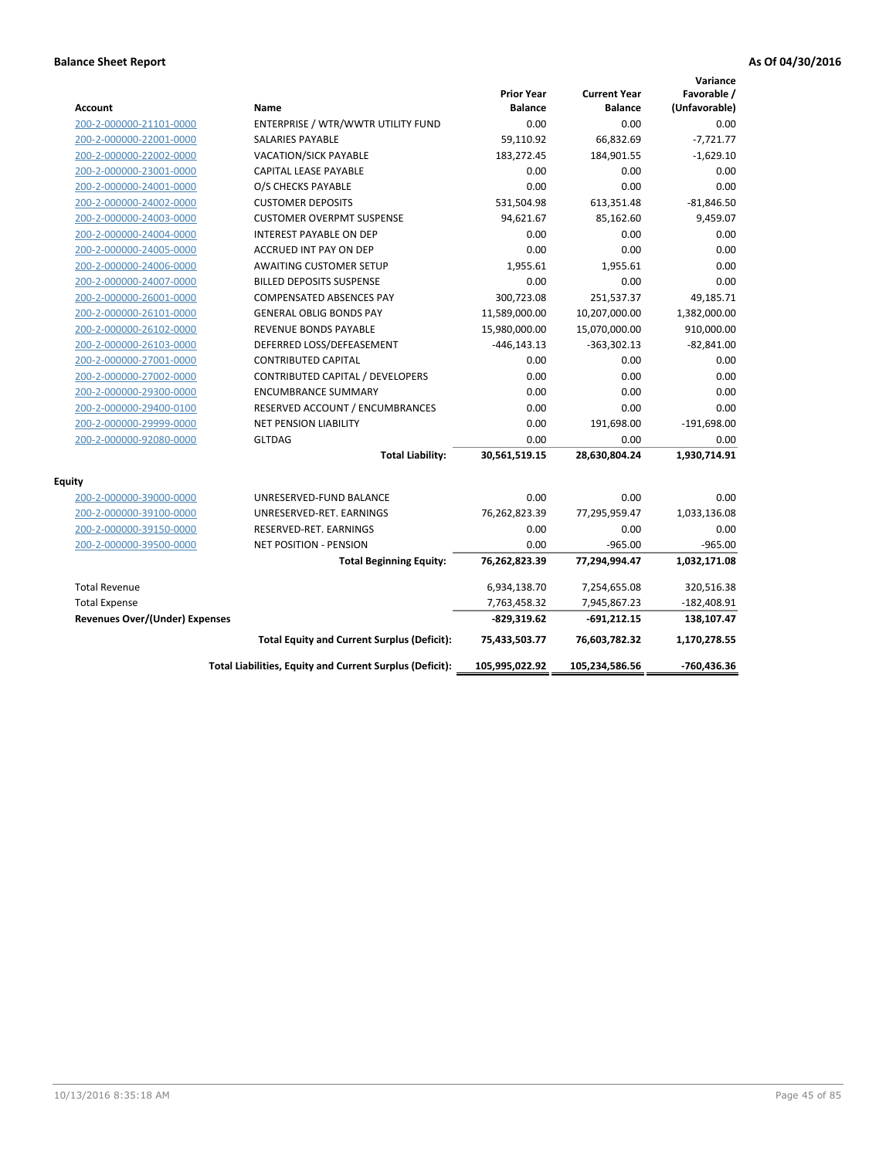| <b>Account</b>                        | Name                                                     | <b>Prior Year</b><br><b>Balance</b> | <b>Current Year</b><br><b>Balance</b> | Variance<br>Favorable /<br>(Unfavorable) |
|---------------------------------------|----------------------------------------------------------|-------------------------------------|---------------------------------------|------------------------------------------|
| 200-2-000000-21101-0000               | ENTERPRISE / WTR/WWTR UTILITY FUND                       | 0.00                                | 0.00                                  | 0.00                                     |
| 200-2-000000-22001-0000               | <b>SALARIES PAYABLE</b>                                  | 59,110.92                           | 66,832.69                             | $-7,721.77$                              |
| 200-2-000000-22002-0000               | <b>VACATION/SICK PAYABLE</b>                             | 183,272.45                          | 184,901.55                            | $-1,629.10$                              |
| 200-2-000000-23001-0000               | CAPITAL LEASE PAYABLE                                    | 0.00                                | 0.00                                  | 0.00                                     |
| 200-2-000000-24001-0000               | O/S CHECKS PAYABLE                                       | 0.00                                | 0.00                                  | 0.00                                     |
| 200-2-000000-24002-0000               | <b>CUSTOMER DEPOSITS</b>                                 | 531,504.98                          | 613,351.48                            | $-81,846.50$                             |
| 200-2-000000-24003-0000               | <b>CUSTOMER OVERPMT SUSPENSE</b>                         | 94,621.67                           | 85,162.60                             | 9,459.07                                 |
| 200-2-000000-24004-0000               | <b>INTEREST PAYABLE ON DEP</b>                           | 0.00                                | 0.00                                  | 0.00                                     |
| 200-2-000000-24005-0000               | ACCRUED INT PAY ON DEP                                   | 0.00                                | 0.00                                  | 0.00                                     |
| 200-2-000000-24006-0000               | <b>AWAITING CUSTOMER SETUP</b>                           | 1,955.61                            | 1,955.61                              | 0.00                                     |
| 200-2-000000-24007-0000               | <b>BILLED DEPOSITS SUSPENSE</b>                          | 0.00                                | 0.00                                  | 0.00                                     |
| 200-2-000000-26001-0000               | <b>COMPENSATED ABSENCES PAY</b>                          | 300,723.08                          | 251,537.37                            | 49,185.71                                |
| 200-2-000000-26101-0000               | <b>GENERAL OBLIG BONDS PAY</b>                           | 11,589,000.00                       | 10,207,000.00                         | 1,382,000.00                             |
| 200-2-000000-26102-0000               | <b>REVENUE BONDS PAYABLE</b>                             | 15,980,000.00                       | 15,070,000.00                         | 910,000.00                               |
| 200-2-000000-26103-0000               | DEFERRED LOSS/DEFEASEMENT                                | $-446, 143.13$                      | $-363,302.13$                         | $-82,841.00$                             |
| 200-2-000000-27001-0000               | <b>CONTRIBUTED CAPITAL</b>                               | 0.00                                | 0.00                                  | 0.00                                     |
| 200-2-000000-27002-0000               | CONTRIBUTED CAPITAL / DEVELOPERS                         | 0.00                                | 0.00                                  | 0.00                                     |
| 200-2-000000-29300-0000               | <b>ENCUMBRANCE SUMMARY</b>                               | 0.00                                | 0.00                                  | 0.00                                     |
| 200-2-000000-29400-0100               | RESERVED ACCOUNT / ENCUMBRANCES                          | 0.00                                | 0.00                                  | 0.00                                     |
| 200-2-000000-29999-0000               | <b>NET PENSION LIABILITY</b>                             | 0.00                                | 191,698.00                            | $-191,698.00$                            |
| 200-2-000000-92080-0000               | <b>GLTDAG</b>                                            | 0.00                                | 0.00                                  | 0.00                                     |
|                                       | <b>Total Liability:</b>                                  | 30,561,519.15                       | 28,630,804.24                         | 1,930,714.91                             |
| <b>Equity</b>                         |                                                          |                                     |                                       |                                          |
| 200-2-000000-39000-0000               | UNRESERVED-FUND BALANCE                                  | 0.00                                | 0.00                                  | 0.00                                     |
| 200-2-000000-39100-0000               | UNRESERVED-RET. EARNINGS                                 | 76,262,823.39                       | 77,295,959.47                         | 1,033,136.08                             |
| 200-2-000000-39150-0000               | RESERVED-RET. EARNINGS                                   | 0.00                                | 0.00                                  | 0.00                                     |
| 200-2-000000-39500-0000               | <b>NET POSITION - PENSION</b>                            | 0.00                                | $-965.00$                             | $-965.00$                                |
|                                       | <b>Total Beginning Equity:</b>                           | 76,262,823.39                       | 77,294,994.47                         | 1,032,171.08                             |
| <b>Total Revenue</b>                  |                                                          | 6,934,138.70                        | 7,254,655.08                          | 320,516.38                               |
| <b>Total Expense</b>                  |                                                          | 7,763,458.32                        | 7,945,867.23                          | $-182,408.91$                            |
| <b>Revenues Over/(Under) Expenses</b> |                                                          | $-829,319.62$                       | -691,212.15                           | 138,107.47                               |
|                                       | <b>Total Equity and Current Surplus (Deficit):</b>       | 75,433,503.77                       | 76,603,782.32                         | 1,170,278.55                             |
|                                       | Total Liabilities, Equity and Current Surplus (Deficit): | 105,995,022.92                      | 105,234,586.56                        | -760,436.36                              |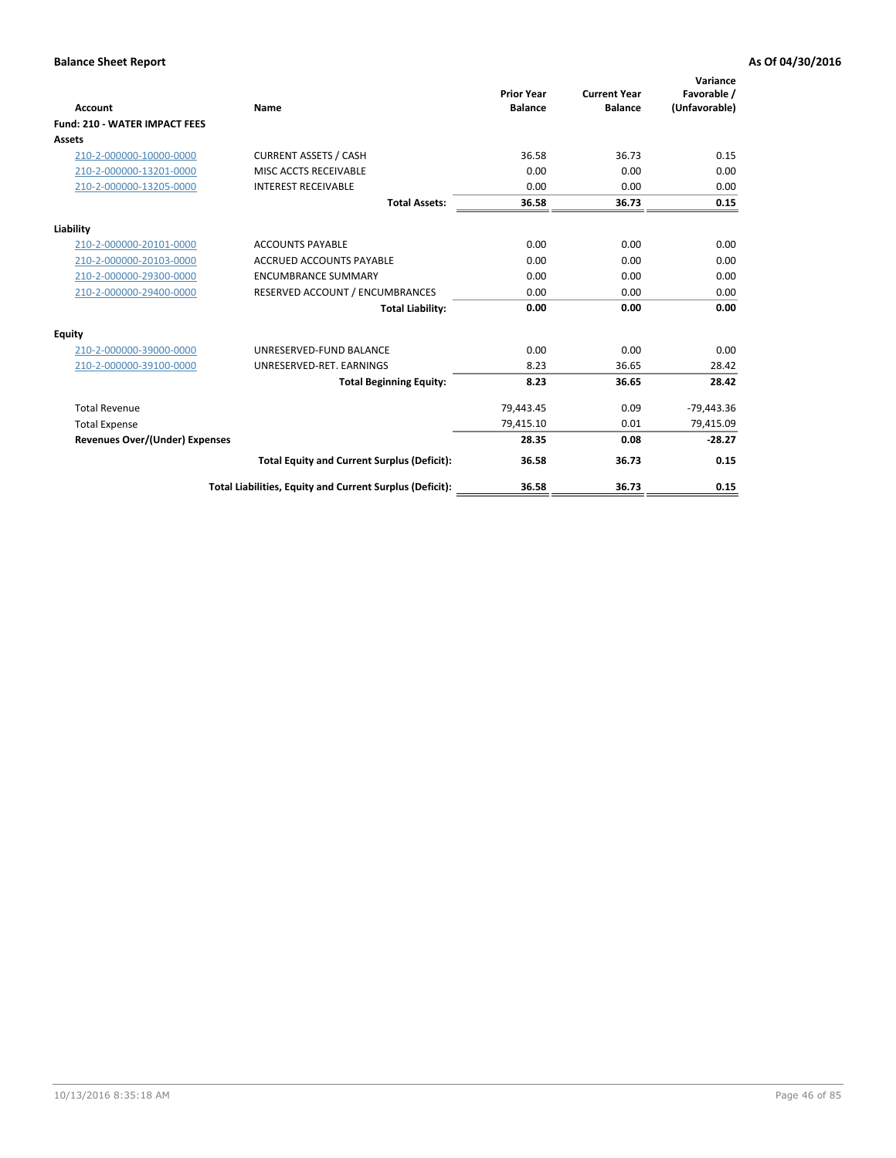| <b>Account</b>                        | Name                                                     | <b>Prior Year</b><br><b>Balance</b> | <b>Current Year</b><br><b>Balance</b> | Variance<br>Favorable /<br>(Unfavorable) |
|---------------------------------------|----------------------------------------------------------|-------------------------------------|---------------------------------------|------------------------------------------|
| <b>Fund: 210 - WATER IMPACT FEES</b>  |                                                          |                                     |                                       |                                          |
| <b>Assets</b>                         |                                                          |                                     |                                       |                                          |
| 210-2-000000-10000-0000               | <b>CURRENT ASSETS / CASH</b>                             | 36.58                               | 36.73                                 | 0.15                                     |
| 210-2-000000-13201-0000               | MISC ACCTS RECEIVABLE                                    | 0.00                                | 0.00                                  | 0.00                                     |
| 210-2-000000-13205-0000               | <b>INTEREST RECEIVABLE</b>                               | 0.00                                | 0.00                                  | 0.00                                     |
|                                       | <b>Total Assets:</b>                                     | 36.58                               | 36.73                                 | 0.15                                     |
| Liability                             |                                                          |                                     |                                       |                                          |
| 210-2-000000-20101-0000               | <b>ACCOUNTS PAYABLE</b>                                  | 0.00                                | 0.00                                  | 0.00                                     |
| 210-2-000000-20103-0000               | <b>ACCRUED ACCOUNTS PAYABLE</b>                          | 0.00                                | 0.00                                  | 0.00                                     |
| 210-2-000000-29300-0000               | <b>ENCUMBRANCE SUMMARY</b>                               | 0.00                                | 0.00                                  | 0.00                                     |
| 210-2-000000-29400-0000               | RESERVED ACCOUNT / ENCUMBRANCES                          | 0.00                                | 0.00                                  | 0.00                                     |
|                                       | <b>Total Liability:</b>                                  | 0.00                                | 0.00                                  | 0.00                                     |
| <b>Equity</b>                         |                                                          |                                     |                                       |                                          |
| 210-2-000000-39000-0000               | UNRESERVED-FUND BALANCE                                  | 0.00                                | 0.00                                  | 0.00                                     |
| 210-2-000000-39100-0000               | UNRESERVED-RET. EARNINGS                                 | 8.23                                | 36.65                                 | 28.42                                    |
|                                       | <b>Total Beginning Equity:</b>                           | 8.23                                | 36.65                                 | 28.42                                    |
| <b>Total Revenue</b>                  |                                                          | 79,443.45                           | 0.09                                  | $-79,443.36$                             |
| <b>Total Expense</b>                  |                                                          | 79,415.10                           | 0.01                                  | 79,415.09                                |
| <b>Revenues Over/(Under) Expenses</b> |                                                          | 28.35                               | 0.08                                  | $-28.27$                                 |
|                                       | <b>Total Equity and Current Surplus (Deficit):</b>       | 36.58                               | 36.73                                 | 0.15                                     |
|                                       | Total Liabilities, Equity and Current Surplus (Deficit): | 36.58                               | 36.73                                 | 0.15                                     |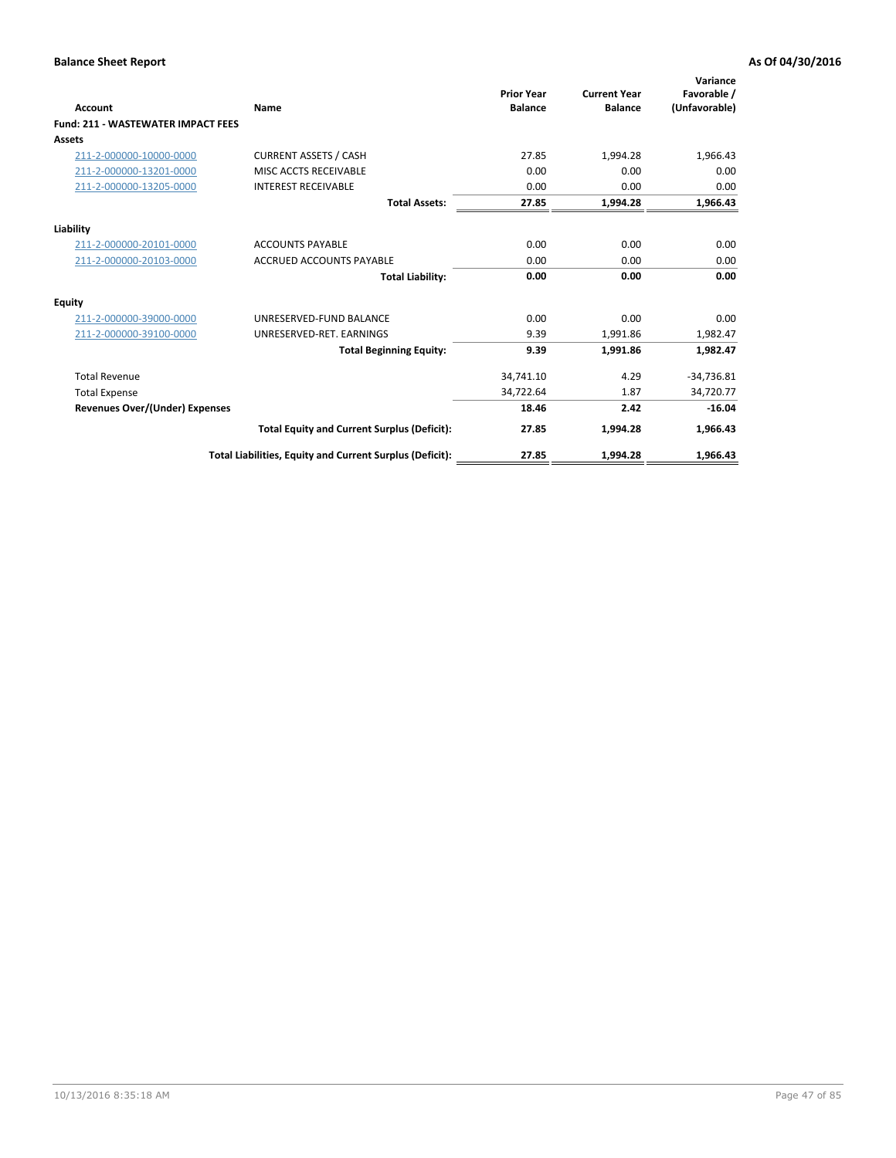| Account                                   | Name                                                     | <b>Prior Year</b><br><b>Balance</b> | <b>Current Year</b><br><b>Balance</b> | Variance<br>Favorable /<br>(Unfavorable) |
|-------------------------------------------|----------------------------------------------------------|-------------------------------------|---------------------------------------|------------------------------------------|
| <b>Fund: 211 - WASTEWATER IMPACT FEES</b> |                                                          |                                     |                                       |                                          |
| <b>Assets</b>                             |                                                          |                                     |                                       |                                          |
| 211-2-000000-10000-0000                   | <b>CURRENT ASSETS / CASH</b>                             | 27.85                               | 1,994.28                              | 1,966.43                                 |
| 211-2-000000-13201-0000                   | MISC ACCTS RECEIVABLE                                    | 0.00                                | 0.00                                  | 0.00                                     |
| 211-2-000000-13205-0000                   | <b>INTEREST RECEIVABLE</b>                               | 0.00                                | 0.00                                  | 0.00                                     |
|                                           | <b>Total Assets:</b>                                     | 27.85                               | 1,994.28                              | 1,966.43                                 |
| Liability                                 |                                                          |                                     |                                       |                                          |
| 211-2-000000-20101-0000                   | <b>ACCOUNTS PAYABLE</b>                                  | 0.00                                | 0.00                                  | 0.00                                     |
| 211-2-000000-20103-0000                   | <b>ACCRUED ACCOUNTS PAYABLE</b>                          | 0.00                                | 0.00                                  | 0.00                                     |
|                                           | <b>Total Liability:</b>                                  | 0.00                                | 0.00                                  | 0.00                                     |
| Equity                                    |                                                          |                                     |                                       |                                          |
| 211-2-000000-39000-0000                   | UNRESERVED-FUND BALANCE                                  | 0.00                                | 0.00                                  | 0.00                                     |
| 211-2-000000-39100-0000                   | UNRESERVED-RET. EARNINGS                                 | 9.39                                | 1,991.86                              | 1,982.47                                 |
|                                           | <b>Total Beginning Equity:</b>                           | 9.39                                | 1,991.86                              | 1,982.47                                 |
| <b>Total Revenue</b>                      |                                                          | 34,741.10                           | 4.29                                  | $-34,736.81$                             |
| <b>Total Expense</b>                      |                                                          | 34,722.64                           | 1.87                                  | 34,720.77                                |
| <b>Revenues Over/(Under) Expenses</b>     |                                                          | 18.46                               | 2.42                                  | $-16.04$                                 |
|                                           | <b>Total Equity and Current Surplus (Deficit):</b>       | 27.85                               | 1,994.28                              | 1,966.43                                 |
|                                           | Total Liabilities, Equity and Current Surplus (Deficit): | 27.85                               | 1,994.28                              | 1.966.43                                 |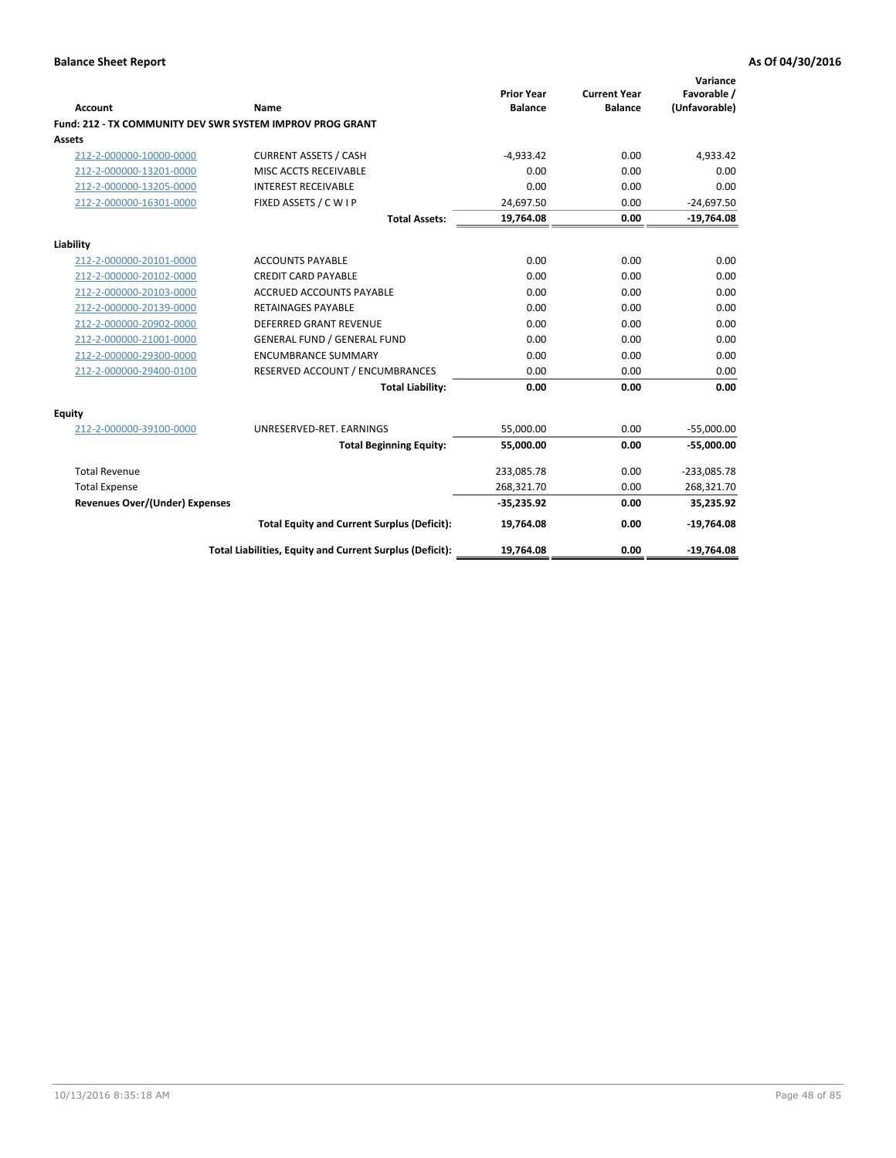| <b>Account</b>                        | Name                                                      | <b>Prior Year</b><br><b>Balance</b> | <b>Current Year</b><br><b>Balance</b> | Variance<br>Favorable /<br>(Unfavorable) |
|---------------------------------------|-----------------------------------------------------------|-------------------------------------|---------------------------------------|------------------------------------------|
|                                       | Fund: 212 - TX COMMUNITY DEV SWR SYSTEM IMPROV PROG GRANT |                                     |                                       |                                          |
| <b>Assets</b>                         |                                                           |                                     |                                       |                                          |
| 212-2-000000-10000-0000               | <b>CURRENT ASSETS / CASH</b>                              | $-4,933.42$                         | 0.00                                  | 4,933.42                                 |
| 212-2-000000-13201-0000               | MISC ACCTS RECEIVABLE                                     | 0.00                                | 0.00                                  | 0.00                                     |
| 212-2-000000-13205-0000               | <b>INTEREST RECEIVABLE</b>                                | 0.00                                | 0.00                                  | 0.00                                     |
| 212-2-000000-16301-0000               | FIXED ASSETS / C W I P                                    | 24,697.50                           | 0.00                                  | $-24,697.50$                             |
|                                       | <b>Total Assets:</b>                                      | 19,764.08                           | 0.00                                  | $-19,764.08$                             |
| Liability                             |                                                           |                                     |                                       |                                          |
| 212-2-000000-20101-0000               | <b>ACCOUNTS PAYABLE</b>                                   | 0.00                                | 0.00                                  | 0.00                                     |
| 212-2-000000-20102-0000               | <b>CREDIT CARD PAYABLE</b>                                | 0.00                                | 0.00                                  | 0.00                                     |
| 212-2-000000-20103-0000               | <b>ACCRUED ACCOUNTS PAYABLE</b>                           | 0.00                                | 0.00                                  | 0.00                                     |
| 212-2-000000-20139-0000               | <b>RETAINAGES PAYABLE</b>                                 | 0.00                                | 0.00                                  | 0.00                                     |
| 212-2-000000-20902-0000               | <b>DEFERRED GRANT REVENUE</b>                             | 0.00                                | 0.00                                  | 0.00                                     |
| 212-2-000000-21001-0000               | <b>GENERAL FUND / GENERAL FUND</b>                        | 0.00                                | 0.00                                  | 0.00                                     |
| 212-2-000000-29300-0000               | <b>ENCUMBRANCE SUMMARY</b>                                | 0.00                                | 0.00                                  | 0.00                                     |
| 212-2-000000-29400-0100               | RESERVED ACCOUNT / ENCUMBRANCES                           | 0.00                                | 0.00                                  | 0.00                                     |
|                                       | <b>Total Liability:</b>                                   | 0.00                                | 0.00                                  | 0.00                                     |
| Equity                                |                                                           |                                     |                                       |                                          |
| 212-2-000000-39100-0000               | UNRESERVED-RET. EARNINGS                                  | 55,000.00                           | 0.00                                  | $-55,000.00$                             |
|                                       | <b>Total Beginning Equity:</b>                            | 55,000.00                           | 0.00                                  | $-55,000.00$                             |
| <b>Total Revenue</b>                  |                                                           | 233,085.78                          | 0.00                                  | $-233,085.78$                            |
| <b>Total Expense</b>                  |                                                           | 268,321.70                          | 0.00                                  | 268,321.70                               |
| <b>Revenues Over/(Under) Expenses</b> |                                                           | $-35,235.92$                        | 0.00                                  | 35,235.92                                |
|                                       | <b>Total Equity and Current Surplus (Deficit):</b>        | 19,764.08                           | 0.00                                  | $-19,764.08$                             |
|                                       | Total Liabilities, Equity and Current Surplus (Deficit):  | 19,764.08                           | 0.00                                  | $-19,764.08$                             |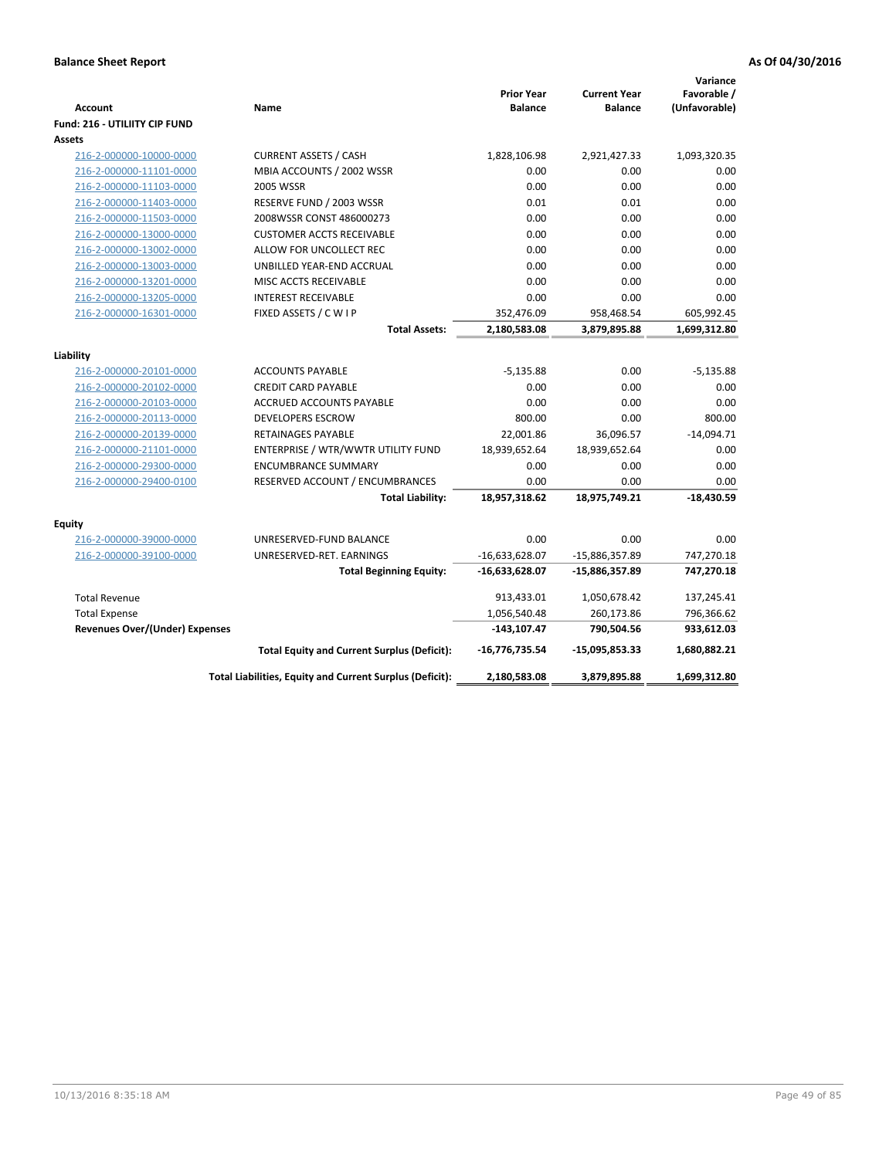|                                       |                                                          |                                     |                                       | Variance      |
|---------------------------------------|----------------------------------------------------------|-------------------------------------|---------------------------------------|---------------|
| <b>Account</b>                        | Name                                                     | <b>Prior Year</b><br><b>Balance</b> | <b>Current Year</b><br><b>Balance</b> | Favorable /   |
|                                       |                                                          |                                     |                                       | (Unfavorable) |
| <b>Fund: 216 - UTILIITY CIP FUND</b>  |                                                          |                                     |                                       |               |
| <b>Assets</b>                         |                                                          |                                     |                                       |               |
| 216-2-000000-10000-0000               | <b>CURRENT ASSETS / CASH</b>                             | 1,828,106.98                        | 2,921,427.33                          | 1,093,320.35  |
| 216-2-000000-11101-0000               | MBIA ACCOUNTS / 2002 WSSR                                | 0.00                                | 0.00                                  | 0.00          |
| 216-2-000000-11103-0000               | <b>2005 WSSR</b>                                         | 0.00                                | 0.00                                  | 0.00          |
| 216-2-000000-11403-0000               | RESERVE FUND / 2003 WSSR                                 | 0.01                                | 0.01                                  | 0.00          |
| 216-2-000000-11503-0000               | 2008WSSR CONST 486000273                                 | 0.00                                | 0.00                                  | 0.00          |
| 216-2-000000-13000-0000               | <b>CUSTOMER ACCTS RECEIVABLE</b>                         | 0.00                                | 0.00                                  | 0.00          |
| 216-2-000000-13002-0000               | ALLOW FOR UNCOLLECT REC                                  | 0.00                                | 0.00                                  | 0.00          |
| 216-2-000000-13003-0000               | UNBILLED YEAR-END ACCRUAL                                | 0.00                                | 0.00                                  | 0.00          |
| 216-2-000000-13201-0000               | <b>MISC ACCTS RECEIVABLE</b>                             | 0.00                                | 0.00                                  | 0.00          |
| 216-2-000000-13205-0000               | <b>INTEREST RECEIVABLE</b>                               | 0.00                                | 0.00                                  | 0.00          |
| 216-2-000000-16301-0000               | FIXED ASSETS / C W I P                                   | 352,476.09                          | 958,468.54                            | 605,992.45    |
|                                       | <b>Total Assets:</b>                                     | 2,180,583.08                        | 3,879,895.88                          | 1,699,312.80  |
|                                       |                                                          |                                     |                                       |               |
| Liability                             |                                                          |                                     |                                       |               |
| 216-2-000000-20101-0000               | <b>ACCOUNTS PAYABLE</b>                                  | $-5,135.88$                         | 0.00                                  | $-5,135.88$   |
| 216-2-000000-20102-0000               | <b>CREDIT CARD PAYABLE</b>                               | 0.00                                | 0.00                                  | 0.00          |
| 216-2-000000-20103-0000               | <b>ACCRUED ACCOUNTS PAYABLE</b>                          | 0.00                                | 0.00                                  | 0.00          |
| 216-2-000000-20113-0000               | <b>DEVELOPERS ESCROW</b>                                 | 800.00                              | 0.00                                  | 800.00        |
| 216-2-000000-20139-0000               | <b>RETAINAGES PAYABLE</b>                                | 22,001.86                           | 36,096.57                             | $-14,094.71$  |
| 216-2-000000-21101-0000               | ENTERPRISE / WTR/WWTR UTILITY FUND                       | 18,939,652.64                       | 18,939,652.64                         | 0.00          |
| 216-2-000000-29300-0000               | <b>ENCUMBRANCE SUMMARY</b>                               | 0.00                                | 0.00                                  | 0.00          |
| 216-2-000000-29400-0100               | RESERVED ACCOUNT / ENCUMBRANCES                          | 0.00                                | 0.00                                  | 0.00          |
|                                       | <b>Total Liability:</b>                                  | 18,957,318.62                       | 18,975,749.21                         | $-18,430.59$  |
|                                       |                                                          |                                     |                                       |               |
| <b>Equity</b>                         |                                                          |                                     |                                       |               |
| 216-2-000000-39000-0000               | UNRESERVED-FUND BALANCE                                  | 0.00                                | 0.00                                  | 0.00          |
| 216-2-000000-39100-0000               | UNRESERVED-RET. EARNINGS                                 | $-16,633,628.07$                    | -15,886,357.89                        | 747,270.18    |
|                                       | <b>Total Beginning Equity:</b>                           | $-16,633,628.07$                    | -15,886,357.89                        | 747,270.18    |
| <b>Total Revenue</b>                  |                                                          | 913,433.01                          | 1,050,678.42                          | 137,245.41    |
| <b>Total Expense</b>                  |                                                          | 1,056,540.48                        | 260,173.86                            | 796,366.62    |
| <b>Revenues Over/(Under) Expenses</b> |                                                          | $-143, 107.47$                      | 790,504.56                            | 933,612.03    |
|                                       | <b>Total Equity and Current Surplus (Deficit):</b>       | -16,776,735.54                      | $-15,095,853.33$                      | 1,680,882.21  |
|                                       | Total Liabilities, Equity and Current Surplus (Deficit): | 2,180,583.08                        | 3,879,895.88                          | 1,699,312.80  |
|                                       |                                                          |                                     |                                       |               |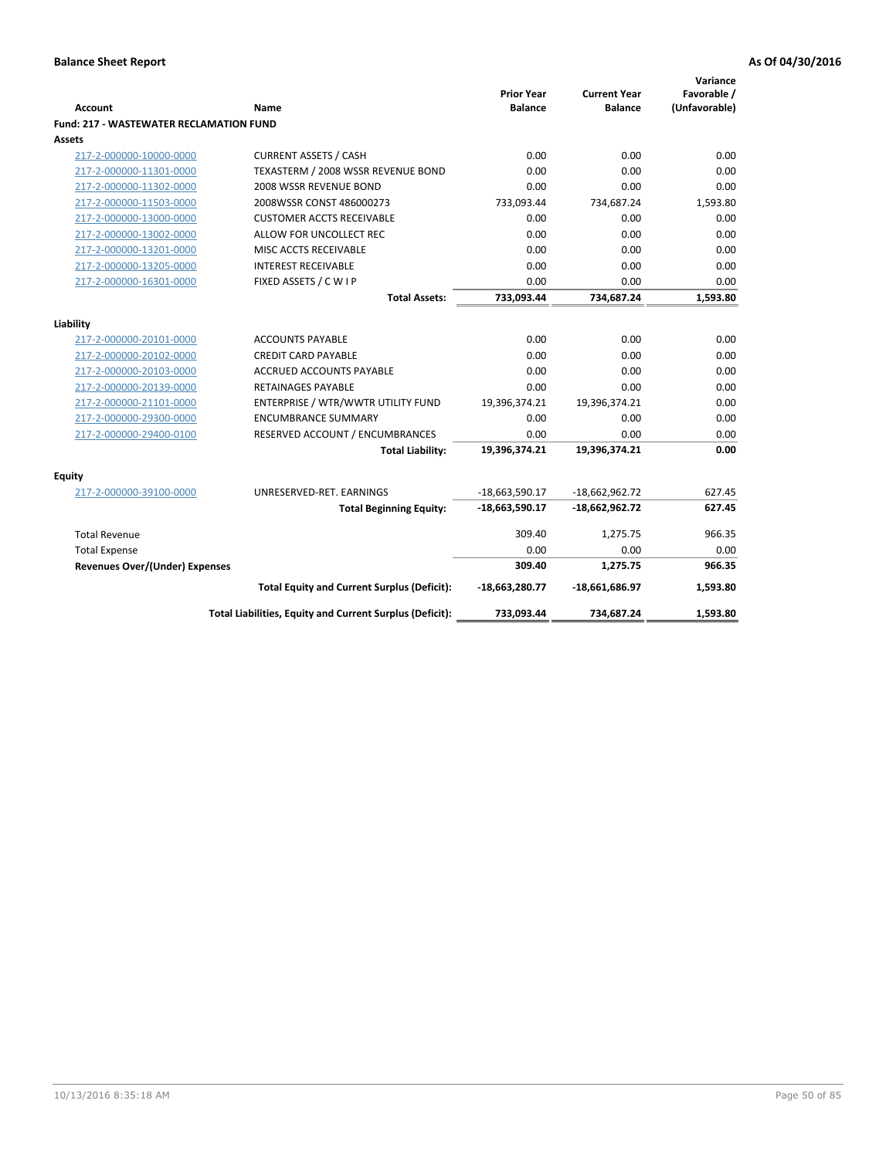|                                                |                                                          | <b>Prior Year</b> | <b>Current Year</b> | Variance<br>Favorable / |
|------------------------------------------------|----------------------------------------------------------|-------------------|---------------------|-------------------------|
| <b>Account</b>                                 | Name                                                     | <b>Balance</b>    | <b>Balance</b>      | (Unfavorable)           |
| <b>Fund: 217 - WASTEWATER RECLAMATION FUND</b> |                                                          |                   |                     |                         |
| <b>Assets</b>                                  |                                                          |                   |                     |                         |
| 217-2-000000-10000-0000                        | <b>CURRENT ASSETS / CASH</b>                             | 0.00              | 0.00                | 0.00                    |
| 217-2-000000-11301-0000                        | TEXASTERM / 2008 WSSR REVENUE BOND                       | 0.00              | 0.00                | 0.00                    |
| 217-2-000000-11302-0000                        | 2008 WSSR REVENUE BOND                                   | 0.00              | 0.00                | 0.00                    |
| 217-2-000000-11503-0000                        | 2008WSSR CONST 486000273                                 | 733,093.44        | 734,687.24          | 1,593.80                |
| 217-2-000000-13000-0000                        | <b>CUSTOMER ACCTS RECEIVABLE</b>                         | 0.00              | 0.00                | 0.00                    |
| 217-2-000000-13002-0000                        | ALLOW FOR UNCOLLECT REC                                  | 0.00              | 0.00                | 0.00                    |
| 217-2-000000-13201-0000                        | MISC ACCTS RECEIVABLE                                    | 0.00              | 0.00                | 0.00                    |
| 217-2-000000-13205-0000                        | <b>INTEREST RECEIVABLE</b>                               | 0.00              | 0.00                | 0.00                    |
| 217-2-000000-16301-0000                        | FIXED ASSETS / C W I P                                   | 0.00              | 0.00                | 0.00                    |
|                                                | <b>Total Assets:</b>                                     | 733,093.44        | 734,687.24          | 1,593.80                |
|                                                |                                                          |                   |                     |                         |
| Liability                                      |                                                          |                   |                     |                         |
| 217-2-000000-20101-0000                        | <b>ACCOUNTS PAYABLE</b>                                  | 0.00              | 0.00                | 0.00                    |
| 217-2-000000-20102-0000                        | <b>CREDIT CARD PAYABLE</b>                               | 0.00              | 0.00                | 0.00                    |
| 217-2-000000-20103-0000                        | ACCRUED ACCOUNTS PAYABLE                                 | 0.00              | 0.00                | 0.00                    |
| 217-2-000000-20139-0000                        | <b>RETAINAGES PAYABLE</b>                                | 0.00              | 0.00                | 0.00<br>0.00            |
| 217-2-000000-21101-0000                        | ENTERPRISE / WTR/WWTR UTILITY FUND                       | 19,396,374.21     | 19,396,374.21       |                         |
| 217-2-000000-29300-0000                        | <b>ENCUMBRANCE SUMMARY</b>                               | 0.00              | 0.00                | 0.00<br>0.00            |
| 217-2-000000-29400-0100                        | RESERVED ACCOUNT / ENCUMBRANCES                          | 0.00              | 0.00                |                         |
|                                                | <b>Total Liability:</b>                                  | 19,396,374.21     | 19,396,374.21       | 0.00                    |
| <b>Equity</b>                                  |                                                          |                   |                     |                         |
| 217-2-000000-39100-0000                        | UNRESERVED-RET. EARNINGS                                 | $-18,663,590.17$  | $-18,662,962.72$    | 627.45                  |
|                                                | <b>Total Beginning Equity:</b>                           | -18,663,590.17    | $-18,662,962.72$    | 627.45                  |
| <b>Total Revenue</b>                           |                                                          | 309.40            | 1,275.75            | 966.35                  |
| <b>Total Expense</b>                           |                                                          | 0.00              | 0.00                | 0.00                    |
| <b>Revenues Over/(Under) Expenses</b>          |                                                          | 309.40            | 1,275.75            | 966.35                  |
|                                                | <b>Total Equity and Current Surplus (Deficit):</b>       | -18,663,280.77    | -18,661,686.97      | 1,593.80                |
|                                                | Total Liabilities, Equity and Current Surplus (Deficit): | 733,093.44        | 734,687.24          | 1,593.80                |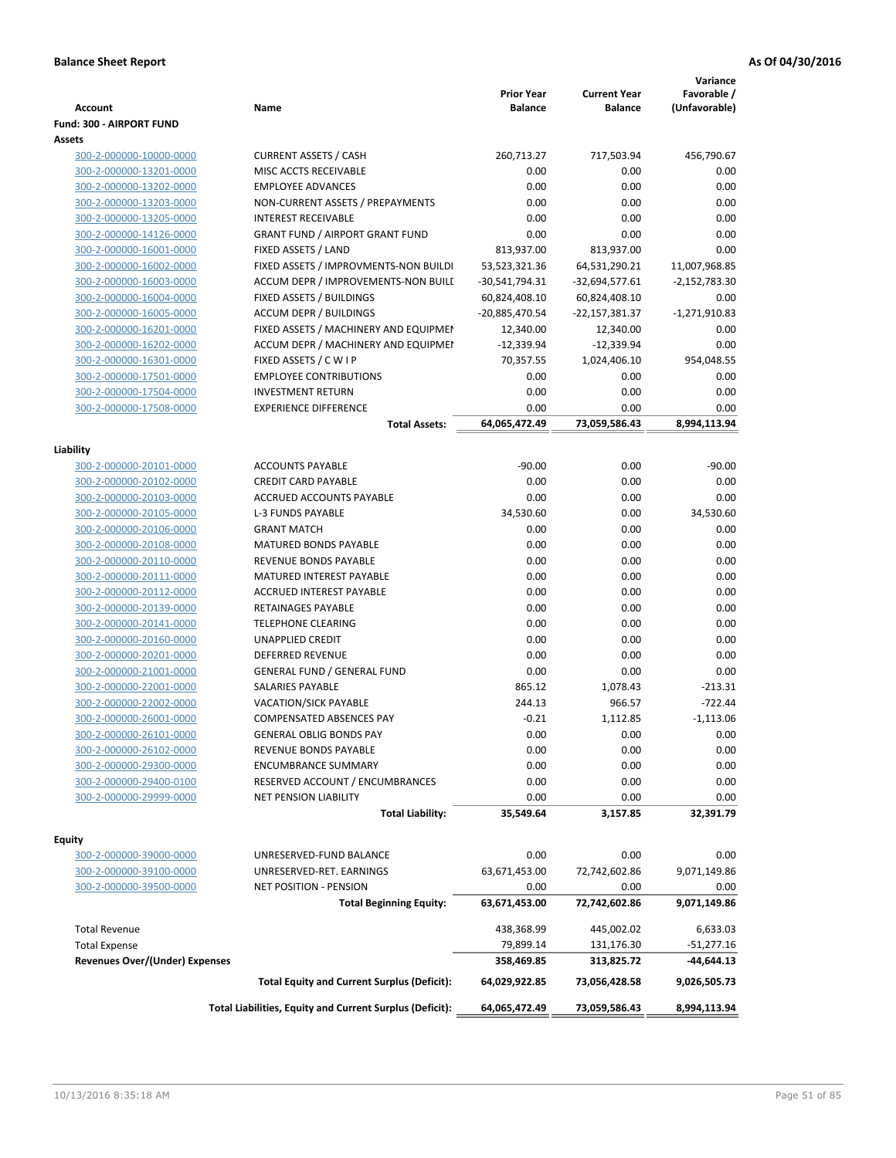| <b>Account</b>                        | Name                                                     | <b>Prior Year</b><br><b>Balance</b> | <b>Current Year</b><br><b>Balance</b> | Variance<br>Favorable /<br>(Unfavorable) |
|---------------------------------------|----------------------------------------------------------|-------------------------------------|---------------------------------------|------------------------------------------|
| Fund: 300 - AIRPORT FUND              |                                                          |                                     |                                       |                                          |
| Assets                                |                                                          |                                     |                                       |                                          |
| 300-2-000000-10000-0000               | <b>CURRENT ASSETS / CASH</b>                             | 260,713.27                          | 717,503.94                            | 456,790.67                               |
| 300-2-000000-13201-0000               | MISC ACCTS RECEIVABLE                                    | 0.00                                | 0.00                                  | 0.00                                     |
| 300-2-000000-13202-0000               | <b>EMPLOYEE ADVANCES</b>                                 | 0.00                                | 0.00                                  | 0.00                                     |
| 300-2-000000-13203-0000               | NON-CURRENT ASSETS / PREPAYMENTS                         | 0.00                                | 0.00                                  | 0.00                                     |
| 300-2-000000-13205-0000               | <b>INTEREST RECEIVABLE</b>                               | 0.00                                | 0.00                                  | 0.00                                     |
| 300-2-000000-14126-0000               | <b>GRANT FUND / AIRPORT GRANT FUND</b>                   | 0.00                                | 0.00                                  | 0.00                                     |
| 300-2-000000-16001-0000               | FIXED ASSETS / LAND                                      | 813,937.00                          | 813,937.00                            | 0.00                                     |
| 300-2-000000-16002-0000               | FIXED ASSETS / IMPROVMENTS-NON BUILDI                    | 53,523,321.36                       | 64,531,290.21                         | 11,007,968.85                            |
| 300-2-000000-16003-0000               | ACCUM DEPR / IMPROVEMENTS-NON BUILI                      | -30,541,794.31                      | $-32,694,577.61$                      | $-2,152,783.30$                          |
| 300-2-000000-16004-0000               | FIXED ASSETS / BUILDINGS                                 | 60,824,408.10                       | 60,824,408.10                         | 0.00                                     |
| 300-2-000000-16005-0000               | <b>ACCUM DEPR / BUILDINGS</b>                            | -20,885,470.54                      | -22,157,381.37                        | $-1,271,910.83$                          |
| 300-2-000000-16201-0000               | FIXED ASSETS / MACHINERY AND EQUIPMEN                    | 12,340.00                           | 12,340.00                             | 0.00                                     |
| 300-2-000000-16202-0000               | ACCUM DEPR / MACHINERY AND EQUIPMEI                      | $-12,339.94$                        | $-12,339.94$                          | 0.00                                     |
| 300-2-000000-16301-0000               | FIXED ASSETS / C W I P                                   | 70,357.55                           | 1,024,406.10                          | 954,048.55                               |
| 300-2-000000-17501-0000               | <b>EMPLOYEE CONTRIBUTIONS</b>                            | 0.00                                | 0.00                                  | 0.00                                     |
| 300-2-000000-17504-0000               | <b>INVESTMENT RETURN</b>                                 | 0.00                                | 0.00                                  | 0.00                                     |
| 300-2-000000-17508-0000               | <b>EXPERIENCE DIFFERENCE</b>                             | 0.00                                | 0.00                                  | 0.00                                     |
|                                       | <b>Total Assets:</b>                                     | 64,065,472.49                       | 73,059,586.43                         | 8,994,113.94                             |
|                                       |                                                          |                                     |                                       |                                          |
| Liability                             |                                                          |                                     |                                       |                                          |
| 300-2-000000-20101-0000               | <b>ACCOUNTS PAYABLE</b>                                  | $-90.00$                            | 0.00                                  | $-90.00$                                 |
| 300-2-000000-20102-0000               | <b>CREDIT CARD PAYABLE</b>                               | 0.00                                | 0.00                                  | 0.00                                     |
| 300-2-000000-20103-0000               | ACCRUED ACCOUNTS PAYABLE                                 | 0.00                                | 0.00                                  | 0.00                                     |
| 300-2-000000-20105-0000               | <b>L-3 FUNDS PAYABLE</b>                                 | 34,530.60                           | 0.00                                  | 34,530.60                                |
| 300-2-000000-20106-0000               | <b>GRANT MATCH</b>                                       | 0.00                                | 0.00                                  | 0.00                                     |
| 300-2-000000-20108-0000               | MATURED BONDS PAYABLE                                    | 0.00                                | 0.00                                  | 0.00                                     |
| 300-2-000000-20110-0000               | REVENUE BONDS PAYABLE                                    | 0.00                                | 0.00                                  | 0.00                                     |
| 300-2-000000-20111-0000               | MATURED INTEREST PAYABLE                                 | 0.00                                | 0.00                                  | 0.00                                     |
| 300-2-000000-20112-0000               | <b>ACCRUED INTEREST PAYABLE</b>                          | 0.00                                | 0.00                                  | 0.00                                     |
| 300-2-000000-20139-0000               | RETAINAGES PAYABLE                                       | 0.00                                | 0.00                                  | 0.00                                     |
| 300-2-000000-20141-0000               | <b>TELEPHONE CLEARING</b>                                | 0.00                                | 0.00                                  | 0.00                                     |
| 300-2-000000-20160-0000               | <b>UNAPPLIED CREDIT</b>                                  | 0.00                                | 0.00                                  | 0.00                                     |
| 300-2-000000-20201-0000               | DEFERRED REVENUE                                         | 0.00                                | 0.00                                  | 0.00                                     |
| 300-2-000000-21001-0000               | <b>GENERAL FUND / GENERAL FUND</b>                       | 0.00                                | 0.00                                  | 0.00                                     |
| 300-2-000000-22001-0000               | SALARIES PAYABLE                                         | 865.12                              | 1,078.43                              | $-213.31$                                |
| 300-2-000000-22002-0000               | VACATION/SICK PAYABLE                                    | 244.13                              | 966.57                                | $-722.44$                                |
| 300-2-000000-26001-0000               | COMPENSATED ABSENCES PAY                                 | $-0.21$                             | 1,112.85                              | $-1,113.06$                              |
| 300-2-000000-26101-0000               | <b>GENERAL OBLIG BONDS PAY</b>                           | 0.00                                | 0.00                                  | 0.00                                     |
| 300-2-000000-26102-0000               | REVENUE BONDS PAYABLE                                    | 0.00                                | 0.00                                  | 0.00                                     |
| 300-2-000000-29300-0000               | <b>ENCUMBRANCE SUMMARY</b>                               | 0.00                                | 0.00                                  | 0.00                                     |
| 300-2-000000-29400-0100               | RESERVED ACCOUNT / ENCUMBRANCES                          | 0.00                                | 0.00                                  | 0.00                                     |
| 300-2-000000-29999-0000               | NET PENSION LIABILITY                                    | 0.00                                | 0.00                                  | 0.00                                     |
|                                       | <b>Total Liability:</b>                                  | 35,549.64                           | 3,157.85                              | 32,391.79                                |
|                                       |                                                          |                                     |                                       |                                          |
| Equity                                |                                                          |                                     |                                       |                                          |
| 300-2-000000-39000-0000               | UNRESERVED-FUND BALANCE                                  | 0.00                                | 0.00                                  | 0.00                                     |
| 300-2-000000-39100-0000               | UNRESERVED-RET. EARNINGS                                 | 63,671,453.00                       | 72,742,602.86                         | 9,071,149.86                             |
| 300-2-000000-39500-0000               | <b>NET POSITION - PENSION</b>                            | 0.00                                | 0.00                                  | 0.00                                     |
|                                       | <b>Total Beginning Equity:</b>                           | 63,671,453.00                       | 72,742,602.86                         | 9,071,149.86                             |
| <b>Total Revenue</b>                  |                                                          | 438,368.99                          | 445,002.02                            | 6,633.03                                 |
| <b>Total Expense</b>                  |                                                          | 79,899.14                           | 131,176.30                            | $-51,277.16$                             |
| <b>Revenues Over/(Under) Expenses</b> |                                                          | 358,469.85                          | 313,825.72                            | -44,644.13                               |
|                                       |                                                          |                                     |                                       |                                          |
|                                       | <b>Total Equity and Current Surplus (Deficit):</b>       | 64,029,922.85                       | 73,056,428.58                         | 9,026,505.73                             |
|                                       | Total Liabilities, Equity and Current Surplus (Deficit): | 64,065,472.49                       | 73,059,586.43                         | 8,994,113.94                             |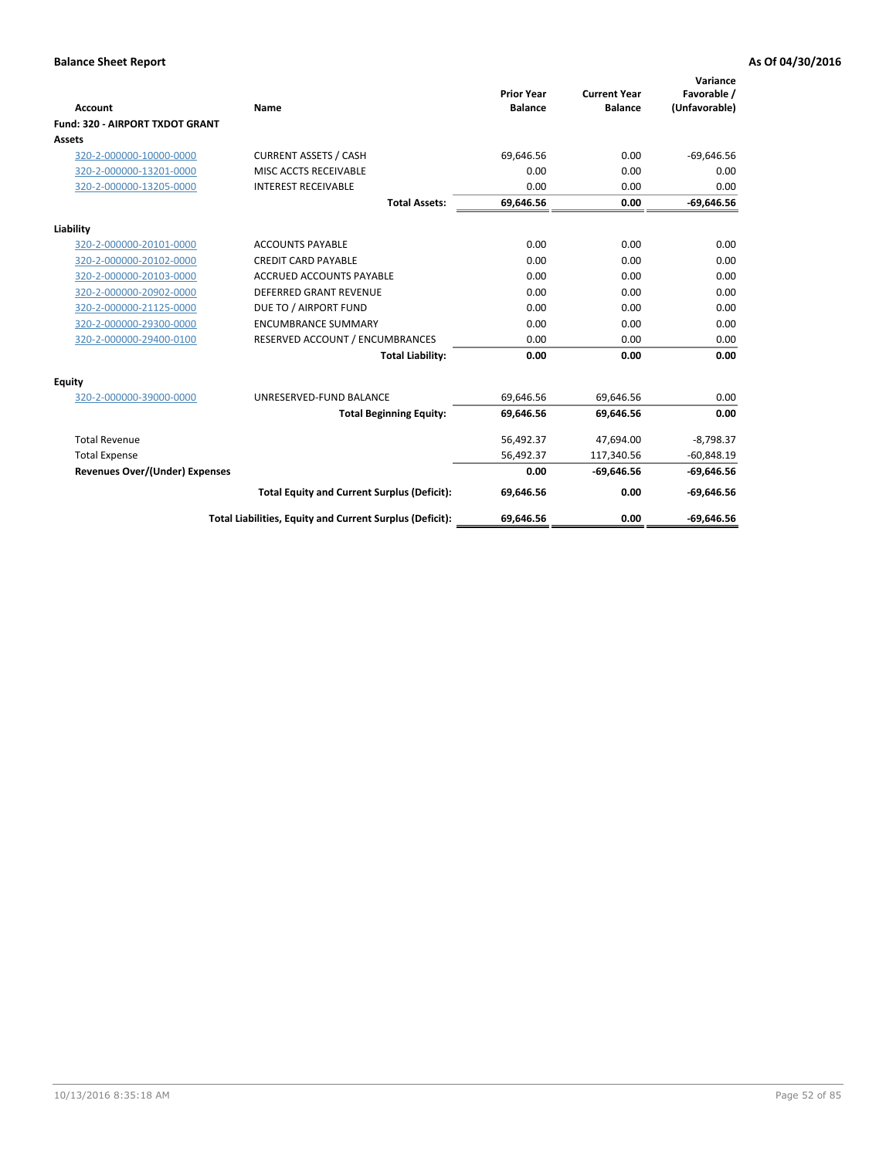|                                 |                                                          |                                     |                                       | Variance                     |
|---------------------------------|----------------------------------------------------------|-------------------------------------|---------------------------------------|------------------------------|
| Account                         | Name                                                     | <b>Prior Year</b><br><b>Balance</b> | <b>Current Year</b><br><b>Balance</b> | Favorable /<br>(Unfavorable) |
| Fund: 320 - AIRPORT TXDOT GRANT |                                                          |                                     |                                       |                              |
| <b>Assets</b>                   |                                                          |                                     |                                       |                              |
| 320-2-000000-10000-0000         | <b>CURRENT ASSETS / CASH</b>                             | 69,646.56                           | 0.00                                  | $-69,646.56$                 |
| 320-2-000000-13201-0000         | MISC ACCTS RECEIVABLE                                    | 0.00                                | 0.00                                  | 0.00                         |
| 320-2-000000-13205-0000         | <b>INTEREST RECEIVABLE</b>                               | 0.00                                | 0.00                                  | 0.00                         |
|                                 | <b>Total Assets:</b>                                     | 69,646.56                           | 0.00                                  | $-69,646.56$                 |
| Liability                       |                                                          |                                     |                                       |                              |
| 320-2-000000-20101-0000         | <b>ACCOUNTS PAYABLE</b>                                  | 0.00                                | 0.00                                  | 0.00                         |
| 320-2-000000-20102-0000         | <b>CREDIT CARD PAYABLE</b>                               | 0.00                                | 0.00                                  | 0.00                         |
| 320-2-000000-20103-0000         | <b>ACCRUED ACCOUNTS PAYABLE</b>                          | 0.00                                | 0.00                                  | 0.00                         |
| 320-2-000000-20902-0000         | <b>DEFERRED GRANT REVENUE</b>                            | 0.00                                | 0.00                                  | 0.00                         |
| 320-2-000000-21125-0000         | DUE TO / AIRPORT FUND                                    | 0.00                                | 0.00                                  | 0.00                         |
| 320-2-000000-29300-0000         | <b>ENCUMBRANCE SUMMARY</b>                               | 0.00                                | 0.00                                  | 0.00                         |
| 320-2-000000-29400-0100         | RESERVED ACCOUNT / ENCUMBRANCES                          | 0.00                                | 0.00                                  | 0.00                         |
|                                 | <b>Total Liability:</b>                                  | 0.00                                | 0.00                                  | 0.00                         |
| Equity                          |                                                          |                                     |                                       |                              |
| 320-2-000000-39000-0000         | UNRESERVED-FUND BALANCE                                  | 69,646.56                           | 69,646.56                             | 0.00                         |
|                                 | <b>Total Beginning Equity:</b>                           | 69,646.56                           | 69,646.56                             | 0.00                         |
| <b>Total Revenue</b>            |                                                          | 56,492.37                           | 47,694.00                             | $-8,798.37$                  |
| <b>Total Expense</b>            |                                                          | 56,492.37                           | 117,340.56                            | $-60,848.19$                 |
| Revenues Over/(Under) Expenses  |                                                          | 0.00                                | $-69,646.56$                          | $-69,646.56$                 |
|                                 | <b>Total Equity and Current Surplus (Deficit):</b>       | 69,646.56                           | 0.00                                  | $-69,646.56$                 |
|                                 | Total Liabilities, Equity and Current Surplus (Deficit): | 69,646.56                           | 0.00                                  | $-69.646.56$                 |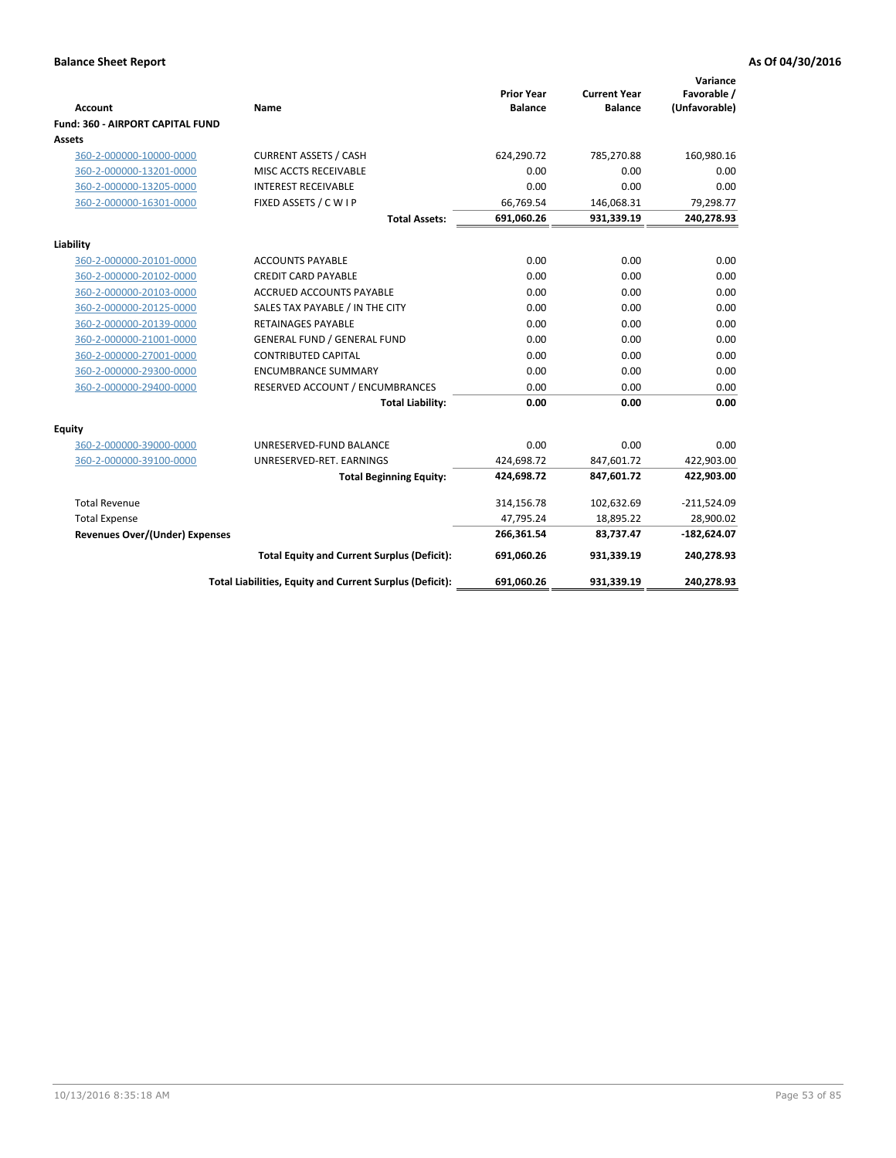| <b>Account</b>                          | Name                                                     | <b>Prior Year</b><br><b>Balance</b> | <b>Current Year</b><br><b>Balance</b> | Variance<br>Favorable /<br>(Unfavorable) |
|-----------------------------------------|----------------------------------------------------------|-------------------------------------|---------------------------------------|------------------------------------------|
| <b>Fund: 360 - AIRPORT CAPITAL FUND</b> |                                                          |                                     |                                       |                                          |
| Assets                                  |                                                          |                                     |                                       |                                          |
| 360-2-000000-10000-0000                 | <b>CURRENT ASSETS / CASH</b>                             | 624,290.72                          | 785,270.88                            | 160,980.16                               |
| 360-2-000000-13201-0000                 | MISC ACCTS RECEIVABLE                                    | 0.00                                | 0.00                                  | 0.00                                     |
| 360-2-000000-13205-0000                 | <b>INTEREST RECEIVABLE</b>                               | 0.00                                | 0.00                                  | 0.00                                     |
| 360-2-000000-16301-0000                 | FIXED ASSETS / C W I P                                   | 66,769.54                           | 146,068.31                            | 79,298.77                                |
|                                         | <b>Total Assets:</b>                                     | 691,060.26                          | 931,339.19                            | 240,278.93                               |
| Liability                               |                                                          |                                     |                                       |                                          |
| 360-2-000000-20101-0000                 | <b>ACCOUNTS PAYABLE</b>                                  | 0.00                                | 0.00                                  | 0.00                                     |
| 360-2-000000-20102-0000                 | <b>CREDIT CARD PAYABLE</b>                               | 0.00                                | 0.00                                  | 0.00                                     |
| 360-2-000000-20103-0000                 | <b>ACCRUED ACCOUNTS PAYABLE</b>                          | 0.00                                | 0.00                                  | 0.00                                     |
| 360-2-000000-20125-0000                 | SALES TAX PAYABLE / IN THE CITY                          | 0.00                                | 0.00                                  | 0.00                                     |
| 360-2-000000-20139-0000                 | <b>RETAINAGES PAYABLE</b>                                | 0.00                                | 0.00                                  | 0.00                                     |
| 360-2-000000-21001-0000                 | <b>GENERAL FUND / GENERAL FUND</b>                       | 0.00                                | 0.00                                  | 0.00                                     |
| 360-2-000000-27001-0000                 | <b>CONTRIBUTED CAPITAL</b>                               | 0.00                                | 0.00                                  | 0.00                                     |
| 360-2-000000-29300-0000                 | <b>ENCUMBRANCE SUMMARY</b>                               | 0.00                                | 0.00                                  | 0.00                                     |
| 360-2-000000-29400-0000                 | RESERVED ACCOUNT / ENCUMBRANCES                          | 0.00                                | 0.00                                  | 0.00                                     |
|                                         | <b>Total Liability:</b>                                  | 0.00                                | 0.00                                  | 0.00                                     |
| Equity                                  |                                                          |                                     |                                       |                                          |
| 360-2-000000-39000-0000                 | UNRESERVED-FUND BALANCE                                  | 0.00                                | 0.00                                  | 0.00                                     |
| 360-2-000000-39100-0000                 | UNRESERVED-RET. EARNINGS                                 | 424,698.72                          | 847,601.72                            | 422,903.00                               |
|                                         | <b>Total Beginning Equity:</b>                           | 424,698.72                          | 847,601.72                            | 422,903.00                               |
| <b>Total Revenue</b>                    |                                                          | 314,156.78                          | 102,632.69                            | $-211,524.09$                            |
| <b>Total Expense</b>                    |                                                          | 47,795.24                           | 18,895.22                             | 28,900.02                                |
| <b>Revenues Over/(Under) Expenses</b>   |                                                          | 266,361.54                          | 83,737.47                             | $-182,624.07$                            |
|                                         | <b>Total Equity and Current Surplus (Deficit):</b>       | 691,060.26                          | 931.339.19                            | 240,278.93                               |
|                                         | Total Liabilities, Equity and Current Surplus (Deficit): | 691,060.26                          | 931,339.19                            | 240,278.93                               |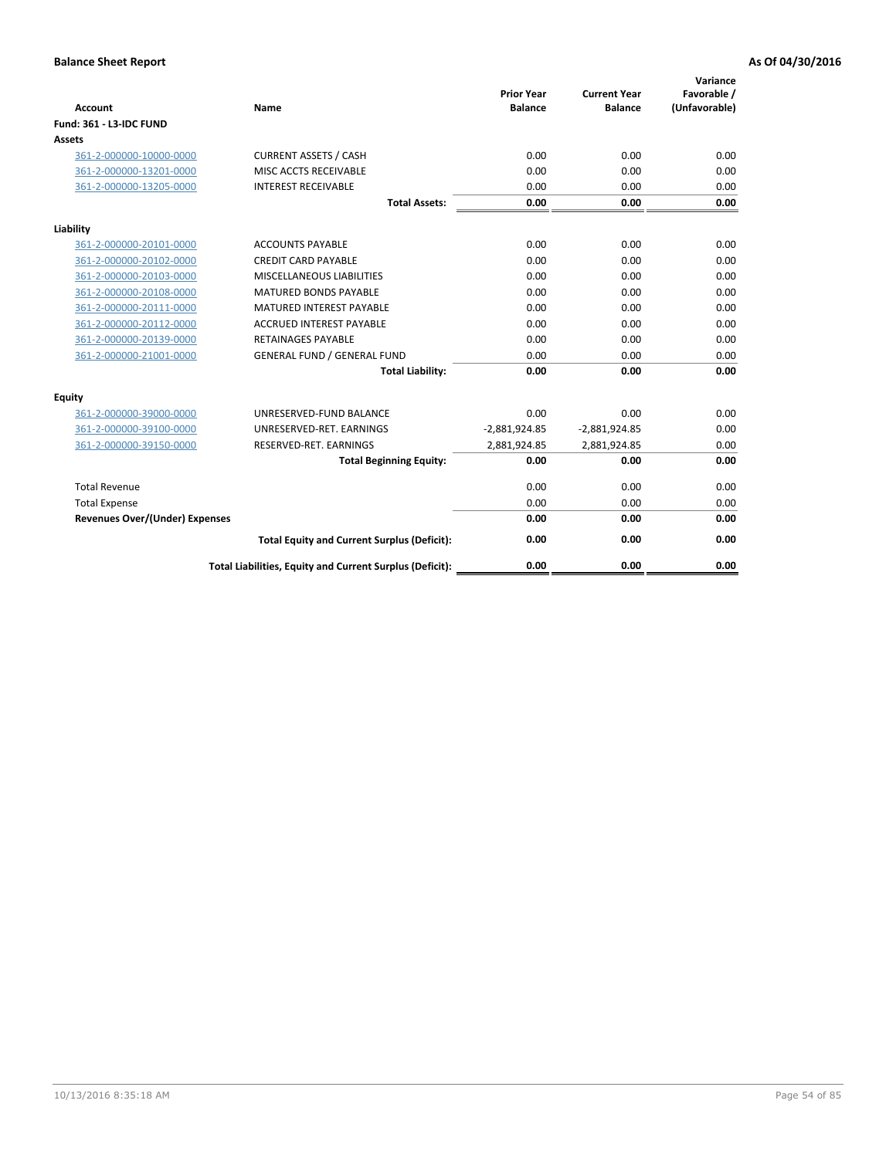| <b>Account</b>                        | <b>Name</b>                                              | <b>Prior Year</b><br><b>Balance</b> | <b>Current Year</b><br><b>Balance</b> | Variance<br>Favorable /<br>(Unfavorable) |
|---------------------------------------|----------------------------------------------------------|-------------------------------------|---------------------------------------|------------------------------------------|
| <b>Fund: 361 - L3-IDC FUND</b>        |                                                          |                                     |                                       |                                          |
| Assets                                |                                                          |                                     |                                       |                                          |
| 361-2-000000-10000-0000               | <b>CURRENT ASSETS / CASH</b>                             | 0.00                                | 0.00                                  | 0.00                                     |
| 361-2-000000-13201-0000               | MISC ACCTS RECEIVABLE                                    | 0.00                                | 0.00                                  | 0.00                                     |
| 361-2-000000-13205-0000               | <b>INTEREST RECEIVABLE</b>                               | 0.00                                | 0.00                                  | 0.00                                     |
|                                       | <b>Total Assets:</b>                                     | 0.00                                | 0.00                                  | 0.00                                     |
| Liability                             |                                                          |                                     |                                       |                                          |
| 361-2-000000-20101-0000               | <b>ACCOUNTS PAYABLE</b>                                  | 0.00                                | 0.00                                  | 0.00                                     |
| 361-2-000000-20102-0000               | <b>CREDIT CARD PAYABLE</b>                               | 0.00                                | 0.00                                  | 0.00                                     |
| 361-2-000000-20103-0000               | MISCELLANEOUS LIABILITIES                                | 0.00                                | 0.00                                  | 0.00                                     |
| 361-2-000000-20108-0000               | <b>MATURED BONDS PAYABLE</b>                             | 0.00                                | 0.00                                  | 0.00                                     |
| 361-2-000000-20111-0000               | <b>MATURED INTEREST PAYABLE</b>                          | 0.00                                | 0.00                                  | 0.00                                     |
| 361-2-000000-20112-0000               | <b>ACCRUED INTEREST PAYABLE</b>                          | 0.00                                | 0.00                                  | 0.00                                     |
| 361-2-000000-20139-0000               | <b>RETAINAGES PAYABLE</b>                                | 0.00                                | 0.00                                  | 0.00                                     |
| 361-2-000000-21001-0000               | <b>GENERAL FUND / GENERAL FUND</b>                       | 0.00                                | 0.00                                  | 0.00                                     |
|                                       | <b>Total Liability:</b>                                  | 0.00                                | 0.00                                  | 0.00                                     |
| Equity                                |                                                          |                                     |                                       |                                          |
| 361-2-000000-39000-0000               | UNRESERVED-FUND BALANCE                                  | 0.00                                | 0.00                                  | 0.00                                     |
| 361-2-000000-39100-0000               | UNRESERVED-RET. EARNINGS                                 | $-2,881,924.85$                     | $-2,881,924.85$                       | 0.00                                     |
| 361-2-000000-39150-0000               | RESERVED-RET. EARNINGS                                   | 2,881,924.85                        | 2,881,924.85                          | 0.00                                     |
|                                       | <b>Total Beginning Equity:</b>                           | 0.00                                | 0.00                                  | 0.00                                     |
| <b>Total Revenue</b>                  |                                                          | 0.00                                | 0.00                                  | 0.00                                     |
| <b>Total Expense</b>                  |                                                          | 0.00                                | 0.00                                  | 0.00                                     |
| <b>Revenues Over/(Under) Expenses</b> |                                                          | 0.00                                | 0.00                                  | 0.00                                     |
|                                       | <b>Total Equity and Current Surplus (Deficit):</b>       | 0.00                                | 0.00                                  | 0.00                                     |
|                                       | Total Liabilities, Equity and Current Surplus (Deficit): | 0.00                                | 0.00                                  | 0.00                                     |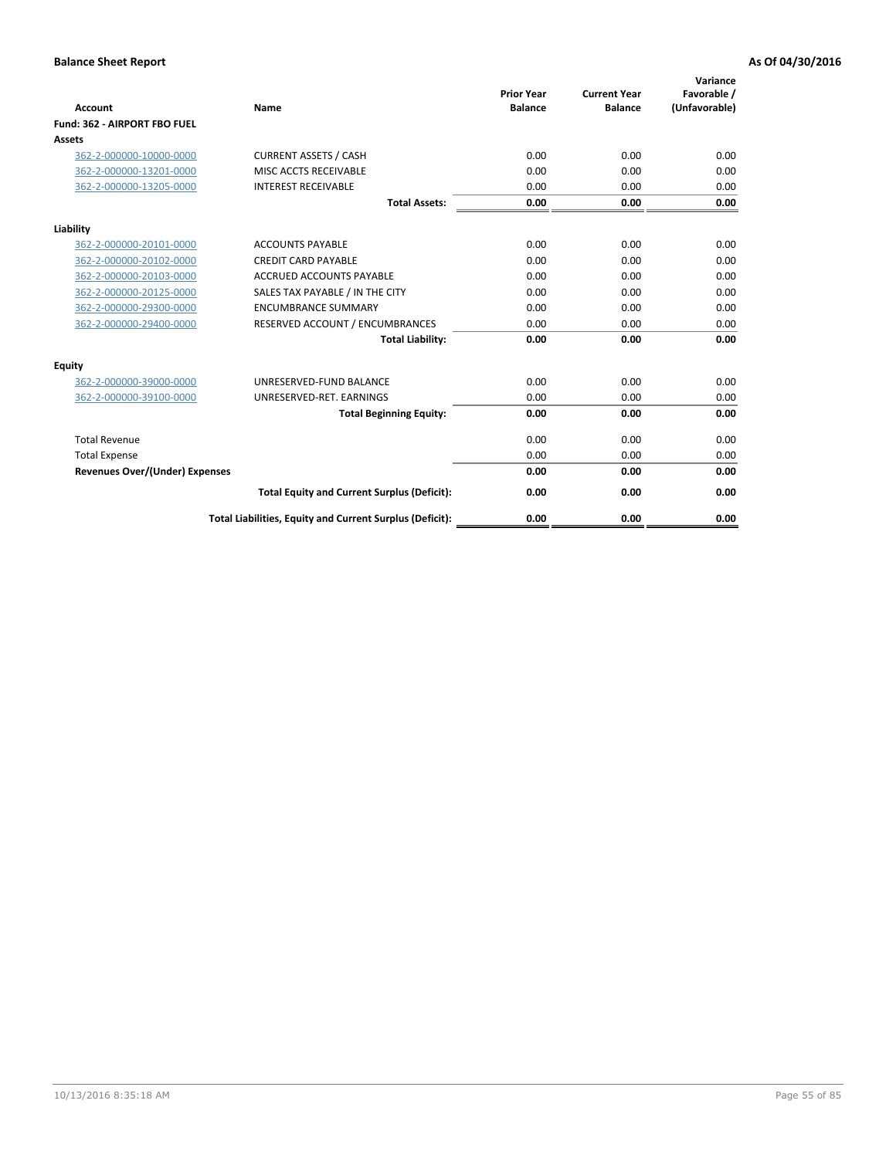|                                       |                                                          |                                     |                                       | Variance                     |
|---------------------------------------|----------------------------------------------------------|-------------------------------------|---------------------------------------|------------------------------|
| Account                               | <b>Name</b>                                              | <b>Prior Year</b><br><b>Balance</b> | <b>Current Year</b><br><b>Balance</b> | Favorable /<br>(Unfavorable) |
| Fund: 362 - AIRPORT FBO FUEL          |                                                          |                                     |                                       |                              |
| Assets                                |                                                          |                                     |                                       |                              |
| 362-2-000000-10000-0000               | <b>CURRENT ASSETS / CASH</b>                             | 0.00                                | 0.00                                  | 0.00                         |
| 362-2-000000-13201-0000               | MISC ACCTS RECEIVABLE                                    | 0.00                                | 0.00                                  | 0.00                         |
| 362-2-000000-13205-0000               | <b>INTEREST RECEIVABLE</b>                               | 0.00                                | 0.00                                  | 0.00                         |
|                                       | <b>Total Assets:</b>                                     | 0.00                                | 0.00                                  | 0.00                         |
| Liability                             |                                                          |                                     |                                       |                              |
| 362-2-000000-20101-0000               | <b>ACCOUNTS PAYABLE</b>                                  | 0.00                                | 0.00                                  | 0.00                         |
| 362-2-000000-20102-0000               | <b>CREDIT CARD PAYABLE</b>                               | 0.00                                | 0.00                                  | 0.00                         |
| 362-2-000000-20103-0000               | <b>ACCRUED ACCOUNTS PAYABLE</b>                          | 0.00                                | 0.00                                  | 0.00                         |
| 362-2-000000-20125-0000               | SALES TAX PAYABLE / IN THE CITY                          | 0.00                                | 0.00                                  | 0.00                         |
| 362-2-000000-29300-0000               | <b>ENCUMBRANCE SUMMARY</b>                               | 0.00                                | 0.00                                  | 0.00                         |
| 362-2-000000-29400-0000               | RESERVED ACCOUNT / ENCUMBRANCES                          | 0.00                                | 0.00                                  | 0.00                         |
|                                       | <b>Total Liability:</b>                                  | 0.00                                | 0.00                                  | 0.00                         |
| Equity                                |                                                          |                                     |                                       |                              |
| 362-2-000000-39000-0000               | UNRESERVED-FUND BALANCE                                  | 0.00                                | 0.00                                  | 0.00                         |
| 362-2-000000-39100-0000               | UNRESERVED-RET. EARNINGS                                 | 0.00                                | 0.00                                  | 0.00                         |
|                                       | <b>Total Beginning Equity:</b>                           | 0.00                                | 0.00                                  | 0.00                         |
| <b>Total Revenue</b>                  |                                                          | 0.00                                | 0.00                                  | 0.00                         |
| <b>Total Expense</b>                  |                                                          | 0.00                                | 0.00                                  | 0.00                         |
| <b>Revenues Over/(Under) Expenses</b> |                                                          | 0.00                                | 0.00                                  | 0.00                         |
|                                       | <b>Total Equity and Current Surplus (Deficit):</b>       | 0.00                                | 0.00                                  | 0.00                         |
|                                       | Total Liabilities, Equity and Current Surplus (Deficit): | 0.00                                | 0.00                                  | 0.00                         |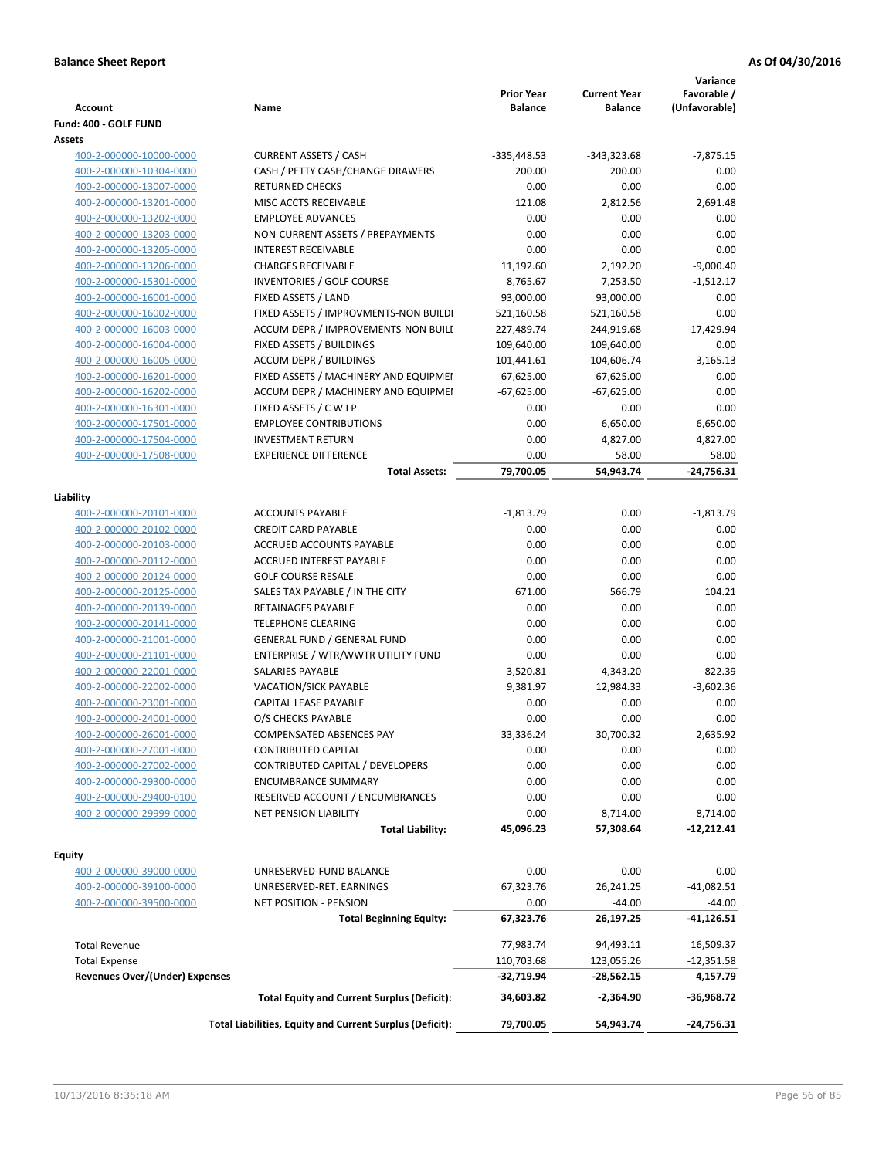| <b>Account</b>                        | Name                                                     | <b>Prior Year</b><br><b>Balance</b> | <b>Current Year</b><br>Balance | Variance<br>Favorable /<br>(Unfavorable) |
|---------------------------------------|----------------------------------------------------------|-------------------------------------|--------------------------------|------------------------------------------|
| Fund: 400 - GOLF FUND                 |                                                          |                                     |                                |                                          |
| Assets                                |                                                          |                                     |                                |                                          |
| 400-2-000000-10000-0000               | <b>CURRENT ASSETS / CASH</b>                             | $-335,448.53$                       | -343,323.68                    | $-7,875.15$                              |
| 400-2-000000-10304-0000               | CASH / PETTY CASH/CHANGE DRAWERS                         | 200.00                              | 200.00                         | 0.00                                     |
| 400-2-000000-13007-0000               | <b>RETURNED CHECKS</b>                                   | 0.00                                | 0.00                           | 0.00                                     |
| 400-2-000000-13201-0000               | MISC ACCTS RECEIVABLE                                    | 121.08                              | 2,812.56                       | 2,691.48                                 |
| 400-2-000000-13202-0000               | <b>EMPLOYEE ADVANCES</b>                                 | 0.00                                | 0.00                           | 0.00                                     |
| 400-2-000000-13203-0000               | NON-CURRENT ASSETS / PREPAYMENTS                         | 0.00                                | 0.00                           | 0.00                                     |
| 400-2-000000-13205-0000               | <b>INTEREST RECEIVABLE</b>                               | 0.00                                | 0.00                           | 0.00                                     |
| 400-2-000000-13206-0000               | <b>CHARGES RECEIVABLE</b>                                | 11,192.60                           | 2,192.20                       | $-9,000.40$                              |
| 400-2-000000-15301-0000               | INVENTORIES / GOLF COURSE                                | 8,765.67                            | 7,253.50                       | $-1,512.17$                              |
| 400-2-000000-16001-0000               | FIXED ASSETS / LAND                                      | 93,000.00                           | 93,000.00                      | 0.00                                     |
| 400-2-000000-16002-0000               | FIXED ASSETS / IMPROVMENTS-NON BUILDI                    | 521,160.58                          | 521,160.58                     | 0.00                                     |
| 400-2-000000-16003-0000               | ACCUM DEPR / IMPROVEMENTS-NON BUILI                      | -227,489.74                         | -244,919.68                    | $-17,429.94$                             |
| 400-2-000000-16004-0000               | FIXED ASSETS / BUILDINGS                                 | 109,640.00                          | 109,640.00                     | 0.00                                     |
| 400-2-000000-16005-0000               | <b>ACCUM DEPR / BUILDINGS</b>                            | $-101,441.61$                       | $-104,606.74$                  | $-3,165.13$                              |
| 400-2-000000-16201-0000               | FIXED ASSETS / MACHINERY AND EQUIPMEN                    | 67,625.00                           | 67,625.00                      | 0.00                                     |
| 400-2-000000-16202-0000               | ACCUM DEPR / MACHINERY AND EQUIPMEI                      | $-67,625.00$                        | $-67,625.00$                   | 0.00                                     |
| 400-2-000000-16301-0000               | FIXED ASSETS / C W I P                                   | 0.00                                | 0.00                           | 0.00                                     |
| 400-2-000000-17501-0000               | <b>EMPLOYEE CONTRIBUTIONS</b>                            | 0.00                                | 6,650.00                       | 6,650.00                                 |
| 400-2-000000-17504-0000               | <b>INVESTMENT RETURN</b>                                 | 0.00                                | 4,827.00                       | 4,827.00                                 |
| 400-2-000000-17508-0000               | <b>EXPERIENCE DIFFERENCE</b>                             | 0.00                                | 58.00                          | 58.00                                    |
|                                       | <b>Total Assets:</b>                                     | 79,700.05                           | 54,943.74                      | $-24,756.31$                             |
|                                       |                                                          |                                     |                                |                                          |
| Liability                             |                                                          |                                     |                                |                                          |
| 400-2-000000-20101-0000               | <b>ACCOUNTS PAYABLE</b>                                  | $-1,813.79$                         | 0.00                           | $-1,813.79$                              |
| 400-2-000000-20102-0000               | <b>CREDIT CARD PAYABLE</b>                               | 0.00                                | 0.00                           | 0.00                                     |
| 400-2-000000-20103-0000               | ACCRUED ACCOUNTS PAYABLE                                 | 0.00                                | 0.00                           | 0.00                                     |
| 400-2-000000-20112-0000               | ACCRUED INTEREST PAYABLE                                 | 0.00                                | 0.00                           | 0.00                                     |
| 400-2-000000-20124-0000               | <b>GOLF COURSE RESALE</b>                                | 0.00                                | 0.00                           | 0.00                                     |
| 400-2-000000-20125-0000               | SALES TAX PAYABLE / IN THE CITY                          | 671.00                              | 566.79                         | 104.21                                   |
| 400-2-000000-20139-0000               | RETAINAGES PAYABLE                                       | 0.00                                | 0.00                           | 0.00                                     |
| 400-2-000000-20141-0000               | <b>TELEPHONE CLEARING</b>                                | 0.00                                | 0.00                           | 0.00                                     |
| 400-2-000000-21001-0000               | <b>GENERAL FUND / GENERAL FUND</b>                       | 0.00                                | 0.00                           | 0.00                                     |
| 400-2-000000-21101-0000               | ENTERPRISE / WTR/WWTR UTILITY FUND                       | 0.00                                | 0.00                           | 0.00                                     |
| 400-2-000000-22001-0000               | SALARIES PAYABLE                                         | 3,520.81                            | 4,343.20                       | $-822.39$                                |
| 400-2-000000-22002-0000               | VACATION/SICK PAYABLE                                    | 9,381.97                            | 12,984.33                      | $-3.602.36$                              |
| 400-2-000000-23001-0000               | CAPITAL LEASE PAYABLE                                    | 0.00                                | 0.00                           | 0.00                                     |
| 400-2-000000-24001-0000               | O/S CHECKS PAYABLE                                       | 0.00                                | 0.00                           | 0.00                                     |
| 400-2-000000-26001-0000               | COMPENSATED ABSENCES PAY                                 | 33,336.24                           | 30,700.32                      | 2,635.92                                 |
| 400-2-000000-27001-0000               | CONTRIBUTED CAPITAL                                      | 0.00                                | 0.00                           | 0.00                                     |
| 400-2-000000-27002-0000               | CONTRIBUTED CAPITAL / DEVELOPERS                         | 0.00                                | 0.00                           | 0.00                                     |
| 400-2-000000-29300-0000               | <b>ENCUMBRANCE SUMMARY</b>                               | 0.00                                | 0.00                           | 0.00                                     |
| 400-2-000000-29400-0100               | RESERVED ACCOUNT / ENCUMBRANCES                          | 0.00                                | 0.00                           | 0.00                                     |
| 400-2-000000-29999-0000               | <b>NET PENSION LIABILITY</b>                             | 0.00                                | 8,714.00                       | $-8,714.00$                              |
|                                       | <b>Total Liability:</b>                                  | 45,096.23                           | 57,308.64                      | $-12,212.41$                             |
| Equity                                |                                                          |                                     |                                |                                          |
| 400-2-000000-39000-0000               | UNRESERVED-FUND BALANCE                                  | 0.00                                | 0.00                           | 0.00                                     |
| 400-2-000000-39100-0000               | UNRESERVED-RET. EARNINGS                                 | 67,323.76                           | 26,241.25                      | $-41,082.51$                             |
| 400-2-000000-39500-0000               | NET POSITION - PENSION                                   | 0.00                                | $-44.00$                       | $-44.00$                                 |
|                                       |                                                          |                                     |                                |                                          |
|                                       | <b>Total Beginning Equity:</b>                           | 67,323.76                           | 26,197.25                      | -41,126.51                               |
| <b>Total Revenue</b>                  |                                                          | 77,983.74                           | 94,493.11                      | 16,509.37                                |
| <b>Total Expense</b>                  |                                                          | 110,703.68                          | 123,055.26                     | $-12,351.58$                             |
| <b>Revenues Over/(Under) Expenses</b> |                                                          | $-32,719.94$                        | -28,562.15                     | 4,157.79                                 |
|                                       | <b>Total Equity and Current Surplus (Deficit):</b>       | 34,603.82                           | $-2,364.90$                    | $-36,968.72$                             |
|                                       | Total Liabilities, Equity and Current Surplus (Deficit): | 79,700.05                           | 54,943.74                      | -24,756.31                               |
|                                       |                                                          |                                     |                                |                                          |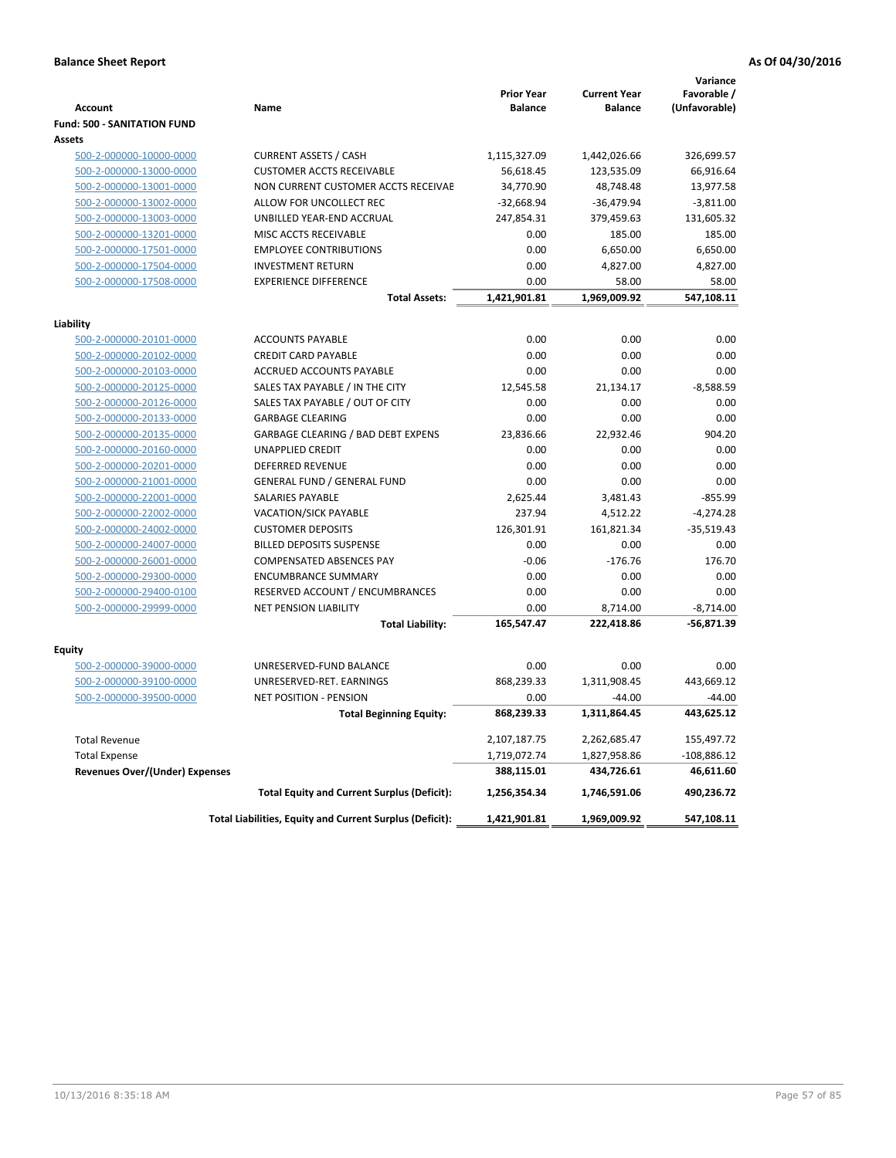|                                    |                                                          | <b>Prior Year</b> | <b>Current Year</b> | Variance<br>Favorable / |
|------------------------------------|----------------------------------------------------------|-------------------|---------------------|-------------------------|
| <b>Account</b>                     | Name                                                     | <b>Balance</b>    | <b>Balance</b>      | (Unfavorable)           |
| <b>Fund: 500 - SANITATION FUND</b> |                                                          |                   |                     |                         |
| Assets                             |                                                          |                   |                     |                         |
| 500-2-000000-10000-0000            | <b>CURRENT ASSETS / CASH</b>                             | 1,115,327.09      | 1,442,026.66        | 326,699.57              |
| 500-2-000000-13000-0000            | <b>CUSTOMER ACCTS RECEIVABLE</b>                         | 56,618.45         | 123,535.09          | 66,916.64               |
| 500-2-000000-13001-0000            | NON CURRENT CUSTOMER ACCTS RECEIVAE                      | 34,770.90         | 48,748.48           | 13,977.58               |
| 500-2-000000-13002-0000            | ALLOW FOR UNCOLLECT REC                                  | $-32,668.94$      | $-36,479.94$        | $-3,811.00$             |
| 500-2-000000-13003-0000            | UNBILLED YEAR-END ACCRUAL                                | 247,854.31        | 379,459.63          | 131,605.32              |
| 500-2-000000-13201-0000            | MISC ACCTS RECEIVABLE                                    | 0.00              | 185.00              | 185.00                  |
| 500-2-000000-17501-0000            | <b>EMPLOYEE CONTRIBUTIONS</b>                            | 0.00              | 6,650.00            | 6,650.00                |
| 500-2-000000-17504-0000            | <b>INVESTMENT RETURN</b>                                 | 0.00              | 4,827.00            | 4,827.00                |
| 500-2-000000-17508-0000            | <b>EXPERIENCE DIFFERENCE</b>                             | 0.00              | 58.00               | 58.00                   |
|                                    | <b>Total Assets:</b>                                     | 1,421,901.81      | 1,969,009.92        | 547,108.11              |
| Liability                          |                                                          |                   |                     |                         |
| 500-2-000000-20101-0000            | <b>ACCOUNTS PAYABLE</b>                                  | 0.00              | 0.00                | 0.00                    |
| 500-2-000000-20102-0000            | <b>CREDIT CARD PAYABLE</b>                               | 0.00              | 0.00                | 0.00                    |
| 500-2-000000-20103-0000            | ACCRUED ACCOUNTS PAYABLE                                 | 0.00              | 0.00                | 0.00                    |
| 500-2-000000-20125-0000            | SALES TAX PAYABLE / IN THE CITY                          | 12,545.58         | 21,134.17           | $-8,588.59$             |
| 500-2-000000-20126-0000            | SALES TAX PAYABLE / OUT OF CITY                          | 0.00              | 0.00                | 0.00                    |
| 500-2-000000-20133-0000            | <b>GARBAGE CLEARING</b>                                  | 0.00              | 0.00                | 0.00                    |
| 500-2-000000-20135-0000            | <b>GARBAGE CLEARING / BAD DEBT EXPENS</b>                | 23,836.66         | 22,932.46           | 904.20                  |
| 500-2-000000-20160-0000            | <b>UNAPPLIED CREDIT</b>                                  | 0.00              | 0.00                | 0.00                    |
| 500-2-000000-20201-0000            | <b>DEFERRED REVENUE</b>                                  | 0.00              | 0.00                | 0.00                    |
| 500-2-000000-21001-0000            | GENERAL FUND / GENERAL FUND                              | 0.00              | 0.00                | 0.00                    |
| 500-2-000000-22001-0000            | <b>SALARIES PAYABLE</b>                                  | 2,625.44          | 3,481.43            | $-855.99$               |
| 500-2-000000-22002-0000            | <b>VACATION/SICK PAYABLE</b>                             | 237.94            | 4,512.22            | $-4,274.28$             |
| 500-2-000000-24002-0000            | <b>CUSTOMER DEPOSITS</b>                                 | 126,301.91        | 161,821.34          | $-35,519.43$            |
| 500-2-000000-24007-0000            | <b>BILLED DEPOSITS SUSPENSE</b>                          | 0.00              | 0.00                | 0.00                    |
| 500-2-000000-26001-0000            | <b>COMPENSATED ABSENCES PAY</b>                          | $-0.06$           | $-176.76$           | 176.70                  |
| 500-2-000000-29300-0000            | <b>ENCUMBRANCE SUMMARY</b>                               | 0.00              | 0.00                | 0.00                    |
| 500-2-000000-29400-0100            | RESERVED ACCOUNT / ENCUMBRANCES                          | 0.00              | 0.00                | 0.00                    |
| 500-2-000000-29999-0000            | <b>NET PENSION LIABILITY</b>                             | 0.00              | 8,714.00            | $-8,714.00$             |
|                                    | <b>Total Liability:</b>                                  | 165,547.47        | 222,418.86          | $-56,871.39$            |
|                                    |                                                          |                   |                     |                         |
| Equity<br>500-2-000000-39000-0000  | UNRESERVED-FUND BALANCE                                  | 0.00              | 0.00                | 0.00                    |
| 500-2-000000-39100-0000            | UNRESERVED-RET. EARNINGS                                 | 868,239.33        | 1,311,908.45        | 443,669.12              |
| 500-2-000000-39500-0000            | <b>NET POSITION - PENSION</b>                            | 0.00              | $-44.00$            | $-44.00$                |
|                                    | <b>Total Beginning Equity:</b>                           | 868,239.33        | 1,311,864.45        | 443,625.12              |
|                                    |                                                          |                   |                     |                         |
| <b>Total Revenue</b>               |                                                          | 2,107,187.75      | 2,262,685.47        | 155,497.72              |
| <b>Total Expense</b>               |                                                          | 1,719,072.74      | 1,827,958.86        | $-108,886.12$           |
| Revenues Over/(Under) Expenses     |                                                          | 388,115.01        | 434,726.61          | 46,611.60               |
|                                    | <b>Total Equity and Current Surplus (Deficit):</b>       | 1,256,354.34      | 1,746,591.06        | 490,236.72              |
|                                    | Total Liabilities, Equity and Current Surplus (Deficit): | 1,421,901.81      | 1,969,009.92        | 547,108.11              |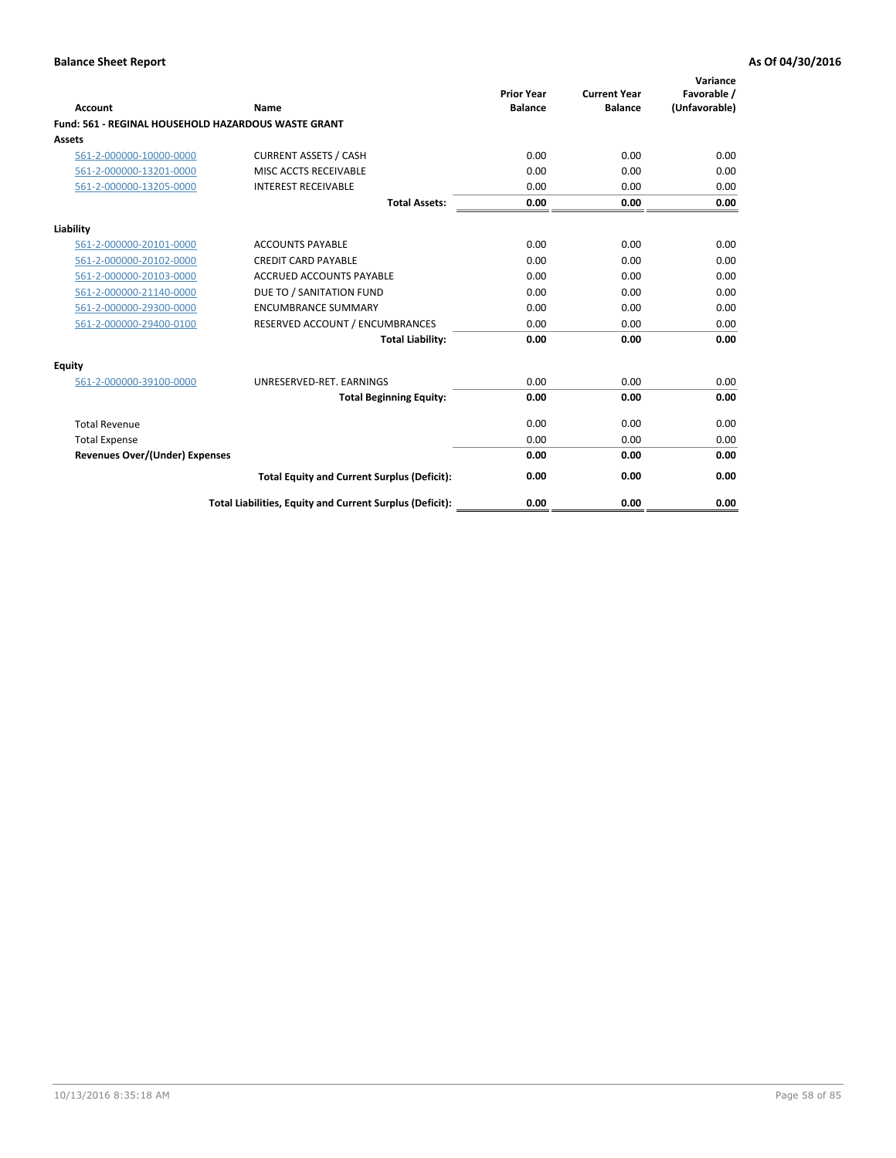| Account                                                    | Name                                                     | <b>Prior Year</b><br><b>Balance</b> | <b>Current Year</b><br><b>Balance</b> | Variance<br>Favorable /<br>(Unfavorable) |
|------------------------------------------------------------|----------------------------------------------------------|-------------------------------------|---------------------------------------|------------------------------------------|
| <b>Fund: 561 - REGINAL HOUSEHOLD HAZARDOUS WASTE GRANT</b> |                                                          |                                     |                                       |                                          |
| <b>Assets</b>                                              |                                                          |                                     |                                       |                                          |
| 561-2-000000-10000-0000                                    | <b>CURRENT ASSETS / CASH</b>                             | 0.00                                | 0.00                                  | 0.00                                     |
| 561-2-000000-13201-0000                                    | MISC ACCTS RECEIVABLE                                    | 0.00                                | 0.00                                  | 0.00                                     |
| 561-2-000000-13205-0000                                    | <b>INTEREST RECEIVABLE</b>                               | 0.00                                | 0.00                                  | 0.00                                     |
|                                                            | <b>Total Assets:</b>                                     | 0.00                                | 0.00                                  | 0.00                                     |
| Liability                                                  |                                                          |                                     |                                       |                                          |
| 561-2-000000-20101-0000                                    | <b>ACCOUNTS PAYABLE</b>                                  | 0.00                                | 0.00                                  | 0.00                                     |
| 561-2-000000-20102-0000                                    | <b>CREDIT CARD PAYABLE</b>                               | 0.00                                | 0.00                                  | 0.00                                     |
| 561-2-000000-20103-0000                                    | <b>ACCRUED ACCOUNTS PAYABLE</b>                          | 0.00                                | 0.00                                  | 0.00                                     |
| 561-2-000000-21140-0000                                    | DUE TO / SANITATION FUND                                 | 0.00                                | 0.00                                  | 0.00                                     |
| 561-2-000000-29300-0000                                    | <b>ENCUMBRANCE SUMMARY</b>                               | 0.00                                | 0.00                                  | 0.00                                     |
| 561-2-000000-29400-0100                                    | RESERVED ACCOUNT / ENCUMBRANCES                          | 0.00                                | 0.00                                  | 0.00                                     |
|                                                            | <b>Total Liability:</b>                                  | 0.00                                | 0.00                                  | 0.00                                     |
| <b>Equity</b>                                              |                                                          |                                     |                                       |                                          |
| 561-2-000000-39100-0000                                    | UNRESERVED-RET. EARNINGS                                 | 0.00                                | 0.00                                  | 0.00                                     |
|                                                            | <b>Total Beginning Equity:</b>                           | 0.00                                | 0.00                                  | 0.00                                     |
| <b>Total Revenue</b>                                       |                                                          | 0.00                                | 0.00                                  | 0.00                                     |
| <b>Total Expense</b>                                       |                                                          | 0.00                                | 0.00                                  | 0.00                                     |
| <b>Revenues Over/(Under) Expenses</b>                      |                                                          | 0.00                                | 0.00                                  | 0.00                                     |
|                                                            | <b>Total Equity and Current Surplus (Deficit):</b>       | 0.00                                | 0.00                                  | 0.00                                     |
|                                                            | Total Liabilities, Equity and Current Surplus (Deficit): | 0.00                                | 0.00                                  | 0.00                                     |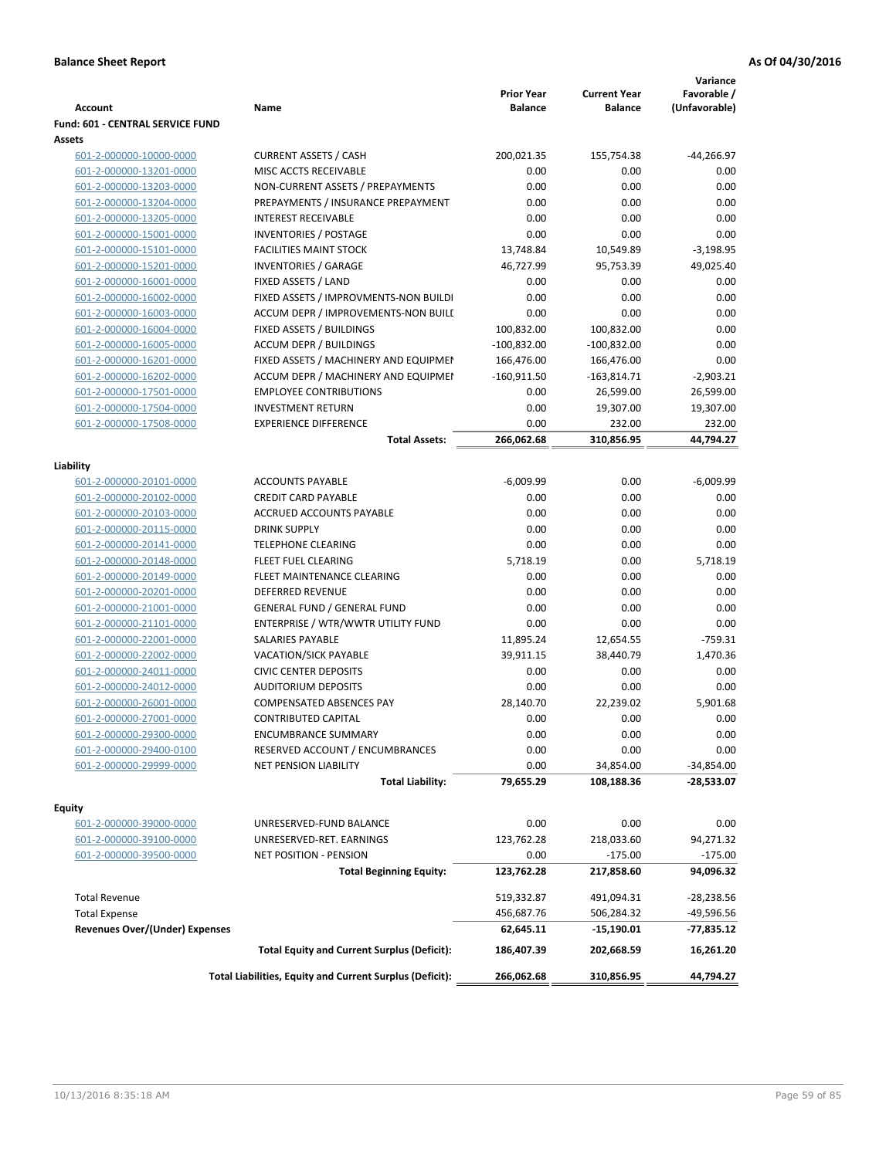| <b>Account</b>                                                | Name                                                     | <b>Prior Year</b><br><b>Balance</b> | <b>Current Year</b><br><b>Balance</b> | Variance<br>Favorable /<br>(Unfavorable) |
|---------------------------------------------------------------|----------------------------------------------------------|-------------------------------------|---------------------------------------|------------------------------------------|
| Fund: 601 - CENTRAL SERVICE FUND                              |                                                          |                                     |                                       |                                          |
| Assets                                                        |                                                          |                                     |                                       |                                          |
| 601-2-000000-10000-0000                                       | <b>CURRENT ASSETS / CASH</b>                             | 200,021.35                          | 155,754.38                            | $-44,266.97$                             |
| 601-2-000000-13201-0000                                       | MISC ACCTS RECEIVABLE                                    | 0.00                                | 0.00                                  | 0.00                                     |
| 601-2-000000-13203-0000                                       | NON-CURRENT ASSETS / PREPAYMENTS                         | 0.00                                | 0.00                                  | 0.00                                     |
| 601-2-000000-13204-0000                                       | PREPAYMENTS / INSURANCE PREPAYMENT                       | 0.00                                | 0.00                                  | 0.00                                     |
| 601-2-000000-13205-0000                                       | <b>INTEREST RECEIVABLE</b>                               | 0.00                                | 0.00                                  | 0.00                                     |
| 601-2-000000-15001-0000                                       | <b>INVENTORIES / POSTAGE</b>                             | 0.00                                | 0.00                                  | 0.00                                     |
| 601-2-000000-15101-0000                                       | <b>FACILITIES MAINT STOCK</b>                            | 13,748.84                           | 10,549.89                             | $-3,198.95$                              |
| 601-2-000000-15201-0000                                       | <b>INVENTORIES / GARAGE</b>                              | 46,727.99                           | 95,753.39                             | 49,025.40                                |
| 601-2-000000-16001-0000                                       | FIXED ASSETS / LAND                                      | 0.00                                | 0.00                                  | 0.00                                     |
| 601-2-000000-16002-0000                                       | FIXED ASSETS / IMPROVMENTS-NON BUILDI                    | 0.00                                | 0.00                                  | 0.00                                     |
| 601-2-000000-16003-0000                                       | ACCUM DEPR / IMPROVEMENTS-NON BUILI                      | 0.00                                | 0.00                                  | 0.00                                     |
| 601-2-000000-16004-0000                                       | FIXED ASSETS / BUILDINGS                                 | 100,832.00                          | 100,832.00                            | 0.00                                     |
| 601-2-000000-16005-0000                                       | <b>ACCUM DEPR / BUILDINGS</b>                            | $-100,832.00$                       | $-100,832.00$                         | 0.00                                     |
| 601-2-000000-16201-0000                                       | FIXED ASSETS / MACHINERY AND EQUIPMEN                    | 166,476.00                          | 166,476.00                            | 0.00                                     |
| 601-2-000000-16202-0000                                       | ACCUM DEPR / MACHINERY AND EQUIPMEI                      | $-160,911.50$                       | $-163,814.71$                         | $-2,903.21$                              |
| 601-2-000000-17501-0000                                       | <b>EMPLOYEE CONTRIBUTIONS</b>                            | 0.00                                | 26,599.00                             | 26,599.00                                |
| 601-2-000000-17504-0000                                       | <b>INVESTMENT RETURN</b>                                 | 0.00                                | 19,307.00                             | 19,307.00                                |
| 601-2-000000-17508-0000                                       | <b>EXPERIENCE DIFFERENCE</b>                             | 0.00                                | 232.00                                | 232.00                                   |
|                                                               | <b>Total Assets:</b>                                     | 266,062.68                          | 310,856.95                            | 44,794.27                                |
| Liability                                                     |                                                          |                                     |                                       |                                          |
| 601-2-000000-20101-0000                                       | <b>ACCOUNTS PAYABLE</b>                                  | $-6,009.99$                         | 0.00                                  | $-6.009.99$                              |
| 601-2-000000-20102-0000                                       | <b>CREDIT CARD PAYABLE</b>                               | 0.00                                | 0.00                                  | 0.00                                     |
| 601-2-000000-20103-0000                                       | ACCRUED ACCOUNTS PAYABLE                                 | 0.00                                | 0.00                                  | 0.00                                     |
| 601-2-000000-20115-0000                                       | <b>DRINK SUPPLY</b>                                      | 0.00                                | 0.00                                  | 0.00                                     |
| 601-2-000000-20141-0000                                       | <b>TELEPHONE CLEARING</b>                                | 0.00                                | 0.00                                  | 0.00                                     |
| 601-2-000000-20148-0000                                       | FLEET FUEL CLEARING                                      | 5,718.19                            | 0.00                                  | 5,718.19                                 |
| 601-2-000000-20149-0000                                       | FLEET MAINTENANCE CLEARING                               | 0.00                                | 0.00                                  | 0.00                                     |
| 601-2-000000-20201-0000                                       | <b>DEFERRED REVENUE</b>                                  | 0.00                                | 0.00                                  | 0.00                                     |
| 601-2-000000-21001-0000                                       | <b>GENERAL FUND / GENERAL FUND</b>                       | 0.00                                | 0.00                                  | 0.00                                     |
| 601-2-000000-21101-0000                                       | ENTERPRISE / WTR/WWTR UTILITY FUND                       | 0.00                                | 0.00                                  | 0.00                                     |
| 601-2-000000-22001-0000                                       | <b>SALARIES PAYABLE</b>                                  | 11,895.24                           | 12,654.55                             | $-759.31$                                |
| 601-2-000000-22002-0000                                       | VACATION/SICK PAYABLE                                    | 39,911.15                           | 38,440.79                             | 1,470.36                                 |
| 601-2-000000-24011-0000                                       | <b>CIVIC CENTER DEPOSITS</b>                             | 0.00                                | 0.00                                  | 0.00                                     |
| 601-2-000000-24012-0000                                       | <b>AUDITORIUM DEPOSITS</b>                               | 0.00                                | 0.00                                  | 0.00                                     |
| 601-2-000000-26001-0000                                       | COMPENSATED ABSENCES PAY                                 | 28,140.70                           | 22,239.02                             | 5,901.68                                 |
| 601-2-000000-27001-0000                                       | <b>CONTRIBUTED CAPITAL</b>                               | 0.00                                | 0.00                                  | 0.00                                     |
| 601-2-000000-29300-0000                                       | <b>ENCUMBRANCE SUMMARY</b>                               | 0.00                                | 0.00                                  | 0.00                                     |
| 601-2-000000-29400-0100                                       | RESERVED ACCOUNT / ENCUMBRANCES                          | 0.00                                | 0.00                                  | 0.00                                     |
| 601-2-000000-29999-0000                                       | NET PENSION LIABILITY                                    | 0.00                                | 34,854.00                             | $-34,854.00$                             |
|                                                               | <b>Total Liability:</b>                                  | 79,655.29                           | 108,188.36                            | $-28,533.07$                             |
| Equity                                                        |                                                          |                                     |                                       |                                          |
| 601-2-000000-39000-0000                                       | UNRESERVED-FUND BALANCE                                  | 0.00                                | 0.00                                  | 0.00                                     |
| 601-2-000000-39100-0000                                       | UNRESERVED-RET. EARNINGS                                 | 123,762.28                          | 218,033.60                            | 94,271.32                                |
| 601-2-000000-39500-0000                                       | NET POSITION - PENSION                                   | 0.00                                | $-175.00$                             | $-175.00$                                |
|                                                               | <b>Total Beginning Equity:</b>                           | 123,762.28                          | 217,858.60                            | 94,096.32                                |
|                                                               |                                                          |                                     |                                       |                                          |
| <b>Total Revenue</b>                                          |                                                          | 519,332.87                          | 491,094.31                            | $-28,238.56$                             |
| <b>Total Expense</b><br><b>Revenues Over/(Under) Expenses</b> |                                                          | 456,687.76<br>62,645.11             | 506,284.32<br>-15,190.01              | $-49,596.56$<br>$-77,835.12$             |
|                                                               | <b>Total Equity and Current Surplus (Deficit):</b>       |                                     |                                       |                                          |
|                                                               |                                                          | 186,407.39                          | 202,668.59                            | 16,261.20                                |
|                                                               | Total Liabilities, Equity and Current Surplus (Deficit): | 266,062.68                          | 310,856.95                            | 44,794.27                                |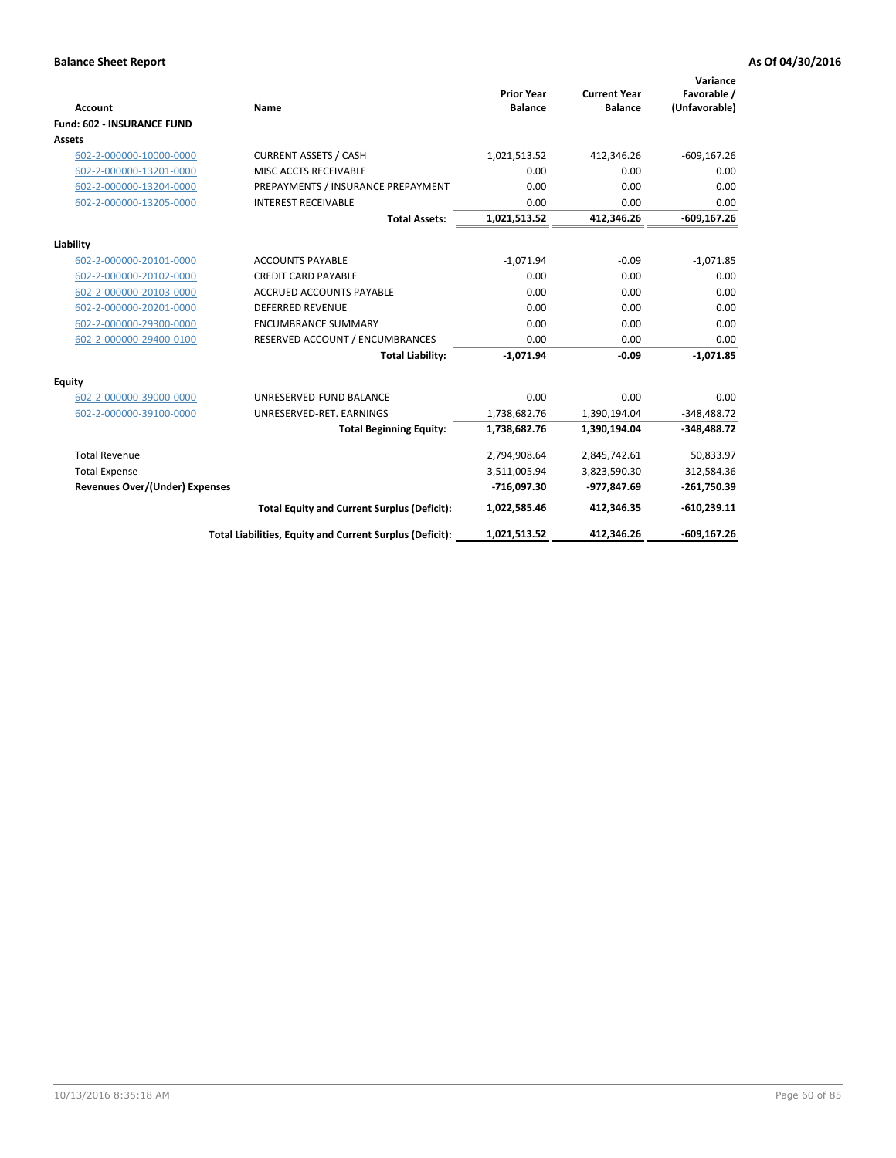| <b>Account</b>                        | Name                                                     | <b>Prior Year</b><br><b>Balance</b> | <b>Current Year</b><br><b>Balance</b> | Variance<br>Favorable /<br>(Unfavorable) |
|---------------------------------------|----------------------------------------------------------|-------------------------------------|---------------------------------------|------------------------------------------|
| <b>Fund: 602 - INSURANCE FUND</b>     |                                                          |                                     |                                       |                                          |
| <b>Assets</b>                         |                                                          |                                     |                                       |                                          |
| 602-2-000000-10000-0000               | <b>CURRENT ASSETS / CASH</b>                             | 1,021,513.52                        | 412,346.26                            | $-609, 167.26$                           |
| 602-2-000000-13201-0000               | MISC ACCTS RECEIVABLE                                    | 0.00                                | 0.00                                  | 0.00                                     |
| 602-2-000000-13204-0000               | PREPAYMENTS / INSURANCE PREPAYMENT                       | 0.00                                | 0.00                                  | 0.00                                     |
| 602-2-000000-13205-0000               | <b>INTEREST RECEIVABLE</b>                               | 0.00                                | 0.00                                  | 0.00                                     |
|                                       | <b>Total Assets:</b>                                     | 1,021,513.52                        | 412,346.26                            | $-609, 167.26$                           |
| Liability                             |                                                          |                                     |                                       |                                          |
| 602-2-000000-20101-0000               | <b>ACCOUNTS PAYABLE</b>                                  | $-1,071.94$                         | $-0.09$                               | $-1,071.85$                              |
| 602-2-000000-20102-0000               | <b>CREDIT CARD PAYABLE</b>                               | 0.00                                | 0.00                                  | 0.00                                     |
| 602-2-000000-20103-0000               | ACCRUED ACCOUNTS PAYABLE                                 | 0.00                                | 0.00                                  | 0.00                                     |
| 602-2-000000-20201-0000               | <b>DEFERRED REVENUE</b>                                  | 0.00                                | 0.00                                  | 0.00                                     |
| 602-2-000000-29300-0000               | <b>ENCUMBRANCE SUMMARY</b>                               | 0.00                                | 0.00                                  | 0.00                                     |
| 602-2-000000-29400-0100               | RESERVED ACCOUNT / ENCUMBRANCES                          | 0.00                                | 0.00                                  | 0.00                                     |
|                                       | <b>Total Liability:</b>                                  | $-1,071.94$                         | $-0.09$                               | $-1,071.85$                              |
| <b>Equity</b>                         |                                                          |                                     |                                       |                                          |
| 602-2-000000-39000-0000               | UNRESERVED-FUND BALANCE                                  | 0.00                                | 0.00                                  | 0.00                                     |
| 602-2-000000-39100-0000               | UNRESERVED-RET. EARNINGS                                 | 1,738,682.76                        | 1,390,194.04                          | $-348,488.72$                            |
|                                       | <b>Total Beginning Equity:</b>                           | 1,738,682.76                        | 1,390,194.04                          | $-348,488.72$                            |
| <b>Total Revenue</b>                  |                                                          | 2,794,908.64                        | 2,845,742.61                          | 50,833.97                                |
| <b>Total Expense</b>                  |                                                          | 3,511,005.94                        | 3,823,590.30                          | $-312,584.36$                            |
| <b>Revenues Over/(Under) Expenses</b> |                                                          | -716,097.30                         | -977,847.69                           | $-261,750.39$                            |
|                                       | <b>Total Equity and Current Surplus (Deficit):</b>       | 1,022,585.46                        | 412,346.35                            | $-610,239.11$                            |
|                                       | Total Liabilities, Equity and Current Surplus (Deficit): | 1,021,513.52                        | 412,346.26                            | $-609.167.26$                            |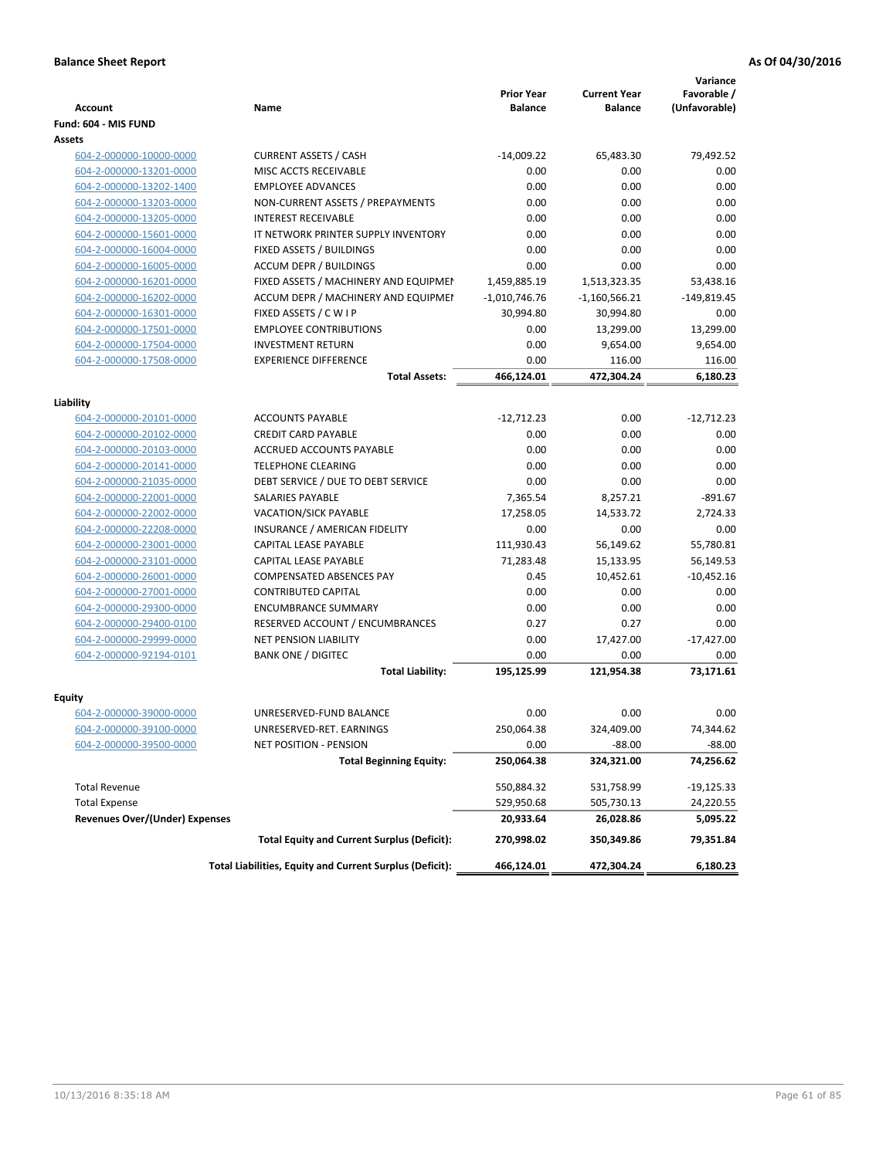|                                       |                                                          | <b>Prior Year</b> | <b>Current Year</b> | Variance<br>Favorable / |
|---------------------------------------|----------------------------------------------------------|-------------------|---------------------|-------------------------|
| <b>Account</b>                        | Name                                                     | <b>Balance</b>    | <b>Balance</b>      | (Unfavorable)           |
| Fund: 604 - MIS FUND                  |                                                          |                   |                     |                         |
| Assets                                |                                                          |                   |                     |                         |
| 604-2-000000-10000-0000               | <b>CURRENT ASSETS / CASH</b>                             | $-14,009.22$      | 65,483.30           | 79,492.52               |
| 604-2-000000-13201-0000               | MISC ACCTS RECEIVABLE                                    | 0.00              | 0.00                | 0.00                    |
| 604-2-000000-13202-1400               | <b>EMPLOYEE ADVANCES</b>                                 | 0.00              | 0.00                | 0.00                    |
| 604-2-000000-13203-0000               | NON-CURRENT ASSETS / PREPAYMENTS                         | 0.00              | 0.00                | 0.00                    |
| 604-2-000000-13205-0000               | <b>INTEREST RECEIVABLE</b>                               | 0.00              | 0.00                | 0.00                    |
| 604-2-000000-15601-0000               | IT NETWORK PRINTER SUPPLY INVENTORY                      | 0.00              | 0.00                | 0.00                    |
| 604-2-000000-16004-0000               | FIXED ASSETS / BUILDINGS                                 | 0.00              | 0.00                | 0.00                    |
| 604-2-000000-16005-0000               | <b>ACCUM DEPR / BUILDINGS</b>                            | 0.00              | 0.00                | 0.00                    |
| 604-2-000000-16201-0000               | FIXED ASSETS / MACHINERY AND EQUIPMEN                    | 1,459,885.19      | 1,513,323.35        | 53,438.16               |
| 604-2-000000-16202-0000               | ACCUM DEPR / MACHINERY AND EQUIPMEI                      | $-1,010,746.76$   | $-1,160,566.21$     | $-149,819.45$           |
| 604-2-000000-16301-0000               | FIXED ASSETS / C W I P                                   | 30,994.80         | 30,994.80           | 0.00                    |
| 604-2-000000-17501-0000               | <b>EMPLOYEE CONTRIBUTIONS</b>                            | 0.00              | 13,299.00           | 13,299.00               |
| 604-2-000000-17504-0000               | <b>INVESTMENT RETURN</b>                                 | 0.00              | 9,654.00            | 9,654.00                |
| 604-2-000000-17508-0000               | <b>EXPERIENCE DIFFERENCE</b>                             | 0.00              | 116.00              | 116.00                  |
|                                       | <b>Total Assets:</b>                                     | 466,124.01        | 472,304.24          | 6,180.23                |
|                                       |                                                          |                   |                     |                         |
| Liability                             |                                                          |                   |                     |                         |
| 604-2-000000-20101-0000               | <b>ACCOUNTS PAYABLE</b>                                  | $-12,712.23$      | 0.00                | $-12,712.23$            |
| 604-2-000000-20102-0000               | <b>CREDIT CARD PAYABLE</b>                               | 0.00              | 0.00                | 0.00                    |
| 604-2-000000-20103-0000               | ACCRUED ACCOUNTS PAYABLE                                 | 0.00              | 0.00                | 0.00                    |
| 604-2-000000-20141-0000               | <b>TELEPHONE CLEARING</b>                                | 0.00              | 0.00                | 0.00                    |
| 604-2-000000-21035-0000               | DEBT SERVICE / DUE TO DEBT SERVICE                       | 0.00              | 0.00                | 0.00                    |
| 604-2-000000-22001-0000               | SALARIES PAYABLE                                         | 7,365.54          | 8,257.21            | $-891.67$               |
| 604-2-000000-22002-0000               | VACATION/SICK PAYABLE                                    | 17,258.05         | 14,533.72           | 2,724.33                |
| 604-2-000000-22208-0000               | INSURANCE / AMERICAN FIDELITY                            | 0.00              | 0.00                | 0.00                    |
| 604-2-000000-23001-0000               | CAPITAL LEASE PAYABLE                                    | 111,930.43        | 56,149.62           | 55,780.81               |
| 604-2-000000-23101-0000               | CAPITAL LEASE PAYABLE                                    | 71,283.48         | 15,133.95           | 56,149.53               |
| 604-2-000000-26001-0000               | COMPENSATED ABSENCES PAY                                 | 0.45              | 10,452.61           | $-10,452.16$            |
| 604-2-000000-27001-0000               | <b>CONTRIBUTED CAPITAL</b>                               | 0.00              | 0.00                | 0.00                    |
| 604-2-000000-29300-0000               | <b>ENCUMBRANCE SUMMARY</b>                               | 0.00              | 0.00                | 0.00                    |
| 604-2-000000-29400-0100               | RESERVED ACCOUNT / ENCUMBRANCES                          | 0.27              | 0.27                | 0.00                    |
| 604-2-000000-29999-0000               | <b>NET PENSION LIABILITY</b>                             | 0.00              | 17,427.00           | $-17,427.00$            |
| 604-2-000000-92194-0101               | <b>BANK ONE / DIGITEC</b>                                | 0.00              | 0.00                | 0.00                    |
|                                       | <b>Total Liability:</b>                                  | 195,125.99        | 121,954.38          | 73,171.61               |
|                                       |                                                          |                   |                     |                         |
| Equity                                |                                                          |                   |                     |                         |
| 604-2-000000-39000-0000               | UNRESERVED-FUND BALANCE                                  | 0.00              | 0.00                | 0.00                    |
| 604-2-000000-39100-0000               | UNRESERVED-RET. EARNINGS                                 | 250,064.38        | 324,409.00          | 74,344.62               |
| 604-2-000000-39500-0000               | NET POSITION - PENSION                                   | 0.00              | $-88.00$            | $-88.00$                |
|                                       | <b>Total Beginning Equity:</b>                           | 250,064.38        | 324,321.00          | 74,256.62               |
| <b>Total Revenue</b>                  |                                                          | 550,884.32        | 531,758.99          | -19,125.33              |
| <b>Total Expense</b>                  |                                                          | 529,950.68        | 505,730.13          | 24,220.55               |
| <b>Revenues Over/(Under) Expenses</b> |                                                          | 20,933.64         | 26,028.86           | 5,095.22                |
|                                       | <b>Total Equity and Current Surplus (Deficit):</b>       | 270,998.02        | 350,349.86          | 79,351.84               |
|                                       | Total Liabilities, Equity and Current Surplus (Deficit): | 466,124.01        | 472,304.24          | 6,180.23                |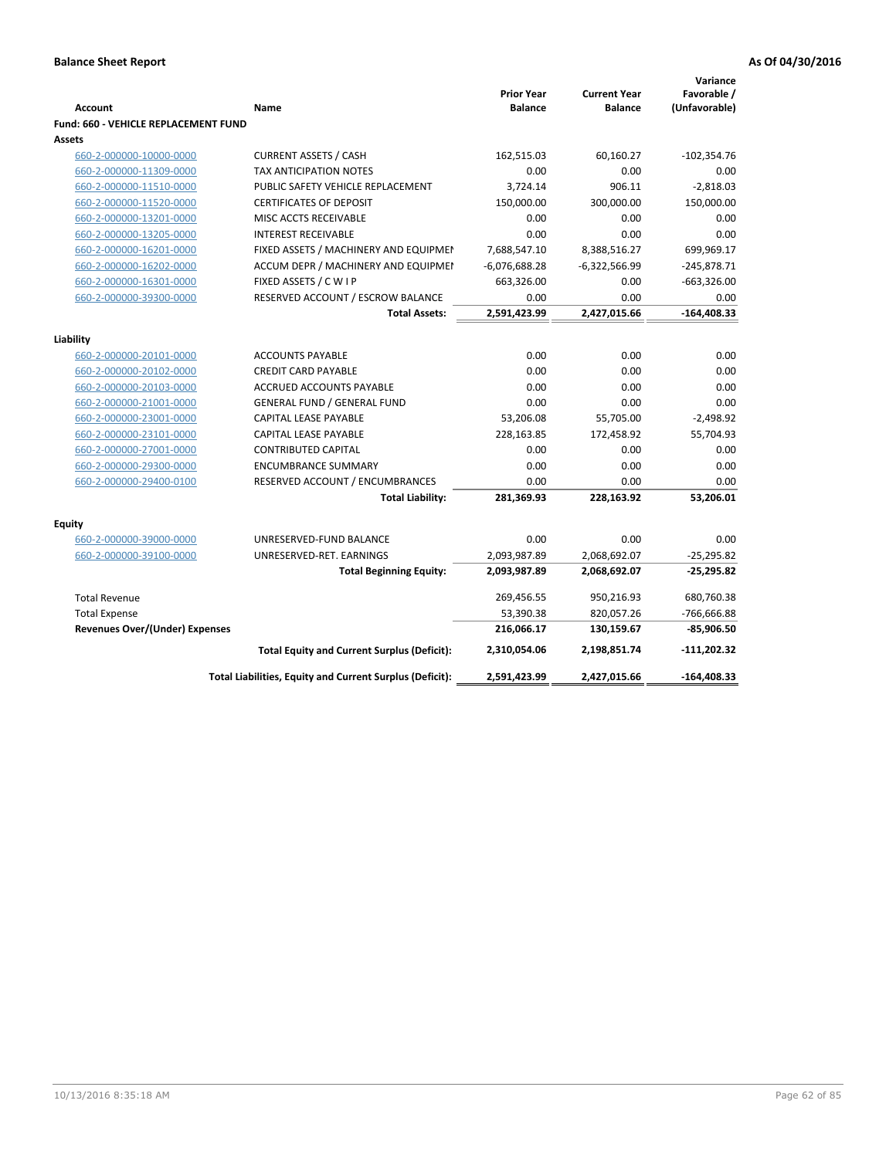| <b>Account</b><br><b>Fund: 660 - VEHICLE REPLACEMENT FUND</b> | Name                                                                  | <b>Prior Year</b><br><b>Balance</b> | <b>Current Year</b><br><b>Balance</b> | Variance<br>Favorable /<br>(Unfavorable) |
|---------------------------------------------------------------|-----------------------------------------------------------------------|-------------------------------------|---------------------------------------|------------------------------------------|
| <b>Assets</b>                                                 |                                                                       |                                     |                                       |                                          |
| 660-2-000000-10000-0000                                       | <b>CURRENT ASSETS / CASH</b>                                          | 162,515.03                          | 60,160.27                             | $-102,354.76$                            |
| 660-2-000000-11309-0000                                       | <b>TAX ANTICIPATION NOTES</b>                                         | 0.00                                | 0.00                                  | 0.00                                     |
| 660-2-000000-11510-0000                                       | PUBLIC SAFETY VEHICLE REPLACEMENT                                     | 3,724.14                            | 906.11                                | $-2,818.03$                              |
| 660-2-000000-11520-0000                                       | <b>CERTIFICATES OF DEPOSIT</b>                                        | 150,000.00                          | 300,000.00                            | 150,000.00                               |
| 660-2-000000-13201-0000                                       | MISC ACCTS RECEIVABLE                                                 | 0.00                                | 0.00                                  | 0.00                                     |
| 660-2-000000-13205-0000                                       | <b>INTEREST RECEIVABLE</b>                                            | 0.00                                | 0.00                                  | 0.00                                     |
| 660-2-000000-16201-0000                                       | FIXED ASSETS / MACHINERY AND EQUIPMEN                                 | 7,688,547.10                        | 8,388,516.27                          | 699,969.17                               |
| 660-2-000000-16202-0000                                       | ACCUM DEPR / MACHINERY AND EQUIPMEI                                   | $-6,076,688.28$                     | $-6,322,566.99$                       | $-245,878.71$                            |
| 660-2-000000-16301-0000                                       | FIXED ASSETS / C W I P                                                | 663,326.00                          | 0.00                                  | $-663,326.00$                            |
| 660-2-000000-39300-0000                                       | RESERVED ACCOUNT / ESCROW BALANCE                                     | 0.00                                | 0.00                                  | 0.00                                     |
|                                                               | <b>Total Assets:</b>                                                  | 2,591,423.99                        | 2,427,015.66                          | -164,408.33                              |
|                                                               |                                                                       |                                     |                                       |                                          |
| Liability                                                     |                                                                       |                                     |                                       |                                          |
| 660-2-000000-20101-0000                                       | <b>ACCOUNTS PAYABLE</b>                                               | 0.00                                | 0.00                                  | 0.00                                     |
| 660-2-000000-20102-0000                                       | <b>CREDIT CARD PAYABLE</b>                                            | 0.00                                | 0.00                                  | 0.00                                     |
| 660-2-000000-20103-0000                                       | <b>ACCRUED ACCOUNTS PAYABLE</b><br><b>GENERAL FUND / GENERAL FUND</b> | 0.00<br>0.00                        | 0.00<br>0.00                          | 0.00<br>0.00                             |
| 660-2-000000-21001-0000                                       | CAPITAL LEASE PAYABLE                                                 | 53,206.08                           |                                       | $-2,498.92$                              |
| 660-2-000000-23001-0000                                       | <b>CAPITAL LEASE PAYABLE</b>                                          | 228,163.85                          | 55,705.00<br>172,458.92               | 55,704.93                                |
| 660-2-000000-23101-0000                                       |                                                                       |                                     |                                       |                                          |
| 660-2-000000-27001-0000<br>660-2-000000-29300-0000            | <b>CONTRIBUTED CAPITAL</b><br><b>ENCUMBRANCE SUMMARY</b>              | 0.00<br>0.00                        | 0.00<br>0.00                          | 0.00<br>0.00                             |
| 660-2-000000-29400-0100                                       | RESERVED ACCOUNT / ENCUMBRANCES                                       | 0.00                                | 0.00                                  | 0.00                                     |
|                                                               | <b>Total Liability:</b>                                               | 281,369.93                          | 228,163.92                            | 53,206.01                                |
|                                                               |                                                                       |                                     |                                       |                                          |
| <b>Equity</b>                                                 |                                                                       |                                     |                                       |                                          |
| 660-2-000000-39000-0000                                       | UNRESERVED-FUND BALANCE                                               | 0.00                                | 0.00                                  | 0.00                                     |
| 660-2-000000-39100-0000                                       | UNRESERVED-RET. EARNINGS                                              | 2,093,987.89                        | 2,068,692.07                          | $-25,295.82$                             |
|                                                               | <b>Total Beginning Equity:</b>                                        | 2,093,987.89                        | 2,068,692.07                          | $-25,295.82$                             |
| <b>Total Revenue</b>                                          |                                                                       | 269,456.55                          | 950,216.93                            | 680,760.38                               |
| <b>Total Expense</b>                                          |                                                                       | 53,390.38                           | 820,057.26                            | -766,666.88                              |
| <b>Revenues Over/(Under) Expenses</b>                         |                                                                       | 216,066.17                          | 130,159.67                            | $-85,906.50$                             |
|                                                               | <b>Total Equity and Current Surplus (Deficit):</b>                    | 2,310,054.06                        | 2,198,851.74                          | $-111,202.32$                            |
|                                                               | Total Liabilities, Equity and Current Surplus (Deficit):              | 2,591,423.99                        | 2,427,015.66                          | $-164,408.33$                            |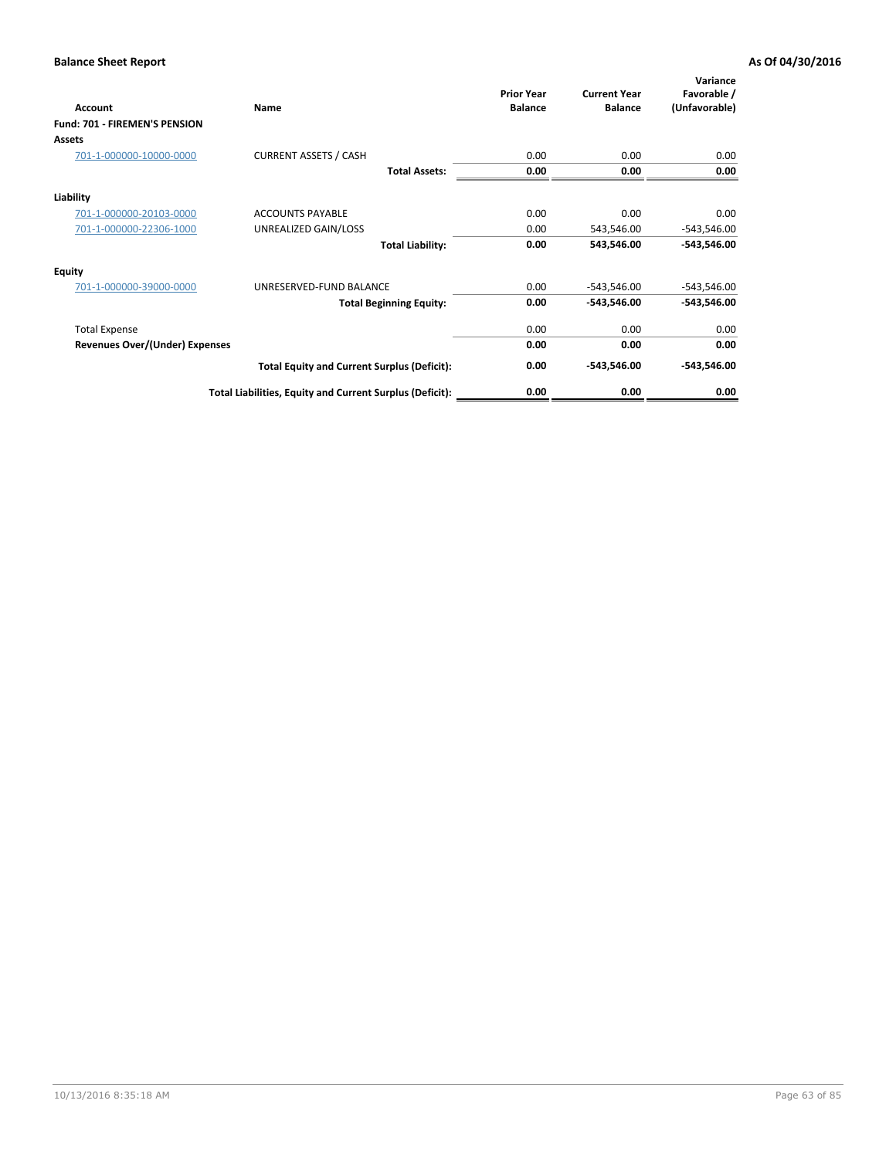| Account                               | Name                                                     | <b>Prior Year</b><br><b>Balance</b> | <b>Current Year</b><br><b>Balance</b> | Variance<br>Favorable /<br>(Unfavorable) |
|---------------------------------------|----------------------------------------------------------|-------------------------------------|---------------------------------------|------------------------------------------|
| Fund: 701 - FIREMEN'S PENSION         |                                                          |                                     |                                       |                                          |
| <b>Assets</b>                         |                                                          |                                     |                                       |                                          |
| 701-1-000000-10000-0000               | <b>CURRENT ASSETS / CASH</b>                             | 0.00                                | 0.00                                  | 0.00                                     |
|                                       | <b>Total Assets:</b>                                     | 0.00                                | 0.00                                  | 0.00                                     |
| Liability                             |                                                          |                                     |                                       |                                          |
| 701-1-000000-20103-0000               | <b>ACCOUNTS PAYABLE</b>                                  | 0.00                                | 0.00                                  | 0.00                                     |
| 701-1-000000-22306-1000               | UNREALIZED GAIN/LOSS                                     | 0.00                                | 543,546.00                            | $-543,546.00$                            |
|                                       | <b>Total Liability:</b>                                  | 0.00                                | 543,546.00                            | $-543,546.00$                            |
| <b>Equity</b>                         |                                                          |                                     |                                       |                                          |
| 701-1-000000-39000-0000               | UNRESERVED-FUND BALANCE                                  | 0.00                                | $-543,546.00$                         | $-543,546.00$                            |
|                                       | <b>Total Beginning Equity:</b>                           | 0.00                                | -543,546.00                           | $-543,546.00$                            |
| <b>Total Expense</b>                  |                                                          | 0.00                                | 0.00                                  | 0.00                                     |
| <b>Revenues Over/(Under) Expenses</b> |                                                          | 0.00                                | 0.00                                  | 0.00                                     |
|                                       | <b>Total Equity and Current Surplus (Deficit):</b>       | 0.00                                | -543,546.00                           | $-543,546.00$                            |
|                                       | Total Liabilities, Equity and Current Surplus (Deficit): | 0.00                                | 0.00                                  | 0.00                                     |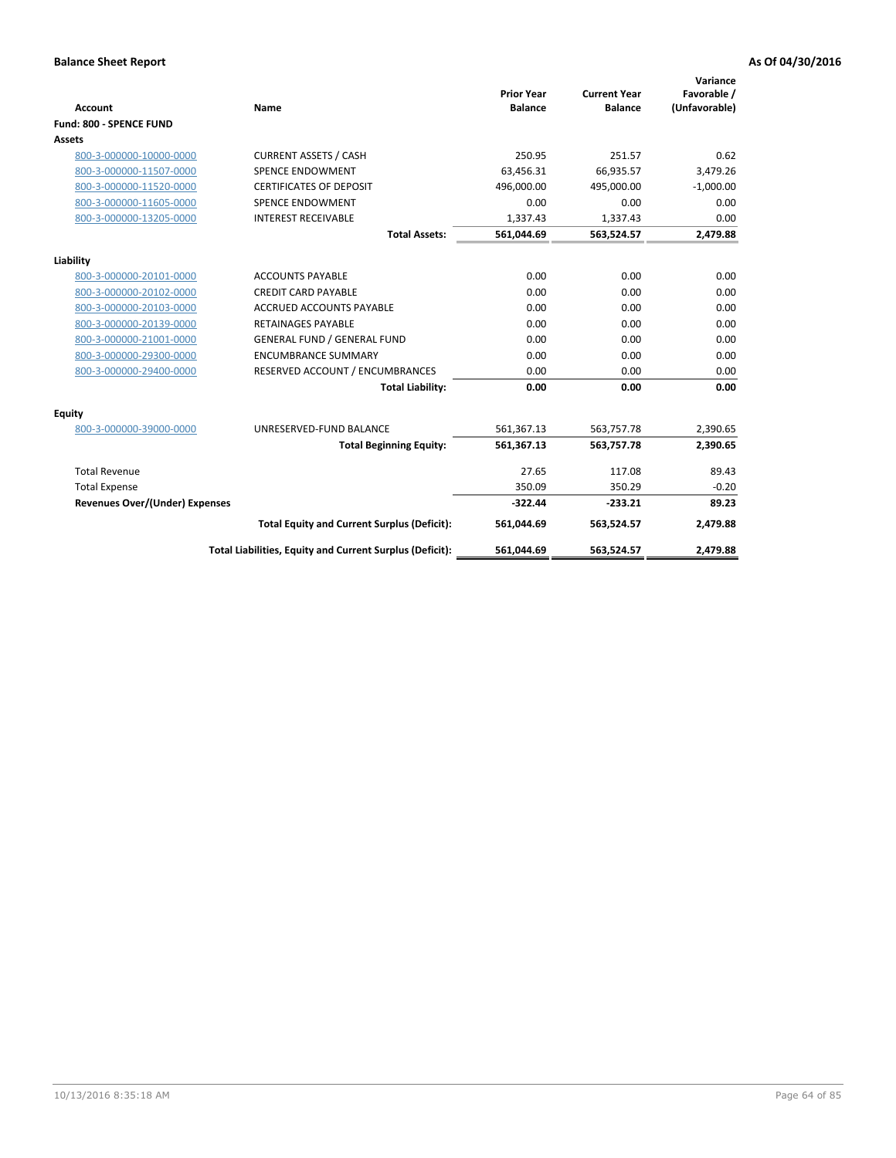|                                |                                                          |                                     |                                       | Variance                     |
|--------------------------------|----------------------------------------------------------|-------------------------------------|---------------------------------------|------------------------------|
| <b>Account</b>                 | Name                                                     | <b>Prior Year</b><br><b>Balance</b> | <b>Current Year</b><br><b>Balance</b> | Favorable /<br>(Unfavorable) |
| Fund: 800 - SPENCE FUND        |                                                          |                                     |                                       |                              |
| Assets                         |                                                          |                                     |                                       |                              |
| 800-3-000000-10000-0000        | <b>CURRENT ASSETS / CASH</b>                             | 250.95                              | 251.57                                | 0.62                         |
| 800-3-000000-11507-0000        | <b>SPENCE ENDOWMENT</b>                                  | 63,456.31                           | 66,935.57                             | 3,479.26                     |
| 800-3-000000-11520-0000        | <b>CERTIFICATES OF DEPOSIT</b>                           | 496.000.00                          | 495,000.00                            | $-1,000.00$                  |
| 800-3-000000-11605-0000        | <b>SPENCE ENDOWMENT</b>                                  | 0.00                                | 0.00                                  | 0.00                         |
| 800-3-000000-13205-0000        | <b>INTEREST RECEIVABLE</b>                               | 1,337.43                            | 1,337.43                              | 0.00                         |
|                                | <b>Total Assets:</b>                                     | 561,044.69                          | 563,524.57                            | 2,479.88                     |
| Liability                      |                                                          |                                     |                                       |                              |
| 800-3-000000-20101-0000        | <b>ACCOUNTS PAYABLE</b>                                  | 0.00                                | 0.00                                  | 0.00                         |
| 800-3-000000-20102-0000        | <b>CREDIT CARD PAYABLE</b>                               | 0.00                                | 0.00                                  | 0.00                         |
| 800-3-000000-20103-0000        | <b>ACCRUED ACCOUNTS PAYABLE</b>                          | 0.00                                | 0.00                                  | 0.00                         |
| 800-3-000000-20139-0000        | <b>RETAINAGES PAYABLE</b>                                | 0.00                                | 0.00                                  | 0.00                         |
| 800-3-000000-21001-0000        | <b>GENERAL FUND / GENERAL FUND</b>                       | 0.00                                | 0.00                                  | 0.00                         |
| 800-3-000000-29300-0000        | <b>ENCUMBRANCE SUMMARY</b>                               | 0.00                                | 0.00                                  | 0.00                         |
| 800-3-000000-29400-0000        | RESERVED ACCOUNT / ENCUMBRANCES                          | 0.00                                | 0.00                                  | 0.00                         |
|                                | <b>Total Liability:</b>                                  | 0.00                                | 0.00                                  | 0.00                         |
| Equity                         |                                                          |                                     |                                       |                              |
| 800-3-000000-39000-0000        | UNRESERVED-FUND BALANCE                                  | 561,367.13                          | 563,757.78                            | 2,390.65                     |
|                                | <b>Total Beginning Equity:</b>                           | 561,367.13                          | 563,757.78                            | 2,390.65                     |
| <b>Total Revenue</b>           |                                                          | 27.65                               | 117.08                                | 89.43                        |
| <b>Total Expense</b>           |                                                          | 350.09                              | 350.29                                | $-0.20$                      |
| Revenues Over/(Under) Expenses |                                                          | $-322.44$                           | $-233.21$                             | 89.23                        |
|                                | <b>Total Equity and Current Surplus (Deficit):</b>       | 561,044.69                          | 563,524.57                            | 2,479.88                     |
|                                | Total Liabilities, Equity and Current Surplus (Deficit): | 561,044.69                          | 563,524.57                            | 2,479.88                     |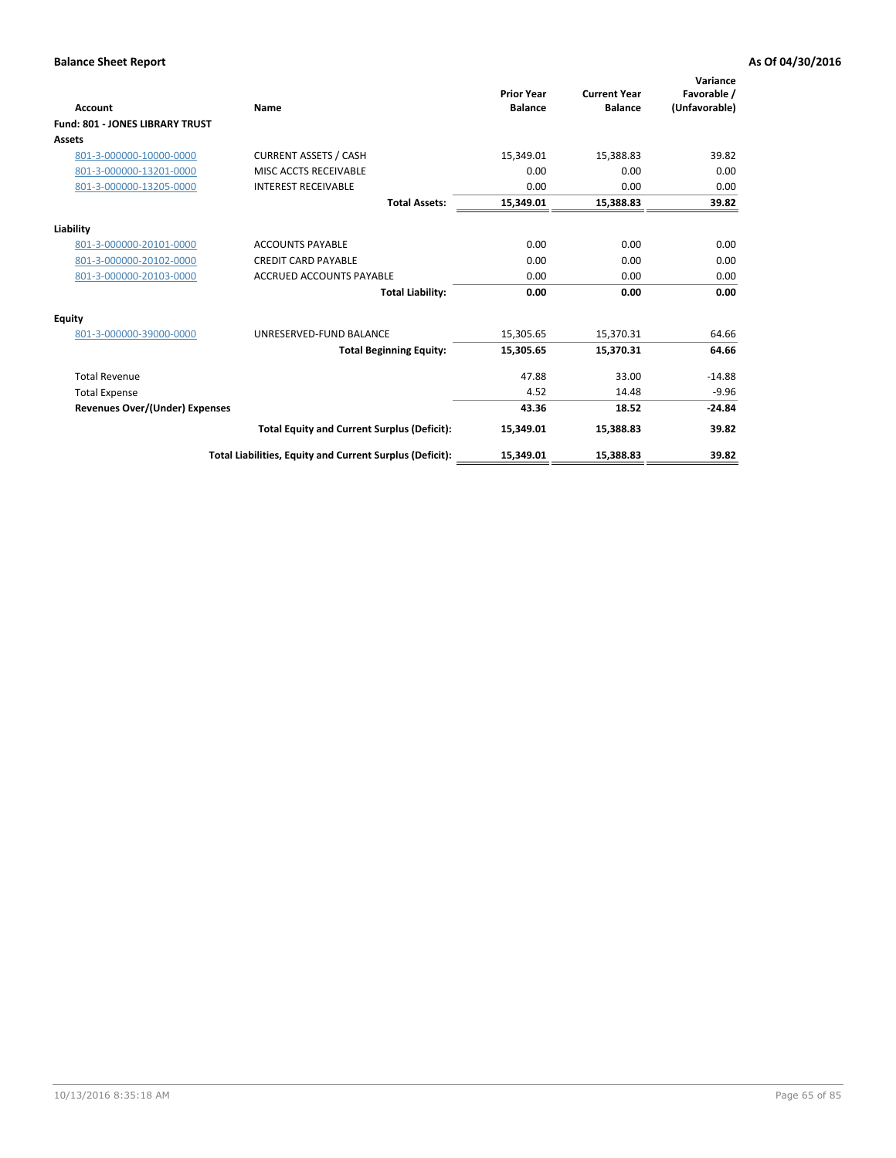| <b>Account</b>                         | <b>Name</b>                                              | <b>Prior Year</b><br><b>Balance</b> | <b>Current Year</b><br><b>Balance</b> | Variance<br>Favorable /<br>(Unfavorable) |
|----------------------------------------|----------------------------------------------------------|-------------------------------------|---------------------------------------|------------------------------------------|
| <b>Fund: 801 - JONES LIBRARY TRUST</b> |                                                          |                                     |                                       |                                          |
| Assets                                 |                                                          |                                     |                                       |                                          |
| 801-3-000000-10000-0000                | <b>CURRENT ASSETS / CASH</b>                             | 15,349.01                           | 15,388.83                             | 39.82                                    |
| 801-3-000000-13201-0000                | MISC ACCTS RECEIVABLE                                    | 0.00                                | 0.00                                  | 0.00                                     |
| 801-3-000000-13205-0000                | <b>INTEREST RECEIVABLE</b>                               | 0.00                                | 0.00                                  | 0.00                                     |
|                                        | <b>Total Assets:</b>                                     | 15,349.01                           | 15,388.83                             | 39.82                                    |
| Liability                              |                                                          |                                     |                                       |                                          |
| 801-3-000000-20101-0000                | <b>ACCOUNTS PAYABLE</b>                                  | 0.00                                | 0.00                                  | 0.00                                     |
| 801-3-000000-20102-0000                | <b>CREDIT CARD PAYABLE</b>                               | 0.00                                | 0.00                                  | 0.00                                     |
| 801-3-000000-20103-0000                | <b>ACCRUED ACCOUNTS PAYABLE</b>                          | 0.00                                | 0.00                                  | 0.00                                     |
|                                        | <b>Total Liability:</b>                                  | 0.00                                | 0.00                                  | 0.00                                     |
| Equity                                 |                                                          |                                     |                                       |                                          |
| 801-3-000000-39000-0000                | UNRESERVED-FUND BALANCE                                  | 15,305.65                           | 15,370.31                             | 64.66                                    |
|                                        | <b>Total Beginning Equity:</b>                           | 15,305.65                           | 15,370.31                             | 64.66                                    |
| <b>Total Revenue</b>                   |                                                          | 47.88                               | 33.00                                 | $-14.88$                                 |
| <b>Total Expense</b>                   |                                                          | 4.52                                | 14.48                                 | $-9.96$                                  |
| <b>Revenues Over/(Under) Expenses</b>  |                                                          | 43.36                               | 18.52                                 | $-24.84$                                 |
|                                        | <b>Total Equity and Current Surplus (Deficit):</b>       | 15,349.01                           | 15,388.83                             | 39.82                                    |
|                                        | Total Liabilities, Equity and Current Surplus (Deficit): | 15,349.01                           | 15,388.83                             | 39.82                                    |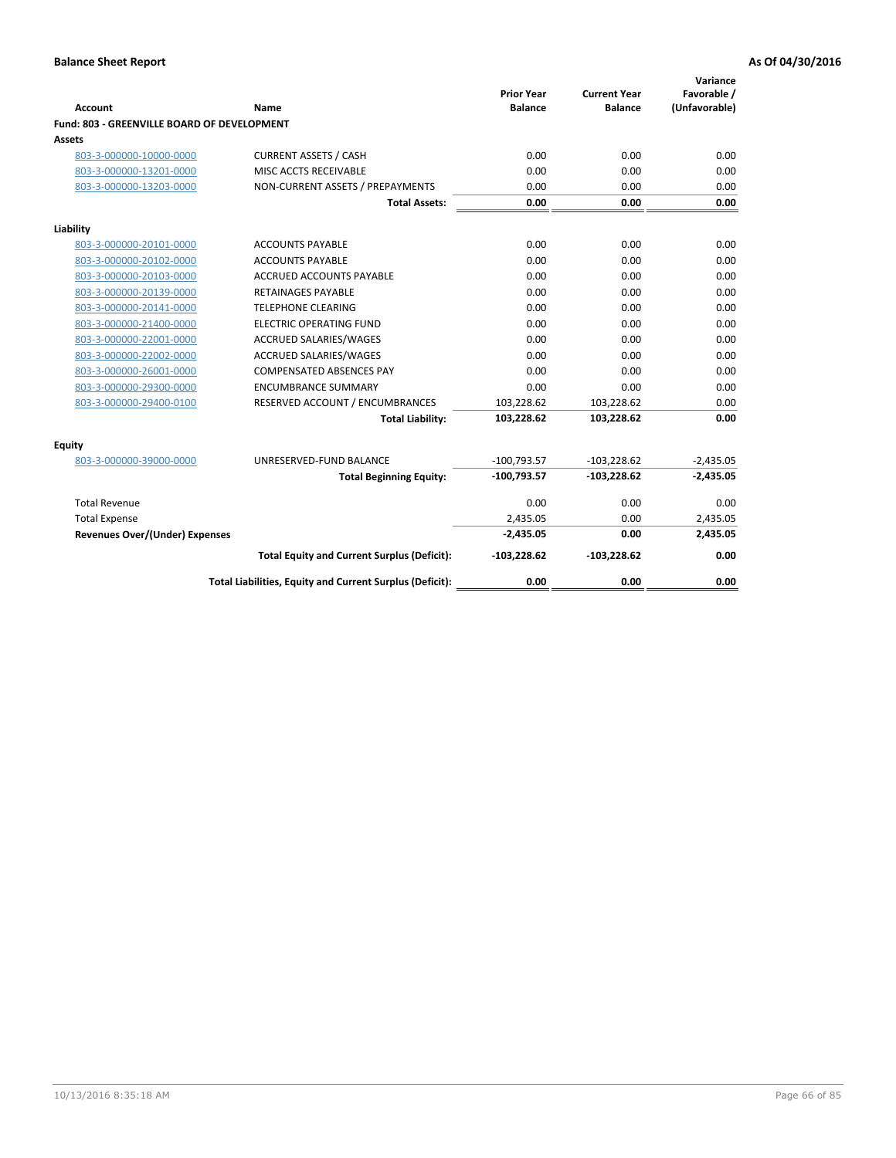| Account                                     | <b>Name</b>                                              | <b>Prior Year</b><br><b>Balance</b> | <b>Current Year</b><br><b>Balance</b> | Variance<br>Favorable /<br>(Unfavorable) |
|---------------------------------------------|----------------------------------------------------------|-------------------------------------|---------------------------------------|------------------------------------------|
| Fund: 803 - GREENVILLE BOARD OF DEVELOPMENT |                                                          |                                     |                                       |                                          |
| Assets                                      |                                                          |                                     |                                       |                                          |
| 803-3-000000-10000-0000                     | <b>CURRENT ASSETS / CASH</b>                             | 0.00                                | 0.00                                  | 0.00                                     |
| 803-3-000000-13201-0000                     | MISC ACCTS RECEIVABLE                                    | 0.00                                | 0.00                                  | 0.00                                     |
| 803-3-000000-13203-0000                     | NON-CURRENT ASSETS / PREPAYMENTS                         | 0.00                                | 0.00                                  | 0.00                                     |
|                                             | <b>Total Assets:</b>                                     | 0.00                                | 0.00                                  | 0.00                                     |
| Liability                                   |                                                          |                                     |                                       |                                          |
| 803-3-000000-20101-0000                     | <b>ACCOUNTS PAYABLE</b>                                  | 0.00                                | 0.00                                  | 0.00                                     |
| 803-3-000000-20102-0000                     | <b>ACCOUNTS PAYABLE</b>                                  | 0.00                                | 0.00                                  | 0.00                                     |
| 803-3-000000-20103-0000                     | <b>ACCRUED ACCOUNTS PAYABLE</b>                          | 0.00                                | 0.00                                  | 0.00                                     |
| 803-3-000000-20139-0000                     | <b>RETAINAGES PAYABLE</b>                                | 0.00                                | 0.00                                  | 0.00                                     |
| 803-3-000000-20141-0000                     | <b>TELEPHONE CLEARING</b>                                | 0.00                                | 0.00                                  | 0.00                                     |
| 803-3-000000-21400-0000                     | <b>ELECTRIC OPERATING FUND</b>                           | 0.00                                | 0.00                                  | 0.00                                     |
| 803-3-000000-22001-0000                     | ACCRUED SALARIES/WAGES                                   | 0.00                                | 0.00                                  | 0.00                                     |
| 803-3-000000-22002-0000                     | <b>ACCRUED SALARIES/WAGES</b>                            | 0.00                                | 0.00                                  | 0.00                                     |
| 803-3-000000-26001-0000                     | <b>COMPENSATED ABSENCES PAY</b>                          | 0.00                                | 0.00                                  | 0.00                                     |
| 803-3-000000-29300-0000                     | <b>ENCUMBRANCE SUMMARY</b>                               | 0.00                                | 0.00                                  | 0.00                                     |
| 803-3-000000-29400-0100                     | RESERVED ACCOUNT / ENCUMBRANCES                          | 103,228.62                          | 103,228.62                            | 0.00                                     |
|                                             | <b>Total Liability:</b>                                  | 103,228.62                          | 103,228.62                            | 0.00                                     |
| <b>Equity</b>                               |                                                          |                                     |                                       |                                          |
| 803-3-000000-39000-0000                     | UNRESERVED-FUND BALANCE                                  | $-100,793.57$                       | $-103,228.62$                         | $-2,435.05$                              |
|                                             | <b>Total Beginning Equity:</b>                           | $-100,793.57$                       | $-103,228.62$                         | $-2,435.05$                              |
| <b>Total Revenue</b>                        |                                                          | 0.00                                | 0.00                                  | 0.00                                     |
| <b>Total Expense</b>                        |                                                          | 2,435.05                            | 0.00                                  | 2,435.05                                 |
| Revenues Over/(Under) Expenses              |                                                          | $-2,435.05$                         | 0.00                                  | 2,435.05                                 |
|                                             | <b>Total Equity and Current Surplus (Deficit):</b>       | $-103,228.62$                       | $-103,228.62$                         | 0.00                                     |
|                                             | Total Liabilities, Equity and Current Surplus (Deficit): | 0.00                                | 0.00                                  | 0.00                                     |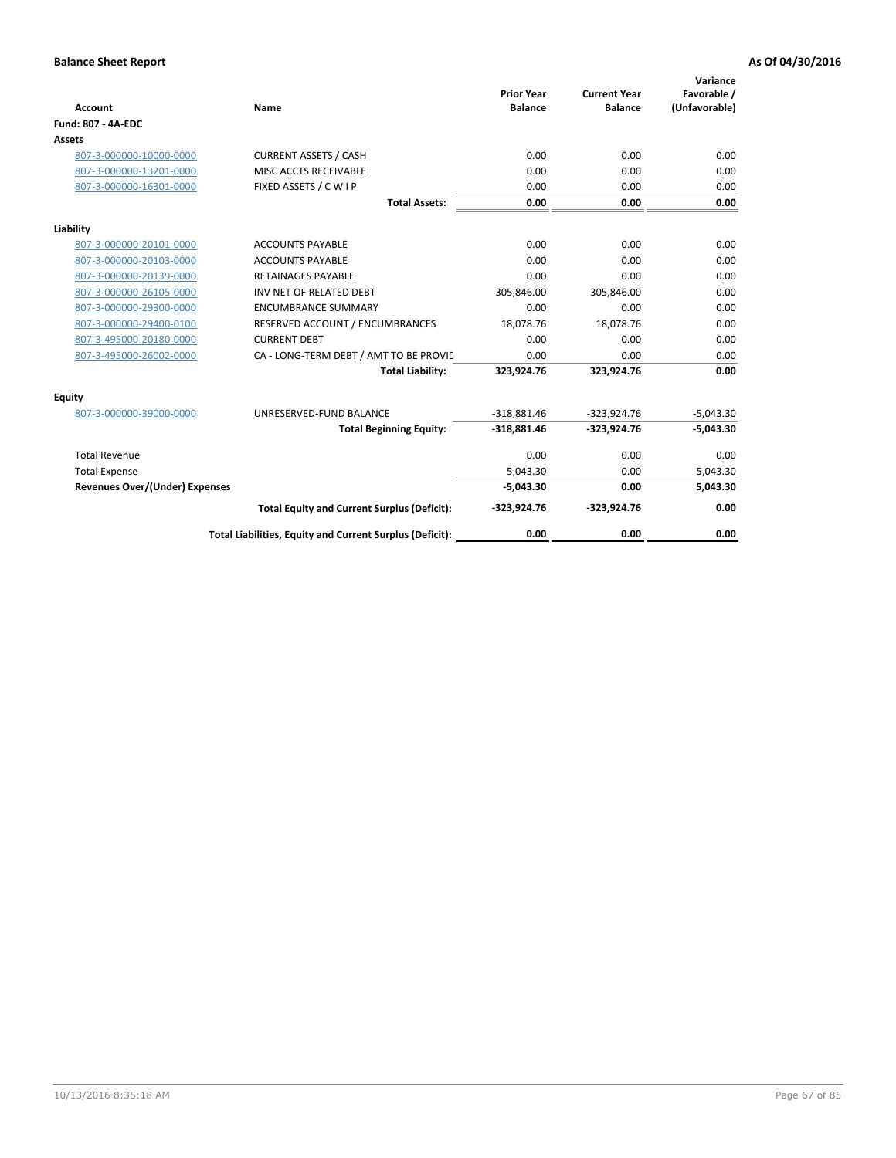| <b>Account</b>                        | Name                                                     | <b>Prior Year</b><br><b>Balance</b> | <b>Current Year</b><br><b>Balance</b> | Variance<br>Favorable /<br>(Unfavorable) |
|---------------------------------------|----------------------------------------------------------|-------------------------------------|---------------------------------------|------------------------------------------|
| <b>Fund: 807 - 4A-EDC</b>             |                                                          |                                     |                                       |                                          |
| <b>Assets</b>                         |                                                          |                                     |                                       |                                          |
| 807-3-000000-10000-0000               | <b>CURRENT ASSETS / CASH</b>                             | 0.00                                | 0.00                                  | 0.00                                     |
| 807-3-000000-13201-0000               | MISC ACCTS RECEIVABLE                                    | 0.00                                | 0.00                                  | 0.00                                     |
| 807-3-000000-16301-0000               | FIXED ASSETS / C W I P                                   | 0.00                                | 0.00                                  | 0.00                                     |
|                                       | <b>Total Assets:</b>                                     | 0.00                                | 0.00                                  | 0.00                                     |
| Liability                             |                                                          |                                     |                                       |                                          |
| 807-3-000000-20101-0000               | <b>ACCOUNTS PAYABLE</b>                                  | 0.00                                | 0.00                                  | 0.00                                     |
| 807-3-000000-20103-0000               | <b>ACCOUNTS PAYABLE</b>                                  | 0.00                                | 0.00                                  | 0.00                                     |
| 807-3-000000-20139-0000               | <b>RETAINAGES PAYABLE</b>                                | 0.00                                | 0.00                                  | 0.00                                     |
| 807-3-000000-26105-0000               | INV NET OF RELATED DEBT                                  | 305,846.00                          | 305,846.00                            | 0.00                                     |
| 807-3-000000-29300-0000               | <b>ENCUMBRANCE SUMMARY</b>                               | 0.00                                | 0.00                                  | 0.00                                     |
| 807-3-000000-29400-0100               | RESERVED ACCOUNT / ENCUMBRANCES                          | 18,078.76                           | 18,078.76                             | 0.00                                     |
| 807-3-495000-20180-0000               | <b>CURRENT DEBT</b>                                      | 0.00                                | 0.00                                  | 0.00                                     |
| 807-3-495000-26002-0000               | CA - LONG-TERM DEBT / AMT TO BE PROVIL                   | 0.00                                | 0.00                                  | 0.00                                     |
|                                       | <b>Total Liability:</b>                                  | 323,924.76                          | 323,924.76                            | 0.00                                     |
| Equity                                |                                                          |                                     |                                       |                                          |
| 807-3-000000-39000-0000               | UNRESERVED-FUND BALANCE                                  | $-318,881.46$                       | $-323,924.76$                         | $-5,043.30$                              |
|                                       | <b>Total Beginning Equity:</b>                           | $-318,881.46$                       | $-323,924.76$                         | $-5,043.30$                              |
| <b>Total Revenue</b>                  |                                                          | 0.00                                | 0.00                                  | 0.00                                     |
| <b>Total Expense</b>                  |                                                          | 5.043.30                            | 0.00                                  | 5,043.30                                 |
| <b>Revenues Over/(Under) Expenses</b> |                                                          | $-5,043.30$                         | 0.00                                  | 5,043.30                                 |
|                                       | <b>Total Equity and Current Surplus (Deficit):</b>       | $-323,924.76$                       | $-323,924.76$                         | 0.00                                     |
|                                       | Total Liabilities, Equity and Current Surplus (Deficit): | 0.00                                | 0.00                                  | 0.00                                     |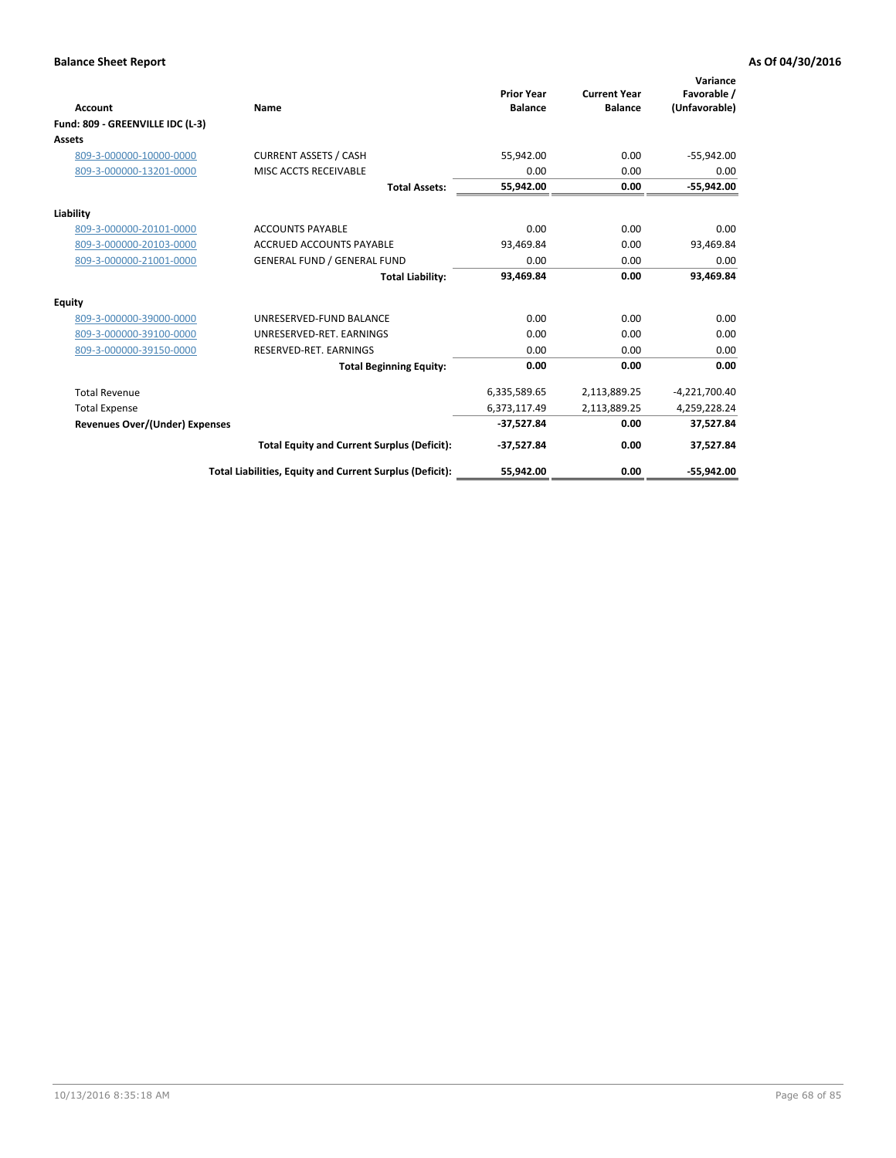| <b>Account</b>                        | Name                                                     | <b>Prior Year</b><br><b>Balance</b> | <b>Current Year</b><br><b>Balance</b> | Variance<br>Favorable /<br>(Unfavorable) |
|---------------------------------------|----------------------------------------------------------|-------------------------------------|---------------------------------------|------------------------------------------|
| Fund: 809 - GREENVILLE IDC (L-3)      |                                                          |                                     |                                       |                                          |
| <b>Assets</b>                         |                                                          |                                     |                                       |                                          |
| 809-3-000000-10000-0000               | <b>CURRENT ASSETS / CASH</b>                             | 55,942.00                           | 0.00                                  | $-55,942.00$                             |
| 809-3-000000-13201-0000               | MISC ACCTS RECEIVABLE                                    | 0.00                                | 0.00                                  | 0.00                                     |
|                                       | <b>Total Assets:</b>                                     | 55,942.00                           | 0.00                                  | $-55,942.00$                             |
| Liability                             |                                                          |                                     |                                       |                                          |
| 809-3-000000-20101-0000               | <b>ACCOUNTS PAYABLE</b>                                  | 0.00                                | 0.00                                  | 0.00                                     |
| 809-3-000000-20103-0000               | <b>ACCRUED ACCOUNTS PAYABLE</b>                          | 93,469.84                           | 0.00                                  | 93,469.84                                |
| 809-3-000000-21001-0000               | <b>GENERAL FUND / GENERAL FUND</b>                       | 0.00                                | 0.00                                  | 0.00                                     |
|                                       | <b>Total Liability:</b>                                  | 93,469.84                           | 0.00                                  | 93,469.84                                |
| Equity                                |                                                          |                                     |                                       |                                          |
| 809-3-000000-39000-0000               | UNRESERVED-FUND BALANCE                                  | 0.00                                | 0.00                                  | 0.00                                     |
| 809-3-000000-39100-0000               | UNRESERVED-RET. EARNINGS                                 | 0.00                                | 0.00                                  | 0.00                                     |
| 809-3-000000-39150-0000               | RESERVED-RET. EARNINGS                                   | 0.00                                | 0.00                                  | 0.00                                     |
|                                       | <b>Total Beginning Equity:</b>                           | 0.00                                | 0.00                                  | 0.00                                     |
| <b>Total Revenue</b>                  |                                                          | 6,335,589.65                        | 2,113,889.25                          | $-4,221,700.40$                          |
| <b>Total Expense</b>                  |                                                          | 6,373,117.49                        | 2,113,889.25                          | 4,259,228.24                             |
| <b>Revenues Over/(Under) Expenses</b> |                                                          | $-37,527.84$                        | 0.00                                  | 37,527.84                                |
|                                       | <b>Total Equity and Current Surplus (Deficit):</b>       | $-37,527.84$                        | 0.00                                  | 37,527.84                                |
|                                       | Total Liabilities, Equity and Current Surplus (Deficit): | 55,942.00                           | 0.00                                  | $-55.942.00$                             |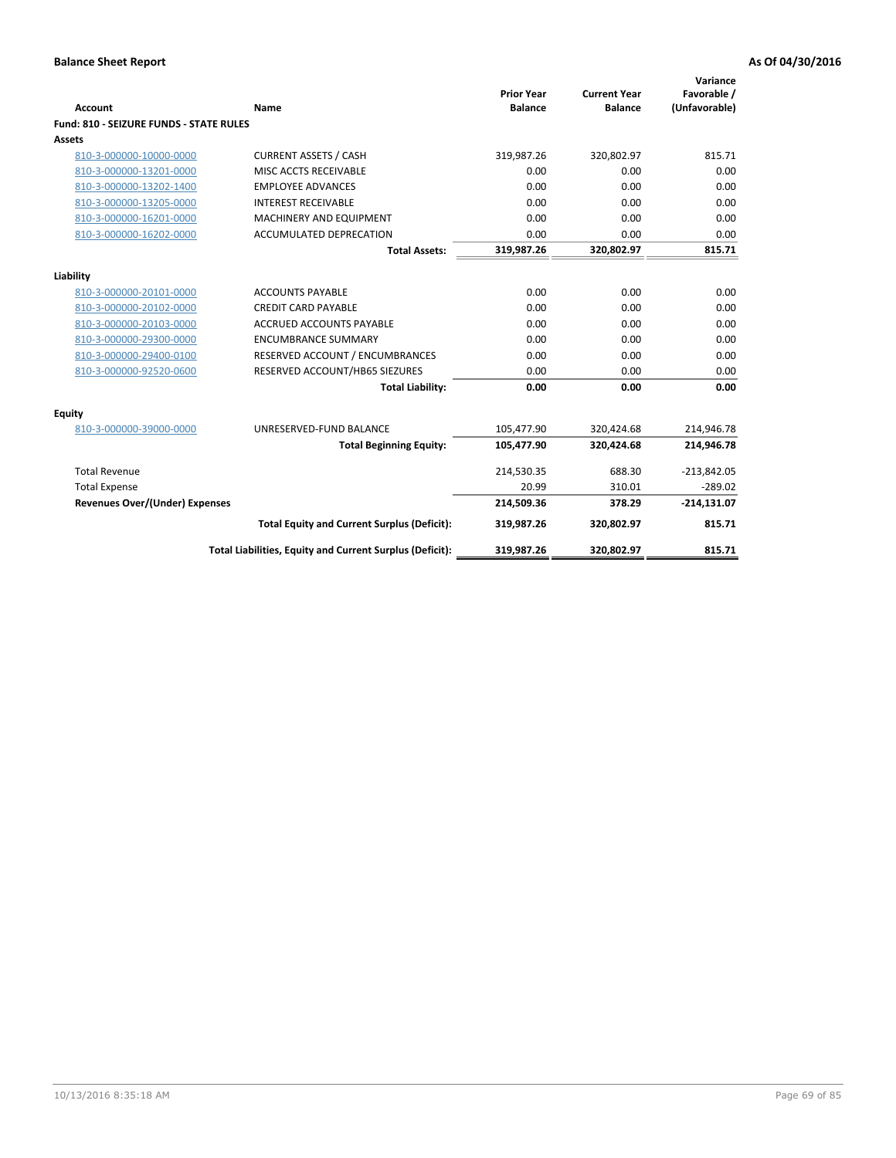| <b>Account</b>                          | Name                                                     | <b>Prior Year</b><br><b>Balance</b> | <b>Current Year</b><br><b>Balance</b> | Variance<br>Favorable /<br>(Unfavorable) |
|-----------------------------------------|----------------------------------------------------------|-------------------------------------|---------------------------------------|------------------------------------------|
| Fund: 810 - SEIZURE FUNDS - STATE RULES |                                                          |                                     |                                       |                                          |
| Assets                                  |                                                          |                                     |                                       |                                          |
| 810-3-000000-10000-0000                 | <b>CURRENT ASSETS / CASH</b>                             | 319,987.26                          | 320,802.97                            | 815.71                                   |
| 810-3-000000-13201-0000                 | MISC ACCTS RECEIVABLE                                    | 0.00                                | 0.00                                  | 0.00                                     |
| 810-3-000000-13202-1400                 | <b>EMPLOYEE ADVANCES</b>                                 | 0.00                                | 0.00                                  | 0.00                                     |
| 810-3-000000-13205-0000                 | <b>INTEREST RECEIVABLE</b>                               | 0.00                                | 0.00                                  | 0.00                                     |
| 810-3-000000-16201-0000                 | MACHINERY AND EQUIPMENT                                  | 0.00                                | 0.00                                  | 0.00                                     |
| 810-3-000000-16202-0000                 | <b>ACCUMULATED DEPRECATION</b>                           | 0.00                                | 0.00                                  | 0.00                                     |
|                                         | <b>Total Assets:</b>                                     | 319,987.26                          | 320,802.97                            | 815.71                                   |
|                                         |                                                          |                                     |                                       |                                          |
| Liability                               |                                                          |                                     |                                       |                                          |
| 810-3-000000-20101-0000                 | <b>ACCOUNTS PAYABLE</b>                                  | 0.00                                | 0.00                                  | 0.00                                     |
| 810-3-000000-20102-0000                 | <b>CREDIT CARD PAYABLE</b>                               | 0.00                                | 0.00                                  | 0.00                                     |
| 810-3-000000-20103-0000                 | <b>ACCRUED ACCOUNTS PAYABLE</b>                          | 0.00                                | 0.00                                  | 0.00                                     |
| 810-3-000000-29300-0000                 | <b>ENCUMBRANCE SUMMARY</b>                               | 0.00                                | 0.00                                  | 0.00                                     |
| 810-3-000000-29400-0100                 | RESERVED ACCOUNT / ENCUMBRANCES                          | 0.00                                | 0.00                                  | 0.00                                     |
| 810-3-000000-92520-0600                 | RESERVED ACCOUNT/HB65 SIEZURES                           | 0.00                                | 0.00                                  | 0.00                                     |
|                                         | <b>Total Liability:</b>                                  | 0.00                                | 0.00                                  | 0.00                                     |
| Equity                                  |                                                          |                                     |                                       |                                          |
| 810-3-000000-39000-0000                 | UNRESERVED-FUND BALANCE                                  | 105,477.90                          | 320,424.68                            | 214,946.78                               |
|                                         | <b>Total Beginning Equity:</b>                           | 105,477.90                          | 320,424.68                            | 214,946.78                               |
| <b>Total Revenue</b>                    |                                                          | 214,530.35                          | 688.30                                | $-213,842.05$                            |
| <b>Total Expense</b>                    |                                                          | 20.99                               | 310.01                                | $-289.02$                                |
| Revenues Over/(Under) Expenses          |                                                          | 214,509.36                          | 378.29                                | $-214,131.07$                            |
|                                         | <b>Total Equity and Current Surplus (Deficit):</b>       | 319,987.26                          | 320,802.97                            | 815.71                                   |
|                                         | Total Liabilities, Equity and Current Surplus (Deficit): | 319,987.26                          | 320,802.97                            | 815.71                                   |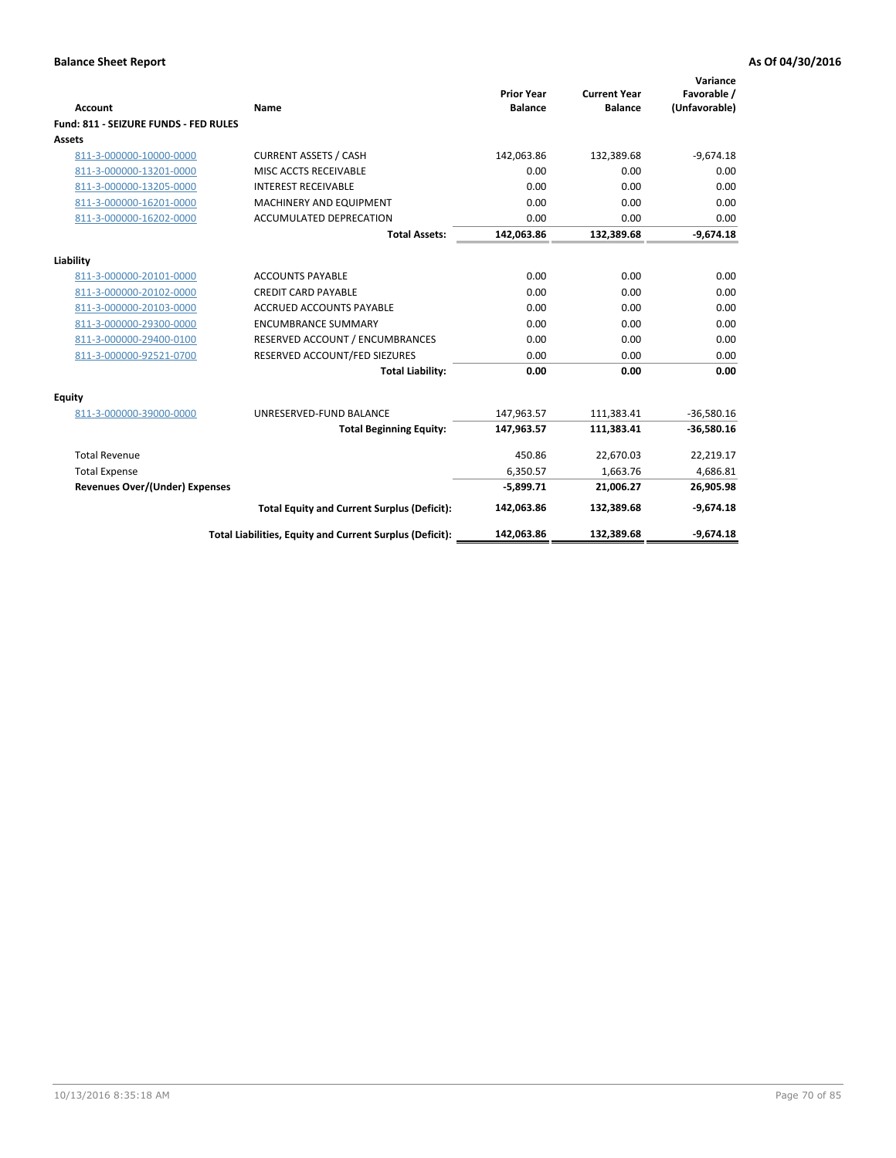| <b>Account</b>                        | Name                                                     | <b>Prior Year</b><br><b>Balance</b> | <b>Current Year</b><br><b>Balance</b> | Variance<br>Favorable /<br>(Unfavorable) |
|---------------------------------------|----------------------------------------------------------|-------------------------------------|---------------------------------------|------------------------------------------|
| Fund: 811 - SEIZURE FUNDS - FED RULES |                                                          |                                     |                                       |                                          |
| <b>Assets</b>                         |                                                          |                                     |                                       |                                          |
| 811-3-000000-10000-0000               | <b>CURRENT ASSETS / CASH</b>                             | 142,063.86                          | 132,389.68                            | $-9,674.18$                              |
| 811-3-000000-13201-0000               | MISC ACCTS RECEIVABLE                                    | 0.00                                | 0.00                                  | 0.00                                     |
| 811-3-000000-13205-0000               | <b>INTEREST RECEIVABLE</b>                               | 0.00                                | 0.00                                  | 0.00                                     |
| 811-3-000000-16201-0000               | <b>MACHINERY AND EQUIPMENT</b>                           | 0.00                                | 0.00                                  | 0.00                                     |
| 811-3-000000-16202-0000               | <b>ACCUMULATED DEPRECATION</b>                           | 0.00                                | 0.00                                  | 0.00                                     |
|                                       | <b>Total Assets:</b>                                     | 142,063.86                          | 132,389.68                            | $-9,674.18$                              |
| Liability                             |                                                          |                                     |                                       |                                          |
| 811-3-000000-20101-0000               | <b>ACCOUNTS PAYABLE</b>                                  | 0.00                                | 0.00                                  | 0.00                                     |
| 811-3-000000-20102-0000               | <b>CREDIT CARD PAYABLE</b>                               | 0.00                                | 0.00                                  | 0.00                                     |
| 811-3-000000-20103-0000               | <b>ACCRUED ACCOUNTS PAYABLE</b>                          | 0.00                                | 0.00                                  | 0.00                                     |
| 811-3-000000-29300-0000               | <b>ENCUMBRANCE SUMMARY</b>                               | 0.00                                | 0.00                                  | 0.00                                     |
| 811-3-000000-29400-0100               | RESERVED ACCOUNT / ENCUMBRANCES                          | 0.00                                | 0.00                                  | 0.00                                     |
| 811-3-000000-92521-0700               | RESERVED ACCOUNT/FED SIEZURES                            | 0.00                                | 0.00                                  | 0.00                                     |
|                                       | <b>Total Liability:</b>                                  | 0.00                                | 0.00                                  | 0.00                                     |
| Equity                                |                                                          |                                     |                                       |                                          |
| 811-3-000000-39000-0000               | UNRESERVED-FUND BALANCE                                  | 147,963.57                          | 111,383.41                            | $-36,580.16$                             |
|                                       | <b>Total Beginning Equity:</b>                           | 147,963.57                          | 111,383.41                            | $-36,580.16$                             |
| <b>Total Revenue</b>                  |                                                          | 450.86                              | 22,670.03                             | 22,219.17                                |
| <b>Total Expense</b>                  |                                                          | 6,350.57                            | 1,663.76                              | 4,686.81                                 |
| <b>Revenues Over/(Under) Expenses</b> |                                                          | $-5,899.71$                         | 21,006.27                             | 26,905.98                                |
|                                       | <b>Total Equity and Current Surplus (Deficit):</b>       | 142,063.86                          | 132,389.68                            | $-9,674.18$                              |
|                                       | Total Liabilities, Equity and Current Surplus (Deficit): | 142,063.86                          | 132,389.68                            | $-9,674.18$                              |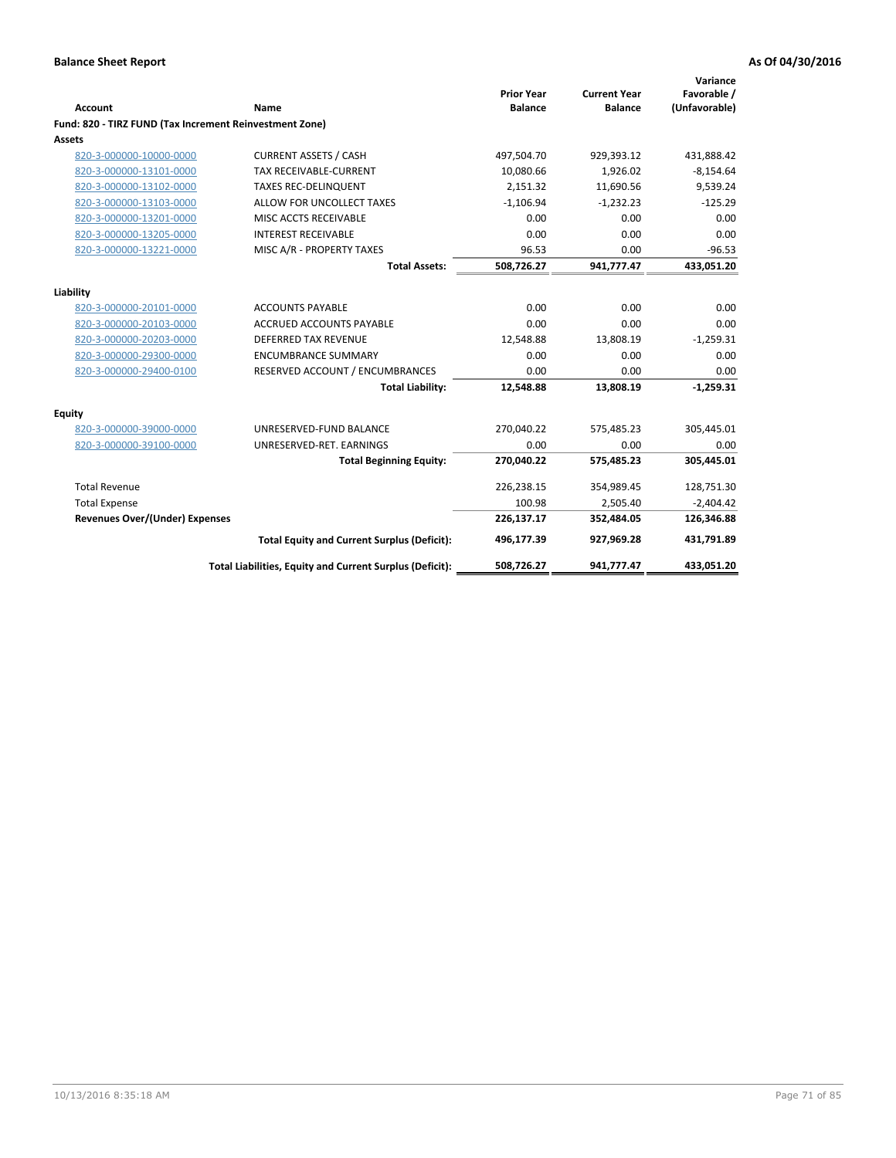| <b>Account</b>                                          | Name                                                     | <b>Prior Year</b><br><b>Balance</b> | <b>Current Year</b><br><b>Balance</b> | Variance<br>Favorable /<br>(Unfavorable) |
|---------------------------------------------------------|----------------------------------------------------------|-------------------------------------|---------------------------------------|------------------------------------------|
| Fund: 820 - TIRZ FUND (Tax Increment Reinvestment Zone) |                                                          |                                     |                                       |                                          |
| <b>Assets</b>                                           |                                                          |                                     |                                       |                                          |
| 820-3-000000-10000-0000                                 | <b>CURRENT ASSETS / CASH</b>                             | 497,504.70                          | 929,393.12                            | 431,888.42                               |
| 820-3-000000-13101-0000                                 | <b>TAX RECEIVABLE-CURRENT</b>                            | 10,080.66                           | 1,926.02                              | $-8,154.64$                              |
| 820-3-000000-13102-0000                                 | <b>TAXES REC-DELINQUENT</b>                              | 2,151.32                            | 11,690.56                             | 9,539.24                                 |
| 820-3-000000-13103-0000                                 | ALLOW FOR UNCOLLECT TAXES                                | $-1,106.94$                         | $-1,232.23$                           | $-125.29$                                |
| 820-3-000000-13201-0000                                 | MISC ACCTS RECEIVABLE                                    | 0.00                                | 0.00                                  | 0.00                                     |
| 820-3-000000-13205-0000                                 | <b>INTEREST RECEIVABLE</b>                               | 0.00                                | 0.00                                  | 0.00                                     |
| 820-3-000000-13221-0000                                 | MISC A/R - PROPERTY TAXES                                | 96.53                               | 0.00                                  | $-96.53$                                 |
|                                                         | <b>Total Assets:</b>                                     | 508,726.27                          | 941,777.47                            | 433,051.20                               |
| Liability                                               |                                                          |                                     |                                       |                                          |
| 820-3-000000-20101-0000                                 | <b>ACCOUNTS PAYABLE</b>                                  | 0.00                                | 0.00                                  | 0.00                                     |
| 820-3-000000-20103-0000                                 | <b>ACCRUED ACCOUNTS PAYABLE</b>                          | 0.00                                | 0.00                                  | 0.00                                     |
| 820-3-000000-20203-0000                                 | <b>DEFERRED TAX REVENUE</b>                              | 12,548.88                           | 13,808.19                             | $-1,259.31$                              |
| 820-3-000000-29300-0000                                 | <b>ENCUMBRANCE SUMMARY</b>                               | 0.00                                | 0.00                                  | 0.00                                     |
| 820-3-000000-29400-0100                                 | RESERVED ACCOUNT / ENCUMBRANCES                          | 0.00                                | 0.00                                  | 0.00                                     |
|                                                         | <b>Total Liability:</b>                                  | 12,548.88                           | 13,808.19                             | $-1,259.31$                              |
| <b>Equity</b>                                           |                                                          |                                     |                                       |                                          |
| 820-3-000000-39000-0000                                 | UNRESERVED-FUND BALANCE                                  | 270,040.22                          | 575,485.23                            | 305,445.01                               |
| 820-3-000000-39100-0000                                 | UNRESERVED-RET. EARNINGS                                 | 0.00                                | 0.00                                  | 0.00                                     |
|                                                         | <b>Total Beginning Equity:</b>                           | 270,040.22                          | 575,485.23                            | 305,445.01                               |
| <b>Total Revenue</b>                                    |                                                          | 226,238.15                          | 354,989.45                            | 128,751.30                               |
| <b>Total Expense</b>                                    |                                                          | 100.98                              | 2,505.40                              | $-2,404.42$                              |
| <b>Revenues Over/(Under) Expenses</b>                   |                                                          | 226,137.17                          | 352,484.05                            | 126,346.88                               |
|                                                         | <b>Total Equity and Current Surplus (Deficit):</b>       | 496,177.39                          | 927,969.28                            | 431,791.89                               |
|                                                         | Total Liabilities, Equity and Current Surplus (Deficit): | 508,726.27                          | 941,777.47                            | 433,051.20                               |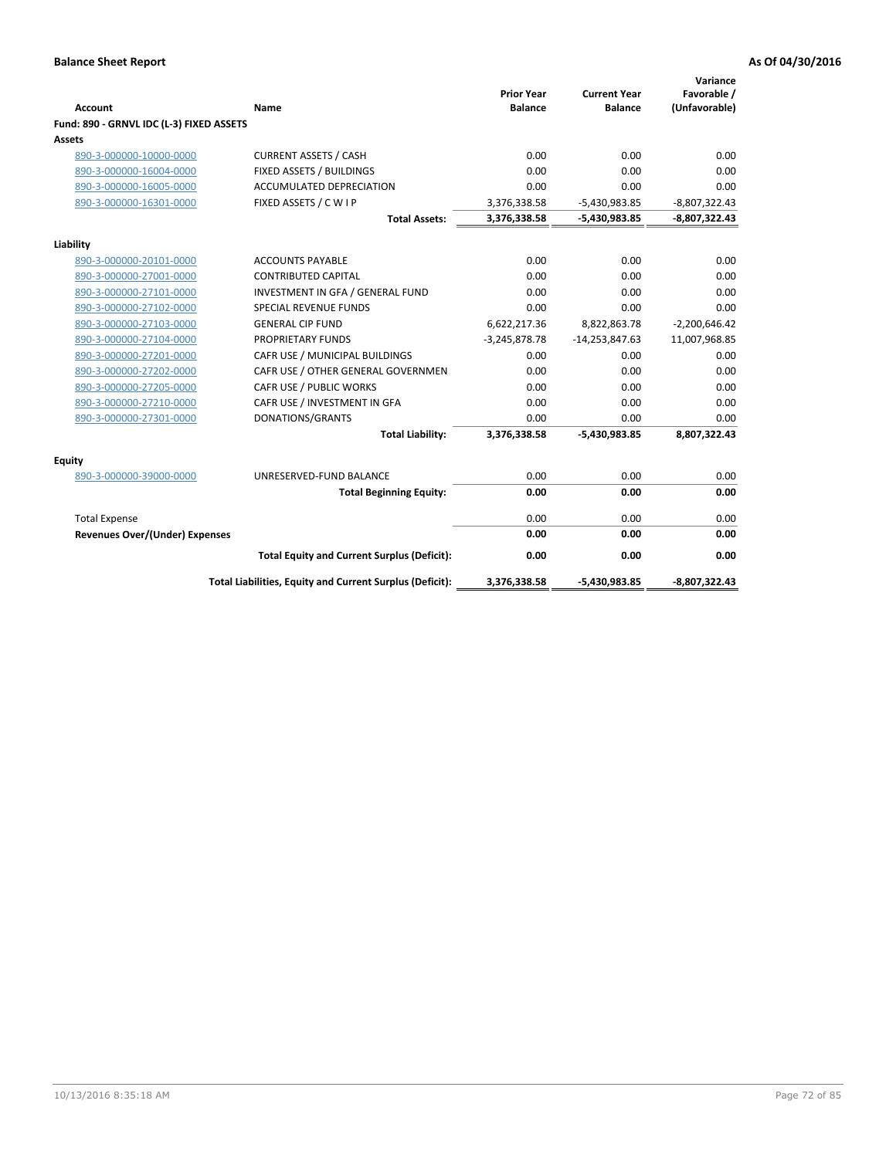| <b>Account</b>                           | Name                                                     | <b>Prior Year</b><br><b>Balance</b> | <b>Current Year</b><br><b>Balance</b> | Variance<br>Favorable /<br>(Unfavorable) |
|------------------------------------------|----------------------------------------------------------|-------------------------------------|---------------------------------------|------------------------------------------|
| Fund: 890 - GRNVL IDC (L-3) FIXED ASSETS |                                                          |                                     |                                       |                                          |
| Assets                                   |                                                          |                                     |                                       |                                          |
| 890-3-000000-10000-0000                  | <b>CURRENT ASSETS / CASH</b>                             | 0.00                                | 0.00                                  | 0.00                                     |
| 890-3-000000-16004-0000                  | FIXED ASSETS / BUILDINGS                                 | 0.00                                | 0.00                                  | 0.00                                     |
| 890-3-000000-16005-0000                  | <b>ACCUMULATED DEPRECIATION</b>                          | 0.00                                | 0.00                                  | 0.00                                     |
| 890-3-000000-16301-0000                  | FIXED ASSETS / C W I P                                   | 3,376,338.58                        | $-5,430,983.85$                       | $-8,807,322.43$                          |
|                                          | <b>Total Assets:</b>                                     | 3,376,338.58                        | $-5,430,983.85$                       | $-8,807,322.43$                          |
|                                          |                                                          |                                     |                                       |                                          |
| Liability<br>890-3-000000-20101-0000     | <b>ACCOUNTS PAYABLE</b>                                  | 0.00                                | 0.00                                  | 0.00                                     |
| 890-3-000000-27001-0000                  | <b>CONTRIBUTED CAPITAL</b>                               | 0.00                                | 0.00                                  | 0.00                                     |
| 890-3-000000-27101-0000                  | INVESTMENT IN GFA / GENERAL FUND                         | 0.00                                | 0.00                                  | 0.00                                     |
| 890-3-000000-27102-0000                  | <b>SPECIAL REVENUE FUNDS</b>                             | 0.00                                | 0.00                                  | 0.00                                     |
| 890-3-000000-27103-0000                  | <b>GENERAL CIP FUND</b>                                  | 6,622,217.36                        | 8,822,863.78                          | $-2,200,646.42$                          |
| 890-3-000000-27104-0000                  | <b>PROPRIETARY FUNDS</b>                                 | $-3,245,878.78$                     | $-14,253,847.63$                      | 11,007,968.85                            |
| 890-3-000000-27201-0000                  | CAFR USE / MUNICIPAL BUILDINGS                           | 0.00                                | 0.00                                  | 0.00                                     |
| 890-3-000000-27202-0000                  | CAFR USE / OTHER GENERAL GOVERNMEN                       | 0.00                                | 0.00                                  | 0.00                                     |
| 890-3-000000-27205-0000                  | CAFR USE / PUBLIC WORKS                                  | 0.00                                | 0.00                                  | 0.00                                     |
| 890-3-000000-27210-0000                  | CAFR USE / INVESTMENT IN GFA                             | 0.00                                | 0.00                                  | 0.00                                     |
| 890-3-000000-27301-0000                  | DONATIONS/GRANTS                                         | 0.00                                | 0.00                                  | 0.00                                     |
|                                          | <b>Total Liability:</b>                                  | 3,376,338.58                        | -5,430,983.85                         | 8,807,322.43                             |
| <b>Equity</b>                            |                                                          |                                     |                                       |                                          |
| 890-3-000000-39000-0000                  | UNRESERVED-FUND BALANCE                                  | 0.00                                | 0.00                                  | 0.00                                     |
|                                          | <b>Total Beginning Equity:</b>                           | 0.00                                | 0.00                                  | 0.00                                     |
| <b>Total Expense</b>                     |                                                          | 0.00                                | 0.00                                  | 0.00                                     |
| Revenues Over/(Under) Expenses           |                                                          | 0.00                                | 0.00                                  | 0.00                                     |
|                                          | <b>Total Equity and Current Surplus (Deficit):</b>       | 0.00                                | 0.00                                  | 0.00                                     |
|                                          | Total Liabilities, Equity and Current Surplus (Deficit): | 3,376,338.58                        | -5,430,983.85                         | -8,807,322.43                            |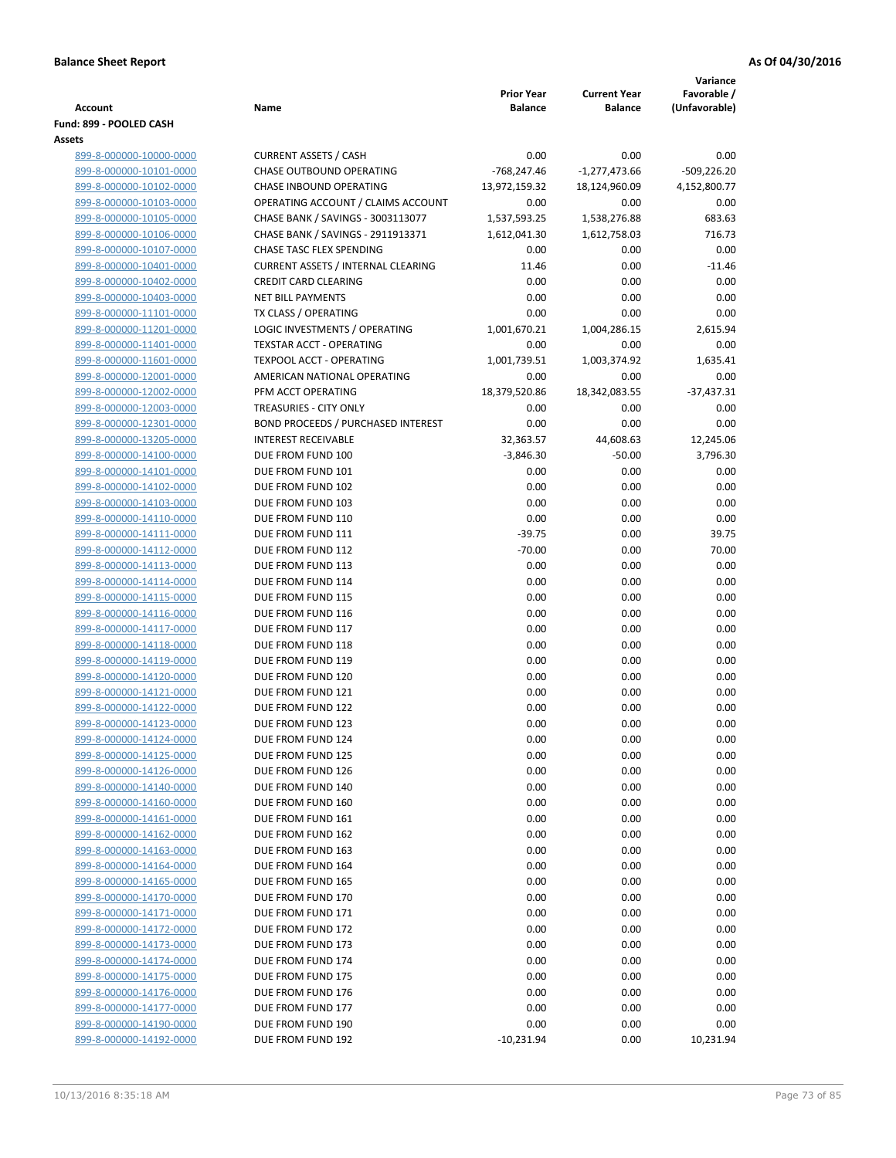|                                                    |                                                                         |                          |                       | Variance              |
|----------------------------------------------------|-------------------------------------------------------------------------|--------------------------|-----------------------|-----------------------|
|                                                    |                                                                         | <b>Prior Year</b>        | <b>Current Year</b>   | Favorable /           |
| <b>Account</b><br>Fund: 899 - POOLED CASH          | Name                                                                    | <b>Balance</b>           | <b>Balance</b>        | (Unfavorable)         |
| Assets                                             |                                                                         |                          |                       |                       |
| 899-8-000000-10000-0000                            | <b>CURRENT ASSETS / CASH</b>                                            | 0.00                     | 0.00                  | 0.00                  |
| 899-8-000000-10101-0000                            | CHASE OUTBOUND OPERATING                                                | $-768,247.46$            | $-1,277,473.66$       | $-509,226.20$         |
| 899-8-000000-10102-0000                            | CHASE INBOUND OPERATING                                                 | 13,972,159.32            | 18,124,960.09         | 4,152,800.77          |
| 899-8-000000-10103-0000                            | OPERATING ACCOUNT / CLAIMS ACCOUNT                                      | 0.00                     | 0.00                  | 0.00                  |
| 899-8-000000-10105-0000                            | CHASE BANK / SAVINGS - 3003113077                                       | 1,537,593.25             | 1,538,276.88          | 683.63                |
| 899-8-000000-10106-0000                            | CHASE BANK / SAVINGS - 2911913371                                       | 1,612,041.30             | 1,612,758.03          | 716.73                |
| 899-8-000000-10107-0000                            | CHASE TASC FLEX SPENDING                                                | 0.00                     | 0.00                  | 0.00                  |
| 899-8-000000-10401-0000                            | <b>CURRENT ASSETS / INTERNAL CLEARING</b>                               | 11.46                    | 0.00                  | $-11.46$              |
| 899-8-000000-10402-0000                            | <b>CREDIT CARD CLEARING</b>                                             | 0.00                     | 0.00                  | 0.00                  |
| 899-8-000000-10403-0000                            | <b>NET BILL PAYMENTS</b>                                                | 0.00                     | 0.00                  | 0.00                  |
| 899-8-000000-11101-0000                            | TX CLASS / OPERATING                                                    | 0.00                     | 0.00                  | 0.00                  |
| 899-8-000000-11201-0000                            | LOGIC INVESTMENTS / OPERATING                                           | 1,001,670.21             | 1,004,286.15          | 2,615.94              |
| 899-8-000000-11401-0000                            | <b>TEXSTAR ACCT - OPERATING</b>                                         | 0.00                     | 0.00                  | 0.00                  |
| 899-8-000000-11601-0000                            | TEXPOOL ACCT - OPERATING                                                | 1,001,739.51             | 1,003,374.92          | 1,635.41              |
| 899-8-000000-12001-0000                            | AMERICAN NATIONAL OPERATING                                             | 0.00                     | 0.00                  | 0.00                  |
| 899-8-000000-12002-0000                            | PFM ACCT OPERATING                                                      | 18,379,520.86            | 18,342,083.55         | $-37,437.31$          |
| 899-8-000000-12003-0000                            | TREASURIES - CITY ONLY                                                  | 0.00                     | 0.00                  | 0.00                  |
| 899-8-000000-12301-0000                            | <b>BOND PROCEEDS / PURCHASED INTEREST</b><br><b>INTEREST RECEIVABLE</b> | 0.00                     | 0.00                  | 0.00                  |
| 899-8-000000-13205-0000<br>899-8-000000-14100-0000 | DUE FROM FUND 100                                                       | 32,363.57<br>$-3,846.30$ | 44,608.63<br>$-50.00$ | 12,245.06<br>3,796.30 |
| 899-8-000000-14101-0000                            | DUE FROM FUND 101                                                       | 0.00                     | 0.00                  | 0.00                  |
| 899-8-000000-14102-0000                            | DUE FROM FUND 102                                                       | 0.00                     | 0.00                  | 0.00                  |
| 899-8-000000-14103-0000                            | DUE FROM FUND 103                                                       | 0.00                     | 0.00                  | 0.00                  |
| 899-8-000000-14110-0000                            | DUE FROM FUND 110                                                       | 0.00                     | 0.00                  | 0.00                  |
| 899-8-000000-14111-0000                            | DUE FROM FUND 111                                                       | $-39.75$                 | 0.00                  | 39.75                 |
| 899-8-000000-14112-0000                            | DUE FROM FUND 112                                                       | $-70.00$                 | 0.00                  | 70.00                 |
| 899-8-000000-14113-0000                            | DUE FROM FUND 113                                                       | 0.00                     | 0.00                  | 0.00                  |
| 899-8-000000-14114-0000                            | DUE FROM FUND 114                                                       | 0.00                     | 0.00                  | 0.00                  |
| 899-8-000000-14115-0000                            | DUE FROM FUND 115                                                       | 0.00                     | 0.00                  | 0.00                  |
| 899-8-000000-14116-0000                            | DUE FROM FUND 116                                                       | 0.00                     | 0.00                  | 0.00                  |
| 899-8-000000-14117-0000                            | DUE FROM FUND 117                                                       | 0.00                     | 0.00                  | 0.00                  |
| 899-8-000000-14118-0000                            | DUE FROM FUND 118                                                       | 0.00                     | 0.00                  | 0.00                  |
| 899-8-000000-14119-0000                            | DUE FROM FUND 119                                                       | 0.00                     | 0.00                  | 0.00                  |
| 899-8-000000-14120-0000                            | DUE FROM FUND 120                                                       | 0.00                     | 0.00                  | 0.00                  |
| 899-8-000000-14121-0000                            | DUE FROM FUND 121                                                       | 0.00                     | 0.00                  | 0.00                  |
| 899-8-000000-14122-0000                            | DUE FROM FUND 122                                                       | 0.00                     | 0.00                  | 0.00                  |
| 899-8-000000-14123-0000                            | DUE FROM FUND 123                                                       | 0.00                     | 0.00                  | $0.00\,$              |
| 899-8-000000-14124-0000<br>899-8-000000-14125-0000 | DUE FROM FUND 124<br>DUE FROM FUND 125                                  | 0.00<br>0.00             | 0.00<br>0.00          | 0.00<br>0.00          |
| 899-8-000000-14126-0000                            | DUE FROM FUND 126                                                       | 0.00                     | 0.00                  | 0.00                  |
| 899-8-000000-14140-0000                            | DUE FROM FUND 140                                                       | 0.00                     | 0.00                  | 0.00                  |
| 899-8-000000-14160-0000                            | DUE FROM FUND 160                                                       | 0.00                     | 0.00                  | 0.00                  |
| 899-8-000000-14161-0000                            | DUE FROM FUND 161                                                       | 0.00                     | 0.00                  | 0.00                  |
| 899-8-000000-14162-0000                            | DUE FROM FUND 162                                                       | 0.00                     | 0.00                  | 0.00                  |
| 899-8-000000-14163-0000                            | DUE FROM FUND 163                                                       | 0.00                     | 0.00                  | 0.00                  |
| 899-8-000000-14164-0000                            | DUE FROM FUND 164                                                       | 0.00                     | 0.00                  | 0.00                  |
| 899-8-000000-14165-0000                            | DUE FROM FUND 165                                                       | 0.00                     | 0.00                  | 0.00                  |
| 899-8-000000-14170-0000                            | DUE FROM FUND 170                                                       | 0.00                     | 0.00                  | 0.00                  |
| 899-8-000000-14171-0000                            | DUE FROM FUND 171                                                       | 0.00                     | 0.00                  | 0.00                  |
| 899-8-000000-14172-0000                            | DUE FROM FUND 172                                                       | 0.00                     | 0.00                  | 0.00                  |
| 899-8-000000-14173-0000                            | DUE FROM FUND 173                                                       | 0.00                     | 0.00                  | 0.00                  |
| 899-8-000000-14174-0000                            | DUE FROM FUND 174                                                       | 0.00                     | 0.00                  | 0.00                  |
| 899-8-000000-14175-0000                            | DUE FROM FUND 175                                                       | 0.00                     | 0.00                  | 0.00                  |
| 899-8-000000-14176-0000                            | DUE FROM FUND 176                                                       | 0.00                     | 0.00                  | 0.00                  |
| 899-8-000000-14177-0000                            | DUE FROM FUND 177                                                       | 0.00                     | 0.00                  | 0.00                  |
| 899-8-000000-14190-0000                            | DUE FROM FUND 190                                                       | 0.00                     | 0.00                  | 0.00                  |
| 899-8-000000-14192-0000                            | DUE FROM FUND 192                                                       | $-10,231.94$             | 0.00                  | 10,231.94             |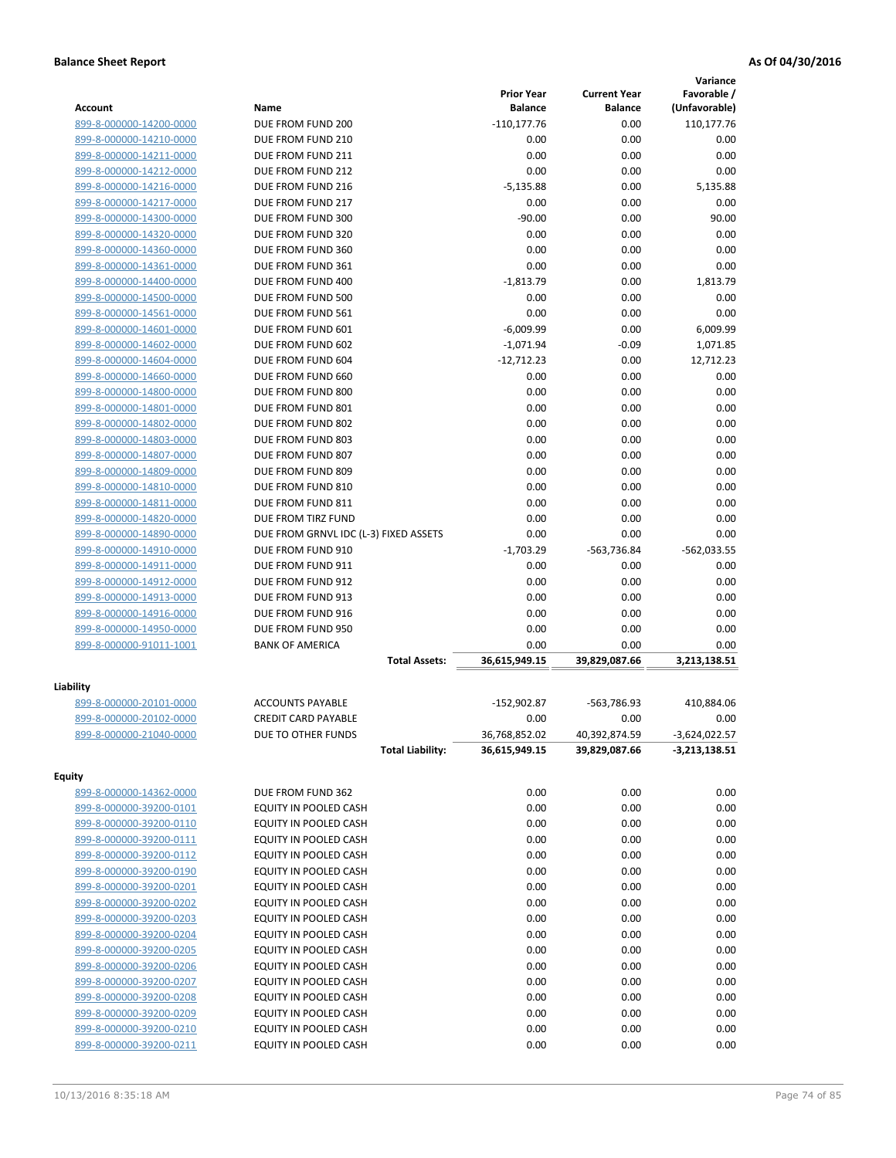|                         |                                       |                   |                     | Variance        |
|-------------------------|---------------------------------------|-------------------|---------------------|-----------------|
|                         |                                       | <b>Prior Year</b> | <b>Current Year</b> | Favorable /     |
| Account                 | Name                                  | <b>Balance</b>    | <b>Balance</b>      | (Unfavorable)   |
| 899-8-000000-14200-0000 | DUE FROM FUND 200                     | $-110, 177.76$    | 0.00                | 110,177.76      |
| 899-8-000000-14210-0000 | DUE FROM FUND 210                     | 0.00              | 0.00                | 0.00            |
| 899-8-000000-14211-0000 | DUE FROM FUND 211                     | 0.00              | 0.00                | 0.00            |
| 899-8-000000-14212-0000 | DUE FROM FUND 212                     | 0.00              | 0.00                | 0.00            |
| 899-8-000000-14216-0000 | DUE FROM FUND 216                     | $-5,135.88$       | 0.00                | 5,135.88        |
| 899-8-000000-14217-0000 | DUE FROM FUND 217                     | 0.00              | 0.00                | 0.00            |
| 899-8-000000-14300-0000 | DUE FROM FUND 300                     | $-90.00$          | 0.00                | 90.00           |
| 899-8-000000-14320-0000 | DUE FROM FUND 320                     | 0.00              | 0.00                | 0.00            |
| 899-8-000000-14360-0000 | DUE FROM FUND 360                     | 0.00              | 0.00                | 0.00            |
| 899-8-000000-14361-0000 | DUE FROM FUND 361                     | 0.00              | 0.00                | 0.00            |
| 899-8-000000-14400-0000 | DUE FROM FUND 400                     | $-1,813.79$       | 0.00                | 1,813.79        |
| 899-8-000000-14500-0000 | DUE FROM FUND 500                     | 0.00              | 0.00                | 0.00            |
| 899-8-000000-14561-0000 | DUE FROM FUND 561                     | 0.00              | 0.00                | 0.00            |
| 899-8-000000-14601-0000 | DUE FROM FUND 601                     | $-6,009.99$       | 0.00                | 6,009.99        |
| 899-8-000000-14602-0000 | DUE FROM FUND 602                     | $-1,071.94$       | $-0.09$             | 1,071.85        |
| 899-8-000000-14604-0000 | DUE FROM FUND 604                     | $-12,712.23$      | 0.00                | 12,712.23       |
| 899-8-000000-14660-0000 | DUE FROM FUND 660                     | 0.00              | 0.00                | 0.00            |
| 899-8-000000-14800-0000 | DUE FROM FUND 800                     | 0.00              | 0.00                | 0.00            |
| 899-8-000000-14801-0000 | DUE FROM FUND 801                     | 0.00              | 0.00                | 0.00            |
| 899-8-000000-14802-0000 | DUE FROM FUND 802                     | 0.00              | 0.00                | 0.00            |
| 899-8-000000-14803-0000 | DUE FROM FUND 803                     | 0.00              | 0.00                | 0.00            |
| 899-8-000000-14807-0000 | DUE FROM FUND 807                     | 0.00              | 0.00                | 0.00            |
| 899-8-000000-14809-0000 | DUE FROM FUND 809                     | 0.00              | 0.00                | 0.00            |
| 899-8-000000-14810-0000 | DUE FROM FUND 810                     | 0.00              | 0.00                | 0.00            |
| 899-8-000000-14811-0000 | DUE FROM FUND 811                     | 0.00              | 0.00                | 0.00            |
| 899-8-000000-14820-0000 | DUE FROM TIRZ FUND                    | 0.00              | 0.00                | 0.00            |
| 899-8-000000-14890-0000 | DUE FROM GRNVL IDC (L-3) FIXED ASSETS | 0.00              | 0.00                | 0.00            |
| 899-8-000000-14910-0000 | DUE FROM FUND 910                     | $-1,703.29$       | -563,736.84         | $-562,033.55$   |
| 899-8-000000-14911-0000 | DUE FROM FUND 911                     | 0.00              | 0.00                | 0.00            |
| 899-8-000000-14912-0000 | DUE FROM FUND 912                     | 0.00              | 0.00                | 0.00            |
| 899-8-000000-14913-0000 | DUE FROM FUND 913                     | 0.00              | 0.00                | 0.00            |
| 899-8-000000-14916-0000 | DUE FROM FUND 916                     | 0.00              | 0.00                | 0.00            |
| 899-8-000000-14950-0000 | DUE FROM FUND 950                     | 0.00              | 0.00                | 0.00            |
| 899-8-000000-91011-1001 | <b>BANK OF AMERICA</b>                | 0.00              | 0.00                | 0.00            |
|                         | <b>Total Assets:</b>                  | 36,615,949.15     | 39,829,087.66       | 3,213,138.51    |
|                         |                                       |                   |                     |                 |
| Liability               |                                       |                   |                     |                 |
| 899-8-000000-20101-0000 | <b>ACCOUNTS PAYABLE</b>               | $-152,902.87$     | -563,786.93         | 410,884.06      |
| 899-8-000000-20102-0000 | <b>CREDIT CARD PAYABLE</b>            | 0.00              | 0.00                | 0.00            |
| 899-8-000000-21040-0000 | DUE TO OTHER FUNDS                    | 36,768,852.02     | 40,392,874.59       | $-3,624,022.57$ |
|                         | <b>Total Liability:</b>               | 36,615,949.15     | 39,829,087.66       | $-3,213,138.51$ |
| <b>Equity</b>           |                                       |                   |                     |                 |
| 899-8-000000-14362-0000 | DUE FROM FUND 362                     | 0.00              | 0.00                | 0.00            |
| 899-8-000000-39200-0101 | EQUITY IN POOLED CASH                 | 0.00              | 0.00                | 0.00            |
| 899-8-000000-39200-0110 | EQUITY IN POOLED CASH                 | 0.00              | 0.00                | 0.00            |
| 899-8-000000-39200-0111 | EQUITY IN POOLED CASH                 | 0.00              | 0.00                | 0.00            |
| 899-8-000000-39200-0112 | EQUITY IN POOLED CASH                 | 0.00              | 0.00                | 0.00            |
| 899-8-000000-39200-0190 | EQUITY IN POOLED CASH                 | 0.00              | 0.00                | 0.00            |
| 899-8-000000-39200-0201 | EQUITY IN POOLED CASH                 | 0.00              | 0.00                | 0.00            |
| 899-8-000000-39200-0202 | EQUITY IN POOLED CASH                 | 0.00              | 0.00                | 0.00            |
| 899-8-000000-39200-0203 | EQUITY IN POOLED CASH                 | 0.00              | 0.00                | 0.00            |
| 899-8-000000-39200-0204 | EQUITY IN POOLED CASH                 | 0.00              | 0.00                | 0.00            |
| 899-8-000000-39200-0205 | EQUITY IN POOLED CASH                 | 0.00              | 0.00                | 0.00            |
|                         |                                       |                   |                     |                 |
| 899-8-000000-39200-0206 | EQUITY IN POOLED CASH                 | 0.00              | 0.00                | 0.00            |
| 899-8-000000-39200-0207 | EQUITY IN POOLED CASH                 | 0.00              | 0.00                | 0.00            |
| 899-8-000000-39200-0208 | EQUITY IN POOLED CASH                 | 0.00              | 0.00                | 0.00            |
| 899-8-000000-39200-0209 | EQUITY IN POOLED CASH                 | 0.00              | 0.00                | 0.00            |
| 899-8-000000-39200-0210 | EQUITY IN POOLED CASH                 | 0.00              | 0.00                | 0.00            |
| 899-8-000000-39200-0211 | EQUITY IN POOLED CASH                 | 0.00              | 0.00                | 0.00            |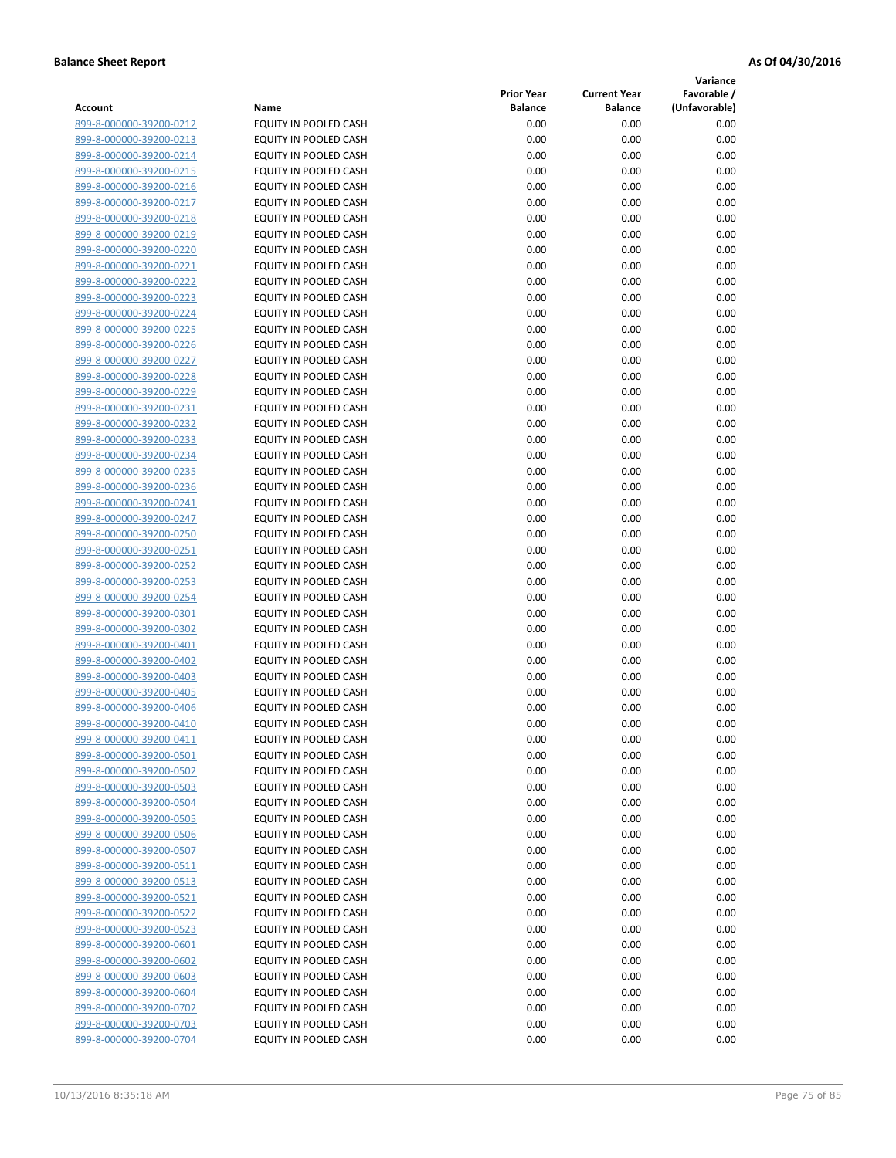**Variance**

| Account                                            | Name                                           | <b>Prior Year</b><br><b>Balance</b> | <b>Current Year</b><br><b>Balance</b> | Favorable /<br>(Unfavorable) |
|----------------------------------------------------|------------------------------------------------|-------------------------------------|---------------------------------------|------------------------------|
| 899-8-000000-39200-0212                            | EQUITY IN POOLED CASH                          | 0.00                                | 0.00                                  | 0.00                         |
| 899-8-000000-39200-0213                            | EQUITY IN POOLED CASH                          | 0.00                                | 0.00                                  | 0.00                         |
| 899-8-000000-39200-0214                            | EQUITY IN POOLED CASH                          | 0.00                                | 0.00                                  | 0.00                         |
| 899-8-000000-39200-0215                            | EQUITY IN POOLED CASH                          | 0.00                                | 0.00                                  | 0.00                         |
| 899-8-000000-39200-0216                            | <b>EQUITY IN POOLED CASH</b>                   | 0.00                                | 0.00                                  | 0.00                         |
| 899-8-000000-39200-0217                            | EQUITY IN POOLED CASH                          | 0.00                                | 0.00                                  | 0.00                         |
| 899-8-000000-39200-0218                            | EQUITY IN POOLED CASH                          | 0.00                                | 0.00                                  | 0.00                         |
| 899-8-000000-39200-0219                            | EQUITY IN POOLED CASH                          | 0.00                                | 0.00                                  | 0.00                         |
| 899-8-000000-39200-0220                            | EQUITY IN POOLED CASH                          | 0.00                                | 0.00                                  | 0.00                         |
| 899-8-000000-39200-0221                            | <b>EQUITY IN POOLED CASH</b>                   | 0.00                                | 0.00                                  | 0.00                         |
| 899-8-000000-39200-0222                            | EQUITY IN POOLED CASH                          | 0.00                                | 0.00                                  | 0.00                         |
| 899-8-000000-39200-0223                            | EQUITY IN POOLED CASH                          | 0.00                                | 0.00                                  | 0.00                         |
| 899-8-000000-39200-0224                            | EQUITY IN POOLED CASH                          | 0.00                                | 0.00                                  | 0.00                         |
| 899-8-000000-39200-0225                            | EQUITY IN POOLED CASH                          | 0.00                                | 0.00                                  | 0.00                         |
| 899-8-000000-39200-0226                            | EQUITY IN POOLED CASH                          | 0.00                                | 0.00                                  | 0.00                         |
| 899-8-000000-39200-0227                            | EQUITY IN POOLED CASH                          | 0.00                                | 0.00                                  | 0.00                         |
| 899-8-000000-39200-0228                            | EQUITY IN POOLED CASH                          | 0.00                                | 0.00                                  | 0.00                         |
| 899-8-000000-39200-0229                            | EQUITY IN POOLED CASH                          | 0.00                                | 0.00                                  | 0.00                         |
| 899-8-000000-39200-0231                            | EQUITY IN POOLED CASH                          | 0.00                                | 0.00                                  | 0.00                         |
| 899-8-000000-39200-0232                            | EQUITY IN POOLED CASH                          | 0.00                                | 0.00                                  | 0.00                         |
| 899-8-000000-39200-0233                            | EQUITY IN POOLED CASH                          | 0.00                                | 0.00                                  | 0.00                         |
| 899-8-000000-39200-0234                            | EQUITY IN POOLED CASH                          | 0.00                                | 0.00                                  | 0.00                         |
| 899-8-000000-39200-0235                            | EQUITY IN POOLED CASH                          | 0.00                                | 0.00                                  | 0.00                         |
| 899-8-000000-39200-0236                            | EQUITY IN POOLED CASH                          | 0.00                                | 0.00                                  | 0.00                         |
| 899-8-000000-39200-0241                            | EQUITY IN POOLED CASH                          | 0.00                                | 0.00                                  | 0.00                         |
| 899-8-000000-39200-0247                            | EQUITY IN POOLED CASH                          | 0.00                                | 0.00                                  | 0.00                         |
| 899-8-000000-39200-0250                            | EQUITY IN POOLED CASH                          | 0.00                                | 0.00                                  | 0.00                         |
| 899-8-000000-39200-0251                            | EQUITY IN POOLED CASH                          | 0.00                                | 0.00                                  | 0.00                         |
| 899-8-000000-39200-0252                            | EQUITY IN POOLED CASH                          | 0.00                                | 0.00                                  | 0.00                         |
| 899-8-000000-39200-0253                            | EQUITY IN POOLED CASH                          | 0.00                                | 0.00                                  | 0.00                         |
| 899-8-000000-39200-0254                            | EQUITY IN POOLED CASH                          | 0.00                                | 0.00                                  | 0.00                         |
| 899-8-000000-39200-0301                            | EQUITY IN POOLED CASH                          | 0.00                                | 0.00                                  | 0.00                         |
| 899-8-000000-39200-0302                            | EQUITY IN POOLED CASH                          | 0.00                                | 0.00                                  | 0.00                         |
| 899-8-000000-39200-0401                            | EQUITY IN POOLED CASH                          | 0.00                                | 0.00                                  | 0.00                         |
| 899-8-000000-39200-0402<br>899-8-000000-39200-0403 | EQUITY IN POOLED CASH<br>EQUITY IN POOLED CASH | 0.00<br>0.00                        | 0.00<br>0.00                          | 0.00<br>0.00                 |
| 899-8-000000-39200-0405                            | EQUITY IN POOLED CASH                          | 0.00                                | 0.00                                  | 0.00                         |
| 899-8-000000-39200-0406                            | EQUITY IN POOLED CASH                          | 0.00                                | 0.00                                  | 0.00                         |
| 899-8-000000-39200-0410                            | <b>EQUITY IN POOLED CASH</b>                   | 0.00                                | 0.00                                  | 0.00                         |
| 899-8-000000-39200-0411                            | EQUITY IN POOLED CASH                          | 0.00                                | 0.00                                  | 0.00                         |
| 899-8-000000-39200-0501                            | EQUITY IN POOLED CASH                          | 0.00                                | 0.00                                  | 0.00                         |
| 899-8-000000-39200-0502                            | EQUITY IN POOLED CASH                          | 0.00                                | 0.00                                  | 0.00                         |
| 899-8-000000-39200-0503                            | EQUITY IN POOLED CASH                          | 0.00                                | 0.00                                  | 0.00                         |
| 899-8-000000-39200-0504                            | <b>EQUITY IN POOLED CASH</b>                   | 0.00                                | 0.00                                  | 0.00                         |
| 899-8-000000-39200-0505                            | EQUITY IN POOLED CASH                          | 0.00                                | 0.00                                  | 0.00                         |
| 899-8-000000-39200-0506                            | EQUITY IN POOLED CASH                          | 0.00                                | 0.00                                  | 0.00                         |
| 899-8-000000-39200-0507                            | EQUITY IN POOLED CASH                          | 0.00                                | 0.00                                  | 0.00                         |
| 899-8-000000-39200-0511                            | EQUITY IN POOLED CASH                          | 0.00                                | 0.00                                  | 0.00                         |
| 899-8-000000-39200-0513                            | EQUITY IN POOLED CASH                          | 0.00                                | 0.00                                  | 0.00                         |
| 899-8-000000-39200-0521                            | EQUITY IN POOLED CASH                          | 0.00                                | 0.00                                  | 0.00                         |
| 899-8-000000-39200-0522                            | <b>EQUITY IN POOLED CASH</b>                   | 0.00                                | 0.00                                  | 0.00                         |
| 899-8-000000-39200-0523                            | EQUITY IN POOLED CASH                          | 0.00                                | 0.00                                  | 0.00                         |
| 899-8-000000-39200-0601                            | EQUITY IN POOLED CASH                          | 0.00                                | 0.00                                  | 0.00                         |
| 899-8-000000-39200-0602                            | EQUITY IN POOLED CASH                          | 0.00                                | 0.00                                  | 0.00                         |
| 899-8-000000-39200-0603                            | EQUITY IN POOLED CASH                          | 0.00                                | 0.00                                  | 0.00                         |
| 899-8-000000-39200-0604                            | EQUITY IN POOLED CASH                          | 0.00                                | 0.00                                  | 0.00                         |
| 899-8-000000-39200-0702                            | EQUITY IN POOLED CASH                          | 0.00                                | 0.00                                  | 0.00                         |
| 899-8-000000-39200-0703                            | EQUITY IN POOLED CASH                          | 0.00                                | 0.00                                  | 0.00                         |
| 899-8-000000-39200-0704                            | EQUITY IN POOLED CASH                          | 0.00                                | 0.00                                  | 0.00                         |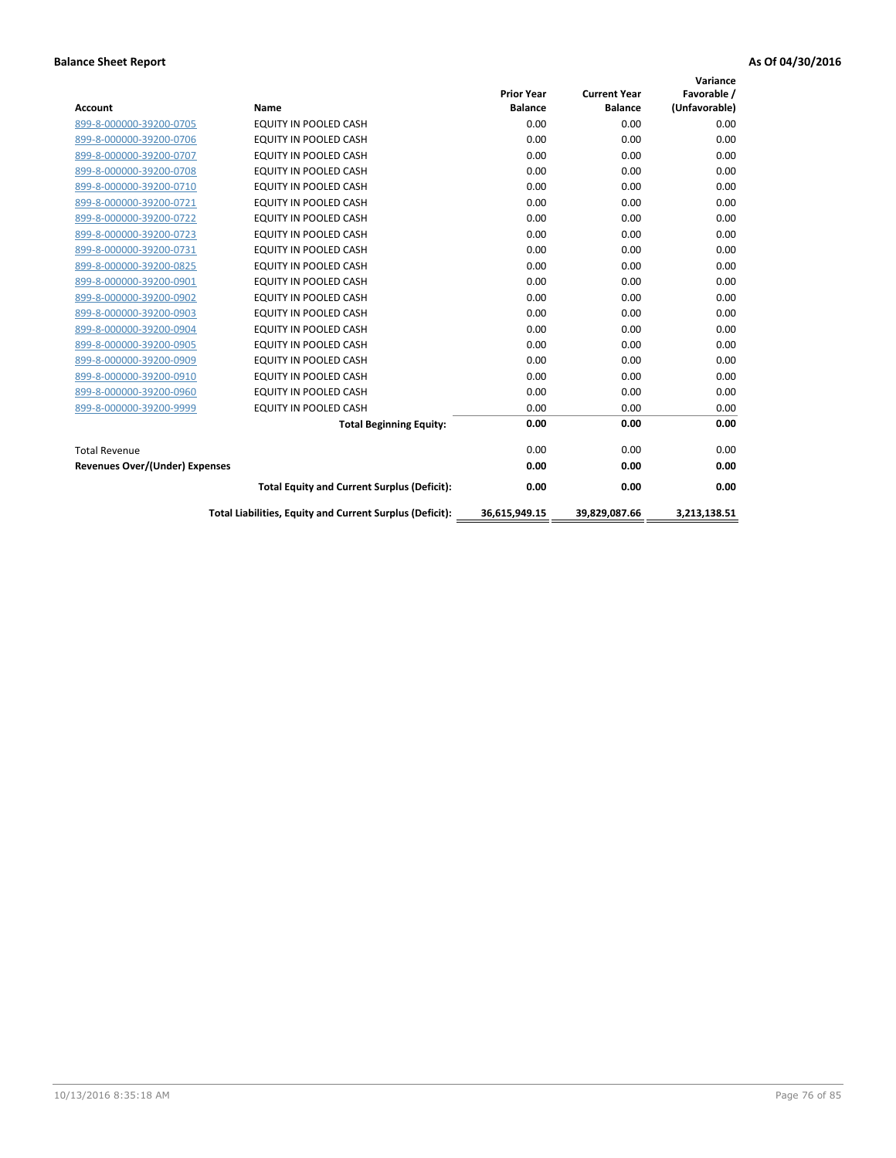| <b>Account</b>                        | Name                                                     | <b>Prior Year</b><br><b>Balance</b> | <b>Current Year</b><br><b>Balance</b> | Variance<br>Favorable /<br>(Unfavorable) |
|---------------------------------------|----------------------------------------------------------|-------------------------------------|---------------------------------------|------------------------------------------|
| 899-8-000000-39200-0705               | <b>EQUITY IN POOLED CASH</b>                             | 0.00                                | 0.00                                  | 0.00                                     |
| 899-8-000000-39200-0706               | <b>EQUITY IN POOLED CASH</b>                             | 0.00                                | 0.00                                  | 0.00                                     |
| 899-8-000000-39200-0707               | <b>EQUITY IN POOLED CASH</b>                             | 0.00                                | 0.00                                  | 0.00                                     |
| 899-8-000000-39200-0708               | <b>EQUITY IN POOLED CASH</b>                             | 0.00                                | 0.00                                  | 0.00                                     |
| 899-8-000000-39200-0710               | <b>EQUITY IN POOLED CASH</b>                             | 0.00                                | 0.00                                  | 0.00                                     |
| 899-8-000000-39200-0721               | EQUITY IN POOLED CASH                                    | 0.00                                | 0.00                                  | 0.00                                     |
| 899-8-000000-39200-0722               | EQUITY IN POOLED CASH                                    | 0.00                                | 0.00                                  | 0.00                                     |
| 899-8-000000-39200-0723               | <b>EQUITY IN POOLED CASH</b>                             | 0.00                                | 0.00                                  | 0.00                                     |
| 899-8-000000-39200-0731               | EQUITY IN POOLED CASH                                    | 0.00                                | 0.00                                  | 0.00                                     |
| 899-8-000000-39200-0825               | <b>EQUITY IN POOLED CASH</b>                             | 0.00                                | 0.00                                  | 0.00                                     |
| 899-8-000000-39200-0901               | <b>EQUITY IN POOLED CASH</b>                             | 0.00                                | 0.00                                  | 0.00                                     |
| 899-8-000000-39200-0902               | EQUITY IN POOLED CASH                                    | 0.00                                | 0.00                                  | 0.00                                     |
| 899-8-000000-39200-0903               | <b>EQUITY IN POOLED CASH</b>                             | 0.00                                | 0.00                                  | 0.00                                     |
| 899-8-000000-39200-0904               | <b>EQUITY IN POOLED CASH</b>                             | 0.00                                | 0.00                                  | 0.00                                     |
| 899-8-000000-39200-0905               | EQUITY IN POOLED CASH                                    | 0.00                                | 0.00                                  | 0.00                                     |
| 899-8-000000-39200-0909               | <b>EQUITY IN POOLED CASH</b>                             | 0.00                                | 0.00                                  | 0.00                                     |
| 899-8-000000-39200-0910               | <b>EQUITY IN POOLED CASH</b>                             | 0.00                                | 0.00                                  | 0.00                                     |
| 899-8-000000-39200-0960               | EQUITY IN POOLED CASH                                    | 0.00                                | 0.00                                  | 0.00                                     |
| 899-8-000000-39200-9999               | EQUITY IN POOLED CASH                                    | 0.00                                | 0.00                                  | 0.00                                     |
|                                       | <b>Total Beginning Equity:</b>                           | 0.00                                | 0.00                                  | 0.00                                     |
| <b>Total Revenue</b>                  |                                                          | 0.00                                | 0.00                                  | 0.00                                     |
| <b>Revenues Over/(Under) Expenses</b> |                                                          | 0.00                                | 0.00                                  | 0.00                                     |
|                                       | <b>Total Equity and Current Surplus (Deficit):</b>       | 0.00                                | 0.00                                  | 0.00                                     |
|                                       | Total Liabilities, Equity and Current Surplus (Deficit): | 36,615,949.15                       | 39,829,087.66                         | 3.213.138.51                             |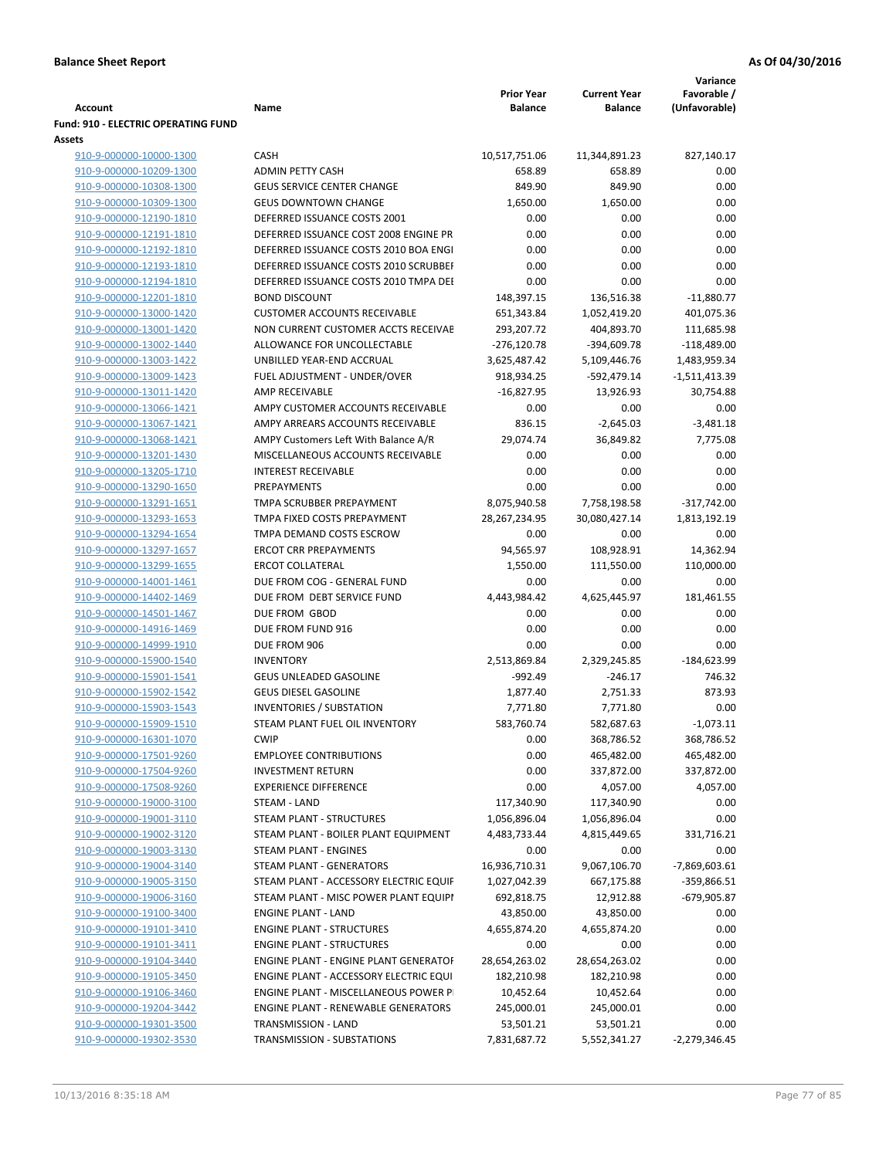|                                                    |                                                          | <b>Prior Year</b> |                                       | Variance<br>Favorable / |
|----------------------------------------------------|----------------------------------------------------------|-------------------|---------------------------------------|-------------------------|
| Account                                            | Name                                                     | <b>Balance</b>    | <b>Current Year</b><br><b>Balance</b> | (Unfavorable)           |
| Fund: 910 - ELECTRIC OPERATING FUND                |                                                          |                   |                                       |                         |
| Assets                                             |                                                          |                   |                                       |                         |
| 910-9-000000-10000-1300                            | CASH                                                     | 10,517,751.06     | 11,344,891.23                         | 827,140.17              |
| 910-9-000000-10209-1300                            | <b>ADMIN PETTY CASH</b>                                  | 658.89            | 658.89                                | 0.00                    |
| 910-9-000000-10308-1300                            | <b>GEUS SERVICE CENTER CHANGE</b>                        | 849.90            | 849.90                                | 0.00                    |
| 910-9-000000-10309-1300                            | <b>GEUS DOWNTOWN CHANGE</b>                              | 1,650.00          | 1,650.00                              | 0.00                    |
| 910-9-000000-12190-1810                            | DEFERRED ISSUANCE COSTS 2001                             | 0.00              | 0.00                                  | 0.00                    |
| 910-9-000000-12191-1810                            | DEFERRED ISSUANCE COST 2008 ENGINE PR                    | 0.00              | 0.00                                  | 0.00                    |
| 910-9-000000-12192-1810                            | DEFERRED ISSUANCE COSTS 2010 BOA ENGI                    | 0.00              | 0.00                                  | 0.00                    |
| 910-9-000000-12193-1810                            | DEFERRED ISSUANCE COSTS 2010 SCRUBBEI                    | 0.00              | 0.00                                  | 0.00                    |
| 910-9-000000-12194-1810                            | DEFERRED ISSUANCE COSTS 2010 TMPA DEI                    | 0.00              | 0.00                                  | 0.00                    |
| 910-9-000000-12201-1810                            | <b>BOND DISCOUNT</b>                                     | 148,397.15        | 136,516.38                            | $-11,880.77$            |
| 910-9-000000-13000-1420                            | <b>CUSTOMER ACCOUNTS RECEIVABLE</b>                      | 651,343.84        | 1,052,419.20                          | 401,075.36              |
| 910-9-000000-13001-1420                            | NON CURRENT CUSTOMER ACCTS RECEIVAE                      | 293,207.72        | 404,893.70                            | 111,685.98              |
| 910-9-000000-13002-1440                            | ALLOWANCE FOR UNCOLLECTABLE                              | $-276,120.78$     | -394,609.78                           | $-118,489.00$           |
| 910-9-000000-13003-1422                            | UNBILLED YEAR-END ACCRUAL                                | 3,625,487.42      | 5,109,446.76                          | 1,483,959.34            |
| 910-9-000000-13009-1423                            | FUEL ADJUSTMENT - UNDER/OVER                             | 918,934.25        | -592,479.14                           | $-1,511,413.39$         |
| 910-9-000000-13011-1420                            | AMP RECEIVABLE                                           | $-16,827.95$      | 13,926.93                             | 30,754.88               |
| 910-9-000000-13066-1421                            | AMPY CUSTOMER ACCOUNTS RECEIVABLE                        | 0.00              | 0.00                                  | 0.00                    |
| 910-9-000000-13067-1421                            | AMPY ARREARS ACCOUNTS RECEIVABLE                         | 836.15            | $-2,645.03$                           | $-3,481.18$             |
| 910-9-000000-13068-1421                            | AMPY Customers Left With Balance A/R                     | 29,074.74         | 36,849.82                             | 7,775.08                |
| 910-9-000000-13201-1430                            | MISCELLANEOUS ACCOUNTS RECEIVABLE                        | 0.00              | 0.00                                  | 0.00                    |
| 910-9-000000-13205-1710                            | <b>INTEREST RECEIVABLE</b>                               | 0.00              | 0.00                                  | 0.00                    |
| 910-9-000000-13290-1650                            | PREPAYMENTS                                              | 0.00              | 0.00                                  | 0.00                    |
| 910-9-000000-13291-1651                            | TMPA SCRUBBER PREPAYMENT                                 | 8,075,940.58      | 7,758,198.58                          | $-317,742.00$           |
| 910-9-000000-13293-1653                            | TMPA FIXED COSTS PREPAYMENT                              | 28,267,234.95     | 30,080,427.14                         | 1,813,192.19            |
| 910-9-000000-13294-1654                            | TMPA DEMAND COSTS ESCROW<br><b>ERCOT CRR PREPAYMENTS</b> | 0.00              | 0.00                                  | 0.00                    |
| 910-9-000000-13297-1657                            | <b>ERCOT COLLATERAL</b>                                  | 94,565.97         | 108,928.91                            | 14,362.94<br>110,000.00 |
| 910-9-000000-13299-1655<br>910-9-000000-14001-1461 | DUE FROM COG - GENERAL FUND                              | 1,550.00<br>0.00  | 111,550.00<br>0.00                    | 0.00                    |
| 910-9-000000-14402-1469                            | DUE FROM DEBT SERVICE FUND                               | 4,443,984.42      | 4,625,445.97                          | 181,461.55              |
| 910-9-000000-14501-1467                            | DUE FROM GBOD                                            | 0.00              | 0.00                                  | 0.00                    |
| 910-9-000000-14916-1469                            | DUE FROM FUND 916                                        | 0.00              | 0.00                                  | 0.00                    |
| 910-9-000000-14999-1910                            | DUE FROM 906                                             | 0.00              | 0.00                                  | 0.00                    |
| 910-9-000000-15900-1540                            | <b>INVENTORY</b>                                         | 2,513,869.84      | 2,329,245.85                          | $-184,623.99$           |
| 910-9-000000-15901-1541                            | <b>GEUS UNLEADED GASOLINE</b>                            | $-992.49$         | $-246.17$                             | 746.32                  |
| 910-9-000000-15902-1542                            | <b>GEUS DIESEL GASOLINE</b>                              | 1,877.40          | 2,751.33                              | 873.93                  |
| 910-9-000000-15903-1543                            | <b>INVENTORIES / SUBSTATION</b>                          | 7,771.80          | 7,771.80                              | 0.00                    |
| 910-9-000000-15909-1510                            | STEAM PLANT FUEL OIL INVENTORY                           | 583,760.74        | 582,687.63                            | $-1,073.11$             |
| 910-9-000000-16301-1070                            | <b>CWIP</b>                                              | 0.00              | 368,786.52                            | 368,786.52              |
| 910-9-000000-17501-9260                            | <b>EMPLOYEE CONTRIBUTIONS</b>                            | 0.00              | 465,482.00                            | 465,482.00              |
| 910-9-000000-17504-9260                            | <b>INVESTMENT RETURN</b>                                 | 0.00              | 337,872.00                            | 337,872.00              |
| 910-9-000000-17508-9260                            | <b>EXPERIENCE DIFFERENCE</b>                             | 0.00              | 4,057.00                              | 4,057.00                |
| 910-9-000000-19000-3100                            | <b>STEAM - LAND</b>                                      | 117,340.90        | 117,340.90                            | 0.00                    |
| 910-9-000000-19001-3110                            | STEAM PLANT - STRUCTURES                                 | 1,056,896.04      | 1,056,896.04                          | 0.00                    |
| 910-9-000000-19002-3120                            | STEAM PLANT - BOILER PLANT EQUIPMENT                     | 4,483,733.44      | 4,815,449.65                          | 331,716.21              |
| 910-9-000000-19003-3130                            | STEAM PLANT - ENGINES                                    | 0.00              | 0.00                                  | 0.00                    |
| 910-9-000000-19004-3140                            | STEAM PLANT - GENERATORS                                 | 16,936,710.31     | 9,067,106.70                          | $-7,869,603.61$         |
| 910-9-000000-19005-3150                            | STEAM PLANT - ACCESSORY ELECTRIC EQUIF                   | 1,027,042.39      | 667,175.88                            | -359,866.51             |
| 910-9-000000-19006-3160                            | STEAM PLANT - MISC POWER PLANT EQUIPI                    | 692,818.75        | 12,912.88                             | -679,905.87             |
| 910-9-000000-19100-3400                            | <b>ENGINE PLANT - LAND</b>                               | 43,850.00         | 43,850.00                             | 0.00                    |
| 910-9-000000-19101-3410                            | <b>ENGINE PLANT - STRUCTURES</b>                         | 4,655,874.20      | 4,655,874.20                          | 0.00                    |
| 910-9-000000-19101-3411                            | <b>ENGINE PLANT - STRUCTURES</b>                         | 0.00              | 0.00                                  | 0.00                    |
| 910-9-000000-19104-3440                            | ENGINE PLANT - ENGINE PLANT GENERATOF                    | 28,654,263.02     | 28,654,263.02                         | 0.00                    |
| 910-9-000000-19105-3450                            | ENGINE PLANT - ACCESSORY ELECTRIC EQUI                   | 182,210.98        | 182,210.98                            | 0.00                    |
| 910-9-000000-19106-3460                            | ENGINE PLANT - MISCELLANEOUS POWER P                     | 10,452.64         | 10,452.64                             | 0.00                    |
| 910-9-000000-19204-3442                            | <b>ENGINE PLANT - RENEWABLE GENERATORS</b>               | 245,000.01        | 245,000.01                            | 0.00                    |
| 910-9-000000-19301-3500                            | TRANSMISSION - LAND                                      | 53,501.21         | 53,501.21                             | 0.00                    |
| 910-9-000000-19302-3530                            | TRANSMISSION - SUBSTATIONS                               | 7,831,687.72      | 5,552,341.27                          | $-2,279,346.45$         |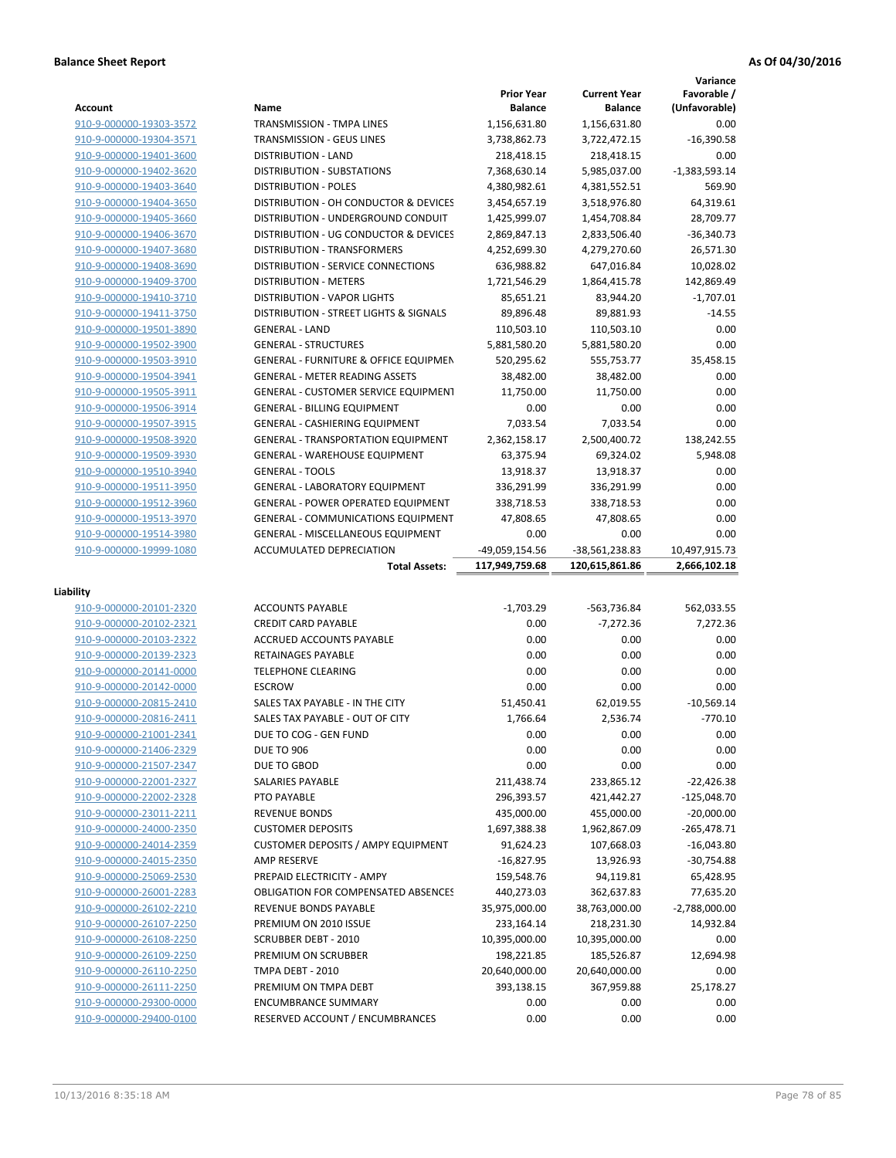|                                                    |                                                                     |                               |                             | Variance                |
|----------------------------------------------------|---------------------------------------------------------------------|-------------------------------|-----------------------------|-------------------------|
|                                                    |                                                                     | <b>Prior Year</b>             | <b>Current Year</b>         | Favorable /             |
| Account                                            | Name                                                                | <b>Balance</b>                | <b>Balance</b>              | (Unfavorable)           |
| 910-9-000000-19303-3572                            | TRANSMISSION - TMPA LINES                                           | 1,156,631.80                  | 1,156,631.80                | 0.00                    |
| 910-9-000000-19304-3571                            | TRANSMISSION - GEUS LINES                                           | 3,738,862.73                  | 3,722,472.15                | $-16,390.58$            |
| 910-9-000000-19401-3600                            | <b>DISTRIBUTION - LAND</b>                                          | 218,418.15                    | 218,418.15                  | 0.00                    |
| 910-9-000000-19402-3620                            | <b>DISTRIBUTION - SUBSTATIONS</b>                                   | 7,368,630.14                  | 5,985,037.00                | $-1,383,593.14$         |
| 910-9-000000-19403-3640                            | <b>DISTRIBUTION - POLES</b>                                         | 4,380,982.61                  | 4,381,552.51                | 569.90                  |
| 910-9-000000-19404-3650                            | DISTRIBUTION - OH CONDUCTOR & DEVICES                               | 3,454,657.19                  | 3,518,976.80                | 64,319.61               |
| 910-9-000000-19405-3660                            | DISTRIBUTION - UNDERGROUND CONDUIT                                  | 1,425,999.07                  | 1,454,708.84                | 28,709.77               |
| 910-9-000000-19406-3670                            | DISTRIBUTION - UG CONDUCTOR & DEVICES                               | 2,869,847.13                  | 2,833,506.40                | $-36,340.73$            |
| 910-9-000000-19407-3680                            | DISTRIBUTION - TRANSFORMERS                                         | 4,252,699.30<br>636,988.82    | 4,279,270.60<br>647,016.84  | 26,571.30               |
| 910-9-000000-19408-3690                            | DISTRIBUTION - SERVICE CONNECTIONS<br><b>DISTRIBUTION - METERS</b>  | 1,721,546.29                  | 1,864,415.78                | 10,028.02<br>142,869.49 |
| 910-9-000000-19409-3700<br>910-9-000000-19410-3710 | <b>DISTRIBUTION - VAPOR LIGHTS</b>                                  | 85,651.21                     | 83,944.20                   | $-1,707.01$             |
| 910-9-000000-19411-3750                            | DISTRIBUTION - STREET LIGHTS & SIGNALS                              | 89,896.48                     | 89,881.93                   | $-14.55$                |
| 910-9-000000-19501-3890                            | <b>GENERAL - LAND</b>                                               | 110,503.10                    | 110,503.10                  | 0.00                    |
| 910-9-000000-19502-3900                            | <b>GENERAL - STRUCTURES</b>                                         | 5,881,580.20                  | 5,881,580.20                | 0.00                    |
| 910-9-000000-19503-3910                            | <b>GENERAL - FURNITURE &amp; OFFICE EQUIPMEN</b>                    | 520,295.62                    | 555,753.77                  | 35,458.15               |
| 910-9-000000-19504-3941                            | <b>GENERAL - METER READING ASSETS</b>                               | 38,482.00                     | 38,482.00                   | 0.00                    |
| 910-9-000000-19505-3911                            | <b>GENERAL - CUSTOMER SERVICE EQUIPMENT</b>                         | 11,750.00                     | 11.750.00                   | 0.00                    |
| 910-9-000000-19506-3914                            | <b>GENERAL - BILLING EQUIPMENT</b>                                  | 0.00                          | 0.00                        | 0.00                    |
| 910-9-000000-19507-3915                            | GENERAL - CASHIERING EQUIPMENT                                      | 7,033.54                      | 7,033.54                    | 0.00                    |
| 910-9-000000-19508-3920                            | <b>GENERAL - TRANSPORTATION EQUIPMENT</b>                           | 2,362,158.17                  | 2,500,400.72                | 138,242.55              |
| 910-9-000000-19509-3930                            | <b>GENERAL - WAREHOUSE EQUIPMENT</b>                                | 63,375.94                     | 69,324.02                   | 5,948.08                |
| 910-9-000000-19510-3940                            | <b>GENERAL - TOOLS</b>                                              | 13,918.37                     | 13,918.37                   | 0.00                    |
| 910-9-000000-19511-3950                            | <b>GENERAL - LABORATORY EQUIPMENT</b>                               | 336,291.99                    | 336,291.99                  | 0.00                    |
| 910-9-000000-19512-3960                            | <b>GENERAL - POWER OPERATED EQUIPMENT</b>                           | 338,718.53                    | 338,718.53                  | 0.00                    |
| 910-9-000000-19513-3970                            | <b>GENERAL - COMMUNICATIONS EQUIPMENT</b>                           | 47,808.65                     | 47,808.65                   | 0.00                    |
| 910-9-000000-19514-3980                            | <b>GENERAL - MISCELLANEOUS EQUIPMENT</b>                            | 0.00                          | 0.00                        | 0.00                    |
| 910-9-000000-19999-1080                            | <b>ACCUMULATED DEPRECIATION</b>                                     | -49,059,154.56                | -38,561,238.83              | 10,497,915.73           |
|                                                    |                                                                     |                               |                             |                         |
|                                                    | <b>Total Assets:</b>                                                | 117,949,759.68                | 120,615,861.86              | 2,666,102.18            |
|                                                    |                                                                     |                               |                             |                         |
| Liability                                          |                                                                     |                               |                             |                         |
| 910-9-000000-20101-2320                            | <b>ACCOUNTS PAYABLE</b>                                             | $-1,703.29$                   | -563,736.84                 | 562,033.55              |
| 910-9-000000-20102-2321                            | <b>CREDIT CARD PAYABLE</b>                                          | 0.00                          | $-7,272.36$                 | 7,272.36                |
| 910-9-000000-20103-2322                            | ACCRUED ACCOUNTS PAYABLE                                            | 0.00                          | 0.00                        | 0.00                    |
| 910-9-000000-20139-2323                            | RETAINAGES PAYABLE                                                  | 0.00                          | 0.00                        | 0.00                    |
| 910-9-000000-20141-0000                            | <b>TELEPHONE CLEARING</b>                                           | 0.00                          | 0.00                        | 0.00                    |
| 910-9-000000-20142-0000                            | <b>ESCROW</b>                                                       | 0.00                          | 0.00                        | 0.00                    |
| 910-9-000000-20815-2410                            | SALES TAX PAYABLE - IN THE CITY                                     | 51,450.41                     | 62,019.55                   | $-10.569.14$            |
| 910-9-000000-20816-2411                            | SALES TAX PAYABLE - OUT OF CITY                                     | 1,766.64                      | 2,536.74                    | $-770.10$               |
| 910-9-000000-21001-2341                            | DUE TO COG - GEN FUND                                               | 0.00                          | 0.00                        | 0.00                    |
| 910-9-000000-21406-2329                            | <b>DUE TO 906</b>                                                   | 0.00                          | 0.00                        | 0.00                    |
| 910-9-000000-21507-2347                            | DUE TO GBOD                                                         | 0.00                          | 0.00                        | 0.00                    |
| 910-9-000000-22001-2327                            | SALARIES PAYABLE                                                    | 211,438.74                    | 233,865.12                  | $-22,426.38$            |
| 910-9-000000-22002-2328                            | PTO PAYABLE                                                         | 296,393.57                    | 421,442.27                  | $-125,048.70$           |
| 910-9-000000-23011-2211                            | <b>REVENUE BONDS</b>                                                | 435,000.00                    | 455,000.00                  | $-20,000.00$            |
| 910-9-000000-24000-2350                            | <b>CUSTOMER DEPOSITS</b>                                            | 1,697,388.38                  | 1,962,867.09                | $-265,478.71$           |
| 910-9-000000-24014-2359                            | <b>CUSTOMER DEPOSITS / AMPY EQUIPMENT</b>                           | 91,624.23                     | 107,668.03                  | $-16,043.80$            |
| 910-9-000000-24015-2350                            | AMP RESERVE                                                         | $-16,827.95$                  | 13,926.93                   | $-30,754.88$            |
| 910-9-000000-25069-2530                            | PREPAID ELECTRICITY - AMPY                                          | 159,548.76                    | 94,119.81                   | 65,428.95               |
| 910-9-000000-26001-2283<br>910-9-000000-26102-2210 | <b>OBLIGATION FOR COMPENSATED ABSENCES</b><br>REVENUE BONDS PAYABLE | 440,273.03                    | 362,637.83                  | 77,635.20               |
| 910-9-000000-26107-2250                            | PREMIUM ON 2010 ISSUE                                               | 35,975,000.00                 | 38,763,000.00               | $-2,788,000.00$         |
| 910-9-000000-26108-2250                            | <b>SCRUBBER DEBT - 2010</b>                                         | 233, 164. 14<br>10,395,000.00 | 218,231.30<br>10,395,000.00 | 14,932.84<br>0.00       |
| 910-9-000000-26109-2250                            | PREMIUM ON SCRUBBER                                                 | 198,221.85                    | 185,526.87                  | 12,694.98               |
| 910-9-000000-26110-2250                            | TMPA DEBT - 2010                                                    | 20,640,000.00                 | 20,640,000.00               | 0.00                    |
| 910-9-000000-26111-2250                            | PREMIUM ON TMPA DEBT                                                | 393,138.15                    | 367,959.88                  | 25,178.27               |
| 910-9-000000-29300-0000                            | <b>ENCUMBRANCE SUMMARY</b>                                          | 0.00                          | 0.00                        | 0.00                    |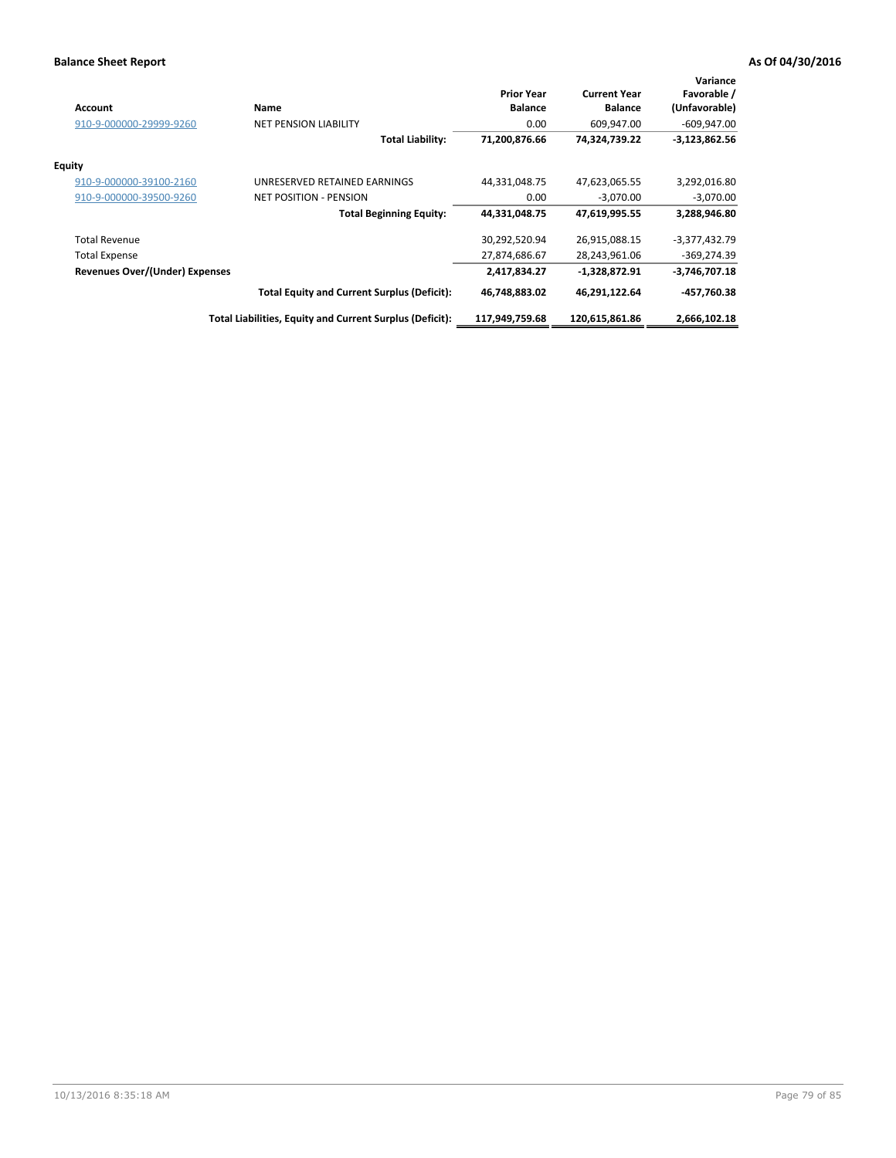| <b>Account</b>                 | Name                                                     | <b>Prior Year</b><br><b>Balance</b> | <b>Current Year</b><br><b>Balance</b> | Variance<br>Favorable /<br>(Unfavorable) |
|--------------------------------|----------------------------------------------------------|-------------------------------------|---------------------------------------|------------------------------------------|
| 910-9-000000-29999-9260        | <b>NET PENSION LIABILITY</b>                             | 0.00                                | 609,947.00                            | $-609,947.00$                            |
|                                | <b>Total Liability:</b>                                  | 71,200,876.66                       | 74,324,739.22                         | $-3,123,862.56$                          |
| <b>Equity</b>                  |                                                          |                                     |                                       |                                          |
| 910-9-000000-39100-2160        | UNRESERVED RETAINED EARNINGS                             | 44,331,048.75                       | 47,623,065.55                         | 3,292,016.80                             |
| 910-9-000000-39500-9260        | <b>NET POSITION - PENSION</b>                            | 0.00                                | $-3.070.00$                           | $-3,070.00$                              |
|                                | <b>Total Beginning Equity:</b>                           | 44,331,048.75                       | 47,619,995.55                         | 3,288,946.80                             |
| <b>Total Revenue</b>           |                                                          | 30,292,520.94                       | 26,915,088.15                         | -3,377,432.79                            |
| <b>Total Expense</b>           |                                                          | 27,874,686.67                       | 28,243,961.06                         | -369,274.39                              |
| Revenues Over/(Under) Expenses |                                                          | 2,417,834.27                        | -1,328,872.91                         | -3,746,707.18                            |
|                                | <b>Total Equity and Current Surplus (Deficit):</b>       | 46,748,883.02                       | 46,291,122.64                         | -457,760.38                              |
|                                | Total Liabilities, Equity and Current Surplus (Deficit): | 117,949,759.68                      | 120,615,861.86                        | 2,666,102.18                             |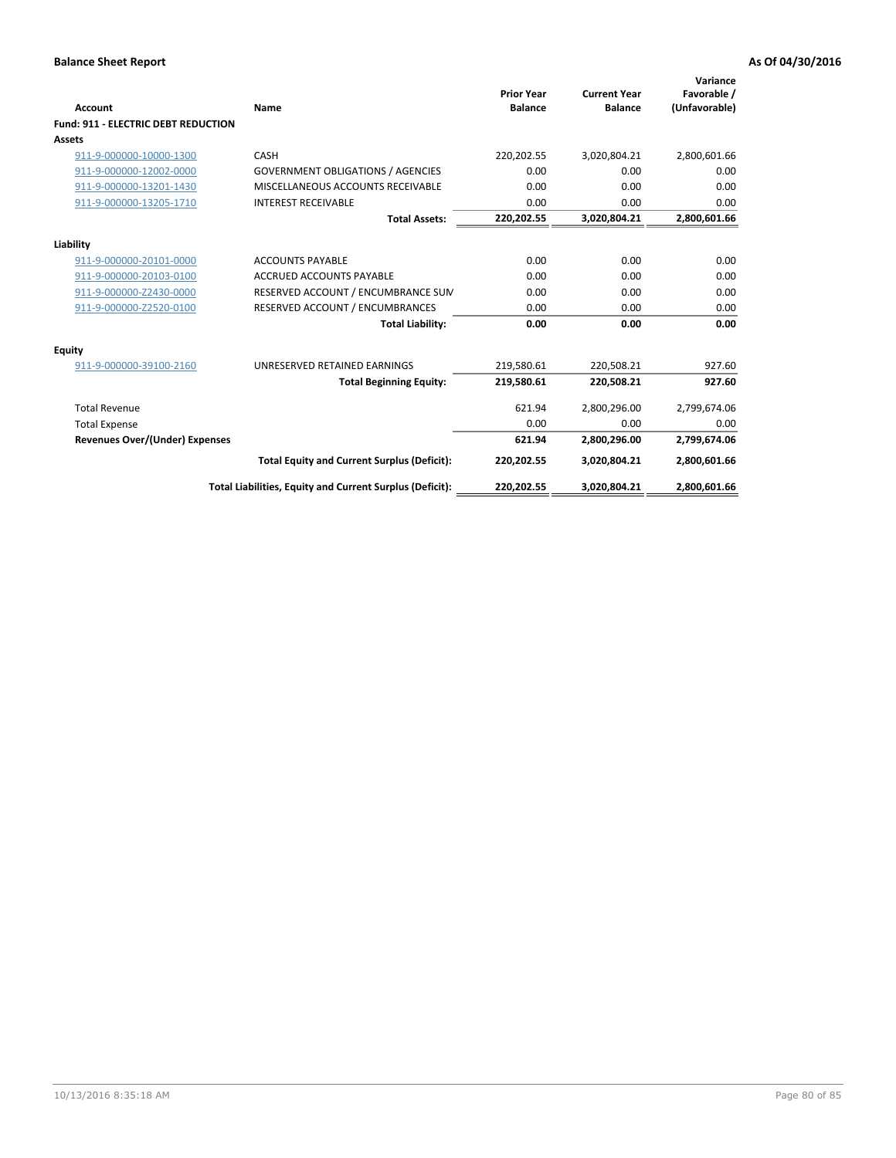| <b>Account</b>                             | Name                                                     | <b>Prior Year</b><br><b>Balance</b> | <b>Current Year</b><br><b>Balance</b> | Variance<br>Favorable /<br>(Unfavorable) |
|--------------------------------------------|----------------------------------------------------------|-------------------------------------|---------------------------------------|------------------------------------------|
| <b>Fund: 911 - ELECTRIC DEBT REDUCTION</b> |                                                          |                                     |                                       |                                          |
| Assets                                     |                                                          |                                     |                                       |                                          |
| 911-9-000000-10000-1300                    | CASH                                                     | 220,202.55                          | 3,020,804.21                          | 2,800,601.66                             |
| 911-9-000000-12002-0000                    | <b>GOVERNMENT OBLIGATIONS / AGENCIES</b>                 | 0.00                                | 0.00                                  | 0.00                                     |
| 911-9-000000-13201-1430                    | MISCELLANEOUS ACCOUNTS RECEIVABLE                        | 0.00                                | 0.00                                  | 0.00                                     |
| 911-9-000000-13205-1710                    | <b>INTEREST RECEIVABLE</b>                               | 0.00                                | 0.00                                  | 0.00                                     |
|                                            | <b>Total Assets:</b>                                     | 220,202.55                          | 3,020,804.21                          | 2,800,601.66                             |
| Liability                                  |                                                          |                                     |                                       |                                          |
| 911-9-000000-20101-0000                    | <b>ACCOUNTS PAYABLE</b>                                  | 0.00                                | 0.00                                  | 0.00                                     |
| 911-9-000000-20103-0100                    | <b>ACCRUED ACCOUNTS PAYABLE</b>                          | 0.00                                | 0.00                                  | 0.00                                     |
| 911-9-000000-Z2430-0000                    | RESERVED ACCOUNT / ENCUMBRANCE SUM                       | 0.00                                | 0.00                                  | 0.00                                     |
| 911-9-000000-Z2520-0100                    | RESERVED ACCOUNT / ENCUMBRANCES                          | 0.00                                | 0.00                                  | 0.00                                     |
|                                            | <b>Total Liability:</b>                                  | 0.00                                | 0.00                                  | 0.00                                     |
| Equity                                     |                                                          |                                     |                                       |                                          |
| 911-9-000000-39100-2160                    | UNRESERVED RETAINED EARNINGS                             | 219,580.61                          | 220,508.21                            | 927.60                                   |
|                                            | <b>Total Beginning Equity:</b>                           | 219,580.61                          | 220,508.21                            | 927.60                                   |
| <b>Total Revenue</b>                       |                                                          | 621.94                              | 2,800,296.00                          | 2,799,674.06                             |
| <b>Total Expense</b>                       |                                                          | 0.00                                | 0.00                                  | 0.00                                     |
| <b>Revenues Over/(Under) Expenses</b>      |                                                          | 621.94                              | 2,800,296.00                          | 2,799,674.06                             |
|                                            | <b>Total Equity and Current Surplus (Deficit):</b>       | 220,202.55                          | 3,020,804.21                          | 2,800,601.66                             |
|                                            | Total Liabilities, Equity and Current Surplus (Deficit): | 220,202.55                          | 3,020,804.21                          | 2,800,601.66                             |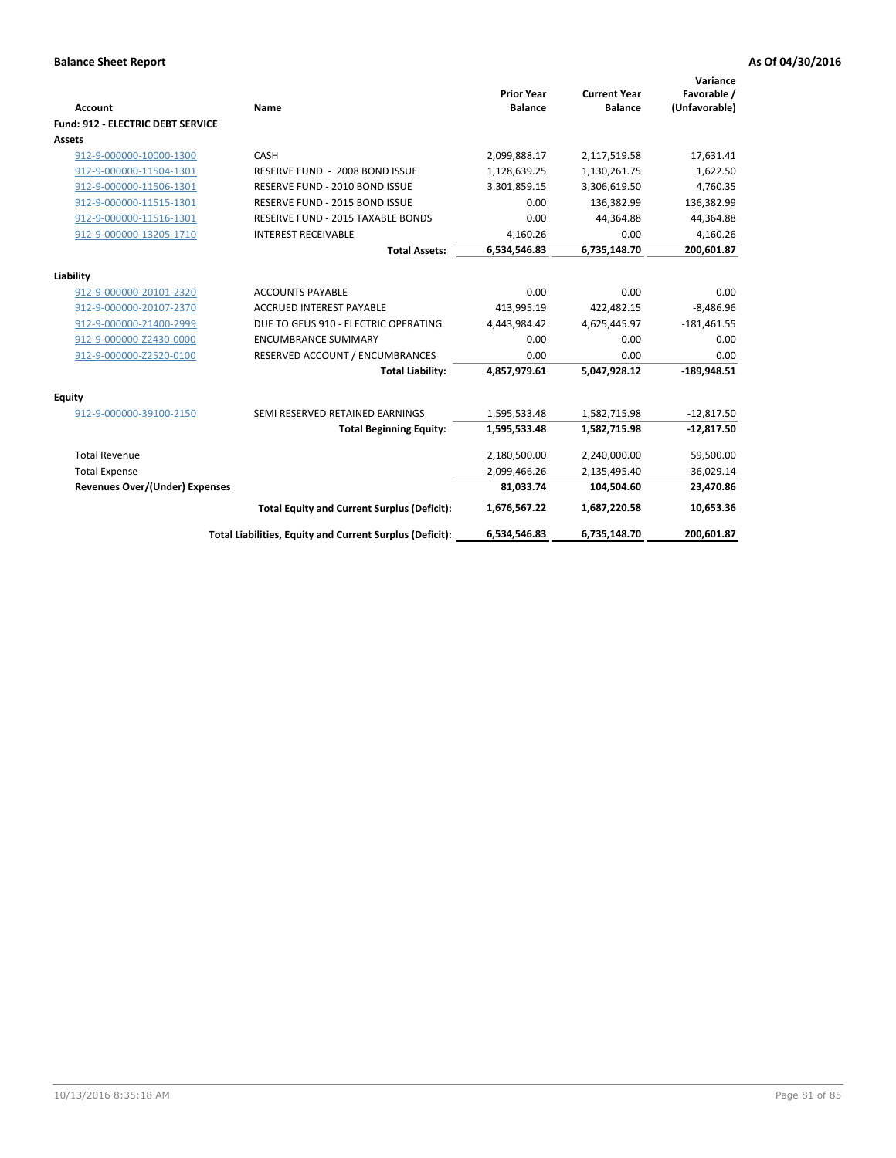| Account                                  | Name                                                     | <b>Prior Year</b><br><b>Balance</b> | <b>Current Year</b><br><b>Balance</b> | Variance<br>Favorable /<br>(Unfavorable) |
|------------------------------------------|----------------------------------------------------------|-------------------------------------|---------------------------------------|------------------------------------------|
| <b>Fund: 912 - ELECTRIC DEBT SERVICE</b> |                                                          |                                     |                                       |                                          |
| <b>Assets</b>                            |                                                          |                                     |                                       |                                          |
| 912-9-000000-10000-1300                  | CASH                                                     | 2,099,888.17                        | 2,117,519.58                          | 17,631.41                                |
| 912-9-000000-11504-1301                  | RESERVE FUND - 2008 BOND ISSUE                           | 1,128,639.25                        | 1,130,261.75                          | 1,622.50                                 |
| 912-9-000000-11506-1301                  | RESERVE FUND - 2010 BOND ISSUE                           | 3,301,859.15                        | 3,306,619.50                          | 4,760.35                                 |
| 912-9-000000-11515-1301                  | RESERVE FUND - 2015 BOND ISSUE                           | 0.00                                | 136,382.99                            | 136,382.99                               |
| 912-9-000000-11516-1301                  | <b>RESERVE FUND - 2015 TAXABLE BONDS</b>                 | 0.00                                | 44,364.88                             | 44,364.88                                |
| 912-9-000000-13205-1710                  | <b>INTEREST RECEIVABLE</b>                               | 4.160.26                            | 0.00                                  | $-4,160.26$                              |
|                                          | <b>Total Assets:</b>                                     | 6,534,546.83                        | 6,735,148.70                          | 200,601.87                               |
| Liability                                |                                                          |                                     |                                       |                                          |
| 912-9-000000-20101-2320                  | <b>ACCOUNTS PAYABLE</b>                                  | 0.00                                | 0.00                                  | 0.00                                     |
| 912-9-000000-20107-2370                  | <b>ACCRUED INTEREST PAYABLE</b>                          | 413,995.19                          | 422,482.15                            | $-8,486.96$                              |
| 912-9-000000-21400-2999                  | DUE TO GEUS 910 - ELECTRIC OPERATING                     | 4,443,984.42                        | 4,625,445.97                          | $-181,461.55$                            |
| 912-9-000000-Z2430-0000                  | <b>ENCUMBRANCE SUMMARY</b>                               | 0.00                                | 0.00                                  | 0.00                                     |
| 912-9-000000-Z2520-0100                  | RESERVED ACCOUNT / ENCUMBRANCES                          | 0.00                                | 0.00                                  | 0.00                                     |
|                                          | <b>Total Liability:</b>                                  | 4,857,979.61                        | 5,047,928.12                          | $-189,948.51$                            |
| Equity                                   |                                                          |                                     |                                       |                                          |
| 912-9-000000-39100-2150                  | SEMI RESERVED RETAINED EARNINGS                          | 1,595,533.48                        | 1,582,715.98                          | $-12,817.50$                             |
|                                          | <b>Total Beginning Equity:</b>                           | 1,595,533.48                        | 1,582,715.98                          | $-12,817.50$                             |
| <b>Total Revenue</b>                     |                                                          | 2,180,500.00                        | 2,240,000.00                          | 59,500.00                                |
| <b>Total Expense</b>                     |                                                          | 2,099,466.26                        | 2,135,495.40                          | $-36,029.14$                             |
| <b>Revenues Over/(Under) Expenses</b>    |                                                          | 81,033.74                           | 104,504.60                            | 23,470.86                                |
|                                          | <b>Total Equity and Current Surplus (Deficit):</b>       | 1,676,567.22                        | 1,687,220.58                          | 10,653.36                                |
|                                          | Total Liabilities, Equity and Current Surplus (Deficit): | 6,534,546.83                        | 6,735,148.70                          | 200,601.87                               |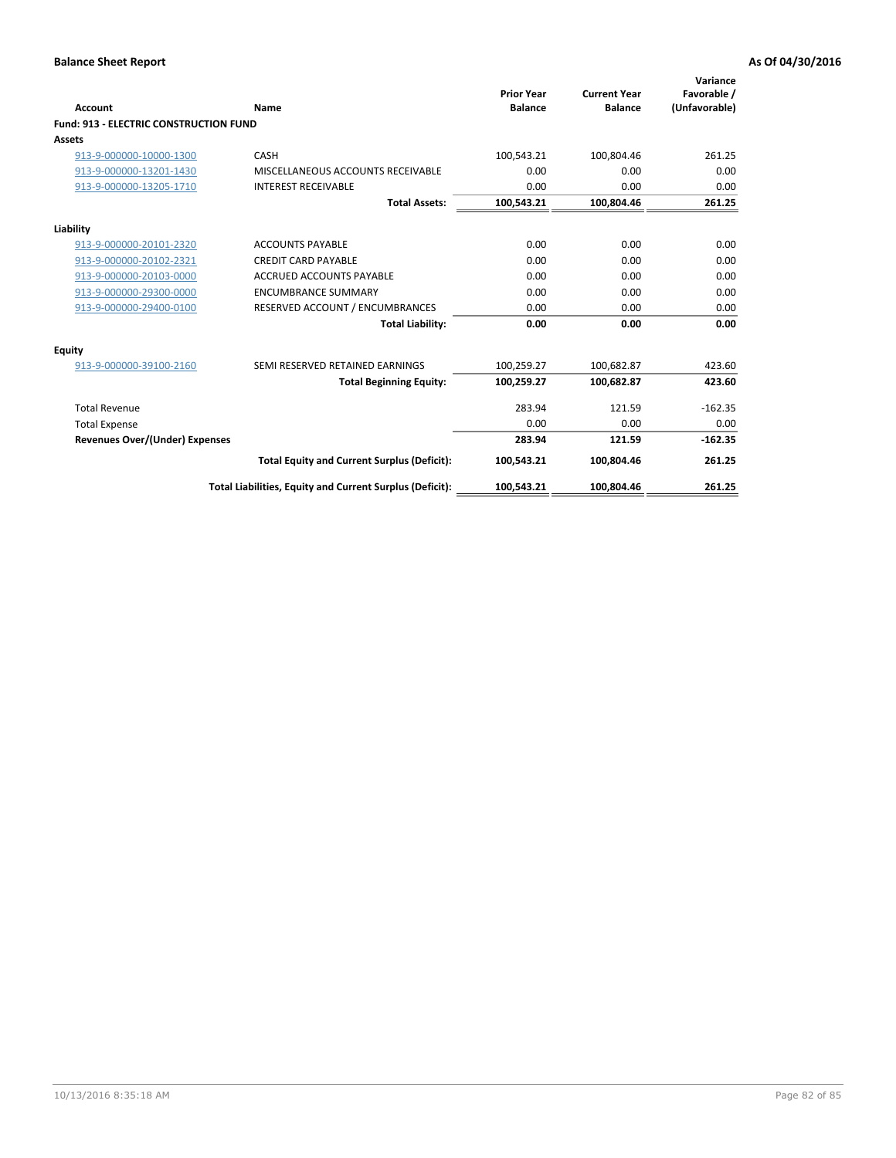| Account                                       | Name                                                     | <b>Prior Year</b><br><b>Balance</b> | <b>Current Year</b><br><b>Balance</b> | Variance<br>Favorable /<br>(Unfavorable) |
|-----------------------------------------------|----------------------------------------------------------|-------------------------------------|---------------------------------------|------------------------------------------|
| <b>Fund: 913 - ELECTRIC CONSTRUCTION FUND</b> |                                                          |                                     |                                       |                                          |
| Assets                                        |                                                          |                                     |                                       |                                          |
| 913-9-000000-10000-1300                       | CASH                                                     | 100,543.21                          | 100,804.46                            | 261.25                                   |
| 913-9-000000-13201-1430                       | MISCELLANEOUS ACCOUNTS RECEIVABLE                        | 0.00                                | 0.00                                  | 0.00                                     |
| 913-9-000000-13205-1710                       | <b>INTEREST RECEIVABLE</b>                               | 0.00                                | 0.00                                  | 0.00                                     |
|                                               | <b>Total Assets:</b>                                     | 100,543.21                          | 100,804.46                            | 261.25                                   |
| Liability                                     |                                                          |                                     |                                       |                                          |
| 913-9-000000-20101-2320                       | <b>ACCOUNTS PAYABLE</b>                                  | 0.00                                | 0.00                                  | 0.00                                     |
| 913-9-000000-20102-2321                       | <b>CREDIT CARD PAYABLE</b>                               | 0.00                                | 0.00                                  | 0.00                                     |
| 913-9-000000-20103-0000                       | <b>ACCRUED ACCOUNTS PAYABLE</b>                          | 0.00                                | 0.00                                  | 0.00                                     |
| 913-9-000000-29300-0000                       | <b>ENCUMBRANCE SUMMARY</b>                               | 0.00                                | 0.00                                  | 0.00                                     |
| 913-9-000000-29400-0100                       | RESERVED ACCOUNT / ENCUMBRANCES                          | 0.00                                | 0.00                                  | 0.00                                     |
|                                               | <b>Total Liability:</b>                                  | 0.00                                | 0.00                                  | 0.00                                     |
|                                               |                                                          |                                     |                                       |                                          |
| <b>Equity</b>                                 |                                                          |                                     |                                       |                                          |
| 913-9-000000-39100-2160                       | SEMI RESERVED RETAINED EARNINGS                          | 100,259.27                          | 100,682.87                            | 423.60                                   |
|                                               | <b>Total Beginning Equity:</b>                           | 100,259.27                          | 100.682.87                            | 423.60                                   |
| <b>Total Revenue</b>                          |                                                          | 283.94                              | 121.59                                | $-162.35$                                |
| <b>Total Expense</b>                          |                                                          | 0.00                                | 0.00                                  | 0.00                                     |
| <b>Revenues Over/(Under) Expenses</b>         |                                                          | 283.94                              | 121.59                                | $-162.35$                                |
|                                               | <b>Total Equity and Current Surplus (Deficit):</b>       | 100,543.21                          | 100.804.46                            | 261.25                                   |
|                                               | Total Liabilities, Equity and Current Surplus (Deficit): | 100,543.21                          | 100,804.46                            | 261.25                                   |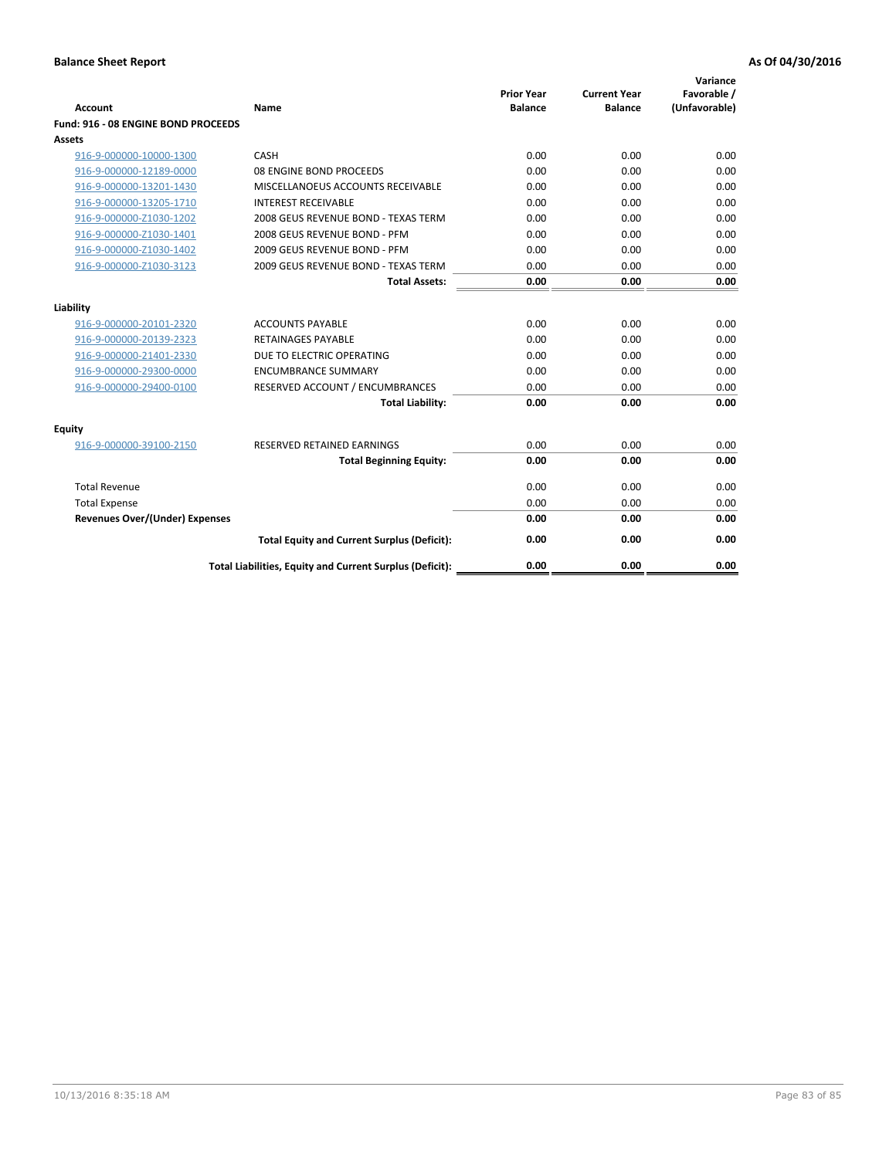| <b>Account</b>                      | Name                                                     | <b>Prior Year</b><br><b>Balance</b> | <b>Current Year</b><br><b>Balance</b> | Variance<br>Favorable /<br>(Unfavorable) |
|-------------------------------------|----------------------------------------------------------|-------------------------------------|---------------------------------------|------------------------------------------|
| Fund: 916 - 08 ENGINE BOND PROCEEDS |                                                          |                                     |                                       |                                          |
| Assets                              |                                                          |                                     |                                       |                                          |
| 916-9-000000-10000-1300             | CASH                                                     | 0.00                                | 0.00                                  | 0.00                                     |
| 916-9-000000-12189-0000             | 08 ENGINE BOND PROCEEDS                                  | 0.00                                | 0.00                                  | 0.00                                     |
| 916-9-000000-13201-1430             | MISCELLANOEUS ACCOUNTS RECEIVABLE                        | 0.00                                | 0.00                                  | 0.00                                     |
| 916-9-000000-13205-1710             | <b>INTEREST RECEIVABLE</b>                               | 0.00                                | 0.00                                  | 0.00                                     |
| 916-9-000000-Z1030-1202             | 2008 GEUS REVENUE BOND - TEXAS TERM                      | 0.00                                | 0.00                                  | 0.00                                     |
| 916-9-000000-Z1030-1401             | 2008 GEUS REVENUE BOND - PFM                             | 0.00                                | 0.00                                  | 0.00                                     |
| 916-9-000000-Z1030-1402             | 2009 GEUS REVENUE BOND - PFM                             | 0.00                                | 0.00                                  | 0.00                                     |
| 916-9-000000-Z1030-3123             | 2009 GEUS REVENUE BOND - TEXAS TERM                      | 0.00                                | 0.00                                  | 0.00                                     |
|                                     | <b>Total Assets:</b>                                     | 0.00                                | 0.00                                  | 0.00                                     |
| Liability                           |                                                          |                                     |                                       |                                          |
| 916-9-000000-20101-2320             | <b>ACCOUNTS PAYABLE</b>                                  | 0.00                                | 0.00                                  | 0.00                                     |
| 916-9-000000-20139-2323             | <b>RETAINAGES PAYABLE</b>                                | 0.00                                | 0.00                                  | 0.00                                     |
| 916-9-000000-21401-2330             | DUE TO ELECTRIC OPERATING                                | 0.00                                | 0.00                                  | 0.00                                     |
| 916-9-000000-29300-0000             | <b>ENCUMBRANCE SUMMARY</b>                               | 0.00                                | 0.00                                  | 0.00                                     |
| 916-9-000000-29400-0100             | RESERVED ACCOUNT / ENCUMBRANCES                          | 0.00                                | 0.00                                  | 0.00                                     |
|                                     | <b>Total Liability:</b>                                  | 0.00                                | 0.00                                  | 0.00                                     |
| Equity                              |                                                          |                                     |                                       |                                          |
| 916-9-000000-39100-2150             | <b>RESERVED RETAINED EARNINGS</b>                        | 0.00                                | 0.00                                  | 0.00                                     |
|                                     | <b>Total Beginning Equity:</b>                           | 0.00                                | 0.00                                  | 0.00                                     |
| <b>Total Revenue</b>                |                                                          | 0.00                                | 0.00                                  | 0.00                                     |
| <b>Total Expense</b>                |                                                          | 0.00                                | 0.00                                  | 0.00                                     |
| Revenues Over/(Under) Expenses      |                                                          | 0.00                                | 0.00                                  | 0.00                                     |
|                                     | <b>Total Equity and Current Surplus (Deficit):</b>       | 0.00                                | 0.00                                  | 0.00                                     |
|                                     | Total Liabilities, Equity and Current Surplus (Deficit): | 0.00                                | 0.00                                  | 0.00                                     |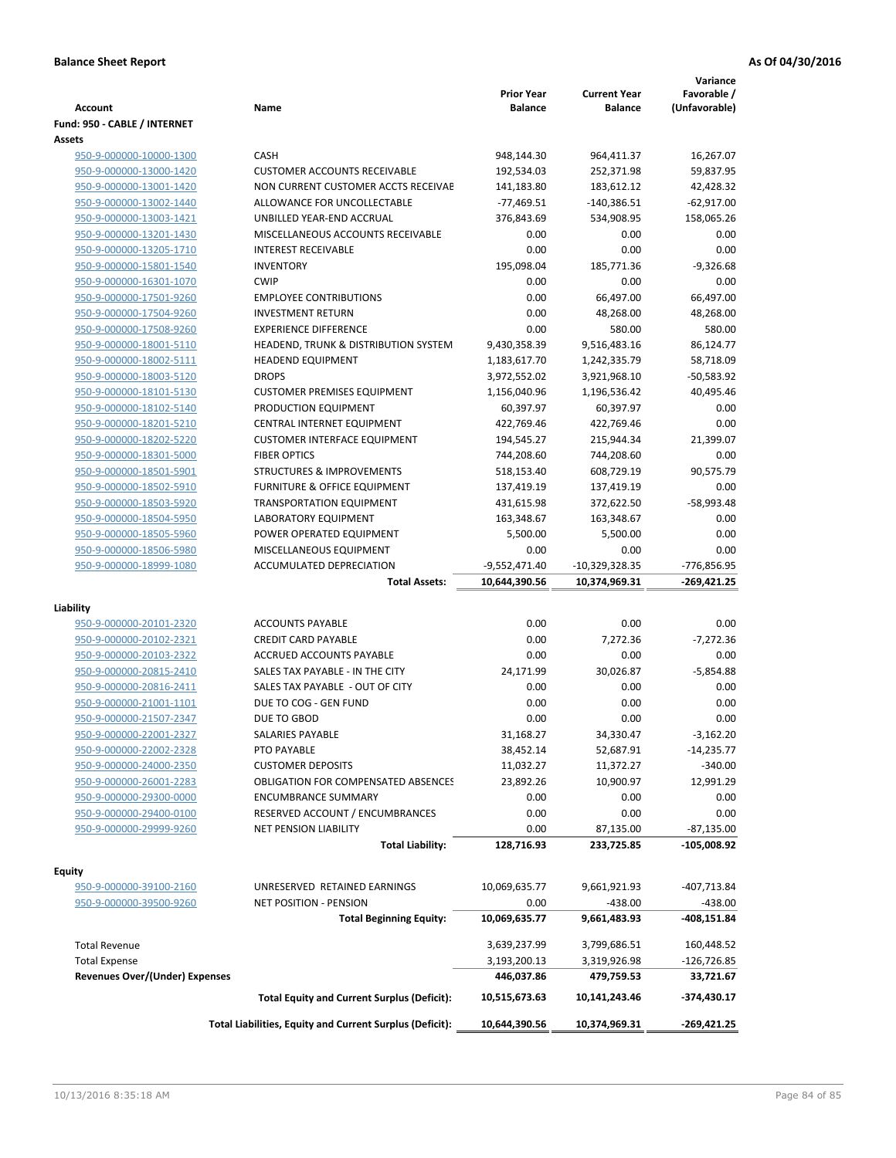| <b>Account</b>                                     | Name                                                     | <b>Prior Year</b><br><b>Balance</b> | <b>Current Year</b><br><b>Balance</b> | Variance<br>Favorable /<br>(Unfavorable) |
|----------------------------------------------------|----------------------------------------------------------|-------------------------------------|---------------------------------------|------------------------------------------|
| Fund: 950 - CABLE / INTERNET                       |                                                          |                                     |                                       |                                          |
| <b>Assets</b>                                      |                                                          |                                     |                                       |                                          |
| 950-9-000000-10000-1300                            | CASH                                                     | 948,144.30                          | 964,411.37                            | 16,267.07                                |
| 950-9-000000-13000-1420                            | <b>CUSTOMER ACCOUNTS RECEIVABLE</b>                      | 192,534.03                          | 252,371.98                            | 59,837.95                                |
| 950-9-000000-13001-1420                            | NON CURRENT CUSTOMER ACCTS RECEIVAE                      | 141,183.80                          | 183,612.12                            | 42,428.32                                |
| 950-9-000000-13002-1440                            | ALLOWANCE FOR UNCOLLECTABLE                              | $-77,469.51$                        | -140,386.51                           | $-62,917.00$                             |
| 950-9-000000-13003-1421                            | UNBILLED YEAR-END ACCRUAL                                | 376,843.69                          | 534,908.95                            | 158,065.26                               |
| 950-9-000000-13201-1430                            | MISCELLANEOUS ACCOUNTS RECEIVABLE                        | 0.00                                | 0.00                                  | 0.00                                     |
| 950-9-000000-13205-1710                            | <b>INTEREST RECEIVABLE</b>                               | 0.00                                | 0.00                                  | 0.00                                     |
| 950-9-000000-15801-1540                            | <b>INVENTORY</b>                                         | 195,098.04                          | 185,771.36                            | $-9,326.68$                              |
| 950-9-000000-16301-1070                            | <b>CWIP</b>                                              | 0.00                                | 0.00                                  | 0.00                                     |
| 950-9-000000-17501-9260                            | <b>EMPLOYEE CONTRIBUTIONS</b>                            | 0.00                                | 66,497.00                             | 66,497.00                                |
| 950-9-000000-17504-9260                            | <b>INVESTMENT RETURN</b>                                 | 0.00                                | 48,268.00                             | 48,268.00                                |
| 950-9-000000-17508-9260                            | <b>EXPERIENCE DIFFERENCE</b>                             | 0.00                                | 580.00                                | 580.00                                   |
| 950-9-000000-18001-5110                            | HEADEND, TRUNK & DISTRIBUTION SYSTEM                     | 9,430,358.39                        | 9,516,483.16                          | 86,124.77                                |
| 950-9-000000-18002-5111                            | <b>HEADEND EQUIPMENT</b>                                 | 1,183,617.70                        | 1,242,335.79                          | 58,718.09                                |
| 950-9-000000-18003-5120                            | <b>DROPS</b>                                             | 3,972,552.02                        | 3,921,968.10                          | -50,583.92                               |
| 950-9-000000-18101-5130                            | <b>CUSTOMER PREMISES EQUIPMENT</b>                       | 1,156,040.96                        | 1,196,536.42                          | 40,495.46                                |
| 950-9-000000-18102-5140                            | PRODUCTION EQUIPMENT                                     | 60,397.97                           | 60,397.97                             | 0.00                                     |
| 950-9-000000-18201-5210                            | CENTRAL INTERNET EQUIPMENT                               | 422,769.46                          | 422,769.46                            | 0.00                                     |
| 950-9-000000-18202-5220                            | <b>CUSTOMER INTERFACE EQUIPMENT</b>                      | 194,545.27                          | 215,944.34                            | 21,399.07                                |
| 950-9-000000-18301-5000                            | <b>FIBER OPTICS</b>                                      | 744,208.60                          | 744,208.60                            | 0.00                                     |
| 950-9-000000-18501-5901                            | <b>STRUCTURES &amp; IMPROVEMENTS</b>                     | 518,153.40                          | 608,729.19                            | 90,575.79                                |
| 950-9-000000-18502-5910                            | <b>FURNITURE &amp; OFFICE EQUIPMENT</b>                  | 137,419.19                          | 137,419.19                            | 0.00                                     |
| 950-9-000000-18503-5920                            | <b>TRANSPORTATION EQUIPMENT</b>                          | 431,615.98                          | 372,622.50                            | $-58,993.48$                             |
| 950-9-000000-18504-5950                            | LABORATORY EQUIPMENT                                     | 163,348.67                          | 163,348.67                            | 0.00                                     |
| 950-9-000000-18505-5960                            | POWER OPERATED EQUIPMENT                                 | 5,500.00                            | 5,500.00                              | 0.00                                     |
| 950-9-000000-18506-5980                            | MISCELLANEOUS EQUIPMENT                                  | 0.00                                | 0.00                                  | 0.00                                     |
| 950-9-000000-18999-1080                            | ACCUMULATED DEPRECIATION                                 | $-9,552,471.40$                     | $-10,329,328.35$                      | -776,856.95                              |
|                                                    | <b>Total Assets:</b>                                     | 10,644,390.56                       | 10,374,969.31                         | -269,421.25                              |
|                                                    |                                                          |                                     |                                       |                                          |
| Liability                                          |                                                          |                                     |                                       |                                          |
| 950-9-000000-20101-2320                            | <b>ACCOUNTS PAYABLE</b>                                  | 0.00                                | 0.00                                  | 0.00                                     |
| 950-9-000000-20102-2321<br>950-9-000000-20103-2322 | <b>CREDIT CARD PAYABLE</b>                               | 0.00                                | 7,272.36                              | $-7,272.36$                              |
|                                                    | ACCRUED ACCOUNTS PAYABLE                                 | 0.00                                | 0.00                                  | 0.00                                     |
| 950-9-000000-20815-2410                            | SALES TAX PAYABLE - IN THE CITY                          | 24,171.99                           | 30,026.87                             | $-5,854.88$                              |
| 950-9-000000-20816-2411                            | SALES TAX PAYABLE - OUT OF CITY                          | 0.00                                | 0.00                                  | 0.00                                     |
| 950-9-000000-21001-1101                            | DUE TO COG - GEN FUND                                    | 0.00<br>0.00                        | 0.00                                  | 0.00                                     |
| 950-9-000000-21507-2347                            | DUE TO GBOD                                              |                                     | 0.00                                  | 0.00                                     |
| 950-9-000000-22001-2327                            | SALARIES PAYABLE                                         | 31,168.27                           | 34,330.47                             | $-3,162.20$                              |
| 950-9-000000-22002-2328                            | PTO PAYABLE                                              | 38,452.14                           | 52,687.91                             | $-14,235.77$                             |
| 950-9-000000-24000-2350                            | <b>CUSTOMER DEPOSITS</b>                                 | 11,032.27                           | 11,372.27                             | $-340.00$                                |
| 950-9-000000-26001-2283                            | <b>OBLIGATION FOR COMPENSATED ABSENCES</b>               | 23,892.26                           | 10,900.97                             | 12,991.29                                |
| 950-9-000000-29300-0000                            | <b>ENCUMBRANCE SUMMARY</b>                               | 0.00                                | 0.00                                  | 0.00                                     |
| 950-9-000000-29400-0100                            | RESERVED ACCOUNT / ENCUMBRANCES                          | 0.00                                | 0.00                                  | 0.00                                     |
| 950-9-000000-29999-9260                            | <b>NET PENSION LIABILITY</b>                             | 0.00                                | 87,135.00                             | -87,135.00                               |
|                                                    | <b>Total Liability:</b>                                  | 128,716.93                          | 233,725.85                            | -105,008.92                              |
| Equity                                             |                                                          |                                     |                                       |                                          |
| 950-9-000000-39100-2160                            | UNRESERVED RETAINED EARNINGS                             | 10,069,635.77                       | 9,661,921.93                          | -407,713.84                              |
| 950-9-000000-39500-9260                            | <b>NET POSITION - PENSION</b>                            | 0.00                                | $-438.00$                             | $-438.00$                                |
|                                                    | <b>Total Beginning Equity:</b>                           | 10,069,635.77                       | 9,661,483.93                          | -408,151.84                              |
|                                                    |                                                          |                                     |                                       |                                          |
| <b>Total Revenue</b>                               |                                                          | 3,639,237.99                        | 3,799,686.51                          | 160,448.52                               |
| <b>Total Expense</b>                               |                                                          | 3,193,200.13                        | 3,319,926.98                          | -126,726.85                              |
| <b>Revenues Over/(Under) Expenses</b>              |                                                          | 446,037.86                          | 479,759.53                            | 33,721.67                                |
|                                                    | <b>Total Equity and Current Surplus (Deficit):</b>       | 10,515,673.63                       | 10,141,243.46                         | -374,430.17                              |
|                                                    | Total Liabilities, Equity and Current Surplus (Deficit): | 10,644,390.56                       | 10,374,969.31                         | $-269,421.25$                            |
|                                                    |                                                          |                                     |                                       |                                          |